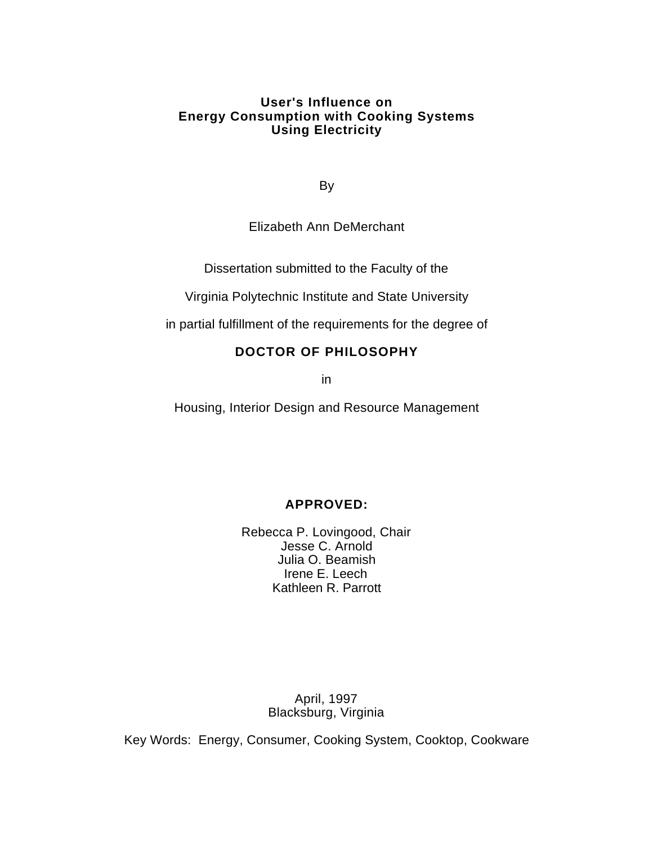## **User's Influence on Energy Consumption with Cooking Systems Using Electricity**

By

Elizabeth Ann DeMerchant

Dissertation submitted to the Faculty of the

Virginia Polytechnic Institute and State University

in partial fulfillment of the requirements for the degree of

# **DOCTOR OF PHILOSOPHY**

in

Housing, Interior Design and Resource Management

# **APPROVED:**

Rebecca P. Lovingood, Chair Jesse C. Arnold Julia O. Beamish Irene E. Leech Kathleen R. Parrott

> April, 1997 Blacksburg, Virginia

Key Words: Energy, Consumer, Cooking System, Cooktop, Cookware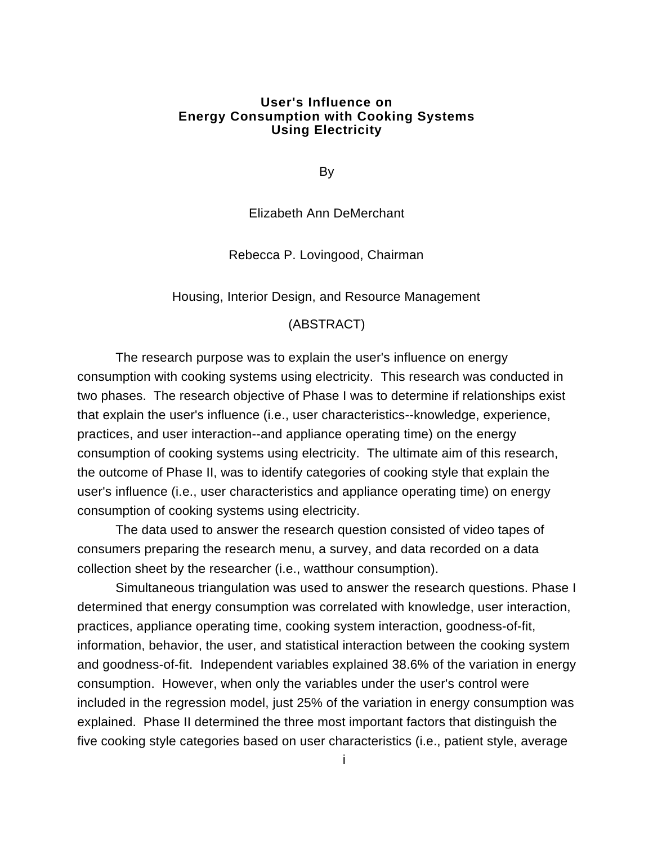## **User's Influence on Energy Consumption with Cooking Systems Using Electricity**

By

Elizabeth Ann DeMerchant

Rebecca P. Lovingood, Chairman

Housing, Interior Design, and Resource Management

### (ABSTRACT)

The research purpose was to explain the user's influence on energy consumption with cooking systems using electricity. This research was conducted in two phases. The research objective of Phase I was to determine if relationships exist that explain the user's influence (i.e., user characteristics--knowledge, experience, practices, and user interaction--and appliance operating time) on the energy consumption of cooking systems using electricity. The ultimate aim of this research, the outcome of Phase II, was to identify categories of cooking style that explain the user's influence (i.e., user characteristics and appliance operating time) on energy consumption of cooking systems using electricity.

The data used to answer the research question consisted of video tapes of consumers preparing the research menu, a survey, and data recorded on a data collection sheet by the researcher (i.e., watthour consumption).

Simultaneous triangulation was used to answer the research questions. Phase I determined that energy consumption was correlated with knowledge, user interaction, practices, appliance operating time, cooking system interaction, goodness-of-fit, information, behavior, the user, and statistical interaction between the cooking system and goodness-of-fit. Independent variables explained 38.6% of the variation in energy consumption. However, when only the variables under the user's control were included in the regression model, just 25% of the variation in energy consumption was explained. Phase II determined the three most important factors that distinguish the five cooking style categories based on user characteristics (i.e., patient style, average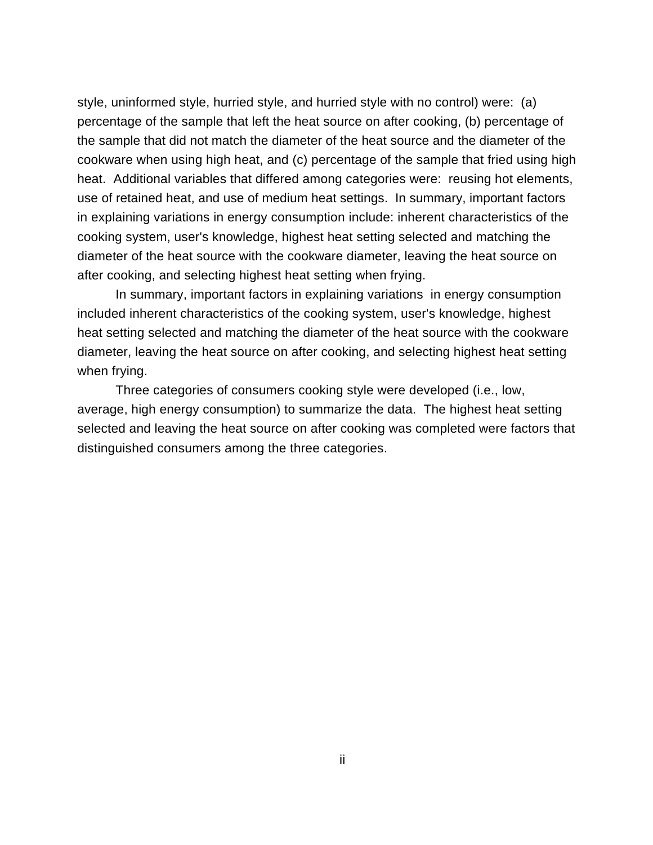style, uninformed style, hurried style, and hurried style with no control) were: (a) percentage of the sample that left the heat source on after cooking, (b) percentage of the sample that did not match the diameter of the heat source and the diameter of the cookware when using high heat, and (c) percentage of the sample that fried using high heat. Additional variables that differed among categories were: reusing hot elements, use of retained heat, and use of medium heat settings. In summary, important factors in explaining variations in energy consumption include: inherent characteristics of the cooking system, user's knowledge, highest heat setting selected and matching the diameter of the heat source with the cookware diameter, leaving the heat source on after cooking, and selecting highest heat setting when frying.

In summary, important factors in explaining variations in energy consumption included inherent characteristics of the cooking system, user's knowledge, highest heat setting selected and matching the diameter of the heat source with the cookware diameter, leaving the heat source on after cooking, and selecting highest heat setting when frying.

Three categories of consumers cooking style were developed (i.e., low, average, high energy consumption) to summarize the data. The highest heat setting selected and leaving the heat source on after cooking was completed were factors that distinguished consumers among the three categories.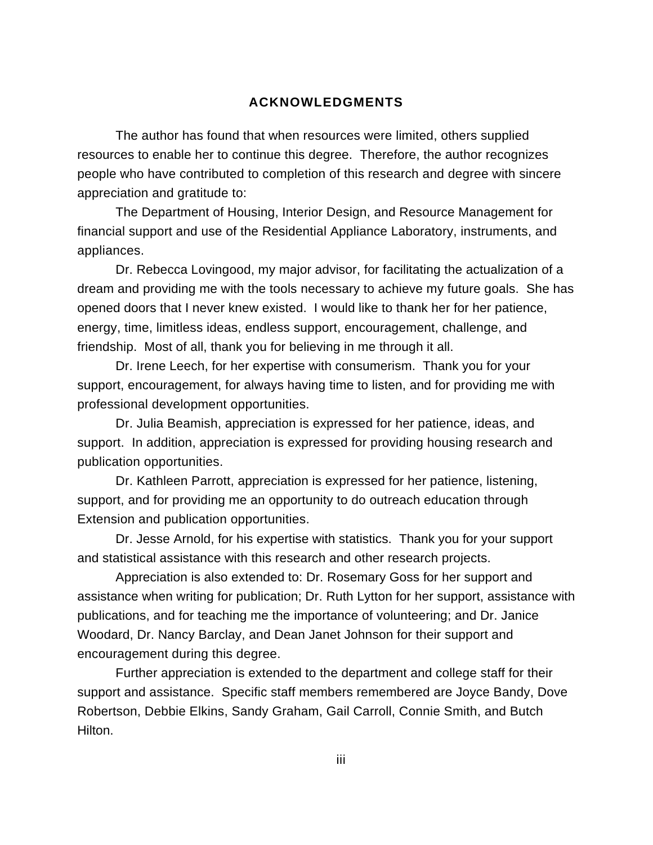## **ACKNOWLEDGMENTS**

The author has found that when resources were limited, others supplied resources to enable her to continue this degree. Therefore, the author recognizes people who have contributed to completion of this research and degree with sincere appreciation and gratitude to:

The Department of Housing, Interior Design, and Resource Management for financial support and use of the Residential Appliance Laboratory, instruments, and appliances.

Dr. Rebecca Lovingood, my major advisor, for facilitating the actualization of a dream and providing me with the tools necessary to achieve my future goals. She has opened doors that I never knew existed. I would like to thank her for her patience, energy, time, limitless ideas, endless support, encouragement, challenge, and friendship. Most of all, thank you for believing in me through it all.

Dr. Irene Leech, for her expertise with consumerism. Thank you for your support, encouragement, for always having time to listen, and for providing me with professional development opportunities.

Dr. Julia Beamish, appreciation is expressed for her patience, ideas, and support. In addition, appreciation is expressed for providing housing research and publication opportunities.

Dr. Kathleen Parrott, appreciation is expressed for her patience, listening, support, and for providing me an opportunity to do outreach education through Extension and publication opportunities.

Dr. Jesse Arnold, for his expertise with statistics. Thank you for your support and statistical assistance with this research and other research projects.

Appreciation is also extended to: Dr. Rosemary Goss for her support and assistance when writing for publication; Dr. Ruth Lytton for her support, assistance with publications, and for teaching me the importance of volunteering; and Dr. Janice Woodard, Dr. Nancy Barclay, and Dean Janet Johnson for their support and encouragement during this degree.

Further appreciation is extended to the department and college staff for their support and assistance. Specific staff members remembered are Joyce Bandy, Dove Robertson, Debbie Elkins, Sandy Graham, Gail Carroll, Connie Smith, and Butch Hilton.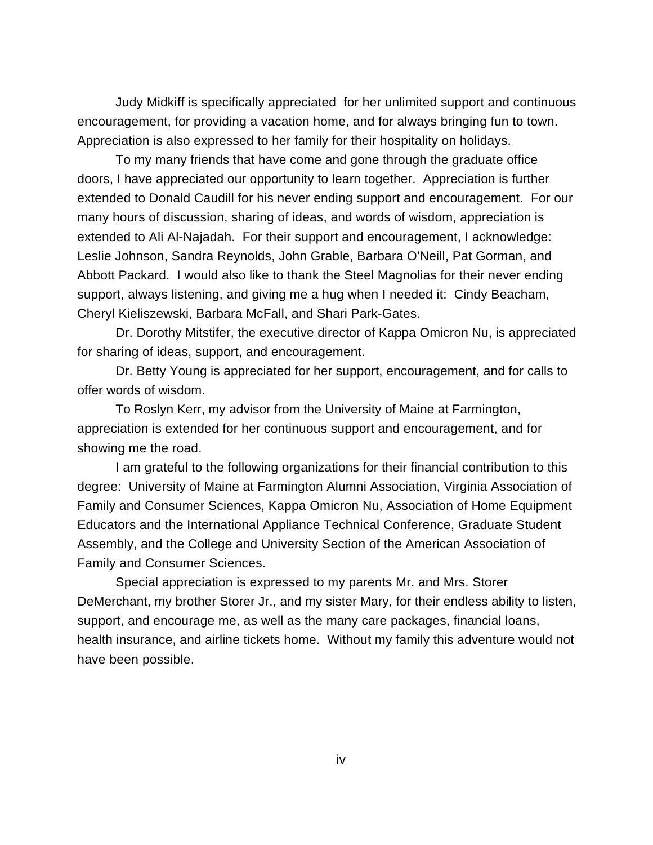Judy Midkiff is specifically appreciated for her unlimited support and continuous encouragement, for providing a vacation home, and for always bringing fun to town. Appreciation is also expressed to her family for their hospitality on holidays.

To my many friends that have come and gone through the graduate office doors, I have appreciated our opportunity to learn together. Appreciation is further extended to Donald Caudill for his never ending support and encouragement. For our many hours of discussion, sharing of ideas, and words of wisdom, appreciation is extended to Ali Al-Najadah. For their support and encouragement, I acknowledge: Leslie Johnson, Sandra Reynolds, John Grable, Barbara O'Neill, Pat Gorman, and Abbott Packard. I would also like to thank the Steel Magnolias for their never ending support, always listening, and giving me a hug when I needed it: Cindy Beacham, Cheryl Kieliszewski, Barbara McFall, and Shari Park-Gates.

Dr. Dorothy Mitstifer, the executive director of Kappa Omicron Nu, is appreciated for sharing of ideas, support, and encouragement.

Dr. Betty Young is appreciated for her support, encouragement, and for calls to offer words of wisdom.

To Roslyn Kerr, my advisor from the University of Maine at Farmington, appreciation is extended for her continuous support and encouragement, and for showing me the road.

I am grateful to the following organizations for their financial contribution to this degree: University of Maine at Farmington Alumni Association, Virginia Association of Family and Consumer Sciences, Kappa Omicron Nu, Association of Home Equipment Educators and the International Appliance Technical Conference, Graduate Student Assembly, and the College and University Section of the American Association of Family and Consumer Sciences.

Special appreciation is expressed to my parents Mr. and Mrs. Storer DeMerchant, my brother Storer Jr., and my sister Mary, for their endless ability to listen, support, and encourage me, as well as the many care packages, financial loans, health insurance, and airline tickets home. Without my family this adventure would not have been possible.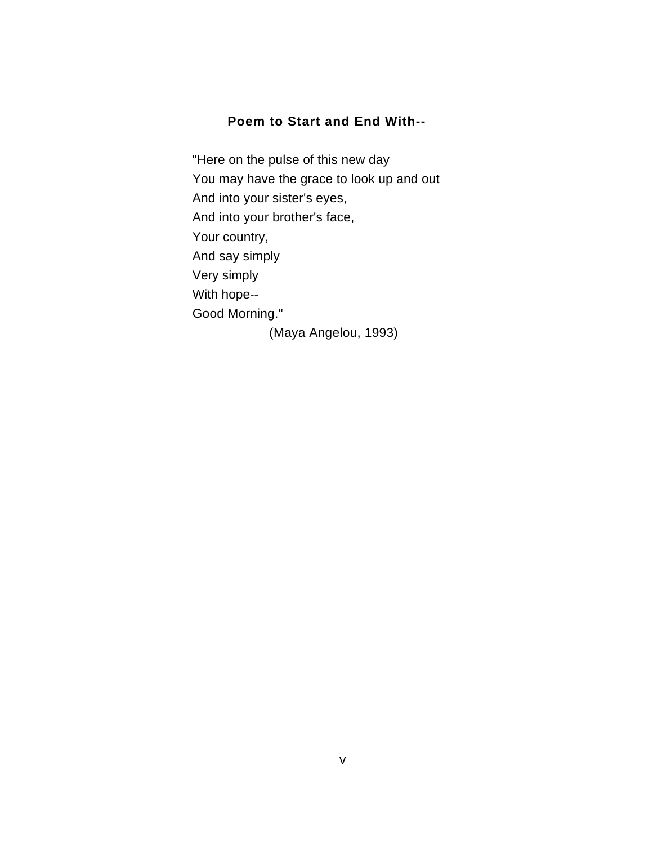## **Poem to Start and End With--**

"Here on the pulse of this new day You may have the grace to look up and out And into your sister's eyes, And into your brother's face, Your country, And say simply Very simply With hope-- Good Morning." (Maya Angelou, 1993)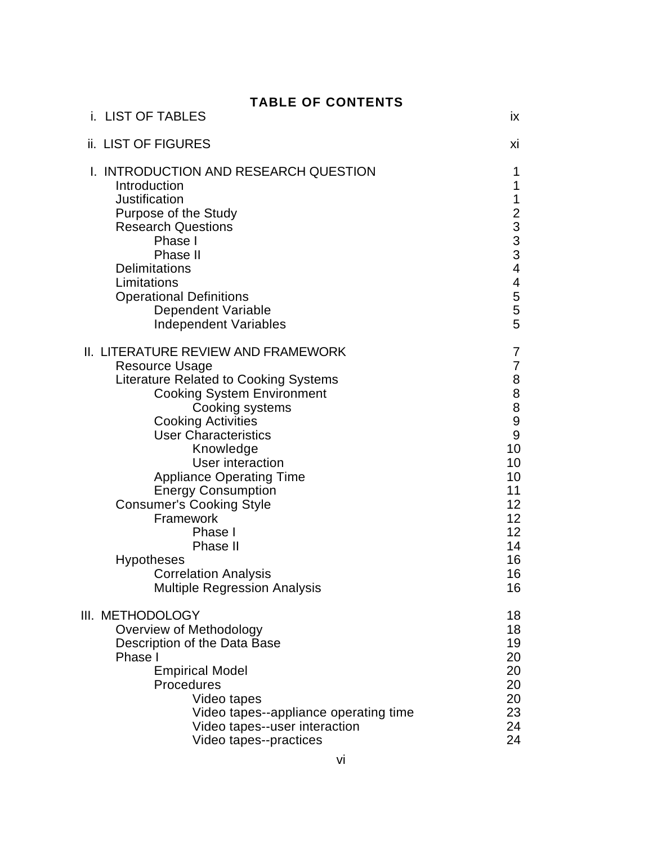| <b>TABLE OF CONTENTS</b> |  |  |  |  |
|--------------------------|--|--|--|--|
|--------------------------|--|--|--|--|

| i. LIST OF TABLES                                                                                                                                                                                                                                                                                                                                                                                                                           | ix                                                                                                                   |
|---------------------------------------------------------------------------------------------------------------------------------------------------------------------------------------------------------------------------------------------------------------------------------------------------------------------------------------------------------------------------------------------------------------------------------------------|----------------------------------------------------------------------------------------------------------------------|
| ii. LIST OF FIGURES                                                                                                                                                                                                                                                                                                                                                                                                                         | хi                                                                                                                   |
| I. INTRODUCTION AND RESEARCH QUESTION<br>Introduction<br>Justification<br>Purpose of the Study<br><b>Research Questions</b><br>Phase I<br>Phase II<br><b>Delimitations</b><br>Limitations<br><b>Operational Definitions</b><br><b>Dependent Variable</b><br><b>Independent Variables</b>                                                                                                                                                    | 1<br>1<br>1<br>$233$<br>$33$<br>$4$<br>4<br>5<br>5<br>5                                                              |
| <b>II. LITERATURE REVIEW AND FRAMEWORK</b><br><b>Resource Usage</b><br><b>Literature Related to Cooking Systems</b><br><b>Cooking System Environment</b><br>Cooking systems<br><b>Cooking Activities</b><br><b>User Characteristics</b><br>Knowledge<br><b>User interaction</b><br><b>Appliance Operating Time</b><br><b>Energy Consumption</b><br><b>Consumer's Cooking Style</b><br>Framework<br>Phase I<br>Phase II<br><b>Hypotheses</b> | 7<br>7<br>8<br>$\begin{array}{c} 8 \\ 8 \end{array}$<br>9<br>9<br>10<br>10<br>10<br>11<br>12<br>12<br>12<br>14<br>16 |
| <b>Correlation Analysis</b><br><b>Multiple Regression Analysis</b><br>III. METHODOLOGY                                                                                                                                                                                                                                                                                                                                                      | 16<br>16<br>18                                                                                                       |
| Overview of Methodology<br>Description of the Data Base<br>Phase I<br><b>Empirical Model</b><br>Procedures<br>Video tapes<br>Video tapes--appliance operating time<br>Video tapes--user interaction<br>Video tapes--practices                                                                                                                                                                                                               | 18<br>19<br>20<br>20<br>20<br>20<br>23<br>24<br>24                                                                   |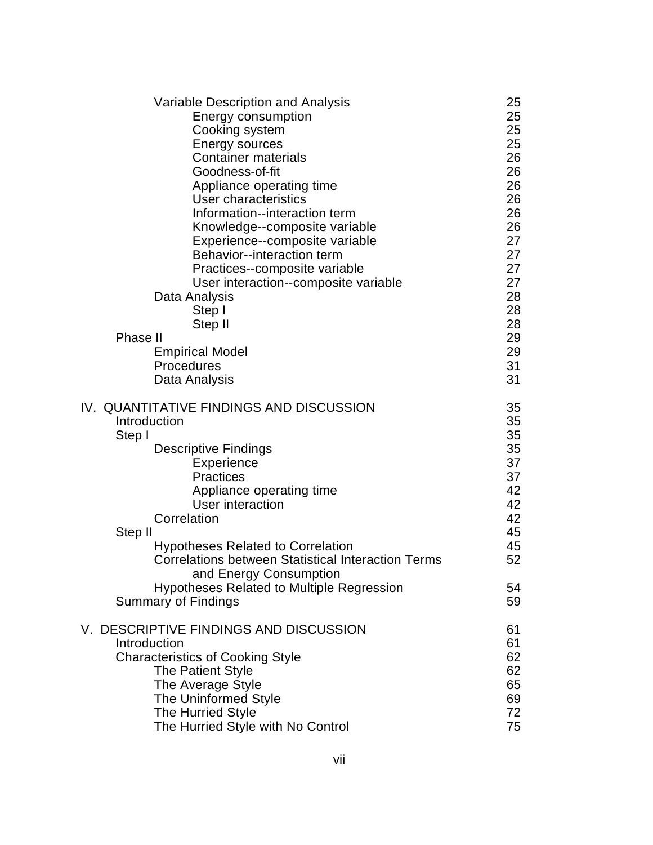| Variable Description and Analysis<br>Energy consumption<br>Cooking system<br><b>Energy sources</b><br><b>Container materials</b><br>Goodness-of-fit<br>Appliance operating time<br>User characteristics<br>Information--interaction term<br>Knowledge--composite variable<br>Experience--composite variable<br>Behavior--interaction term                                                                                   | 25<br>25<br>25<br>25<br>26<br>26<br>26<br>26<br>26<br>26<br>27<br>27             |
|-----------------------------------------------------------------------------------------------------------------------------------------------------------------------------------------------------------------------------------------------------------------------------------------------------------------------------------------------------------------------------------------------------------------------------|----------------------------------------------------------------------------------|
| Practices--composite variable<br>User interaction--composite variable<br>Data Analysis<br>Step I<br>Step II<br>Phase II<br><b>Empirical Model</b><br>Procedures<br>Data Analysis                                                                                                                                                                                                                                            | 27<br>27<br>28<br>28<br>28<br>29<br>29<br>31<br>31                               |
| IV. QUANTITATIVE FINDINGS AND DISCUSSION<br>Introduction<br>Step I<br><b>Descriptive Findings</b><br>Experience<br><b>Practices</b><br>Appliance operating time<br>User interaction<br>Correlation<br>Step II<br><b>Hypotheses Related to Correlation</b><br><b>Correlations between Statistical Interaction Terms</b><br>and Energy Consumption<br><b>Hypotheses Related to Multiple Regression</b><br>Summary of Findings | 35<br>35<br>35<br>35<br>37<br>37<br>42<br>42<br>42<br>45<br>45<br>52<br>54<br>59 |
| V. DESCRIPTIVE FINDINGS AND DISCUSSION<br>Introduction<br><b>Characteristics of Cooking Style</b><br>The Patient Style<br>The Average Style<br>The Uninformed Style<br>The Hurried Style<br>The Hurried Style with No Control                                                                                                                                                                                               | 61<br>61<br>62<br>62<br>65<br>69<br>72<br>75                                     |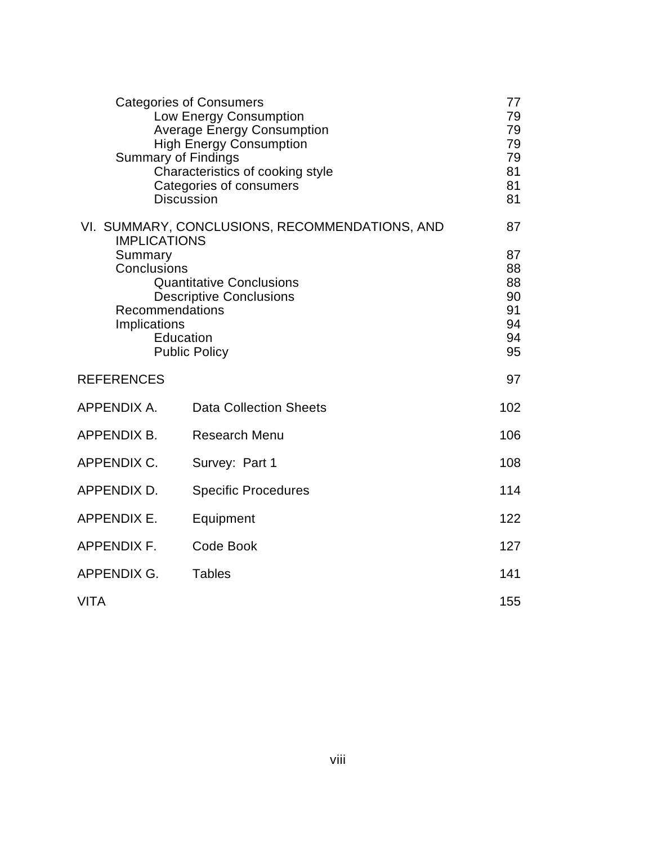|                                                                                                                                                                                                                                              | <b>Categories of Consumers</b><br>Low Energy Consumption<br><b>Average Energy Consumption</b><br><b>High Energy Consumption</b><br><b>Summary of Findings</b><br>Characteristics of cooking style<br>Categories of consumers<br><b>Discussion</b> | 77<br>79<br>79<br>79<br>79<br>81<br>81<br>81 |
|----------------------------------------------------------------------------------------------------------------------------------------------------------------------------------------------------------------------------------------------|---------------------------------------------------------------------------------------------------------------------------------------------------------------------------------------------------------------------------------------------------|----------------------------------------------|
| VI. SUMMARY, CONCLUSIONS, RECOMMENDATIONS, AND<br><b>IMPLICATIONS</b><br>Summary<br>Conclusions<br><b>Quantitative Conclusions</b><br><b>Descriptive Conclusions</b><br>Recommendations<br>Implications<br>Education<br><b>Public Policy</b> |                                                                                                                                                                                                                                                   |                                              |
| <b>REFERENCES</b>                                                                                                                                                                                                                            |                                                                                                                                                                                                                                                   | 97                                           |
| APPENDIX A.                                                                                                                                                                                                                                  | <b>Data Collection Sheets</b>                                                                                                                                                                                                                     | 102                                          |
| APPENDIX B.                                                                                                                                                                                                                                  | <b>Research Menu</b>                                                                                                                                                                                                                              | 106                                          |
| APPENDIX C.<br>Survey: Part 1                                                                                                                                                                                                                |                                                                                                                                                                                                                                                   | 108                                          |
| APPENDIX D.<br><b>Specific Procedures</b>                                                                                                                                                                                                    |                                                                                                                                                                                                                                                   |                                              |
| <b>APPENDIX E.</b>                                                                                                                                                                                                                           | Equipment                                                                                                                                                                                                                                         | 122                                          |
| <b>APPENDIX F.</b>                                                                                                                                                                                                                           | Code Book                                                                                                                                                                                                                                         | 127                                          |
| APPENDIX G.                                                                                                                                                                                                                                  | <b>Tables</b>                                                                                                                                                                                                                                     | 141                                          |
| <b>VITA</b>                                                                                                                                                                                                                                  |                                                                                                                                                                                                                                                   | 155                                          |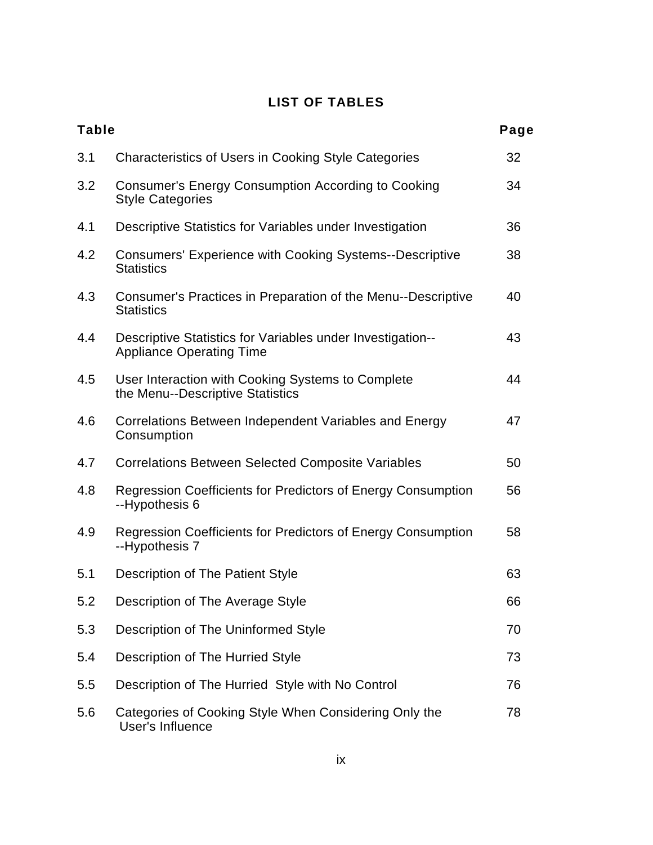# **LIST OF TABLES**

| <b>Table</b> |                                                                                               | Page |
|--------------|-----------------------------------------------------------------------------------------------|------|
| 3.1          | <b>Characteristics of Users in Cooking Style Categories</b>                                   | 32   |
| 3.2          | <b>Consumer's Energy Consumption According to Cooking</b><br><b>Style Categories</b>          | 34   |
| 4.1          | Descriptive Statistics for Variables under Investigation                                      | 36   |
| 4.2          | <b>Consumers' Experience with Cooking Systems--Descriptive</b><br><b>Statistics</b>           | 38   |
| 4.3          | Consumer's Practices in Preparation of the Menu--Descriptive<br><b>Statistics</b>             | 40   |
| 4.4          | Descriptive Statistics for Variables under Investigation--<br><b>Appliance Operating Time</b> | 43   |
| 4.5          | User Interaction with Cooking Systems to Complete<br>the Menu--Descriptive Statistics         | 44   |
| 4.6          | Correlations Between Independent Variables and Energy<br>Consumption                          | 47   |
| 4.7          | <b>Correlations Between Selected Composite Variables</b>                                      | 50   |
| 4.8          | Regression Coefficients for Predictors of Energy Consumption<br>--Hypothesis 6                | 56   |
| 4.9          | Regression Coefficients for Predictors of Energy Consumption<br>--Hypothesis 7                | 58   |
| 5.1          | Description of The Patient Style                                                              | 63   |
| 5.2          | Description of The Average Style                                                              | 66   |
| 5.3          | Description of The Uninformed Style                                                           | 70   |
| 5.4          | Description of The Hurried Style                                                              | 73   |
| 5.5          | Description of The Hurried Style with No Control                                              | 76   |
| 5.6          | Categories of Cooking Style When Considering Only the<br><b>User's Influence</b>              | 78   |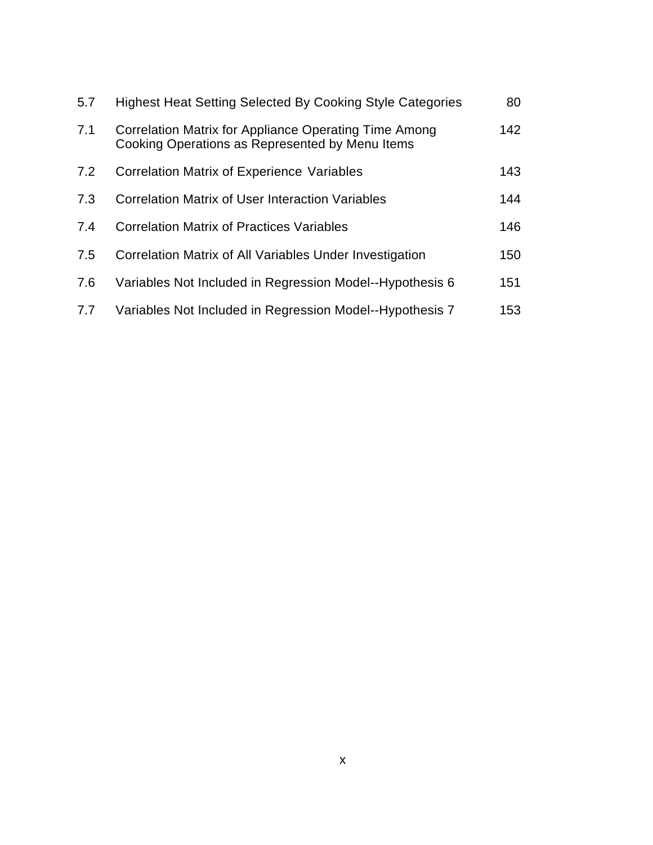| 5.7 | <b>Highest Heat Setting Selected By Cooking Style Categories</b>                                         | 80  |
|-----|----------------------------------------------------------------------------------------------------------|-----|
| 7.1 | Correlation Matrix for Appliance Operating Time Among<br>Cooking Operations as Represented by Menu Items | 142 |
| 7.2 | <b>Correlation Matrix of Experience Variables</b>                                                        | 143 |
| 7.3 | <b>Correlation Matrix of User Interaction Variables</b>                                                  | 144 |
| 7.4 | <b>Correlation Matrix of Practices Variables</b>                                                         | 146 |
| 7.5 | Correlation Matrix of All Variables Under Investigation                                                  | 150 |
| 7.6 | Variables Not Included in Regression Model--Hypothesis 6                                                 | 151 |
| 7.7 | Variables Not Included in Regression Model--Hypothesis 7                                                 | 153 |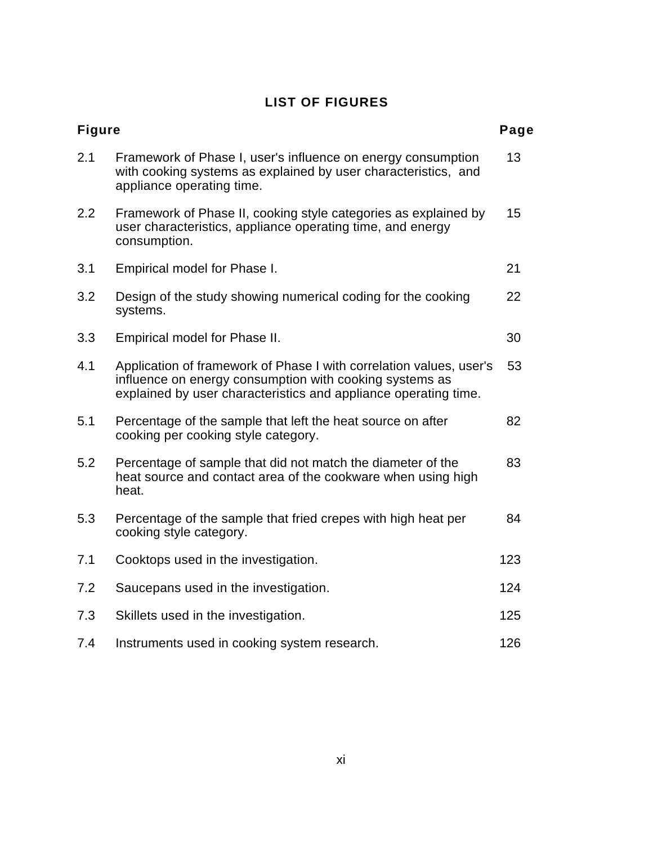# **LIST OF FIGURES**

| <b>Figure</b> |                                                                                                                                                                                                   | Page |
|---------------|---------------------------------------------------------------------------------------------------------------------------------------------------------------------------------------------------|------|
| 2.1           | Framework of Phase I, user's influence on energy consumption<br>with cooking systems as explained by user characteristics, and<br>appliance operating time.                                       | 13   |
| 2.2           | Framework of Phase II, cooking style categories as explained by<br>user characteristics, appliance operating time, and energy<br>consumption.                                                     | 15   |
| 3.1           | Empirical model for Phase I.                                                                                                                                                                      | 21   |
| 3.2           | Design of the study showing numerical coding for the cooking<br>systems.                                                                                                                          | 22   |
| 3.3           | Empirical model for Phase II.                                                                                                                                                                     | 30   |
| 4.1           | Application of framework of Phase I with correlation values, user's<br>influence on energy consumption with cooking systems as<br>explained by user characteristics and appliance operating time. | 53   |
| 5.1           | Percentage of the sample that left the heat source on after<br>cooking per cooking style category.                                                                                                | 82   |
| 5.2           | Percentage of sample that did not match the diameter of the<br>heat source and contact area of the cookware when using high<br>heat.                                                              | 83   |
| 5.3           | Percentage of the sample that fried crepes with high heat per<br>cooking style category.                                                                                                          | 84   |
| 7.1           | Cooktops used in the investigation.                                                                                                                                                               | 123  |
| 7.2           | Saucepans used in the investigation.                                                                                                                                                              | 124  |
| 7.3           | Skillets used in the investigation.                                                                                                                                                               | 125  |
| 7.4           | Instruments used in cooking system research.                                                                                                                                                      | 126  |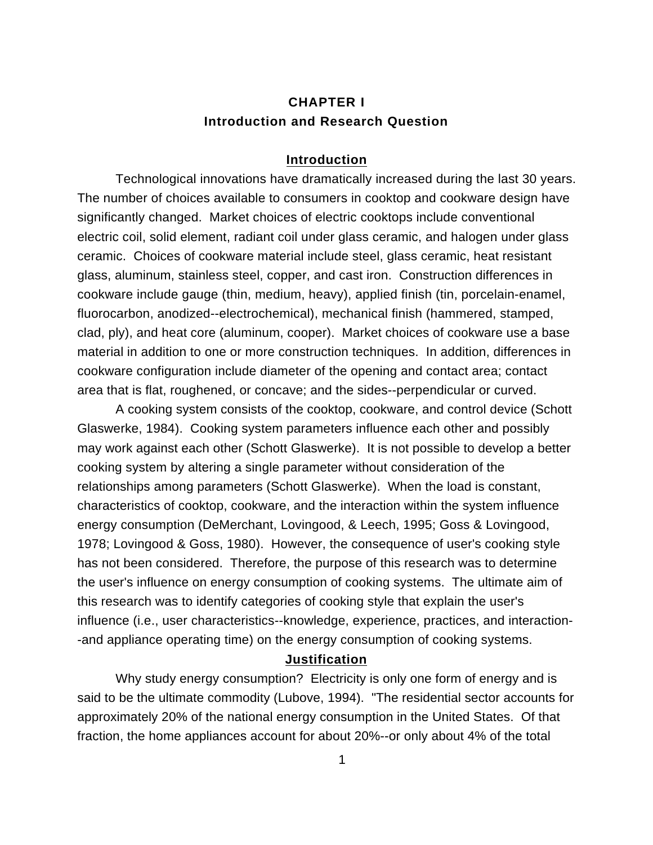# **CHAPTER I Introduction and Research Question**

#### **Introduction**

Technological innovations have dramatically increased during the last 30 years. The number of choices available to consumers in cooktop and cookware design have significantly changed. Market choices of electric cooktops include conventional electric coil, solid element, radiant coil under glass ceramic, and halogen under glass ceramic. Choices of cookware material include steel, glass ceramic, heat resistant glass, aluminum, stainless steel, copper, and cast iron. Construction differences in cookware include gauge (thin, medium, heavy), applied finish (tin, porcelain-enamel, fluorocarbon, anodized--electrochemical), mechanical finish (hammered, stamped, clad, ply), and heat core (aluminum, cooper). Market choices of cookware use a base material in addition to one or more construction techniques. In addition, differences in cookware configuration include diameter of the opening and contact area; contact area that is flat, roughened, or concave; and the sides--perpendicular or curved.

A cooking system consists of the cooktop, cookware, and control device (Schott Glaswerke, 1984). Cooking system parameters influence each other and possibly may work against each other (Schott Glaswerke). It is not possible to develop a better cooking system by altering a single parameter without consideration of the relationships among parameters (Schott Glaswerke). When the load is constant, characteristics of cooktop, cookware, and the interaction within the system influence energy consumption (DeMerchant, Lovingood, & Leech, 1995; Goss & Lovingood, 1978; Lovingood & Goss, 1980). However, the consequence of user's cooking style has not been considered. Therefore, the purpose of this research was to determine the user's influence on energy consumption of cooking systems. The ultimate aim of this research was to identify categories of cooking style that explain the user's influence (i.e., user characteristics--knowledge, experience, practices, and interaction- -and appliance operating time) on the energy consumption of cooking systems.

#### **Justification**

Why study energy consumption? Electricity is only one form of energy and is said to be the ultimate commodity (Lubove, 1994). "The residential sector accounts for approximately 20% of the national energy consumption in the United States. Of that fraction, the home appliances account for about 20%--or only about 4% of the total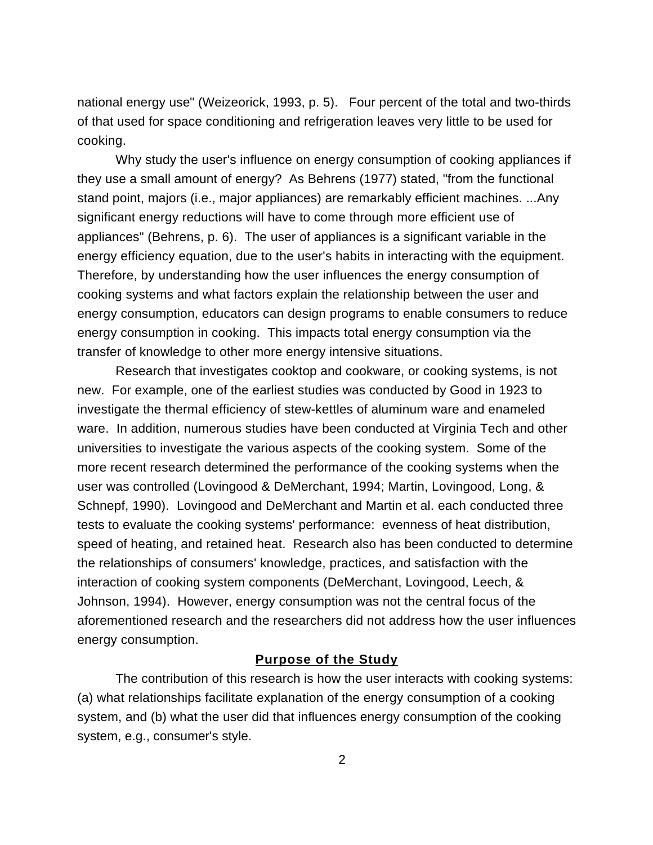national energy use" (Weizeorick, 1993, p. 5). Four percent of the total and two-thirds of that used for space conditioning and refrigeration leaves very little to be used for cooking.

Why study the user's influence on energy consumption of cooking appliances if they use a small amount of energy? As Behrens (1977) stated, "from the functional stand point, majors (i.e., major appliances) are remarkably efficient machines. ...Any significant energy reductions will have to come through more efficient use of appliances" (Behrens, p. 6). The user of appliances is a significant variable in the energy efficiency equation, due to the user's habits in interacting with the equipment. Therefore, by understanding how the user influences the energy consumption of cooking systems and what factors explain the relationship between the user and energy consumption, educators can design programs to enable consumers to reduce energy consumption in cooking. This impacts total energy consumption via the transfer of knowledge to other more energy intensive situations.

Research that investigates cooktop and cookware, or cooking systems, is not new. For example, one of the earliest studies was conducted by Good in 1923 to investigate the thermal efficiency of stew-kettles of aluminum ware and enameled ware. In addition, numerous studies have been conducted at Virginia Tech and other universities to investigate the various aspects of the cooking system. Some of the more recent research determined the performance of the cooking systems when the user was controlled (Lovingood & DeMerchant, 1994; Martin, Lovingood, Long, & Schnepf, 1990). Lovingood and DeMerchant and Martin et al. each conducted three tests to evaluate the cooking systems' performance: evenness of heat distribution, speed of heating, and retained heat. Research also has been conducted to determine the relationships of consumers' knowledge, practices, and satisfaction with the interaction of cooking system components (DeMerchant, Lovingood, Leech, & Johnson, 1994). However, energy consumption was not the central focus of the aforementioned research and the researchers did not address how the user influences energy consumption.

## **Purpose of the Study**

The contribution of this research is how the user interacts with cooking systems: (a) what relationships facilitate explanation of the energy consumption of a cooking system, and (b) what the user did that influences energy consumption of the cooking system, e.g., consumer's style.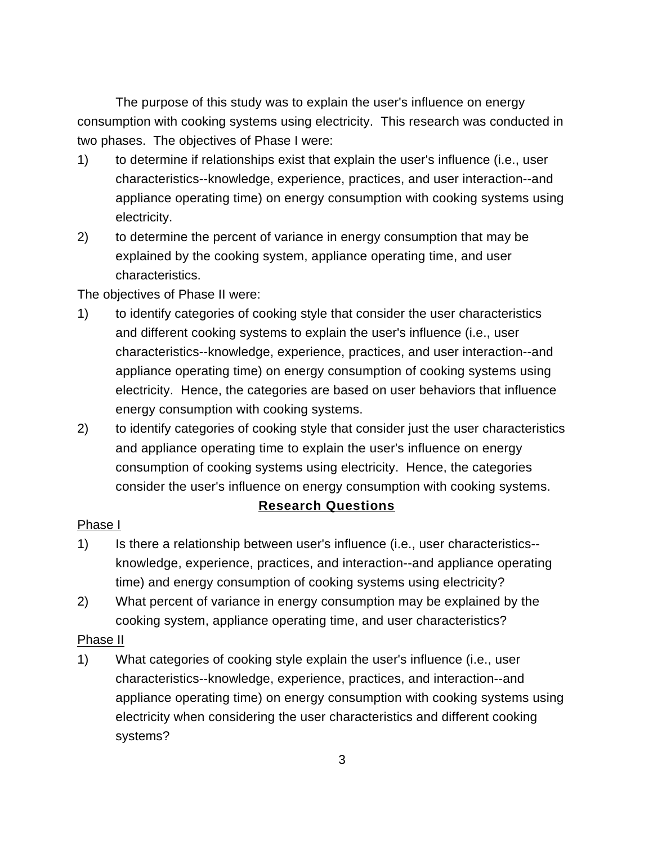The purpose of this study was to explain the user's influence on energy consumption with cooking systems using electricity. This research was conducted in two phases. The objectives of Phase I were:

- 1) to determine if relationships exist that explain the user's influence (i.e., user characteristics--knowledge, experience, practices, and user interaction--and appliance operating time) on energy consumption with cooking systems using electricity.
- 2) to determine the percent of variance in energy consumption that may be explained by the cooking system, appliance operating time, and user characteristics.

The objectives of Phase II were:

- 1) to identify categories of cooking style that consider the user characteristics and different cooking systems to explain the user's influence (i.e., user characteristics--knowledge, experience, practices, and user interaction--and appliance operating time) on energy consumption of cooking systems using electricity. Hence, the categories are based on user behaviors that influence energy consumption with cooking systems.
- 2) to identify categories of cooking style that consider just the user characteristics and appliance operating time to explain the user's influence on energy consumption of cooking systems using electricity. Hence, the categories consider the user's influence on energy consumption with cooking systems.

# **Research Questions**

# Phase I

- 1) Is there a relationship between user's influence (i.e., user characteristics- knowledge, experience, practices, and interaction--and appliance operating time) and energy consumption of cooking systems using electricity?
- 2) What percent of variance in energy consumption may be explained by the cooking system, appliance operating time, and user characteristics?

## Phase II

1) What categories of cooking style explain the user's influence (i.e., user characteristics--knowledge, experience, practices, and interaction--and appliance operating time) on energy consumption with cooking systems using electricity when considering the user characteristics and different cooking systems?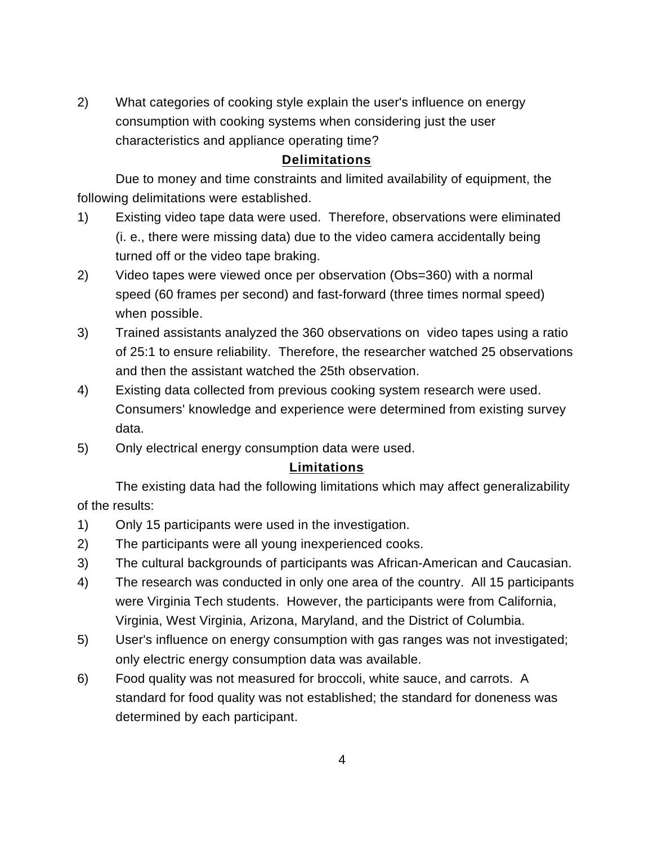2) What categories of cooking style explain the user's influence on energy consumption with cooking systems when considering just the user characteristics and appliance operating time?

## **Delimitations**

Due to money and time constraints and limited availability of equipment, the following delimitations were established.

- 1) Existing video tape data were used. Therefore, observations were eliminated (i. e., there were missing data) due to the video camera accidentally being turned off or the video tape braking.
- 2) Video tapes were viewed once per observation (Obs=360) with a normal speed (60 frames per second) and fast-forward (three times normal speed) when possible.
- 3) Trained assistants analyzed the 360 observations on video tapes using a ratio of 25:1 to ensure reliability. Therefore, the researcher watched 25 observations and then the assistant watched the 25th observation.
- 4) Existing data collected from previous cooking system research were used. Consumers' knowledge and experience were determined from existing survey data.
- 5) Only electrical energy consumption data were used.

# **Limitations**

The existing data had the following limitations which may affect generalizability of the results:

- 1) Only 15 participants were used in the investigation.
- 2) The participants were all young inexperienced cooks.
- 3) The cultural backgrounds of participants was African-American and Caucasian.
- 4) The research was conducted in only one area of the country. All 15 participants were Virginia Tech students. However, the participants were from California, Virginia, West Virginia, Arizona, Maryland, and the District of Columbia.
- 5) User's influence on energy consumption with gas ranges was not investigated; only electric energy consumption data was available.
- 6) Food quality was not measured for broccoli, white sauce, and carrots. A standard for food quality was not established; the standard for doneness was determined by each participant.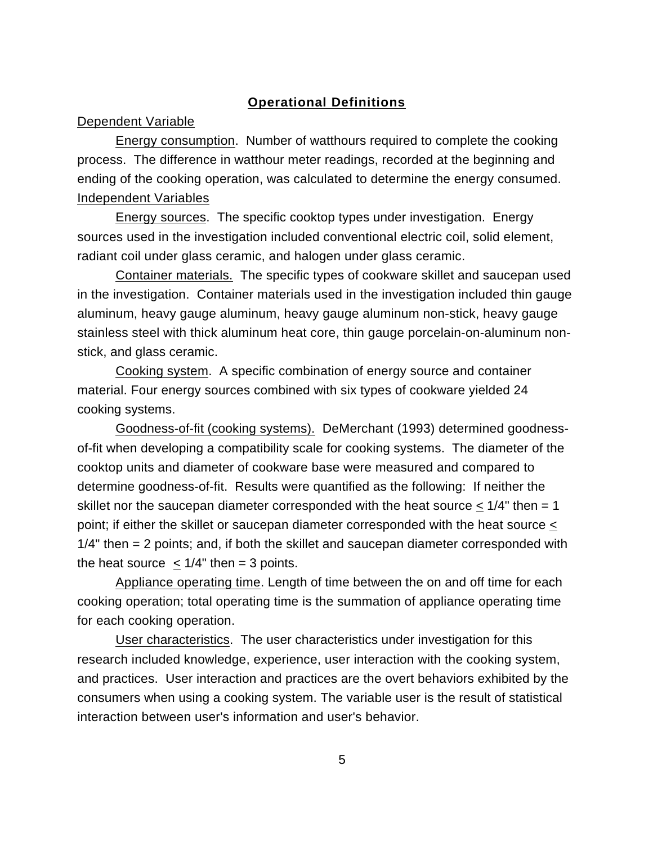## **Operational Definitions**

#### Dependent Variable

Energy consumption. Number of watthours required to complete the cooking process. The difference in watthour meter readings, recorded at the beginning and ending of the cooking operation, was calculated to determine the energy consumed. Independent Variables

Energy sources. The specific cooktop types under investigation. Energy sources used in the investigation included conventional electric coil, solid element, radiant coil under glass ceramic, and halogen under glass ceramic.

Container materials. The specific types of cookware skillet and saucepan used in the investigation. Container materials used in the investigation included thin gauge aluminum, heavy gauge aluminum, heavy gauge aluminum non-stick, heavy gauge stainless steel with thick aluminum heat core, thin gauge porcelain-on-aluminum nonstick, and glass ceramic.

Cooking system. A specific combination of energy source and container material. Four energy sources combined with six types of cookware yielded 24 cooking systems.

Goodness-of-fit (cooking systems). DeMerchant (1993) determined goodnessof-fit when developing a compatibility scale for cooking systems. The diameter of the cooktop units and diameter of cookware base were measured and compared to determine goodness-of-fit. Results were quantified as the following: If neither the skillet nor the saucepan diameter corresponded with the heat source  $< 1/4$ " then = 1 point; if either the skillet or saucepan diameter corresponded with the heat source < 1/4" then = 2 points; and, if both the skillet and saucepan diameter corresponded with the heat source  $\langle 1/4$ " then = 3 points.

Appliance operating time. Length of time between the on and off time for each cooking operation; total operating time is the summation of appliance operating time for each cooking operation.

User characteristics. The user characteristics under investigation for this research included knowledge, experience, user interaction with the cooking system, and practices. User interaction and practices are the overt behaviors exhibited by the consumers when using a cooking system. The variable user is the result of statistical interaction between user's information and user's behavior.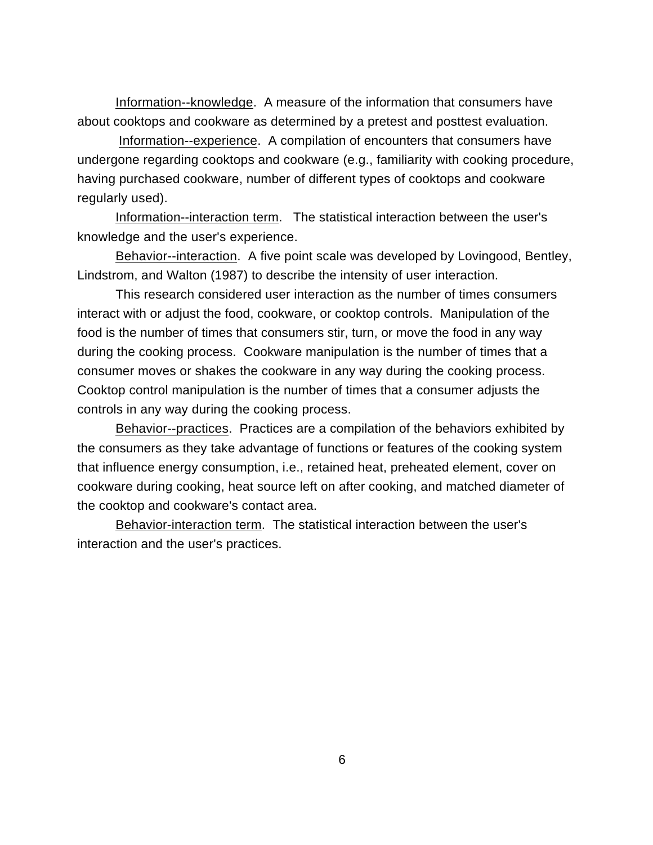Information--knowledge. A measure of the information that consumers have about cooktops and cookware as determined by a pretest and posttest evaluation.

Information--experience. A compilation of encounters that consumers have undergone regarding cooktops and cookware (e.g., familiarity with cooking procedure, having purchased cookware, number of different types of cooktops and cookware regularly used).

Information--interaction term. The statistical interaction between the user's knowledge and the user's experience.

Behavior--interaction. A five point scale was developed by Lovingood, Bentley, Lindstrom, and Walton (1987) to describe the intensity of user interaction.

This research considered user interaction as the number of times consumers interact with or adjust the food, cookware, or cooktop controls. Manipulation of the food is the number of times that consumers stir, turn, or move the food in any way during the cooking process. Cookware manipulation is the number of times that a consumer moves or shakes the cookware in any way during the cooking process. Cooktop control manipulation is the number of times that a consumer adjusts the controls in any way during the cooking process.

Behavior--practices. Practices are a compilation of the behaviors exhibited by the consumers as they take advantage of functions or features of the cooking system that influence energy consumption, i.e., retained heat, preheated element, cover on cookware during cooking, heat source left on after cooking, and matched diameter of the cooktop and cookware's contact area.

Behavior-interaction term. The statistical interaction between the user's interaction and the user's practices.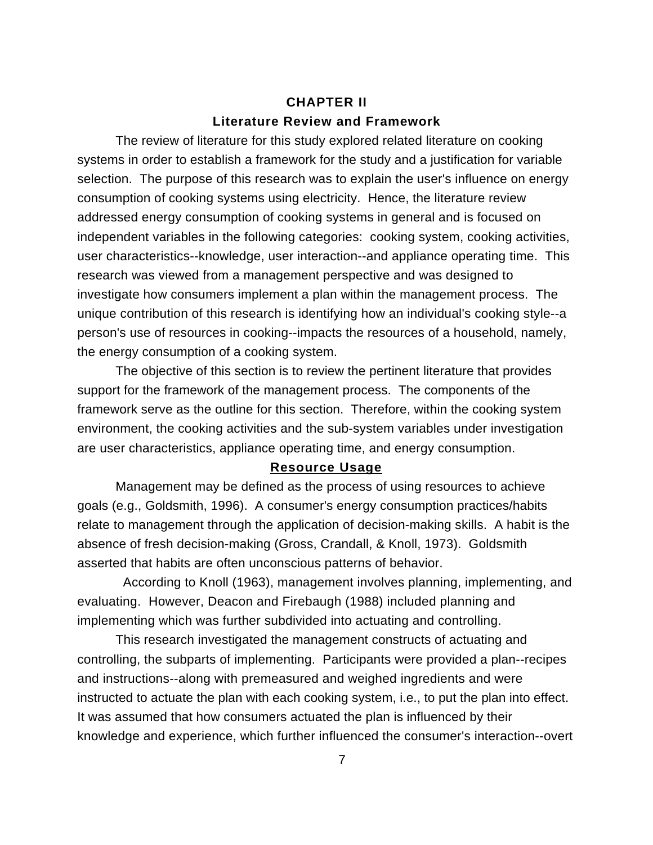# **CHAPTER II Literature Review and Framework**

The review of literature for this study explored related literature on cooking systems in order to establish a framework for the study and a justification for variable selection. The purpose of this research was to explain the user's influence on energy consumption of cooking systems using electricity. Hence, the literature review addressed energy consumption of cooking systems in general and is focused on independent variables in the following categories: cooking system, cooking activities, user characteristics--knowledge, user interaction--and appliance operating time. This research was viewed from a management perspective and was designed to investigate how consumers implement a plan within the management process. The unique contribution of this research is identifying how an individual's cooking style--a person's use of resources in cooking--impacts the resources of a household, namely, the energy consumption of a cooking system.

The objective of this section is to review the pertinent literature that provides support for the framework of the management process. The components of the framework serve as the outline for this section. Therefore, within the cooking system environment, the cooking activities and the sub-system variables under investigation are user characteristics, appliance operating time, and energy consumption.

## **Resource Usage**

Management may be defined as the process of using resources to achieve goals (e.g., Goldsmith, 1996). A consumer's energy consumption practices/habits relate to management through the application of decision-making skills. A habit is the absence of fresh decision-making (Gross, Crandall, & Knoll, 1973). Goldsmith asserted that habits are often unconscious patterns of behavior.

 According to Knoll (1963), management involves planning, implementing, and evaluating. However, Deacon and Firebaugh (1988) included planning and implementing which was further subdivided into actuating and controlling.

This research investigated the management constructs of actuating and controlling, the subparts of implementing. Participants were provided a plan--recipes and instructions--along with premeasured and weighed ingredients and were instructed to actuate the plan with each cooking system, i.e., to put the plan into effect. It was assumed that how consumers actuated the plan is influenced by their knowledge and experience, which further influenced the consumer's interaction--overt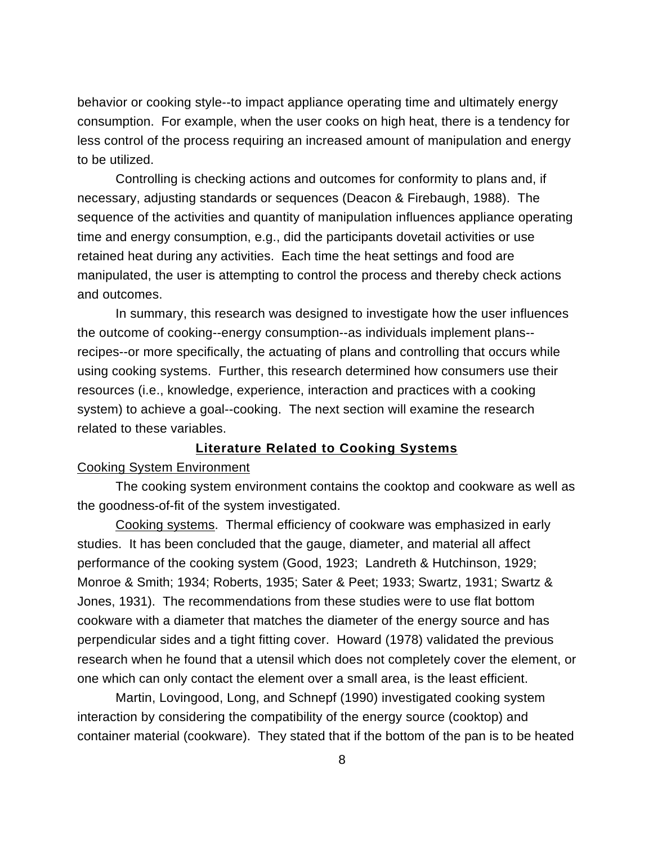behavior or cooking style--to impact appliance operating time and ultimately energy consumption. For example, when the user cooks on high heat, there is a tendency for less control of the process requiring an increased amount of manipulation and energy to be utilized.

Controlling is checking actions and outcomes for conformity to plans and, if necessary, adjusting standards or sequences (Deacon & Firebaugh, 1988). The sequence of the activities and quantity of manipulation influences appliance operating time and energy consumption, e.g., did the participants dovetail activities or use retained heat during any activities. Each time the heat settings and food are manipulated, the user is attempting to control the process and thereby check actions and outcomes.

In summary, this research was designed to investigate how the user influences the outcome of cooking--energy consumption--as individuals implement plans- recipes--or more specifically, the actuating of plans and controlling that occurs while using cooking systems. Further, this research determined how consumers use their resources (i.e., knowledge, experience, interaction and practices with a cooking system) to achieve a goal--cooking. The next section will examine the research related to these variables.

## **Literature Related to Cooking Systems**

## Cooking System Environment

The cooking system environment contains the cooktop and cookware as well as the goodness-of-fit of the system investigated.

Cooking systems. Thermal efficiency of cookware was emphasized in early studies. It has been concluded that the gauge, diameter, and material all affect performance of the cooking system (Good, 1923; Landreth & Hutchinson, 1929; Monroe & Smith; 1934; Roberts, 1935; Sater & Peet; 1933; Swartz, 1931; Swartz & Jones, 1931). The recommendations from these studies were to use flat bottom cookware with a diameter that matches the diameter of the energy source and has perpendicular sides and a tight fitting cover. Howard (1978) validated the previous research when he found that a utensil which does not completely cover the element, or one which can only contact the element over a small area, is the least efficient.

Martin, Lovingood, Long, and Schnepf (1990) investigated cooking system interaction by considering the compatibility of the energy source (cooktop) and container material (cookware). They stated that if the bottom of the pan is to be heated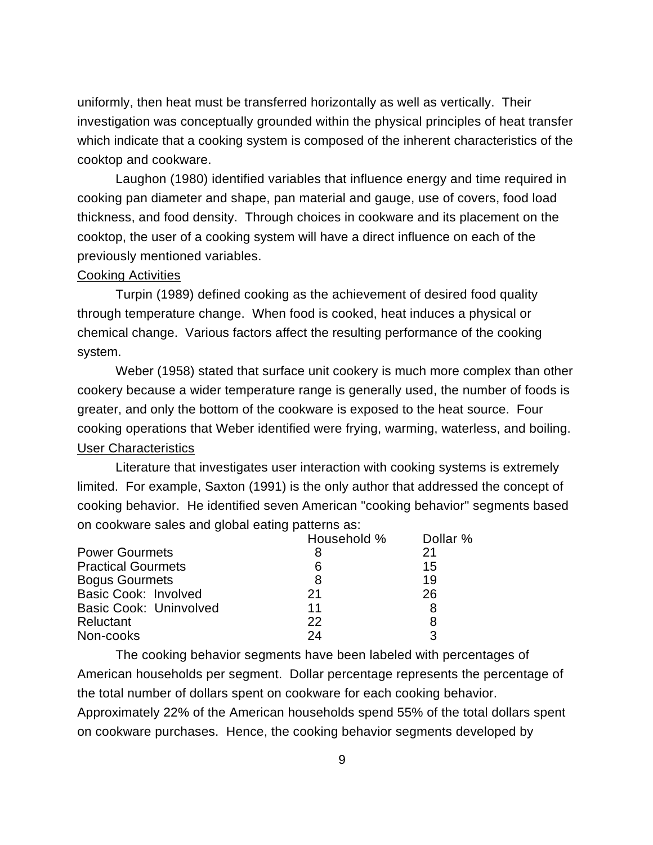uniformly, then heat must be transferred horizontally as well as vertically. Their investigation was conceptually grounded within the physical principles of heat transfer which indicate that a cooking system is composed of the inherent characteristics of the cooktop and cookware.

Laughon (1980) identified variables that influence energy and time required in cooking pan diameter and shape, pan material and gauge, use of covers, food load thickness, and food density. Through choices in cookware and its placement on the cooktop, the user of a cooking system will have a direct influence on each of the previously mentioned variables.

#### Cooking Activities

Turpin (1989) defined cooking as the achievement of desired food quality through temperature change. When food is cooked, heat induces a physical or chemical change. Various factors affect the resulting performance of the cooking system.

Weber (1958) stated that surface unit cookery is much more complex than other cookery because a wider temperature range is generally used, the number of foods is greater, and only the bottom of the cookware is exposed to the heat source. Four cooking operations that Weber identified were frying, warming, waterless, and boiling. User Characteristics

Literature that investigates user interaction with cooking systems is extremely limited. For example, Saxton (1991) is the only author that addressed the concept of cooking behavior. He identified seven American "cooking behavior" segments based on cookware sales and global eating patterns as:

|                               | Household % | Dollar % |
|-------------------------------|-------------|----------|
| <b>Power Gourmets</b>         | 8           | 21       |
| <b>Practical Gourmets</b>     | 6           | 15       |
| <b>Bogus Gourmets</b>         | 8           | 19       |
| <b>Basic Cook: Involved</b>   | 21          | 26       |
| <b>Basic Cook: Uninvolved</b> | 11          | 8        |
| Reluctant                     | 22          |          |
| Non-cooks                     | 24          | З        |

The cooking behavior segments have been labeled with percentages of American households per segment. Dollar percentage represents the percentage of the total number of dollars spent on cookware for each cooking behavior. Approximately 22% of the American households spend 55% of the total dollars spent on cookware purchases. Hence, the cooking behavior segments developed by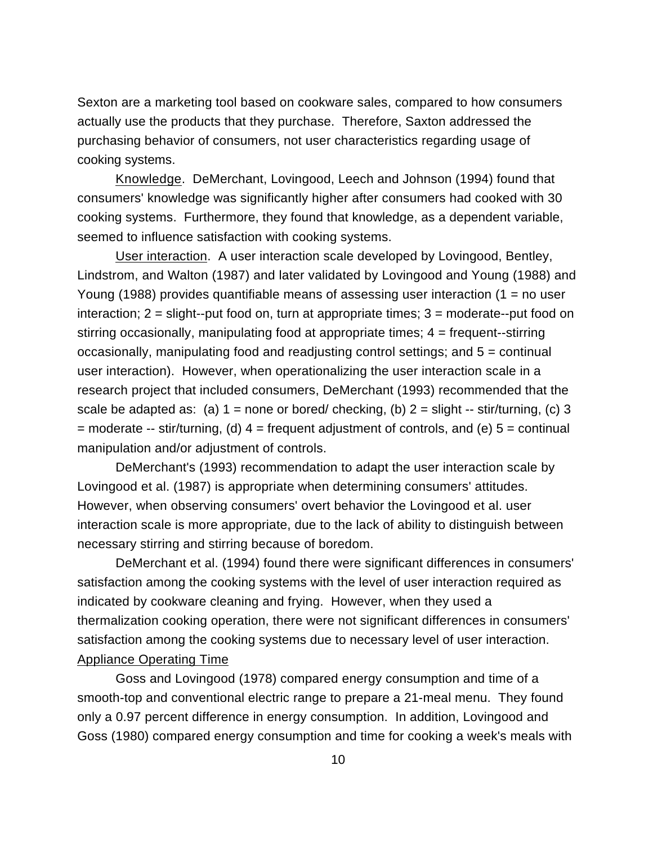Sexton are a marketing tool based on cookware sales, compared to how consumers actually use the products that they purchase. Therefore, Saxton addressed the purchasing behavior of consumers, not user characteristics regarding usage of cooking systems.

Knowledge. DeMerchant, Lovingood, Leech and Johnson (1994) found that consumers' knowledge was significantly higher after consumers had cooked with 30 cooking systems. Furthermore, they found that knowledge, as a dependent variable, seemed to influence satisfaction with cooking systems.

User interaction. A user interaction scale developed by Lovingood, Bentley, Lindstrom, and Walton (1987) and later validated by Lovingood and Young (1988) and Young (1988) provides quantifiable means of assessing user interaction (1 = no user interaction;  $2 =$  slight--put food on, turn at appropriate times;  $3 =$  moderate--put food on stirring occasionally, manipulating food at appropriate times; 4 = frequent--stirring occasionally, manipulating food and readjusting control settings; and 5 = continual user interaction). However, when operationalizing the user interaction scale in a research project that included consumers, DeMerchant (1993) recommended that the scale be adapted as: (a)  $1 =$  none or bored/ checking, (b)  $2 =$  slight -- stir/turning, (c) 3  $=$  moderate -- stir/turning, (d)  $4 =$  frequent adjustment of controls, and (e)  $5 =$  continual manipulation and/or adjustment of controls.

DeMerchant's (1993) recommendation to adapt the user interaction scale by Lovingood et al. (1987) is appropriate when determining consumers' attitudes. However, when observing consumers' overt behavior the Lovingood et al. user interaction scale is more appropriate, due to the lack of ability to distinguish between necessary stirring and stirring because of boredom.

DeMerchant et al. (1994) found there were significant differences in consumers' satisfaction among the cooking systems with the level of user interaction required as indicated by cookware cleaning and frying. However, when they used a thermalization cooking operation, there were not significant differences in consumers' satisfaction among the cooking systems due to necessary level of user interaction. Appliance Operating Time

Goss and Lovingood (1978) compared energy consumption and time of a smooth-top and conventional electric range to prepare a 21-meal menu. They found only a 0.97 percent difference in energy consumption. In addition, Lovingood and Goss (1980) compared energy consumption and time for cooking a week's meals with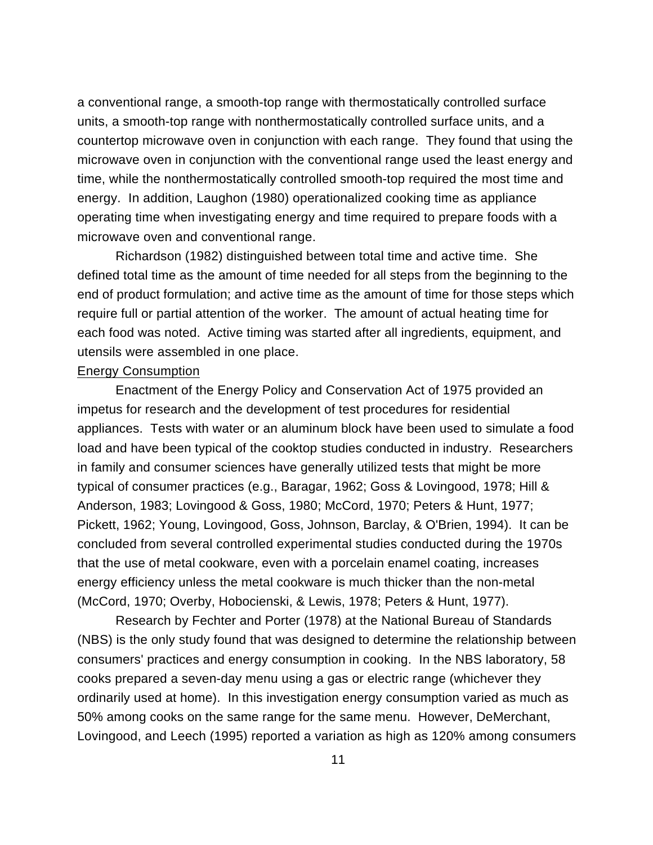a conventional range, a smooth-top range with thermostatically controlled surface units, a smooth-top range with nonthermostatically controlled surface units, and a countertop microwave oven in conjunction with each range. They found that using the microwave oven in conjunction with the conventional range used the least energy and time, while the nonthermostatically controlled smooth-top required the most time and energy. In addition, Laughon (1980) operationalized cooking time as appliance operating time when investigating energy and time required to prepare foods with a microwave oven and conventional range.

Richardson (1982) distinguished between total time and active time. She defined total time as the amount of time needed for all steps from the beginning to the end of product formulation; and active time as the amount of time for those steps which require full or partial attention of the worker. The amount of actual heating time for each food was noted. Active timing was started after all ingredients, equipment, and utensils were assembled in one place.

#### Energy Consumption

Enactment of the Energy Policy and Conservation Act of 1975 provided an impetus for research and the development of test procedures for residential appliances. Tests with water or an aluminum block have been used to simulate a food load and have been typical of the cooktop studies conducted in industry. Researchers in family and consumer sciences have generally utilized tests that might be more typical of consumer practices (e.g., Baragar, 1962; Goss & Lovingood, 1978; Hill & Anderson, 1983; Lovingood & Goss, 1980; McCord, 1970; Peters & Hunt, 1977; Pickett, 1962; Young, Lovingood, Goss, Johnson, Barclay, & O'Brien, 1994). It can be concluded from several controlled experimental studies conducted during the 1970s that the use of metal cookware, even with a porcelain enamel coating, increases energy efficiency unless the metal cookware is much thicker than the non-metal (McCord, 1970; Overby, Hobocienski, & Lewis, 1978; Peters & Hunt, 1977).

Research by Fechter and Porter (1978) at the National Bureau of Standards (NBS) is the only study found that was designed to determine the relationship between consumers' practices and energy consumption in cooking. In the NBS laboratory, 58 cooks prepared a seven-day menu using a gas or electric range (whichever they ordinarily used at home). In this investigation energy consumption varied as much as 50% among cooks on the same range for the same menu. However, DeMerchant, Lovingood, and Leech (1995) reported a variation as high as 120% among consumers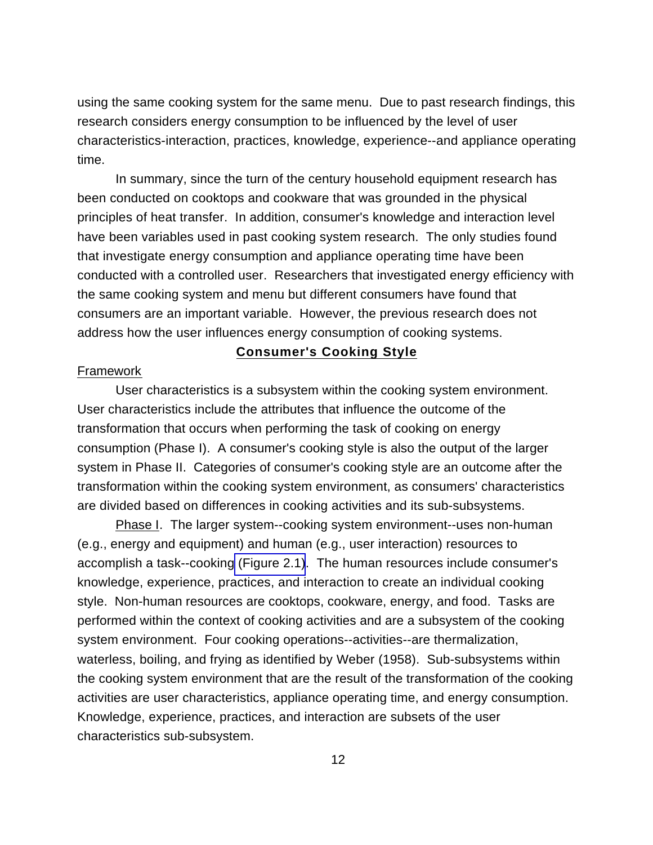using the same cooking system for the same menu. Due to past research findings, this research considers energy consumption to be influenced by the level of user characteristics-interaction, practices, knowledge, experience--and appliance operating time.

In summary, since the turn of the century household equipment research has been conducted on cooktops and cookware that was grounded in the physical principles of heat transfer. In addition, consumer's knowledge and interaction level have been variables used in past cooking system research. The only studies found that investigate energy consumption and appliance operating time have been conducted with a controlled user. Researchers that investigated energy efficiency with the same cooking system and menu but different consumers have found that consumers are an important variable. However, the previous research does not address how the user influences energy consumption of cooking systems.

## **Consumer's Cooking Style**

#### Framework

User characteristics is a subsystem within the cooking system environment. User characteristics include the attributes that influence the outcome of the transformation that occurs when performing the task of cooking on energy consumption (Phase I). A consumer's cooking style is also the output of the larger system in Phase II. Categories of consumer's cooking style are an outcome after the transformation within the cooking system environment, as consumers' characteristics are divided based on differences in cooking activities and its sub-subsystems.

Phase I. The larger system--cooking system environment--uses non-human (e.g., energy and equipment) and human (e.g., user interaction) resources to accomplish a task--cooking [\(Figure 2.1\)](#page-24-0). The human resources include consumer's knowledge, experience, practices, and interaction to create an individual cooking style. Non-human resources are cooktops, cookware, energy, and food. Tasks are performed within the context of cooking activities and are a subsystem of the cooking system environment. Four cooking operations--activities--are thermalization, waterless, boiling, and frying as identified by Weber (1958). Sub-subsystems within the cooking system environment that are the result of the transformation of the cooking activities are user characteristics, appliance operating time, and energy consumption. Knowledge, experience, practices, and interaction are subsets of the user characteristics sub-subsystem.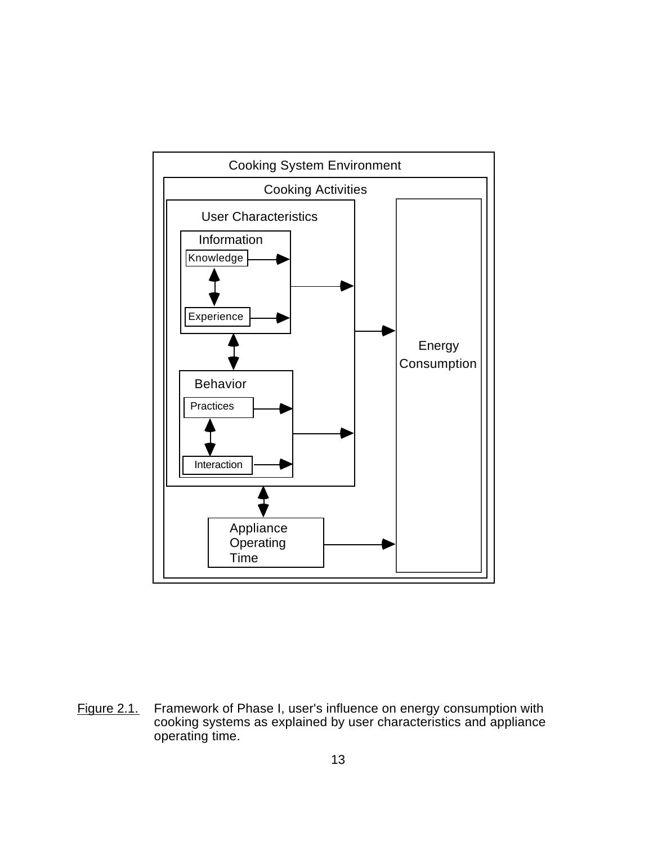<span id="page-24-0"></span>

Figure 2.1. Framework of Phase I, user's influence on energy consumption with cooking systems as explained by user characteristics and appliance operating time.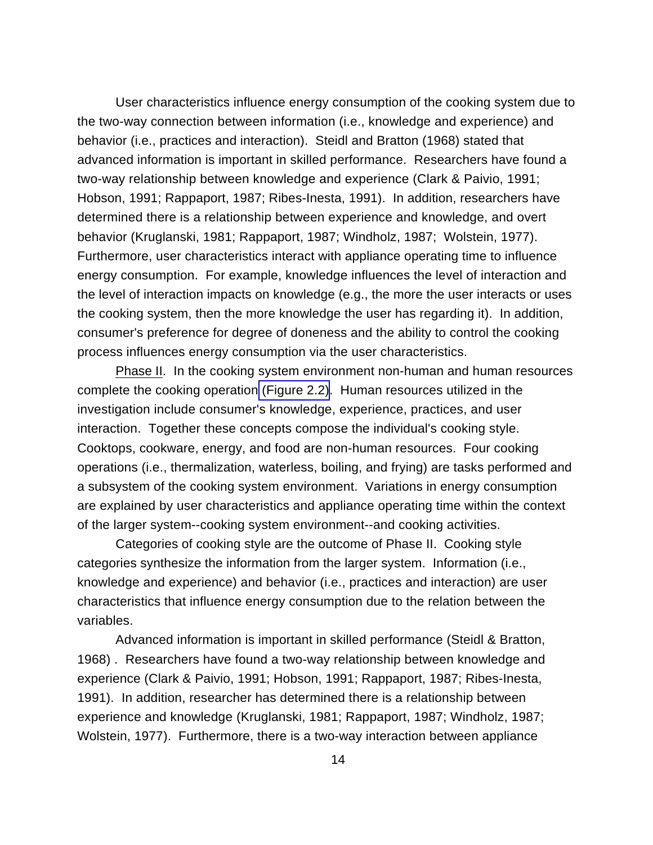User characteristics influence energy consumption of the cooking system due to the two-way connection between information (i.e., knowledge and experience) and behavior (i.e., practices and interaction). Steidl and Bratton (1968) stated that advanced information is important in skilled performance. Researchers have found a two-way relationship between knowledge and experience (Clark & Paivio, 1991; Hobson, 1991; Rappaport, 1987; Ribes-Inesta, 1991). In addition, researchers have determined there is a relationship between experience and knowledge, and overt behavior (Kruglanski, 1981; Rappaport, 1987; Windholz, 1987; Wolstein, 1977). Furthermore, user characteristics interact with appliance operating time to influence energy consumption. For example, knowledge influences the level of interaction and the level of interaction impacts on knowledge (e.g., the more the user interacts or uses the cooking system, then the more knowledge the user has regarding it). In addition, consumer's preference for degree of doneness and the ability to control the cooking process influences energy consumption via the user characteristics.

Phase II. In the cooking system environment non-human and human resources complete the cooking operation [\(Figure 2.2\).](#page-26-0) Human resources utilized in the investigation include consumer's knowledge, experience, practices, and user interaction. Together these concepts compose the individual's cooking style. Cooktops, cookware, energy, and food are non-human resources. Four cooking operations (i.e., thermalization, waterless, boiling, and frying) are tasks performed and a subsystem of the cooking system environment. Variations in energy consumption are explained by user characteristics and appliance operating time within the context of the larger system--cooking system environment--and cooking activities.

Categories of cooking style are the outcome of Phase II. Cooking style categories synthesize the information from the larger system. Information (i.e., knowledge and experience) and behavior (i.e., practices and interaction) are user characteristics that influence energy consumption due to the relation between the variables.

Advanced information is important in skilled performance (Steidl & Bratton, 1968) . Researchers have found a two-way relationship between knowledge and experience (Clark & Paivio, 1991; Hobson, 1991; Rappaport, 1987; Ribes-Inesta, 1991). In addition, researcher has determined there is a relationship between experience and knowledge (Kruglanski, 1981; Rappaport, 1987; Windholz, 1987; Wolstein, 1977). Furthermore, there is a two-way interaction between appliance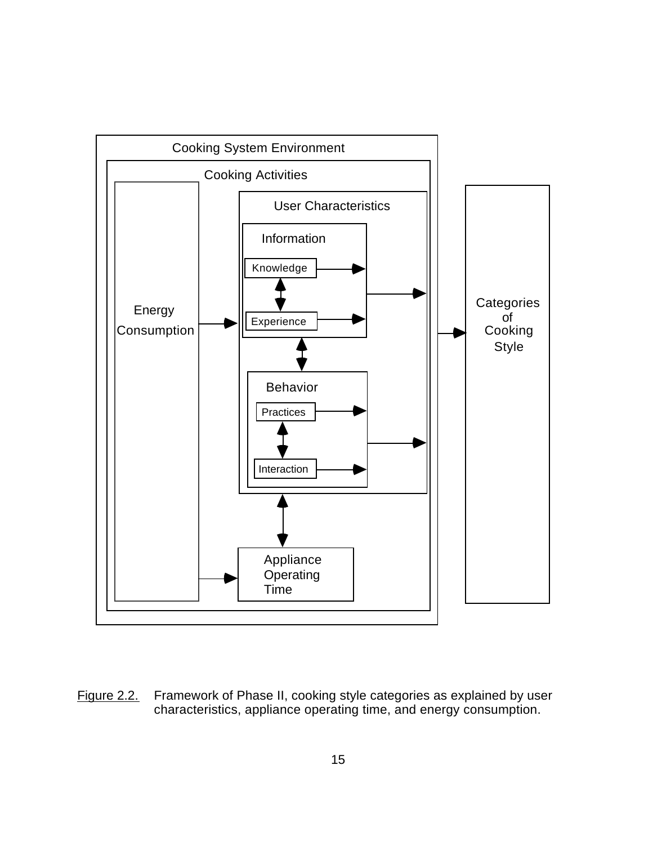<span id="page-26-0"></span>

Figure 2.2. Framework of Phase II, cooking style categories as explained by user characteristics, appliance operating time, and energy consumption.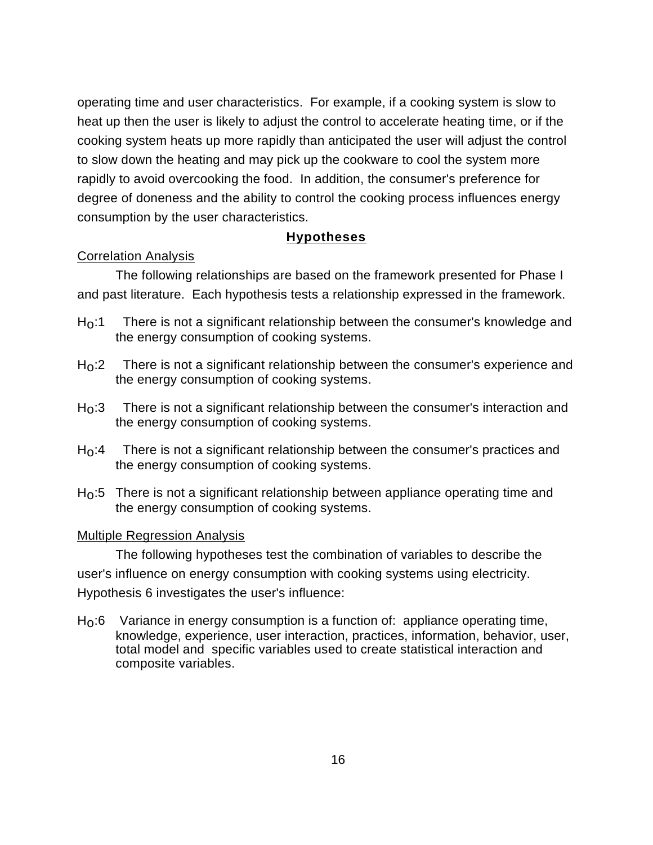operating time and user characteristics. For example, if a cooking system is slow to heat up then the user is likely to adjust the control to accelerate heating time, or if the cooking system heats up more rapidly than anticipated the user will adjust the control to slow down the heating and may pick up the cookware to cool the system more rapidly to avoid overcooking the food. In addition, the consumer's preference for degree of doneness and the ability to control the cooking process influences energy consumption by the user characteristics.

## **Hypotheses**

## Correlation Analysis

The following relationships are based on the framework presented for Phase I and past literature. Each hypothesis tests a relationship expressed in the framework.

- $H<sub>0</sub>$ :1 There is not a significant relationship between the consumer's knowledge and the energy consumption of cooking systems.
- $H<sub>0</sub>:2$  There is not a significant relationship between the consumer's experience and the energy consumption of cooking systems.
- $H_0:3$  There is not a significant relationship between the consumer's interaction and the energy consumption of cooking systems.
- $H<sub>0</sub>$ :4 There is not a significant relationship between the consumer's practices and the energy consumption of cooking systems.
- $H<sub>0</sub>$ :5 There is not a significant relationship between appliance operating time and the energy consumption of cooking systems.

## Multiple Regression Analysis

The following hypotheses test the combination of variables to describe the user's influence on energy consumption with cooking systems using electricity. Hypothesis 6 investigates the user's influence:

 $H<sub>0</sub>$ :6 Variance in energy consumption is a function of: appliance operating time, knowledge, experience, user interaction, practices, information, behavior, user, total model and specific variables used to create statistical interaction and composite variables.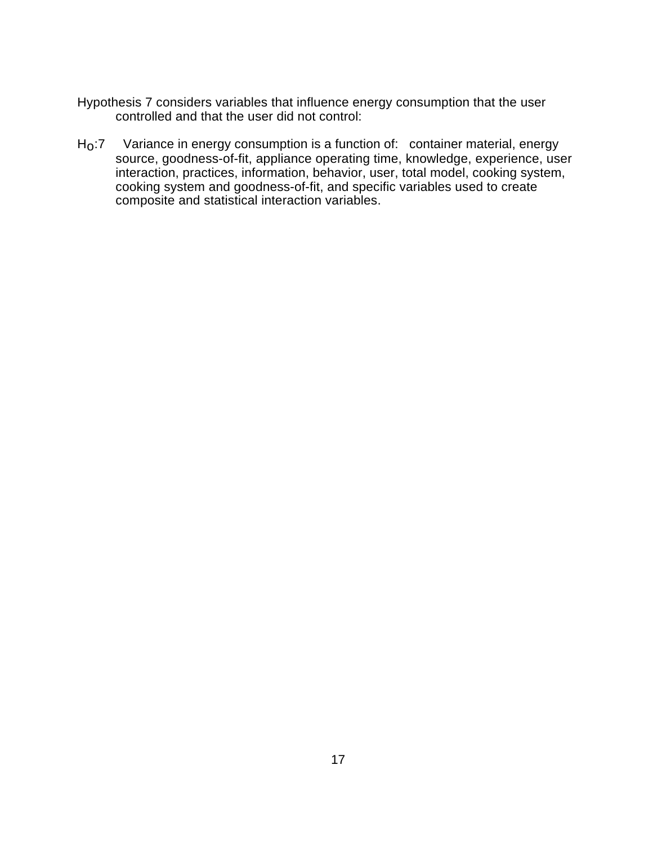- Hypothesis 7 considers variables that influence energy consumption that the user controlled and that the user did not control:
- H<sub>O</sub>:7 Variance in energy consumption is a function of: container material, energy source, goodness-of-fit, appliance operating time, knowledge, experience, user interaction, practices, information, behavior, user, total model, cooking system, cooking system and goodness-of-fit, and specific variables used to create composite and statistical interaction variables.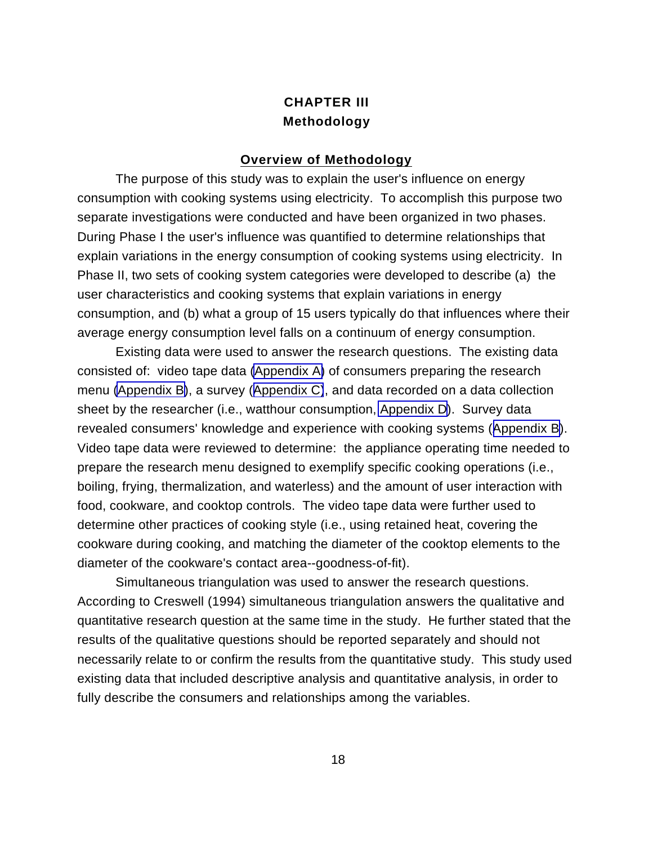# **CHAPTER III Methodology**

#### **Overview of Methodology**

The purpose of this study was to explain the user's influence on energy consumption with cooking systems using electricity. To accomplish this purpose two separate investigations were conducted and have been organized in two phases. During Phase I the user's influence was quantified to determine relationships that explain variations in the energy consumption of cooking systems using electricity. In Phase II, two sets of cooking system categories were developed to describe (a) the user characteristics and cooking systems that explain variations in energy consumption, and (b) what a group of 15 users typically do that influences where their average energy consumption level falls on a continuum of energy consumption.

 Existing data were used to answer the research questions. The existing data consisted of: video tape data [\(Appendix A\)](#page-113-0) of consumers preparing the research menu [\(Appendix B\)](#page-117-0), a survey ([Appendix C\)](#page-119-0), and data recorded on a data collection sheet by the researcher (i.e., watthour consumption, [Appendix D](#page-125-0)). Survey data revealed consumers' knowledge and experience with cooking systems ([Appendix B\)](#page-117-0). Video tape data were reviewed to determine: the appliance operating time needed to prepare the research menu designed to exemplify specific cooking operations (i.e., boiling, frying, thermalization, and waterless) and the amount of user interaction with food, cookware, and cooktop controls. The video tape data were further used to determine other practices of cooking style (i.e., using retained heat, covering the cookware during cooking, and matching the diameter of the cooktop elements to the diameter of the cookware's contact area--goodness-of-fit).

Simultaneous triangulation was used to answer the research questions. According to Creswell (1994) simultaneous triangulation answers the qualitative and quantitative research question at the same time in the study. He further stated that the results of the qualitative questions should be reported separately and should not necessarily relate to or confirm the results from the quantitative study. This study used existing data that included descriptive analysis and quantitative analysis, in order to fully describe the consumers and relationships among the variables.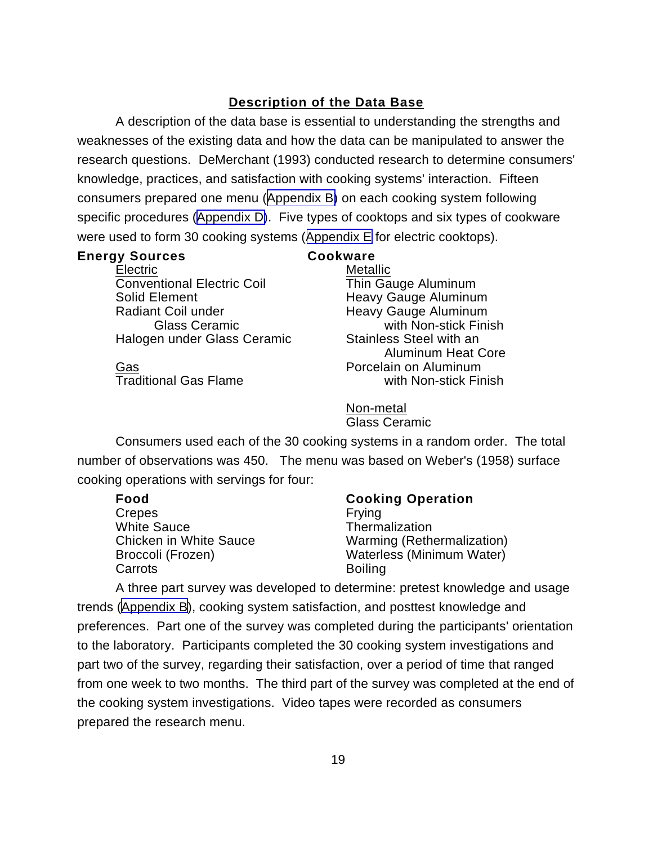# **Description of the Data Base**

A description of the data base is essential to understanding the strengths and weaknesses of the existing data and how the data can be manipulated to answer the research questions. DeMerchant (1993) conducted research to determine consumers' knowledge, practices, and satisfaction with cooking systems' interaction. Fifteen consumers prepared one menu ([Appendix B\)](#page-117-0) on each cooking system following specific procedures ([Appendix D\)](#page-125-0). Five types of cooktops and six types of cookware were used to form 30 cooking systems ([Appendix E](#page-133-0) for electric cooktops).

## **Energy Sources Cookware**

Electric Metallic Conventional Electric Coil Thin Gauge Aluminum Solid Element **Heavy Gauge Aluminum** Radiant Coil under **Heavy Gauge Aluminum** Halogen under Glass Ceramic Stainless Steel with an

Glass Ceramic with Non-stick Finish Aluminum Heat Core Gas **Branch Contract Contract Contract Porcelain** on Aluminum Traditional Gas Flame with Non-stick Finish

> Non-metal Glass Ceramic

Consumers used each of the 30 cooking systems in a random order. The total number of observations was 450. The menu was based on Weber's (1958) surface cooking operations with servings for four:

Crepes Frying White Sauce<br>Chicken in White Sauce **Thermalization**<br>Warming (Rethe Carrots **Boiling** 

## **Food Cooking Operation**

Warming (Rethermalization) Broccoli (Frozen) Waterless (Minimum Water)

A three part survey was developed to determine: pretest knowledge and usage trends ([Appendix B\)](#page-117-0), cooking system satisfaction, and posttest knowledge and preferences. Part one of the survey was completed during the participants' orientation to the laboratory. Participants completed the 30 cooking system investigations and part two of the survey, regarding their satisfaction, over a period of time that ranged from one week to two months. The third part of the survey was completed at the end of the cooking system investigations. Video tapes were recorded as consumers prepared the research menu.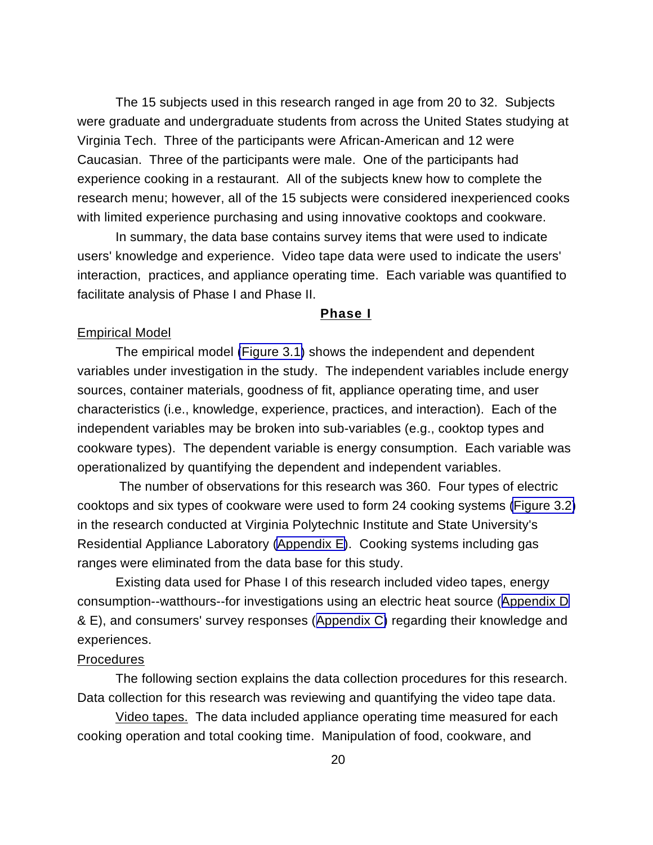The 15 subjects used in this research ranged in age from 20 to 32. Subjects were graduate and undergraduate students from across the United States studying at Virginia Tech. Three of the participants were African-American and 12 were Caucasian. Three of the participants were male. One of the participants had experience cooking in a restaurant. All of the subjects knew how to complete the research menu; however, all of the 15 subjects were considered inexperienced cooks with limited experience purchasing and using innovative cooktops and cookware.

In summary, the data base contains survey items that were used to indicate users' knowledge and experience. Video tape data were used to indicate the users' interaction, practices, and appliance operating time. Each variable was quantified to facilitate analysis of Phase I and Phase II.

#### **Phase I**

#### Empirical Model

The empirical model [\(Figure 3.1\)](#page-32-0) shows the independent and dependent variables under investigation in the study. The independent variables include energy sources, container materials, goodness of fit, appliance operating time, and user characteristics (i.e., knowledge, experience, practices, and interaction). Each of the independent variables may be broken into sub-variables (e.g., cooktop types and cookware types). The dependent variable is energy consumption. Each variable was operationalized by quantifying the dependent and independent variables.

 The number of observations for this research was 360. Four types of electric cooktops and six types of cookware were used to form 24 cooking systems [\(Figure 3.2\)](#page-33-0) in the research conducted at Virginia Polytechnic Institute and State University's Residential Appliance Laboratory ([Appendix E\)](#page-133-0). Cooking systems including gas ranges were eliminated from the data base for this study.

Existing data used for Phase I of this research included video tapes, energy consumption--watthours--for investigations using an electric heat source ([Appendix D](#page-125-0) & E), and consumers' survey responses ([Appendix C\)](#page-119-0) regarding their knowledge and experiences.

#### Procedures

The following section explains the data collection procedures for this research. Data collection for this research was reviewing and quantifying the video tape data.

Video tapes. The data included appliance operating time measured for each cooking operation and total cooking time. Manipulation of food, cookware, and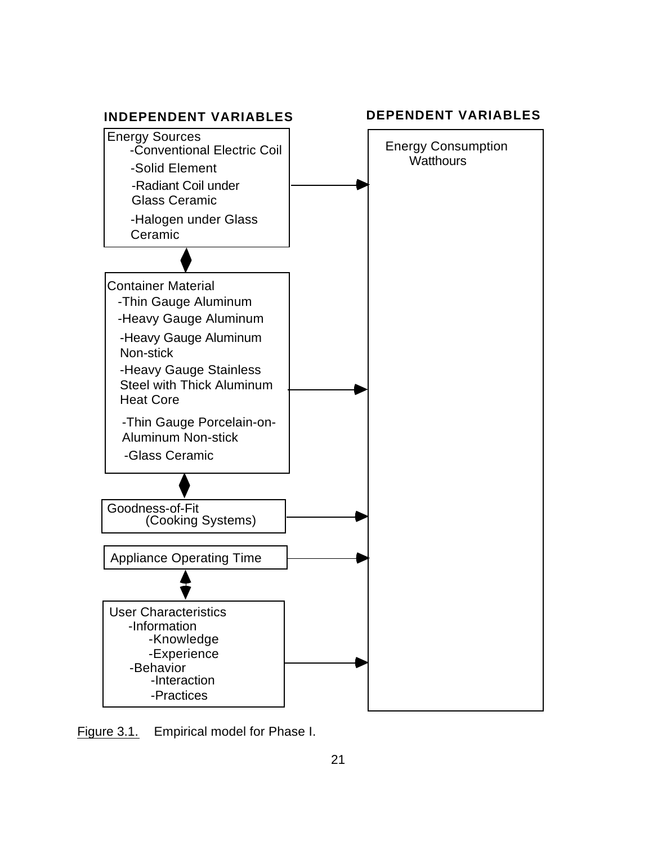<span id="page-32-0"></span>

Figure 3.1. Empirical model for Phase I.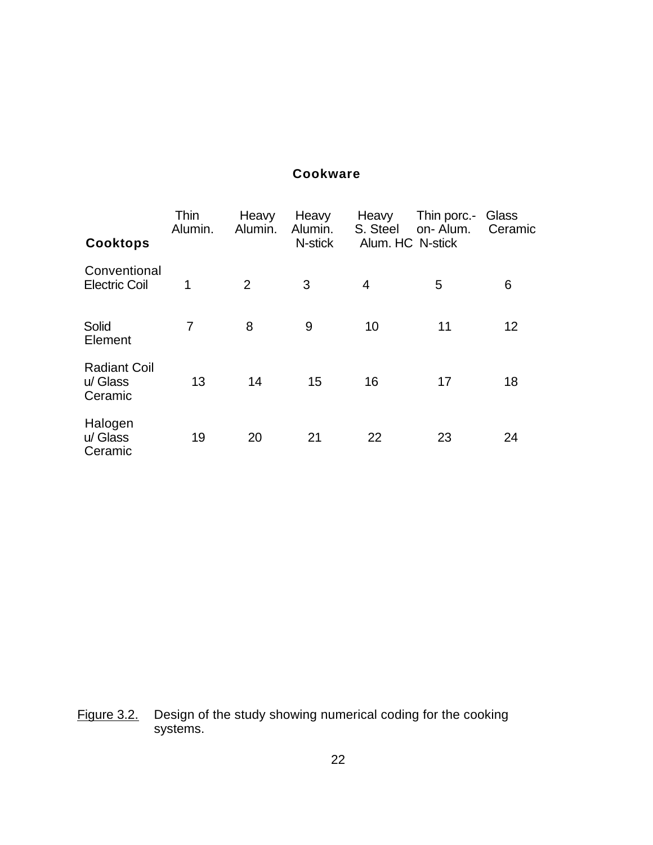# **Cookware**

<span id="page-33-0"></span>

| <b>Cooktops</b>                            | Thin<br>Alumin. | Heavy<br>Alumin. | Heavy<br>Alumin.<br>N-stick | Heavy<br>S. Steel | Thin porc.-<br>on-Alum.<br>Alum. HC N-stick | Glass<br>Ceramic |
|--------------------------------------------|-----------------|------------------|-----------------------------|-------------------|---------------------------------------------|------------------|
| Conventional<br><b>Electric Coil</b>       | 1               | 2                | 3                           | 4                 | 5                                           | 6                |
| Solid<br>Element                           | 7               | 8                | 9                           | 10                | 11                                          | 12               |
| <b>Radiant Coil</b><br>u/ Glass<br>Ceramic | 13              | 14               | 15                          | 16                | 17                                          | 18               |
| Halogen<br>u/ Glass<br>Ceramic             | 19              | 20               | 21                          | 22                | 23                                          | 24               |

Figure 3.2. Design of the study showing numerical coding for the cooking systems.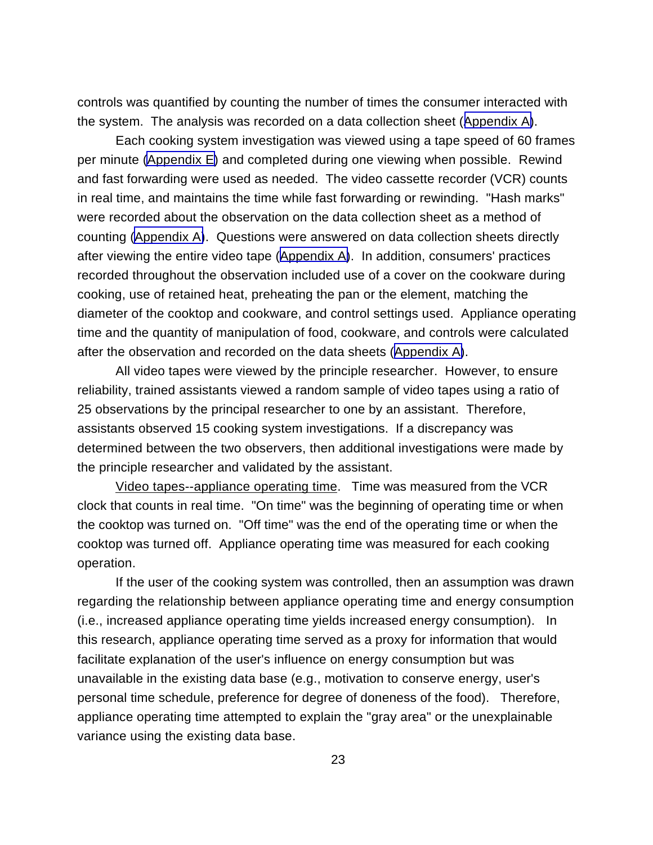controls was quantified by counting the number of times the consumer interacted with the system. The analysis was recorded on a data collection sheet ([Appendix A\)](#page-113-0).

Each cooking system investigation was viewed using a tape speed of 60 frames per minute [\(Appendix E\)](#page-133-0) and completed during one viewing when possible. Rewind and fast forwarding were used as needed. The video cassette recorder (VCR) counts in real time, and maintains the time while fast forwarding or rewinding. "Hash marks" were recorded about the observation on the data collection sheet as a method of counting [\(Appendix A\)](#page-113-0). Questions were answered on data collection sheets directly after viewing the entire video tape ([Appendix A\)](#page-113-0). In addition, consumers' practices recorded throughout the observation included use of a cover on the cookware during cooking, use of retained heat, preheating the pan or the element, matching the diameter of the cooktop and cookware, and control settings used. Appliance operating time and the quantity of manipulation of food, cookware, and controls were calculated after the observation and recorded on the data sheets ([Appendix A\)](#page-113-0).

All video tapes were viewed by the principle researcher. However, to ensure reliability, trained assistants viewed a random sample of video tapes using a ratio of 25 observations by the principal researcher to one by an assistant. Therefore, assistants observed 15 cooking system investigations. If a discrepancy was determined between the two observers, then additional investigations were made by the principle researcher and validated by the assistant.

Video tapes--appliance operating time. Time was measured from the VCR clock that counts in real time. "On time" was the beginning of operating time or when the cooktop was turned on. "Off time" was the end of the operating time or when the cooktop was turned off. Appliance operating time was measured for each cooking operation.

If the user of the cooking system was controlled, then an assumption was drawn regarding the relationship between appliance operating time and energy consumption (i.e., increased appliance operating time yields increased energy consumption). In this research, appliance operating time served as a proxy for information that would facilitate explanation of the user's influence on energy consumption but was unavailable in the existing data base (e.g., motivation to conserve energy, user's personal time schedule, preference for degree of doneness of the food). Therefore, appliance operating time attempted to explain the "gray area" or the unexplainable variance using the existing data base.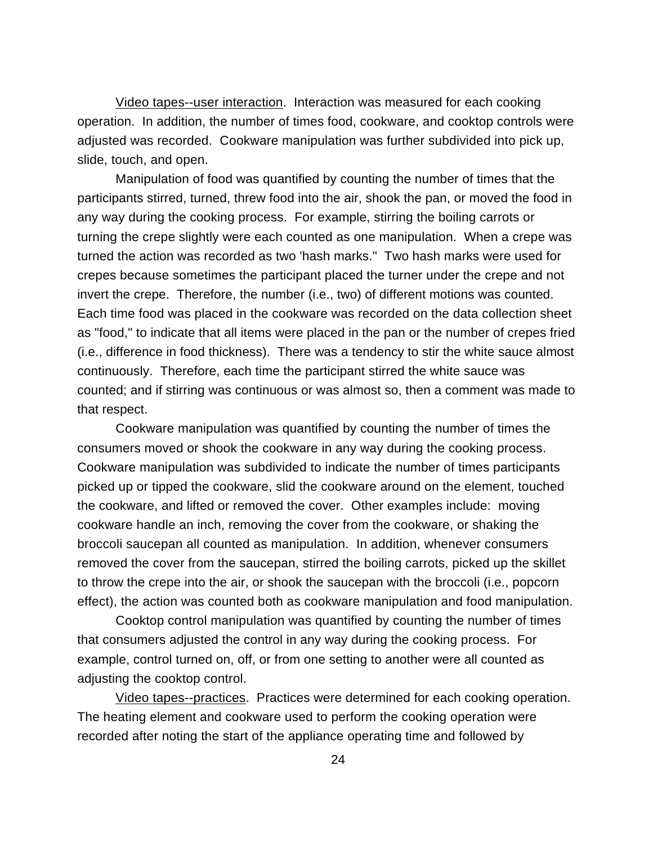Video tapes--user interaction. Interaction was measured for each cooking operation. In addition, the number of times food, cookware, and cooktop controls were adjusted was recorded. Cookware manipulation was further subdivided into pick up, slide, touch, and open.

Manipulation of food was quantified by counting the number of times that the participants stirred, turned, threw food into the air, shook the pan, or moved the food in any way during the cooking process. For example, stirring the boiling carrots or turning the crepe slightly were each counted as one manipulation. When a crepe was turned the action was recorded as two 'hash marks." Two hash marks were used for crepes because sometimes the participant placed the turner under the crepe and not invert the crepe. Therefore, the number (i.e., two) of different motions was counted. Each time food was placed in the cookware was recorded on the data collection sheet as "food," to indicate that all items were placed in the pan or the number of crepes fried (i.e., difference in food thickness). There was a tendency to stir the white sauce almost continuously. Therefore, each time the participant stirred the white sauce was counted; and if stirring was continuous or was almost so, then a comment was made to that respect.

Cookware manipulation was quantified by counting the number of times the consumers moved or shook the cookware in any way during the cooking process. Cookware manipulation was subdivided to indicate the number of times participants picked up or tipped the cookware, slid the cookware around on the element, touched the cookware, and lifted or removed the cover. Other examples include: moving cookware handle an inch, removing the cover from the cookware, or shaking the broccoli saucepan all counted as manipulation. In addition, whenever consumers removed the cover from the saucepan, stirred the boiling carrots, picked up the skillet to throw the crepe into the air, or shook the saucepan with the broccoli (i.e., popcorn effect), the action was counted both as cookware manipulation and food manipulation.

Cooktop control manipulation was quantified by counting the number of times that consumers adjusted the control in any way during the cooking process. For example, control turned on, off, or from one setting to another were all counted as adjusting the cooktop control.

Video tapes--practices. Practices were determined for each cooking operation. The heating element and cookware used to perform the cooking operation were recorded after noting the start of the appliance operating time and followed by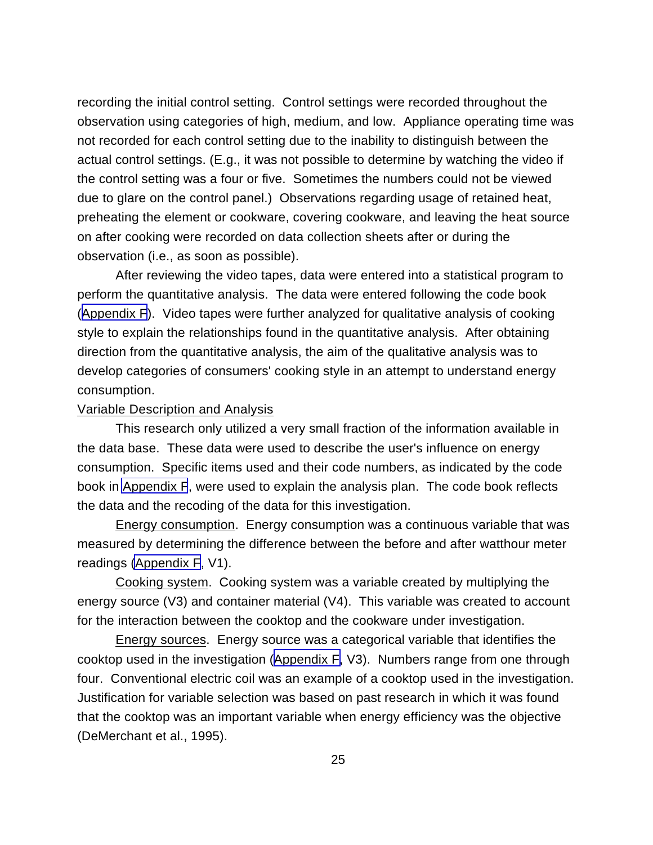recording the initial control setting. Control settings were recorded throughout the observation using categories of high, medium, and low. Appliance operating time was not recorded for each control setting due to the inability to distinguish between the actual control settings. (E.g., it was not possible to determine by watching the video if the control setting was a four or five. Sometimes the numbers could not be viewed due to glare on the control panel.) Observations regarding usage of retained heat, preheating the element or cookware, covering cookware, and leaving the heat source on after cooking were recorded on data collection sheets after or during the observation (i.e., as soon as possible).

After reviewing the video tapes, data were entered into a statistical program to perform the quantitative analysis. The data were entered following the code book ([Appendix F](#page-138-0)). Video tapes were further analyzed for qualitative analysis of cooking style to explain the relationships found in the quantitative analysis. After obtaining direction from the quantitative analysis, the aim of the qualitative analysis was to develop categories of consumers' cooking style in an attempt to understand energy consumption.

#### Variable Description and Analysis

This research only utilized a very small fraction of the information available in the data base. These data were used to describe the user's influence on energy consumption. Specific items used and their code numbers, as indicated by the code book in [Appendix F](#page-138-0), were used to explain the analysis plan. The code book reflects the data and the recoding of the data for this investigation.

Energy consumption. Energy consumption was a continuous variable that was measured by determining the difference between the before and after watthour meter readings [\(Appendix F](#page-138-0), V1).

Cooking system. Cooking system was a variable created by multiplying the energy source (V3) and container material (V4). This variable was created to account for the interaction between the cooktop and the cookware under investigation.

Energy sources. Energy source was a categorical variable that identifies the cooktop used in the investigation ([Appendix F,](#page-138-0) V3). Numbers range from one through four. Conventional electric coil was an example of a cooktop used in the investigation. Justification for variable selection was based on past research in which it was found that the cooktop was an important variable when energy efficiency was the objective (DeMerchant et al., 1995).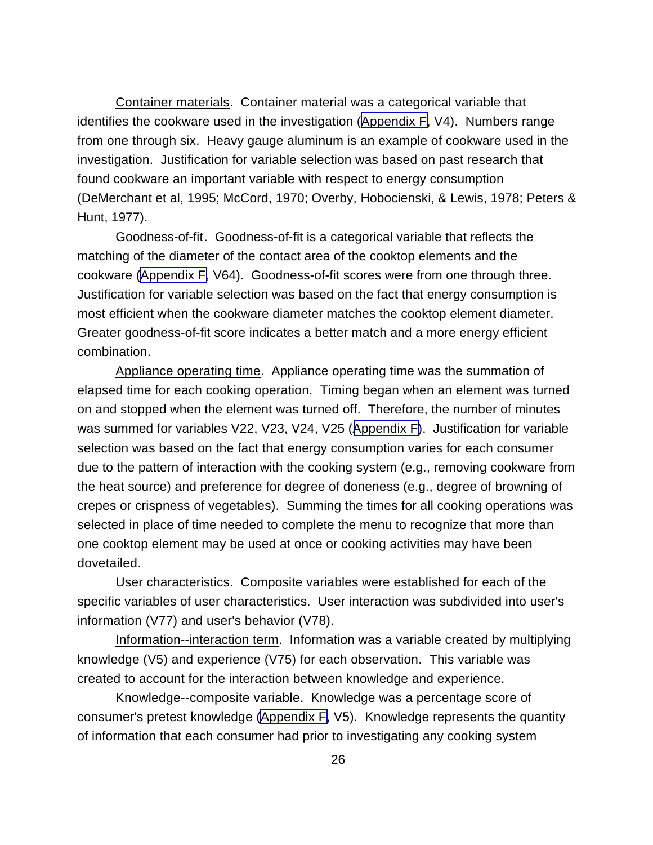Container materials. Container material was a categorical variable that identifies the cookware used in the investigation ([Appendix F,](#page-138-0) V4). Numbers range from one through six. Heavy gauge aluminum is an example of cookware used in the investigation. Justification for variable selection was based on past research that found cookware an important variable with respect to energy consumption (DeMerchant et al, 1995; McCord, 1970; Overby, Hobocienski, & Lewis, 1978; Peters & Hunt, 1977).

Goodness-of-fit. Goodness-of-fit is a categorical variable that reflects the matching of the diameter of the contact area of the cooktop elements and the cookware ([Appendix F,](#page-138-0) V64). Goodness-of-fit scores were from one through three. Justification for variable selection was based on the fact that energy consumption is most efficient when the cookware diameter matches the cooktop element diameter. Greater goodness-of-fit score indicates a better match and a more energy efficient combination.

Appliance operating time. Appliance operating time was the summation of elapsed time for each cooking operation. Timing began when an element was turned on and stopped when the element was turned off. Therefore, the number of minutes was summed for variables V22, V23, V24, V25 ([Appendix F\)](#page-138-0). Justification for variable selection was based on the fact that energy consumption varies for each consumer due to the pattern of interaction with the cooking system (e.g., removing cookware from the heat source) and preference for degree of doneness (e.g., degree of browning of crepes or crispness of vegetables). Summing the times for all cooking operations was selected in place of time needed to complete the menu to recognize that more than one cooktop element may be used at once or cooking activities may have been dovetailed.

User characteristics. Composite variables were established for each of the specific variables of user characteristics. User interaction was subdivided into user's information (V77) and user's behavior (V78).

Information--interaction term. Information was a variable created by multiplying knowledge (V5) and experience (V75) for each observation. This variable was created to account for the interaction between knowledge and experience.

Knowledge--composite variable. Knowledge was a percentage score of consumer's pretest knowledge [\(Appendix F,](#page-138-0) V5). Knowledge represents the quantity of information that each consumer had prior to investigating any cooking system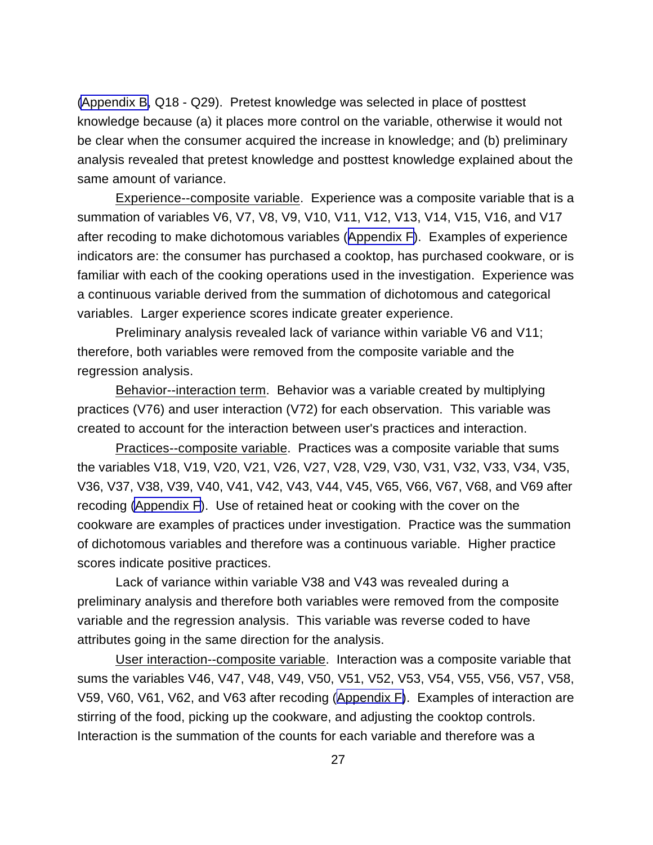[\(Appendix B,](#page-117-0) Q18 - Q29). Pretest knowledge was selected in place of posttest knowledge because (a) it places more control on the variable, otherwise it would not be clear when the consumer acquired the increase in knowledge; and (b) preliminary analysis revealed that pretest knowledge and posttest knowledge explained about the same amount of variance.

Experience--composite variable. Experience was a composite variable that is a summation of variables V6, V7, V8, V9, V10, V11, V12, V13, V14, V15, V16, and V17 after recoding to make dichotomous variables ([Appendix F\)](#page-138-0). Examples of experience indicators are: the consumer has purchased a cooktop, has purchased cookware, or is familiar with each of the cooking operations used in the investigation. Experience was a continuous variable derived from the summation of dichotomous and categorical variables. Larger experience scores indicate greater experience.

Preliminary analysis revealed lack of variance within variable V6 and V11; therefore, both variables were removed from the composite variable and the regression analysis.

Behavior--interaction term. Behavior was a variable created by multiplying practices (V76) and user interaction (V72) for each observation. This variable was created to account for the interaction between user's practices and interaction.

Practices--composite variable. Practices was a composite variable that sums the variables V18, V19, V20, V21, V26, V27, V28, V29, V30, V31, V32, V33, V34, V35, V36, V37, V38, V39, V40, V41, V42, V43, V44, V45, V65, V66, V67, V68, and V69 after recoding [\(Appendix F](#page-138-0)). Use of retained heat or cooking with the cover on the cookware are examples of practices under investigation. Practice was the summation of dichotomous variables and therefore was a continuous variable. Higher practice scores indicate positive practices.

Lack of variance within variable V38 and V43 was revealed during a preliminary analysis and therefore both variables were removed from the composite variable and the regression analysis. This variable was reverse coded to have attributes going in the same direction for the analysis.

User interaction--composite variable. Interaction was a composite variable that sums the variables V46, V47, V48, V49, V50, V51, V52, V53, V54, V55, V56, V57, V58, V59, V60, V61, V62, and V63 after recoding ([Appendix F\)](#page-138-0). Examples of interaction are stirring of the food, picking up the cookware, and adjusting the cooktop controls. Interaction is the summation of the counts for each variable and therefore was a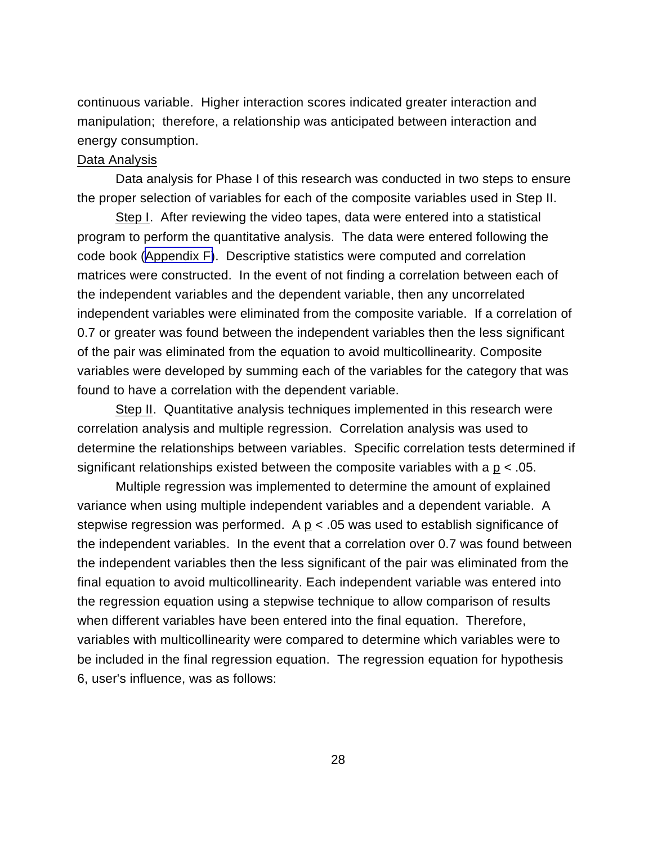continuous variable. Higher interaction scores indicated greater interaction and manipulation; therefore, a relationship was anticipated between interaction and energy consumption.

#### Data Analysis

Data analysis for Phase I of this research was conducted in two steps to ensure the proper selection of variables for each of the composite variables used in Step II.

Step I. After reviewing the video tapes, data were entered into a statistical program to perform the quantitative analysis. The data were entered following the code book [\(Appendix F\)](#page-138-0). Descriptive statistics were computed and correlation matrices were constructed. In the event of not finding a correlation between each of the independent variables and the dependent variable, then any uncorrelated independent variables were eliminated from the composite variable. If a correlation of 0.7 or greater was found between the independent variables then the less significant of the pair was eliminated from the equation to avoid multicollinearity. Composite variables were developed by summing each of the variables for the category that was found to have a correlation with the dependent variable.

Step II. Quantitative analysis techniques implemented in this research were correlation analysis and multiple regression. Correlation analysis was used to determine the relationships between variables. Specific correlation tests determined if significant relationships existed between the composite variables with a  $p < 0.05$ .

Multiple regression was implemented to determine the amount of explained variance when using multiple independent variables and a dependent variable. A stepwise regression was performed. A  $p < .05$  was used to establish significance of the independent variables. In the event that a correlation over 0.7 was found between the independent variables then the less significant of the pair was eliminated from the final equation to avoid multicollinearity. Each independent variable was entered into the regression equation using a stepwise technique to allow comparison of results when different variables have been entered into the final equation. Therefore, variables with multicollinearity were compared to determine which variables were to be included in the final regression equation. The regression equation for hypothesis 6, user's influence, was as follows: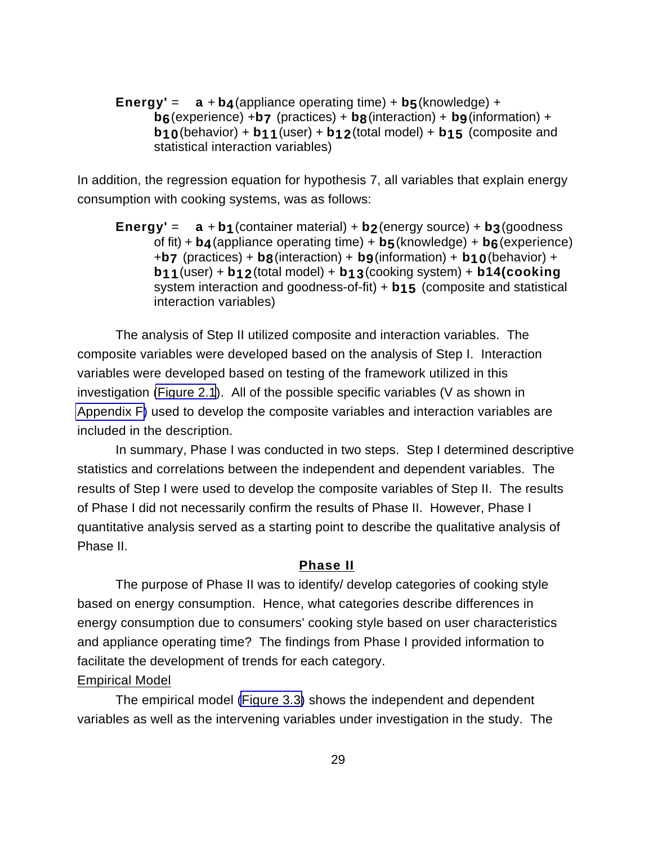**Energy'** =  $a + b4$  (appliance operating time) +  $b5$  (knowledge) + **b6**(experience) +**b7** (practices) + **b8**(interaction) + **b9**(information) + **b10**(behavior) + **b11**(user) + **b12**(total model) + **b15** (composite and statistical interaction variables)

In addition, the regression equation for hypothesis 7, all variables that explain energy consumption with cooking systems, was as follows:

**Energy'** =  $a + b$ **1** (container material) +  $b$ **2** (energy source) +  $b$ **3** (goodness of fit) + **b4**(appliance operating time) + **b5**(knowledge) + **b6**(experience) +**b7** (practices) + **b8**(interaction) + **b9**(information) + **b10**(behavior) + **b11**(user) + **b12**(total model) + **b13**(cooking system) + **b14(cooking** system interaction and goodness-of-fit) + **b15** (composite and statistical interaction variables)

The analysis of Step II utilized composite and interaction variables. The composite variables were developed based on the analysis of Step I. Interaction variables were developed based on testing of the framework utilized in this investigation [\(Figure 2.1](#page-24-0)). All of the possible specific variables (V as shown in [Appendix F\)](#page-138-0) used to develop the composite variables and interaction variables are included in the description.

In summary, Phase I was conducted in two steps. Step I determined descriptive statistics and correlations between the independent and dependent variables. The results of Step I were used to develop the composite variables of Step II. The results of Phase I did not necessarily confirm the results of Phase II. However, Phase I quantitative analysis served as a starting point to describe the qualitative analysis of Phase II.

### **Phase II**

The purpose of Phase II was to identify/ develop categories of cooking style based on energy consumption. Hence, what categories describe differences in energy consumption due to consumers' cooking style based on user characteristics and appliance operating time? The findings from Phase I provided information to facilitate the development of trends for each category. Empirical Model

The empirical model [\(Figure 3.3\)](#page-41-0) shows the independent and dependent variables as well as the intervening variables under investigation in the study. The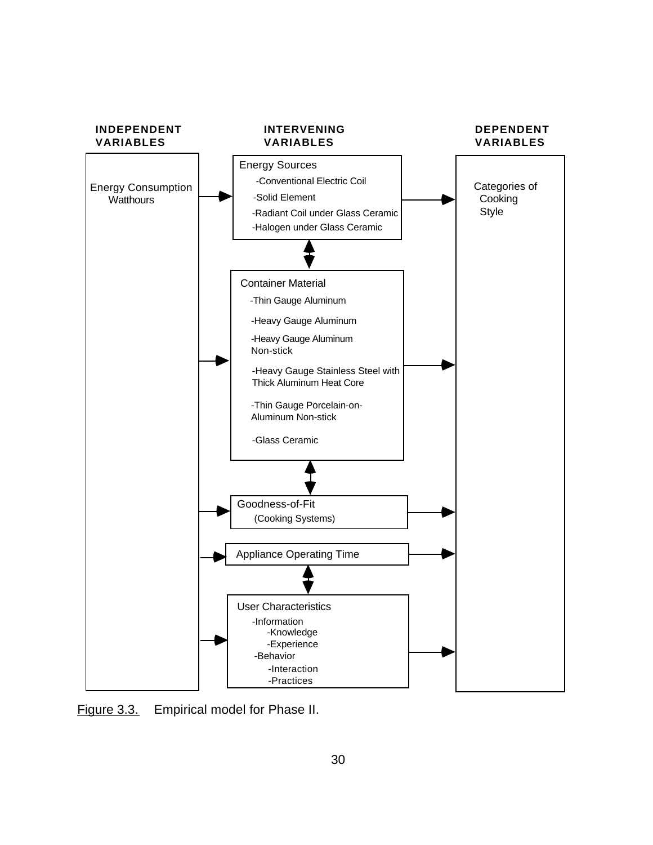<span id="page-41-0"></span>

Figure 3.3. Empirical model for Phase II.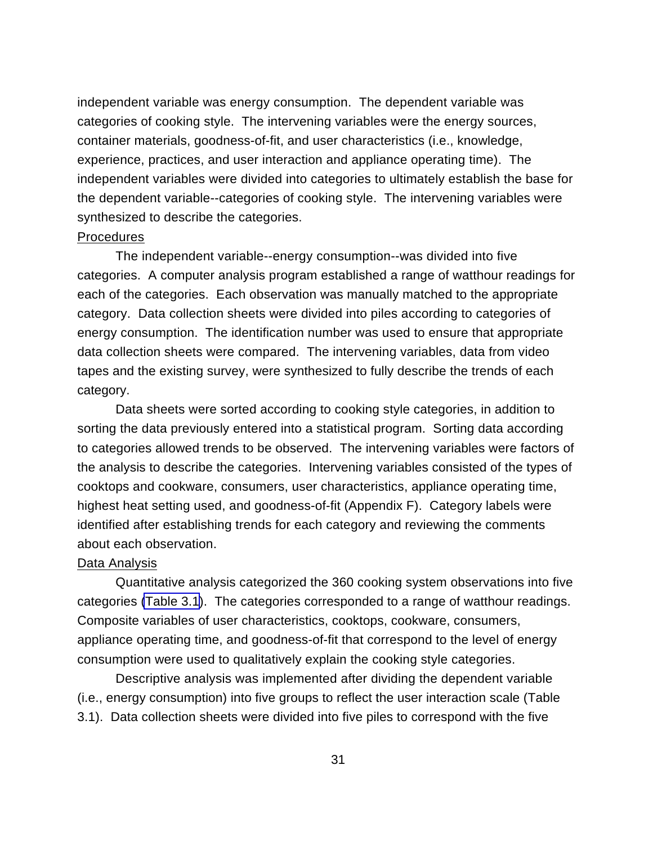independent variable was energy consumption. The dependent variable was categories of cooking style. The intervening variables were the energy sources, container materials, goodness-of-fit, and user characteristics (i.e., knowledge, experience, practices, and user interaction and appliance operating time). The independent variables were divided into categories to ultimately establish the base for the dependent variable--categories of cooking style. The intervening variables were synthesized to describe the categories.

#### Procedures

The independent variable--energy consumption--was divided into five categories. A computer analysis program established a range of watthour readings for each of the categories. Each observation was manually matched to the appropriate category. Data collection sheets were divided into piles according to categories of energy consumption. The identification number was used to ensure that appropriate data collection sheets were compared. The intervening variables, data from video tapes and the existing survey, were synthesized to fully describe the trends of each category.

Data sheets were sorted according to cooking style categories, in addition to sorting the data previously entered into a statistical program. Sorting data according to categories allowed trends to be observed. The intervening variables were factors of the analysis to describe the categories. Intervening variables consisted of the types of cooktops and cookware, consumers, user characteristics, appliance operating time, highest heat setting used, and goodness-of-fit (Appendix F). Category labels were identified after establishing trends for each category and reviewing the comments about each observation.

#### Data Analysis

Quantitative analysis categorized the 360 cooking system observations into five categories [\(Table 3.1](#page-43-0)). The categories corresponded to a range of watthour readings. Composite variables of user characteristics, cooktops, cookware, consumers, appliance operating time, and goodness-of-fit that correspond to the level of energy consumption were used to qualitatively explain the cooking style categories.

Descriptive analysis was implemented after dividing the dependent variable (i.e., energy consumption) into five groups to reflect the user interaction scale (Table 3.1). Data collection sheets were divided into five piles to correspond with the five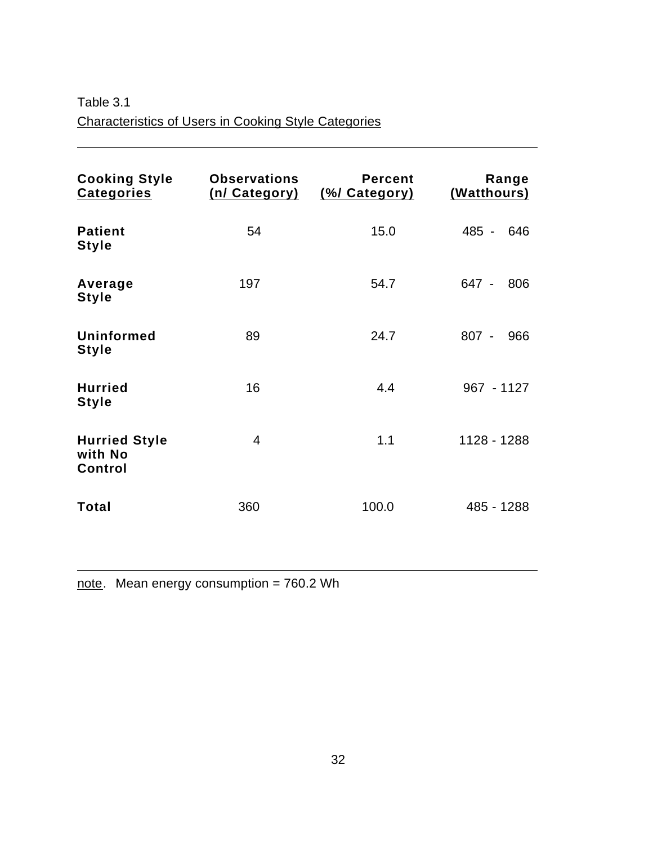<span id="page-43-0"></span>Table 3.1 Characteristics of Users in Cooking Style Categories

 $\overline{a}$ 

 $\overline{a}$ 

| <b>Cooking Style</b><br><b>Categories</b>  | <b>Observations</b><br>(n/ Category) | <b>Percent</b><br>(%/ Category) | Range<br>(Watthours) |
|--------------------------------------------|--------------------------------------|---------------------------------|----------------------|
| <b>Patient</b><br><b>Style</b>             | 54                                   | 15.0                            | 485 -<br>646         |
| Average<br><b>Style</b>                    | 197                                  | 54.7                            | 647 -<br>806         |
| Uninformed<br><b>Style</b>                 | 89                                   | 24.7                            | $807 -$<br>966       |
| <b>Hurried</b><br><b>Style</b>             | 16                                   | 4.4                             | 967 - 1127           |
| <b>Hurried Style</b><br>with No<br>Control | $\overline{4}$                       | 1.1                             | 1128 - 1288          |
| Total                                      | 360                                  | 100.0                           | 485 - 1288           |

note. Mean energy consumption = 760.2 Wh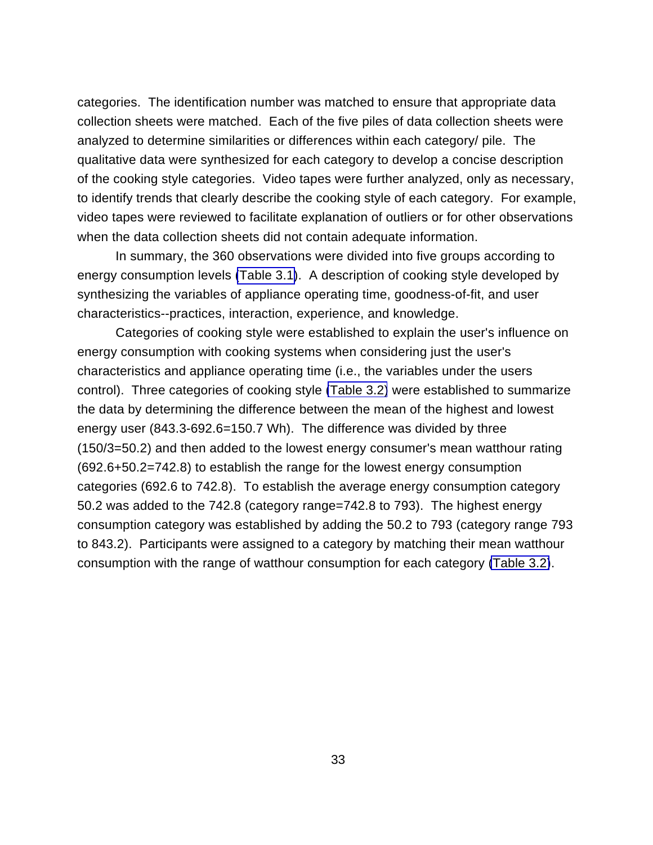categories. The identification number was matched to ensure that appropriate data collection sheets were matched. Each of the five piles of data collection sheets were analyzed to determine similarities or differences within each category/ pile. The qualitative data were synthesized for each category to develop a concise description of the cooking style categories. Video tapes were further analyzed, only as necessary, to identify trends that clearly describe the cooking style of each category. For example, video tapes were reviewed to facilitate explanation of outliers or for other observations when the data collection sheets did not contain adequate information.

In summary, the 360 observations were divided into five groups according to energy consumption levels [\(Table 3.1\)](#page-43-0). A description of cooking style developed by synthesizing the variables of appliance operating time, goodness-of-fit, and user characteristics--practices, interaction, experience, and knowledge.

Categories of cooking style were established to explain the user's influence on energy consumption with cooking systems when considering just the user's characteristics and appliance operating time (i.e., the variables under the users control). Three categories of cooking style [\(Table 3.2\)](#page-45-0) were established to summarize the data by determining the difference between the mean of the highest and lowest energy user (843.3-692.6=150.7 Wh). The difference was divided by three (150/3=50.2) and then added to the lowest energy consumer's mean watthour rating (692.6+50.2=742.8) to establish the range for the lowest energy consumption categories (692.6 to 742.8). To establish the average energy consumption category 50.2 was added to the 742.8 (category range=742.8 to 793). The highest energy consumption category was established by adding the 50.2 to 793 (category range 793 to 843.2). Participants were assigned to a category by matching their mean watthour consumption with the range of watthour consumption for each category [\(Table 3.2\)](#page-45-0).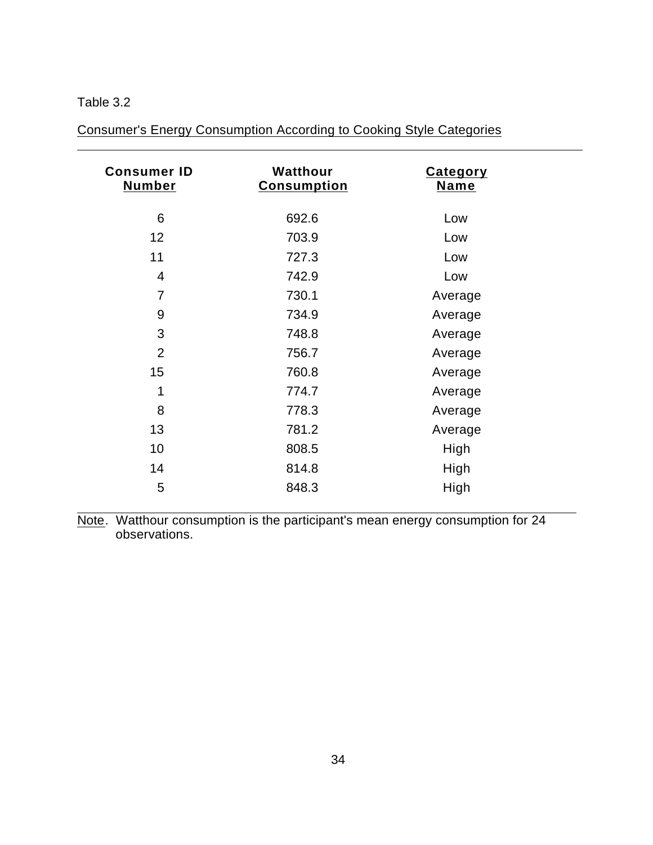### <span id="page-45-0"></span>Table 3.2

 $\overline{a}$ 

 $\overline{a}$ 

Consumer's Energy Consumption According to Cooking Style Categories

| <b>Consumer ID</b><br><b>Number</b> | Watthour<br><b>Consumption</b> | <b>Category</b><br><b>Name</b> |  |
|-------------------------------------|--------------------------------|--------------------------------|--|
| 6                                   | 692.6                          | Low                            |  |
| 12                                  | 703.9                          | Low                            |  |
| 11                                  | 727.3                          | Low                            |  |
| 4                                   | 742.9                          | Low                            |  |
| 7                                   | 730.1                          | Average                        |  |
| 9                                   | 734.9                          | Average                        |  |
| 3                                   | 748.8                          | Average                        |  |
| $\overline{2}$                      | 756.7                          | Average                        |  |
| 15                                  | 760.8                          | Average                        |  |
| 1                                   | 774.7                          | Average                        |  |
| 8                                   | 778.3                          | Average                        |  |
| 13                                  | 781.2                          | Average                        |  |
| 10                                  | 808.5                          | High                           |  |
| 14                                  | 814.8                          | High                           |  |
| 5                                   | 848.3                          | High                           |  |

Note. Watthour consumption is the participant's mean energy consumption for 24 observations.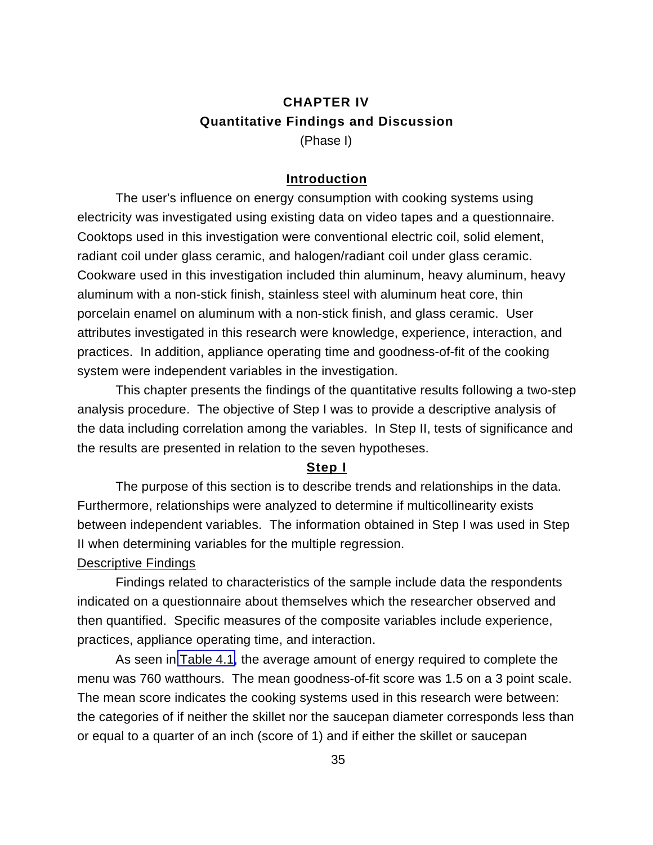## **CHAPTER IV Quantitative Findings and Discussion** (Phase I)

### **Introduction**

The user's influence on energy consumption with cooking systems using electricity was investigated using existing data on video tapes and a questionnaire. Cooktops used in this investigation were conventional electric coil, solid element, radiant coil under glass ceramic, and halogen/radiant coil under glass ceramic. Cookware used in this investigation included thin aluminum, heavy aluminum, heavy aluminum with a non-stick finish, stainless steel with aluminum heat core, thin porcelain enamel on aluminum with a non-stick finish, and glass ceramic. User attributes investigated in this research were knowledge, experience, interaction, and practices. In addition, appliance operating time and goodness-of-fit of the cooking system were independent variables in the investigation.

This chapter presents the findings of the quantitative results following a two-step analysis procedure. The objective of Step I was to provide a descriptive analysis of the data including correlation among the variables. In Step II, tests of significance and the results are presented in relation to the seven hypotheses.

#### **Step I**

The purpose of this section is to describe trends and relationships in the data. Furthermore, relationships were analyzed to determine if multicollinearity exists between independent variables. The information obtained in Step I was used in Step II when determining variables for the multiple regression.

### Descriptive Findings

Findings related to characteristics of the sample include data the respondents indicated on a questionnaire about themselves which the researcher observed and then quantified. Specific measures of the composite variables include experience, practices, appliance operating time, and interaction.

As seen in [Table 4.1,](#page-47-0) the average amount of energy required to complete the menu was 760 watthours. The mean goodness-of-fit score was 1.5 on a 3 point scale. The mean score indicates the cooking systems used in this research were between: the categories of if neither the skillet nor the saucepan diameter corresponds less than or equal to a quarter of an inch (score of 1) and if either the skillet or saucepan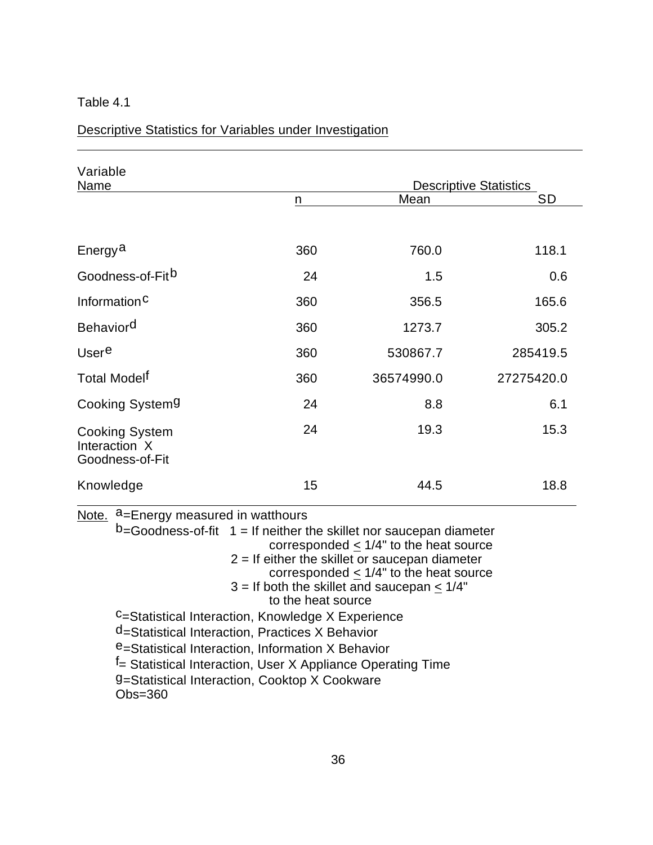| Variable<br>Name                                          |     |            | <b>Descriptive Statistics</b> |
|-----------------------------------------------------------|-----|------------|-------------------------------|
|                                                           | n   | Mean       | <b>SD</b>                     |
|                                                           |     |            |                               |
| Energy <sup>a</sup>                                       | 360 | 760.0      | 118.1                         |
| Goodness-of-Fit <sup>b</sup>                              | 24  | 1.5        | 0.6                           |
| Information <sup>C</sup>                                  | 360 | 356.5      | 165.6                         |
| <b>Behaviord</b>                                          | 360 | 1273.7     | 305.2                         |
| Usere                                                     | 360 | 530867.7   | 285419.5                      |
| Total Model <sup>f</sup>                                  | 360 | 36574990.0 | 27275420.0                    |
| Cooking System9                                           | 24  | 8.8        | 6.1                           |
| <b>Cooking System</b><br>Interaction X<br>Goodness-of-Fit | 24  | 19.3       | 15.3                          |
| Knowledge                                                 | 15  | 44.5       | 18.8                          |

<span id="page-47-0"></span>Descriptive Statistics for Variables under Investigation

| Note. $a$ =Energy measured in watthours |                                                                                                                                                                                                                                                                             |
|-----------------------------------------|-----------------------------------------------------------------------------------------------------------------------------------------------------------------------------------------------------------------------------------------------------------------------------|
|                                         | $b$ =Goodness-of-fit $1$ = If neither the skillet nor saucepan diameter<br>corresponded $< 1/4$ " to the heat source<br>$2 =$ If either the skillet or saucepan diameter<br>corresponded $\leq$ 1/4" to the heat source<br>$3 =$ If both the skillet and saucepan $< 1/4$ " |
|                                         | to the heat source                                                                                                                                                                                                                                                          |
|                                         | <sup>C</sup> =Statistical Interaction, Knowledge X Experience                                                                                                                                                                                                               |
|                                         | d=Statistical Interaction, Practices X Behavior                                                                                                                                                                                                                             |
|                                         | e=Statistical Interaction, Information X Behavior                                                                                                                                                                                                                           |
|                                         | <sup>f</sup> = Statistical Interaction, User X Appliance Operating Time                                                                                                                                                                                                     |
| $Obs = 360$                             | 9=Statistical Interaction, Cooktop X Cookware                                                                                                                                                                                                                               |
|                                         |                                                                                                                                                                                                                                                                             |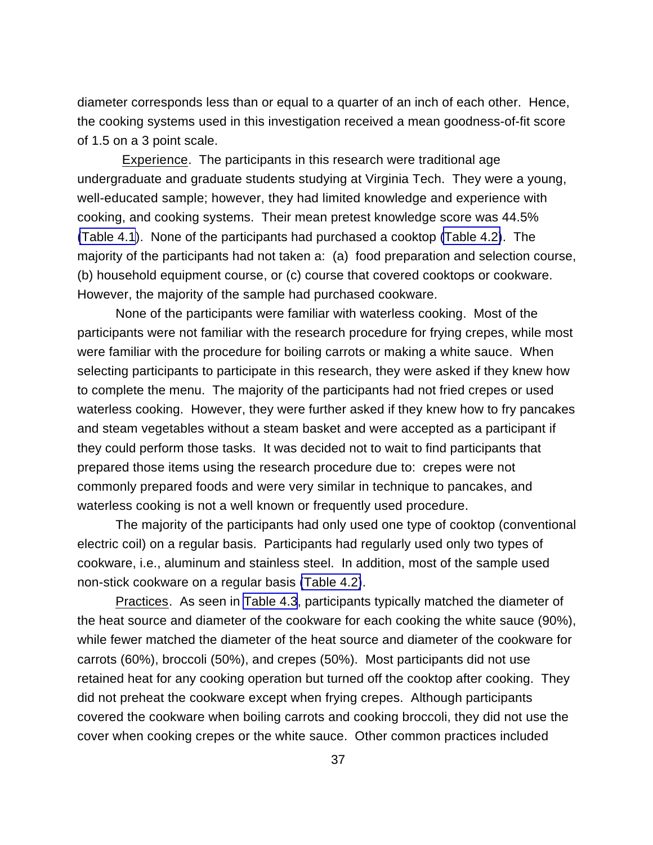diameter corresponds less than or equal to a quarter of an inch of each other. Hence, the cooking systems used in this investigation received a mean goodness-of-fit score of 1.5 on a 3 point scale.

 Experience. The participants in this research were traditional age undergraduate and graduate students studying at Virginia Tech. They were a young, well-educated sample; however, they had limited knowledge and experience with cooking, and cooking systems. Their mean pretest knowledge score was 44.5% [\(Table 4.1](#page-47-0)). None of the participants had purchased a cooktop [\(Table 4.2\)](#page-49-0). The majority of the participants had not taken a: (a) food preparation and selection course, (b) household equipment course, or (c) course that covered cooktops or cookware. However, the majority of the sample had purchased cookware.

None of the participants were familiar with waterless cooking. Most of the participants were not familiar with the research procedure for frying crepes, while most were familiar with the procedure for boiling carrots or making a white sauce. When selecting participants to participate in this research, they were asked if they knew how to complete the menu. The majority of the participants had not fried crepes or used waterless cooking. However, they were further asked if they knew how to fry pancakes and steam vegetables without a steam basket and were accepted as a participant if they could perform those tasks. It was decided not to wait to find participants that prepared those items using the research procedure due to: crepes were not commonly prepared foods and were very similar in technique to pancakes, and waterless cooking is not a well known or frequently used procedure.

The majority of the participants had only used one type of cooktop (conventional electric coil) on a regular basis. Participants had regularly used only two types of cookware, i.e., aluminum and stainless steel. In addition, most of the sample used non-stick cookware on a regular basis [\(Table 4.2\)](#page-49-0).

Practices. As seen in [Table 4.3](#page-51-0), participants typically matched the diameter of the heat source and diameter of the cookware for each cooking the white sauce (90%), while fewer matched the diameter of the heat source and diameter of the cookware for carrots (60%), broccoli (50%), and crepes (50%). Most participants did not use retained heat for any cooking operation but turned off the cooktop after cooking. They did not preheat the cookware except when frying crepes. Although participants covered the cookware when boiling carrots and cooking broccoli, they did not use the cover when cooking crepes or the white sauce. Other common practices included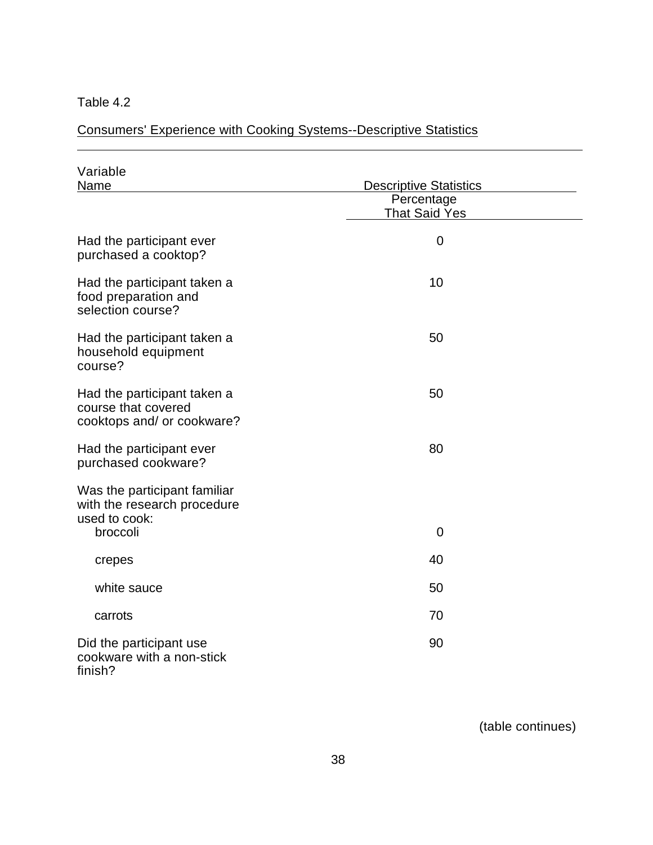$\overline{a}$ 

# <span id="page-49-0"></span>Consumers' Experience with Cooking Systems--Descriptive Statistics

| Variable<br>Name                                                                 | <b>Descriptive Statistics</b><br>Percentage<br><b>That Said Yes</b> |  |
|----------------------------------------------------------------------------------|---------------------------------------------------------------------|--|
|                                                                                  |                                                                     |  |
| Had the participant ever<br>purchased a cooktop?                                 | $\mathbf 0$                                                         |  |
| Had the participant taken a<br>food preparation and<br>selection course?         | 10                                                                  |  |
| Had the participant taken a<br>household equipment<br>course?                    | 50                                                                  |  |
| Had the participant taken a<br>course that covered<br>cooktops and/ or cookware? | 50                                                                  |  |
| Had the participant ever<br>purchased cookware?                                  | 80                                                                  |  |
| Was the participant familiar<br>with the research procedure<br>used to cook:     |                                                                     |  |
| broccoli                                                                         | $\overline{0}$                                                      |  |
| crepes                                                                           | 40                                                                  |  |
| white sauce                                                                      | 50                                                                  |  |
| carrots                                                                          | 70                                                                  |  |
| Did the participant use<br>cookware with a non-stick<br>finish?                  | 90                                                                  |  |

(table continues)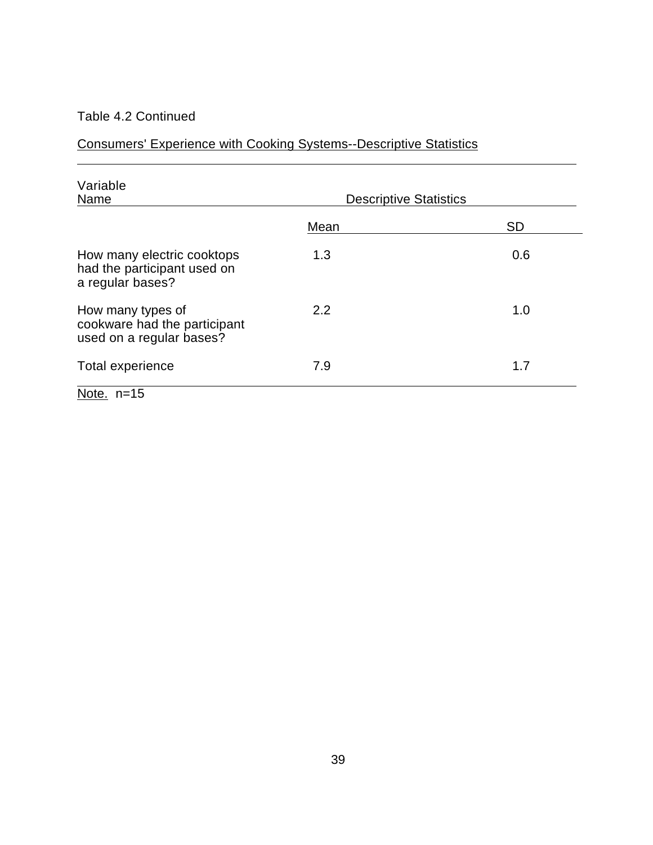### Table 4.2 Continued

 $\overline{a}$ 

Consumers' Experience with Cooking Systems--Descriptive Statistics

| Variable<br>Name                                                              | <b>Descriptive Statistics</b> |           |
|-------------------------------------------------------------------------------|-------------------------------|-----------|
|                                                                               | Mean                          | <b>SD</b> |
| How many electric cooktops<br>had the participant used on<br>a regular bases? | 1.3                           | 0.6       |
| How many types of<br>cookware had the participant<br>used on a regular bases? | 2.2                           | 1.0       |
| Total experience                                                              | 7.9                           | 1.7       |
| Note. $n=15$                                                                  |                               |           |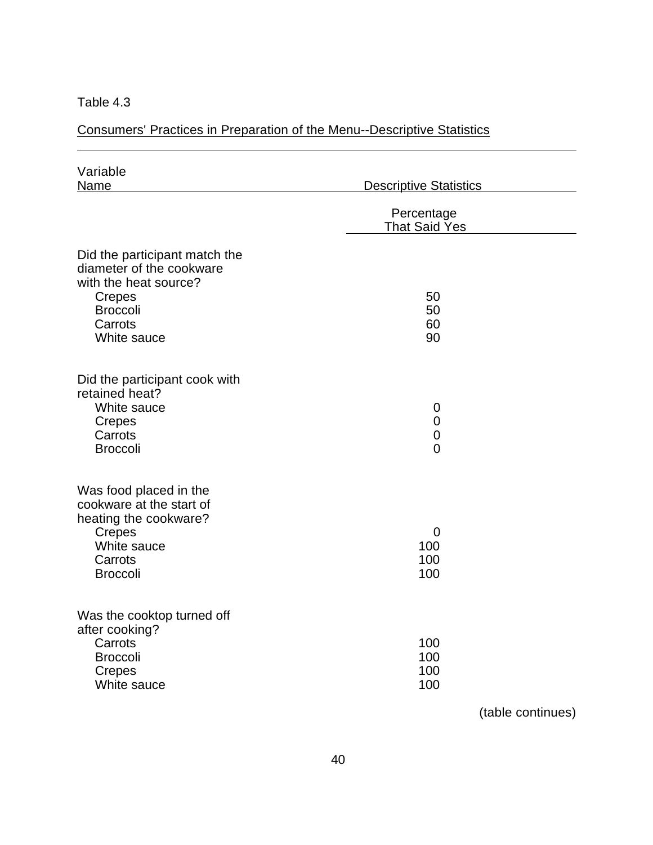$\overline{a}$ 

<span id="page-51-0"></span>Consumers' Practices in Preparation of the Menu--Descriptive Statistics

| Variable<br>Name                                                                                                                                 | <b>Descriptive Statistics</b>                                  |  |
|--------------------------------------------------------------------------------------------------------------------------------------------------|----------------------------------------------------------------|--|
|                                                                                                                                                  | Percentage<br><b>That Said Yes</b>                             |  |
| Did the participant match the<br>diameter of the cookware<br>with the heat source?<br><b>Crepes</b><br><b>Broccoli</b><br>Carrots<br>White sauce | 50<br>50<br>60<br>90                                           |  |
| Did the participant cook with<br>retained heat?<br>White sauce<br><b>Crepes</b><br>Carrots<br><b>Broccoli</b>                                    | $\mathbf 0$<br>$\overline{0}$<br>$\mathbf 0$<br>$\overline{0}$ |  |
| Was food placed in the<br>cookware at the start of<br>heating the cookware?<br>Crepes<br>White sauce<br>Carrots<br><b>Broccoli</b>               | 0<br>100<br>100<br>100                                         |  |
| Was the cooktop turned off<br>after cooking?<br>Carrots<br><b>Broccoli</b><br><b>Crepes</b><br>White sauce                                       | 100<br>100<br>100<br>100                                       |  |

(table continues)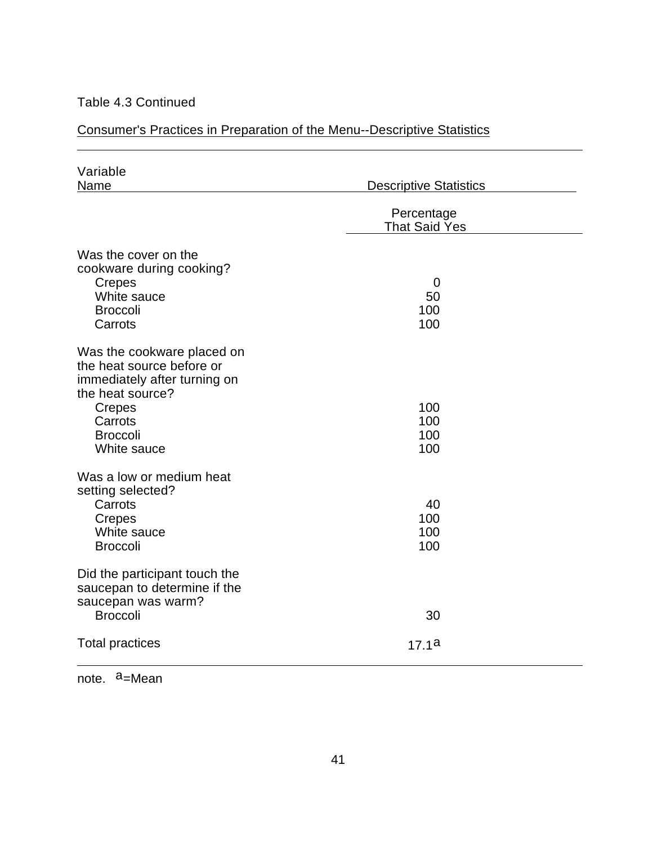### Table 4.3 Continued

 $\overline{a}$ 

## Consumer's Practices in Preparation of the Menu--Descriptive Statistics

| Variable<br>Name                                                                                                                                                          | <b>Descriptive Statistics</b>      |  |
|---------------------------------------------------------------------------------------------------------------------------------------------------------------------------|------------------------------------|--|
|                                                                                                                                                                           | Percentage<br><b>That Said Yes</b> |  |
| Was the cover on the<br>cookware during cooking?<br>Crepes<br>White sauce<br><b>Broccoli</b><br>Carrots                                                                   | 0<br>50<br>100<br>100              |  |
| Was the cookware placed on<br>the heat source before or<br>immediately after turning on<br>the heat source?<br><b>Crepes</b><br>Carrots<br><b>Broccoli</b><br>White sauce | 100<br>100<br>100<br>100           |  |
| Was a low or medium heat<br>setting selected?<br>Carrots<br>Crepes<br>White sauce<br><b>Broccoli</b>                                                                      | 40<br>100<br>100<br>100            |  |
| Did the participant touch the<br>saucepan to determine if the<br>saucepan was warm?<br><b>Broccoli</b>                                                                    | 30                                 |  |
| <b>Total practices</b>                                                                                                                                                    | 17.1a                              |  |

note. a=Mean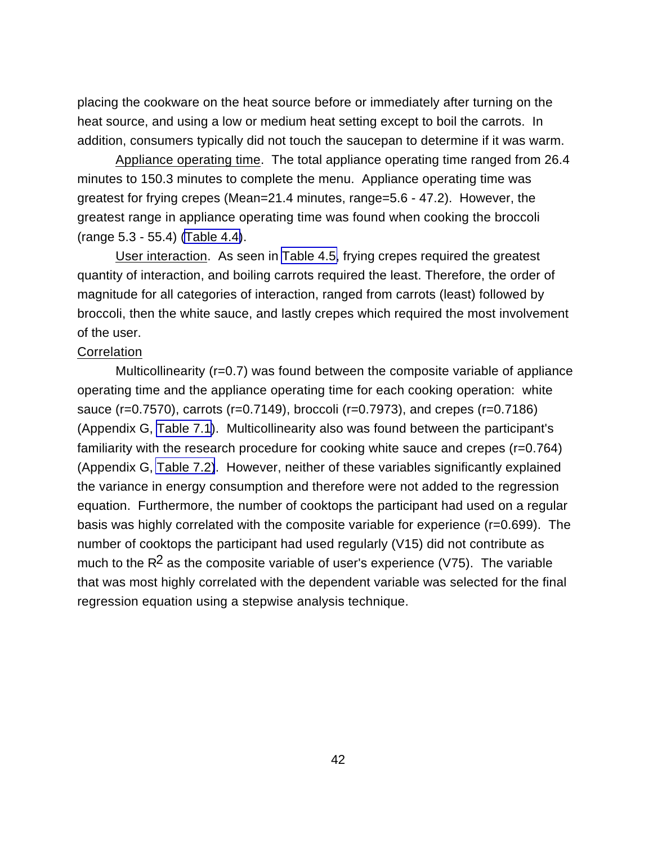placing the cookware on the heat source before or immediately after turning on the heat source, and using a low or medium heat setting except to boil the carrots. In addition, consumers typically did not touch the saucepan to determine if it was warm.

Appliance operating time. The total appliance operating time ranged from 26.4 minutes to 150.3 minutes to complete the menu. Appliance operating time was greatest for frying crepes (Mean=21.4 minutes, range=5.6 - 47.2). However, the greatest range in appliance operating time was found when cooking the broccoli (range 5.3 - 55.4) [\(Table 4.4\)](#page-54-0).

User interaction. As seen in [Table 4.5,](#page-55-0) frying crepes required the greatest quantity of interaction, and boiling carrots required the least. Therefore, the order of magnitude for all categories of interaction, ranged from carrots (least) followed by broccoli, then the white sauce, and lastly crepes which required the most involvement of the user.

### **Correlation**

Multicollinearity (r=0.7) was found between the composite variable of appliance operating time and the appliance operating time for each cooking operation: white sauce (r=0.7570), carrots (r=0.7149), broccoli (r=0.7973), and crepes (r=0.7186) (Appendix G, [Table 7.1](#page-153-0)). Multicollinearity also was found between the participant's familiarity with the research procedure for cooking white sauce and crepes (r=0.764) (Appendix G, [Table 7.2\)](#page-154-0). However, neither of these variables significantly explained the variance in energy consumption and therefore were not added to the regression equation. Furthermore, the number of cooktops the participant had used on a regular basis was highly correlated with the composite variable for experience (r=0.699). The number of cooktops the participant had used regularly (V15) did not contribute as much to the  $R^2$  as the composite variable of user's experience (V75). The variable that was most highly correlated with the dependent variable was selected for the final regression equation using a stepwise analysis technique.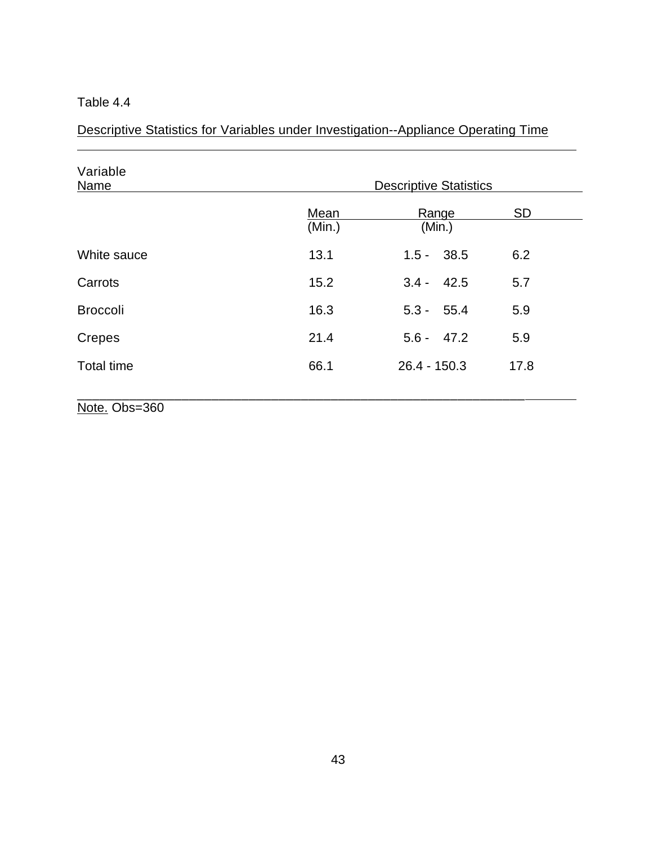$\overline{a}$ 

<span id="page-54-0"></span>Descriptive Statistics for Variables under Investigation--Appliance Operating Time

| Variable<br>Name  |                | <b>Descriptive Statistics</b> |           |
|-------------------|----------------|-------------------------------|-----------|
|                   | Mean<br>(Min.) | Range<br>(Min.)               | <b>SD</b> |
| White sauce       | 13.1           | $1.5 - 38.5$                  | 6.2       |
| Carrots           | 15.2           | $3.4 - 42.5$                  | 5.7       |
| <b>Broccoli</b>   | 16.3           | $5.3 - 55.4$                  | 5.9       |
| Crepes            | 21.4           | $5.6 - 47.2$                  | 5.9       |
| <b>Total time</b> | 66.1           | $26.4 - 150.3$                | 17.8      |
| Note. Obs=360     |                |                               |           |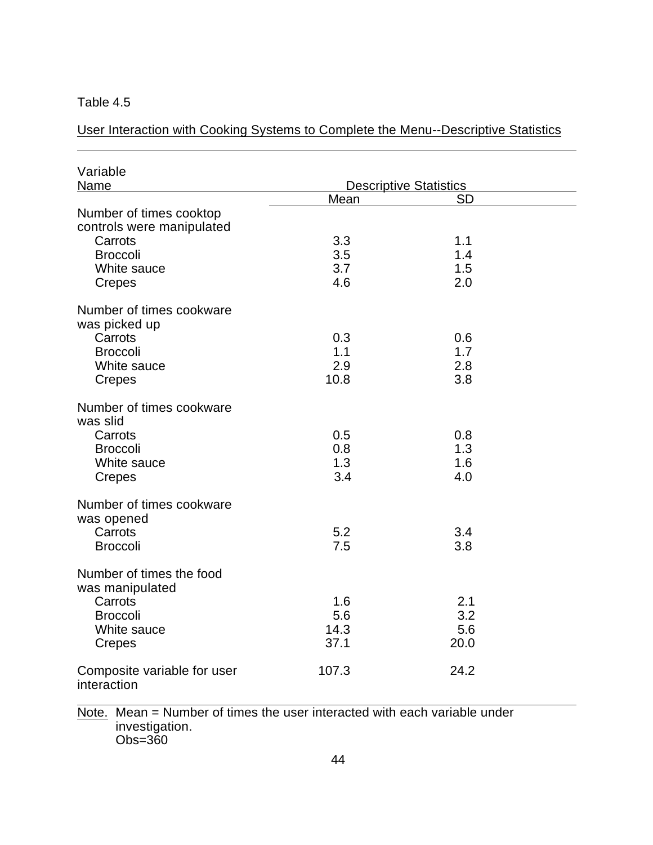$\overline{a}$ 

<span id="page-55-0"></span>User Interaction with Cooking Systems to Complete the Menu--Descriptive Statistics

| Variable<br>Name                                     |            | <b>Descriptive Statistics</b> |  |
|------------------------------------------------------|------------|-------------------------------|--|
|                                                      | Mean       | <b>SD</b>                     |  |
| Number of times cooktop<br>controls were manipulated |            |                               |  |
| Carrots                                              | 3.3        | 1.1                           |  |
| <b>Broccoli</b>                                      | 3.5<br>3.7 | 1.4                           |  |
| White sauce<br>Crepes                                | 4.6        | 1.5<br>2.0                    |  |
| Number of times cookware<br>was picked up            |            |                               |  |
| Carrots                                              | 0.3        | 0.6                           |  |
| <b>Broccoli</b>                                      | 1.1        | 1.7                           |  |
| White sauce                                          | 2.9        | 2.8                           |  |
| Crepes                                               | 10.8       | 3.8                           |  |
| Number of times cookware<br>was slid                 |            |                               |  |
| Carrots                                              | 0.5        | 0.8                           |  |
| <b>Broccoli</b>                                      | 0.8        | 1.3                           |  |
| White sauce                                          | 1.3        | 1.6                           |  |
| Crepes                                               | 3.4        | 4.0                           |  |
| Number of times cookware<br>was opened               |            |                               |  |
| Carrots                                              | 5.2        | 3.4                           |  |
| <b>Broccoli</b>                                      | 7.5        | 3.8                           |  |
| Number of times the food<br>was manipulated          |            |                               |  |
| Carrots                                              | 1.6        | 2.1                           |  |
| <b>Broccoli</b>                                      | 5.6        | 3.2                           |  |
| White sauce                                          | 14.3       | 5.6                           |  |
| <b>Crepes</b>                                        | 37.1       | 20.0                          |  |
| Composite variable for user<br>interaction           | 107.3      | 24.2                          |  |

Note. Mean = Number of times the user interacted with each variable under investigation. Obs=360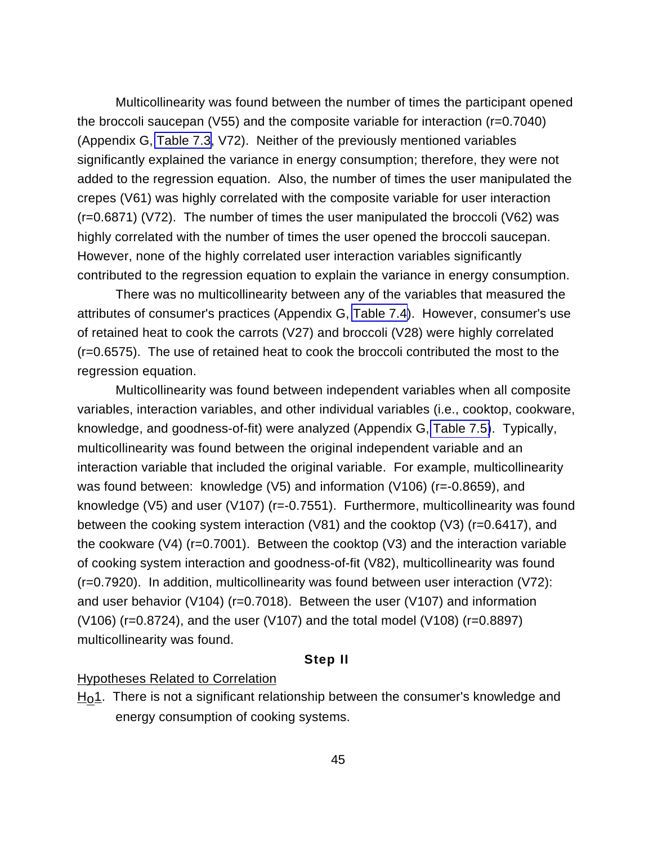Multicollinearity was found between the number of times the participant opened the broccoli saucepan (V55) and the composite variable for interaction (r=0.7040) (Appendix G, [Table 7.3,](#page-155-0) V72). Neither of the previously mentioned variables significantly explained the variance in energy consumption; therefore, they were not added to the regression equation. Also, the number of times the user manipulated the crepes (V61) was highly correlated with the composite variable for user interaction (r=0.6871) (V72). The number of times the user manipulated the broccoli (V62) was highly correlated with the number of times the user opened the broccoli saucepan. However, none of the highly correlated user interaction variables significantly contributed to the regression equation to explain the variance in energy consumption.

There was no multicollinearity between any of the variables that measured the attributes of consumer's practices (Appendix G, [Table 7.4\)](#page-157-0). However, consumer's use of retained heat to cook the carrots (V27) and broccoli (V28) were highly correlated (r=0.6575). The use of retained heat to cook the broccoli contributed the most to the regression equation.

Multicollinearity was found between independent variables when all composite variables, interaction variables, and other individual variables (i.e., cooktop, cookware, knowledge, and goodness-of-fit) were analyzed (Appendix G, [Table 7.5\)](#page-161-0). Typically, multicollinearity was found between the original independent variable and an interaction variable that included the original variable. For example, multicollinearity was found between: knowledge (V5) and information (V106) (r=-0.8659), and knowledge (V5) and user (V107) (r=-0.7551). Furthermore, multicollinearity was found between the cooking system interaction (V81) and the cooktop (V3) (r=0.6417), and the cookware (V4) (r=0.7001). Between the cooktop (V3) and the interaction variable of cooking system interaction and goodness-of-fit (V82), multicollinearity was found (r=0.7920). In addition, multicollinearity was found between user interaction (V72): and user behavior (V104) (r=0.7018). Between the user (V107) and information (V106) (r=0.8724), and the user (V107) and the total model (V108) (r=0.8897) multicollinearity was found.

### **Step II**

#### Hypotheses Related to Correlation

 $H<sub>0</sub>1$ . There is not a significant relationship between the consumer's knowledge and energy consumption of cooking systems.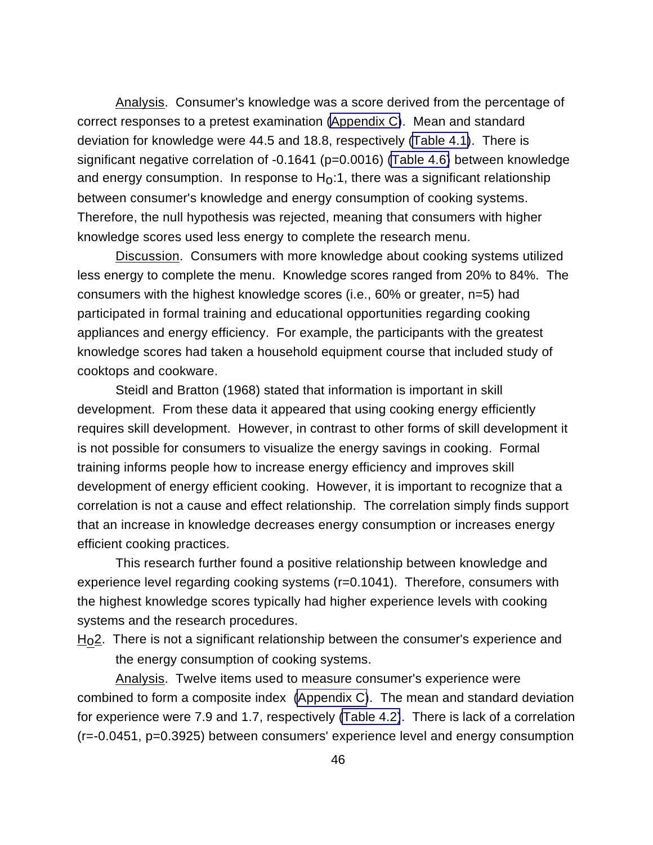Analysis. Consumer's knowledge was a score derived from the percentage of correct responses to a pretest examination [\(Appendix C\)](#page-119-0). Mean and standard deviation for knowledge were 44.5 and 18.8, respectively [\(Table 4.1\)](#page-47-0). There is significant negative correlation of -0.1641 (p=0.0016) [\(Table 4.6\)](#page-58-0) between knowledge and energy consumption. In response to  $H_0:1$ , there was a significant relationship between consumer's knowledge and energy consumption of cooking systems. Therefore, the null hypothesis was rejected, meaning that consumers with higher knowledge scores used less energy to complete the research menu.

Discussion. Consumers with more knowledge about cooking systems utilized less energy to complete the menu. Knowledge scores ranged from 20% to 84%. The consumers with the highest knowledge scores (i.e., 60% or greater, n=5) had participated in formal training and educational opportunities regarding cooking appliances and energy efficiency. For example, the participants with the greatest knowledge scores had taken a household equipment course that included study of cooktops and cookware.

Steidl and Bratton (1968) stated that information is important in skill development. From these data it appeared that using cooking energy efficiently requires skill development. However, in contrast to other forms of skill development it is not possible for consumers to visualize the energy savings in cooking. Formal training informs people how to increase energy efficiency and improves skill development of energy efficient cooking. However, it is important to recognize that a correlation is not a cause and effect relationship. The correlation simply finds support that an increase in knowledge decreases energy consumption or increases energy efficient cooking practices.

This research further found a positive relationship between knowledge and experience level regarding cooking systems (r=0.1041). Therefore, consumers with the highest knowledge scores typically had higher experience levels with cooking systems and the research procedures.

 $H<sub>0</sub>$ 2. There is not a significant relationship between the consumer's experience and the energy consumption of cooking systems.

Analysis. Twelve items used to measure consumer's experience were combined to form a composite index [\(Appendix C\)](#page-119-0). The mean and standard deviation for experience were 7.9 and 1.7, respectively [\(Table 4.2\)](#page-49-0). There is lack of a correlation (r=-0.0451, p=0.3925) between consumers' experience level and energy consumption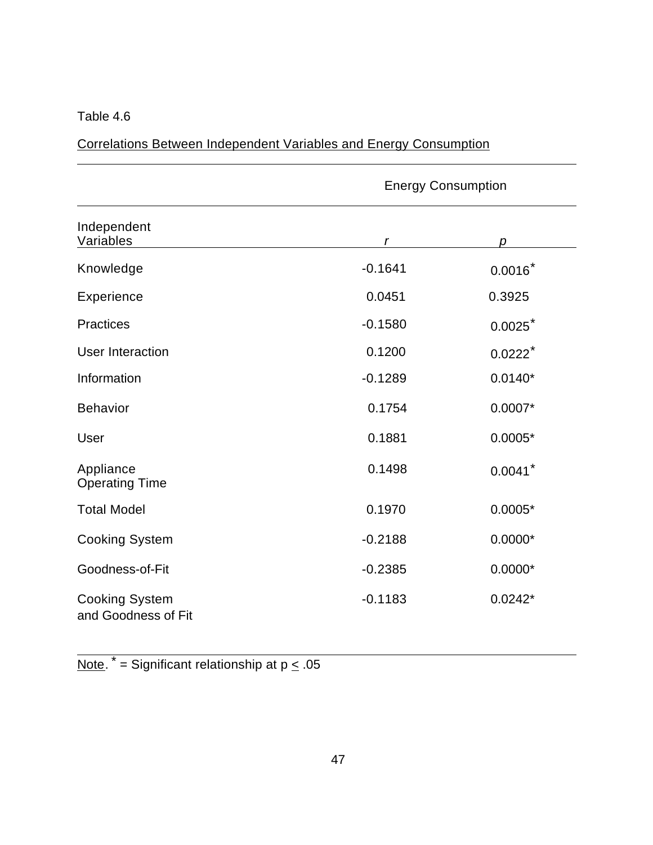$\overline{a}$ 

 $\overline{a}$ 

<span id="page-58-0"></span>Correlations Between Independent Variables and Energy Consumption

|                                              |           | <b>Energy Consumption</b> |  |
|----------------------------------------------|-----------|---------------------------|--|
| Independent<br>Variables                     | r         | D                         |  |
| Knowledge                                    | $-0.1641$ | $0.0016*$                 |  |
| <b>Experience</b>                            | 0.0451    | 0.3925                    |  |
| <b>Practices</b>                             | $-0.1580$ | 0.0025                    |  |
| <b>User Interaction</b>                      | 0.1200    | $0.0222$ <sup>*</sup>     |  |
| Information                                  | $-0.1289$ | $0.0140*$                 |  |
| <b>Behavior</b>                              | 0.1754    | $0.0007*$                 |  |
| User                                         | 0.1881    | $0.0005*$                 |  |
| Appliance<br><b>Operating Time</b>           | 0.1498    | 0.0041                    |  |
| <b>Total Model</b>                           | 0.1970    | $0.0005*$                 |  |
| <b>Cooking System</b>                        | $-0.2188$ | $0.0000*$                 |  |
| Goodness-of-Fit                              | $-0.2385$ | $0.0000*$                 |  |
| <b>Cooking System</b><br>and Goodness of Fit | $-0.1183$ | $0.0242*$                 |  |

Note.  $* =$  Significant relationship at p  $\leq .05$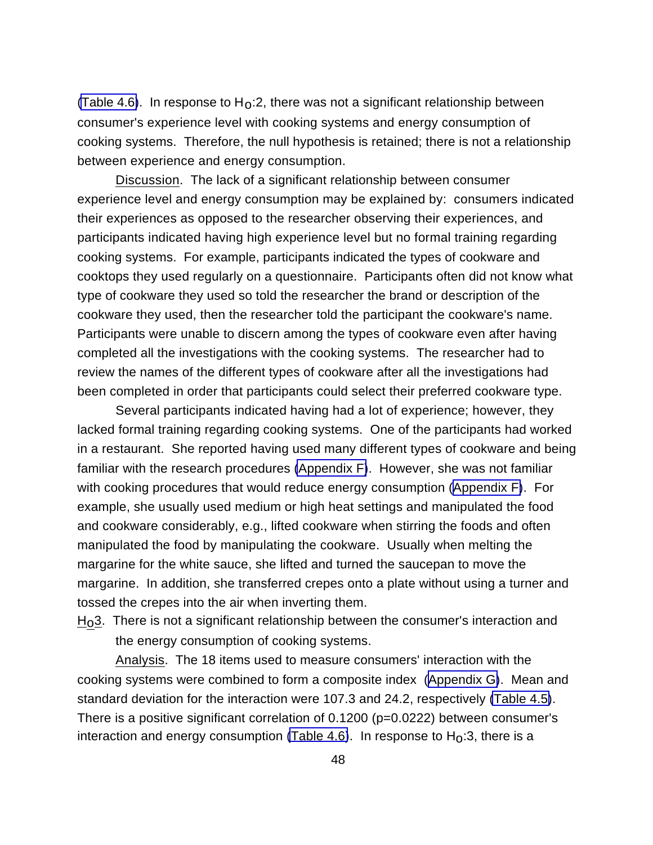[\(Table 4.6\)](#page-58-0). In response to  $H_0:2$ , there was not a significant relationship between consumer's experience level with cooking systems and energy consumption of cooking systems. Therefore, the null hypothesis is retained; there is not a relationship between experience and energy consumption.

Discussion. The lack of a significant relationship between consumer experience level and energy consumption may be explained by: consumers indicated their experiences as opposed to the researcher observing their experiences, and participants indicated having high experience level but no formal training regarding cooking systems. For example, participants indicated the types of cookware and cooktops they used regularly on a questionnaire. Participants often did not know what type of cookware they used so told the researcher the brand or description of the cookware they used, then the researcher told the participant the cookware's name. Participants were unable to discern among the types of cookware even after having completed all the investigations with the cooking systems. The researcher had to review the names of the different types of cookware after all the investigations had been completed in order that participants could select their preferred cookware type.

Several participants indicated having had a lot of experience; however, they lacked formal training regarding cooking systems. One of the participants had worked in a restaurant. She reported having used many different types of cookware and being familiar with the research procedures [\(Appendix F\)](#page-138-0). However, she was not familiar with cooking procedures that would reduce energy consumption ([Appendix F\)](#page-138-0). For example, she usually used medium or high heat settings and manipulated the food and cookware considerably, e.g., lifted cookware when stirring the foods and often manipulated the food by manipulating the cookware. Usually when melting the margarine for the white sauce, she lifted and turned the saucepan to move the margarine. In addition, she transferred crepes onto a plate without using a turner and tossed the crepes into the air when inverting them.

 $H<sub>0</sub>3$ . There is not a significant relationship between the consumer's interaction and the energy consumption of cooking systems.

Analysis. The 18 items used to measure consumers' interaction with the cooking systems were combined to form a composite index ([Appendix G\)](#page-152-0). Mean and standard deviation for the interaction were 107.3 and 24.2, respectively [\(Table 4.5\)](#page-55-0). There is a positive significant correlation of 0.1200 (p=0.0222) between consumer's interaction and energy consumption [\(Table 4.6\)](#page-58-0). In response to  $H_0:3$ , there is a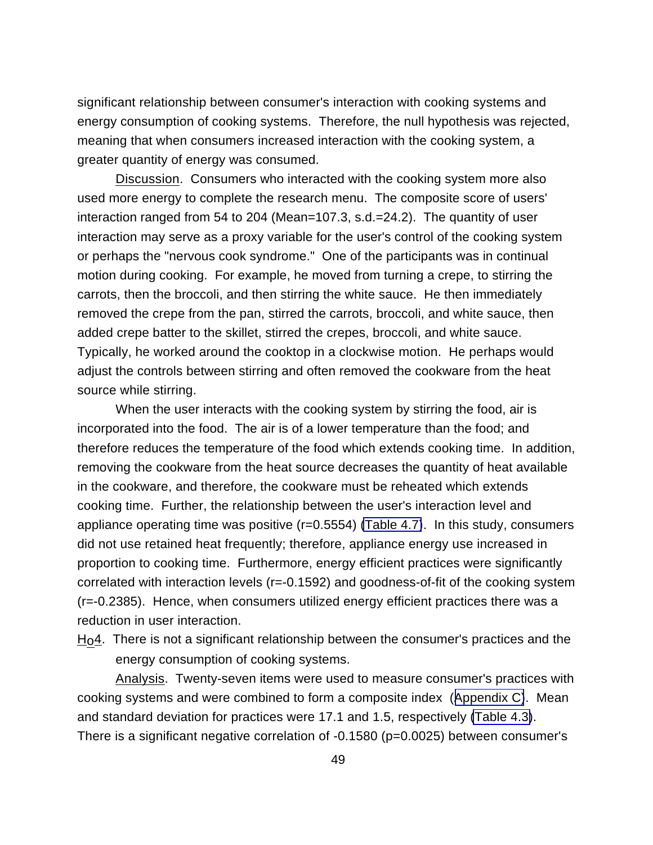significant relationship between consumer's interaction with cooking systems and energy consumption of cooking systems. Therefore, the null hypothesis was rejected, meaning that when consumers increased interaction with the cooking system, a greater quantity of energy was consumed.

Discussion. Consumers who interacted with the cooking system more also used more energy to complete the research menu. The composite score of users' interaction ranged from 54 to 204 (Mean=107.3, s.d.=24.2). The quantity of user interaction may serve as a proxy variable for the user's control of the cooking system or perhaps the "nervous cook syndrome." One of the participants was in continual motion during cooking. For example, he moved from turning a crepe, to stirring the carrots, then the broccoli, and then stirring the white sauce. He then immediately removed the crepe from the pan, stirred the carrots, broccoli, and white sauce, then added crepe batter to the skillet, stirred the crepes, broccoli, and white sauce. Typically, he worked around the cooktop in a clockwise motion. He perhaps would adjust the controls between stirring and often removed the cookware from the heat source while stirring.

When the user interacts with the cooking system by stirring the food, air is incorporated into the food. The air is of a lower temperature than the food; and therefore reduces the temperature of the food which extends cooking time. In addition, removing the cookware from the heat source decreases the quantity of heat available in the cookware, and therefore, the cookware must be reheated which extends cooking time. Further, the relationship between the user's interaction level and appliance operating time was positive (r=0.5554) [\(Table 4.7\)](#page-61-0). In this study, consumers did not use retained heat frequently; therefore, appliance energy use increased in proportion to cooking time. Furthermore, energy efficient practices were significantly correlated with interaction levels (r=-0.1592) and goodness-of-fit of the cooking system (r=-0.2385). Hence, when consumers utilized energy efficient practices there was a reduction in user interaction.

 $H<sub>0</sub>4$ . There is not a significant relationship between the consumer's practices and the energy consumption of cooking systems.

Analysis. Twenty-seven items were used to measure consumer's practices with cooking systems and were combined to form a composite index ([Appendix C\)](#page-119-0). Mean and standard deviation for practices were 17.1 and 1.5, respectively [\(Table 4.3\)](#page-51-0). There is a significant negative correlation of -0.1580 (p=0.0025) between consumer's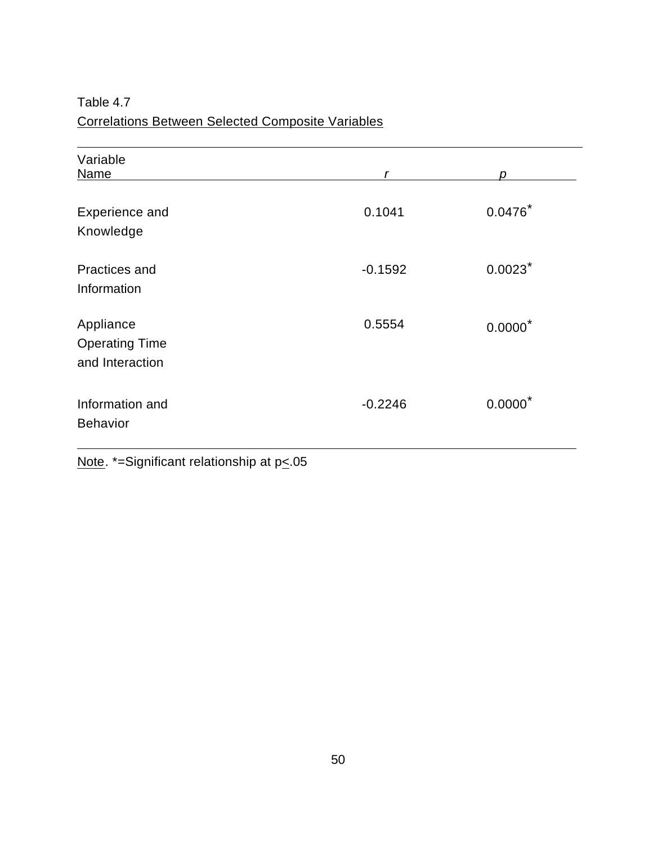<span id="page-61-0"></span>Table 4.7 Correlations Between Selected Composite Variables

| Variable<br>Name                                      | r         | D                     |
|-------------------------------------------------------|-----------|-----------------------|
| <b>Experience and</b><br>Knowledge                    | 0.1041    | $0.0476*$             |
| <b>Practices and</b><br>Information                   | $-0.1592$ | $0.0023$ <sup>*</sup> |
| Appliance<br><b>Operating Time</b><br>and Interaction | 0.5554    | $0.0000*$             |
| Information and<br><b>Behavior</b>                    | $-0.2246$ | $0.0000*$             |

Note. \*=Significant relationship at p<.05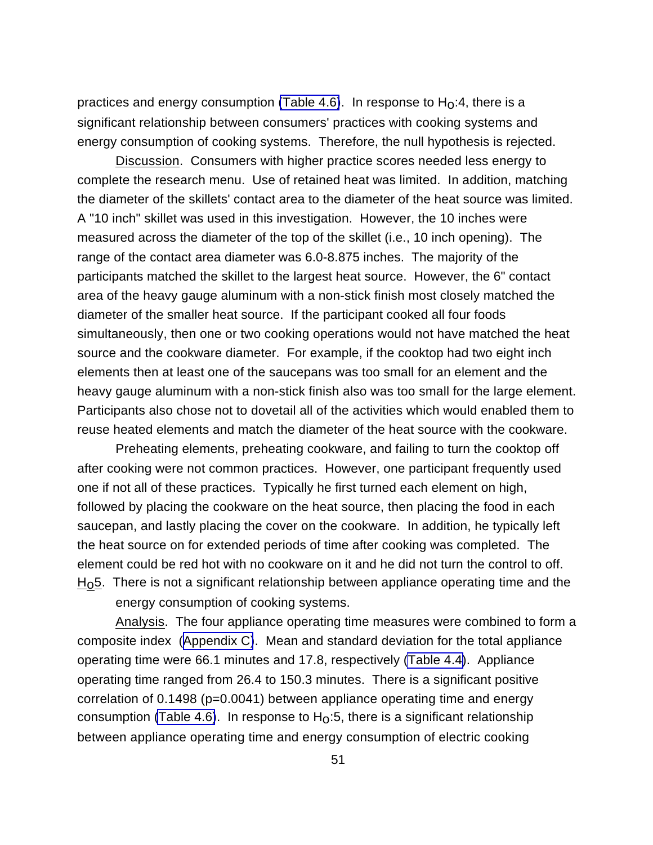practices and energy consumption [\(Table 4.6\)](#page-58-0). In response to  $H_0$ :4, there is a significant relationship between consumers' practices with cooking systems and energy consumption of cooking systems. Therefore, the null hypothesis is rejected.

Discussion. Consumers with higher practice scores needed less energy to complete the research menu. Use of retained heat was limited. In addition, matching the diameter of the skillets' contact area to the diameter of the heat source was limited. A "10 inch" skillet was used in this investigation. However, the 10 inches were measured across the diameter of the top of the skillet (i.e., 10 inch opening). The range of the contact area diameter was 6.0-8.875 inches. The majority of the participants matched the skillet to the largest heat source. However, the 6" contact area of the heavy gauge aluminum with a non-stick finish most closely matched the diameter of the smaller heat source. If the participant cooked all four foods simultaneously, then one or two cooking operations would not have matched the heat source and the cookware diameter. For example, if the cooktop had two eight inch elements then at least one of the saucepans was too small for an element and the heavy gauge aluminum with a non-stick finish also was too small for the large element. Participants also chose not to dovetail all of the activities which would enabled them to reuse heated elements and match the diameter of the heat source with the cookware.

Preheating elements, preheating cookware, and failing to turn the cooktop off after cooking were not common practices. However, one participant frequently used one if not all of these practices. Typically he first turned each element on high, followed by placing the cookware on the heat source, then placing the food in each saucepan, and lastly placing the cover on the cookware. In addition, he typically left the heat source on for extended periods of time after cooking was completed. The element could be red hot with no cookware on it and he did not turn the control to off.  $H<sub>0</sub>5$ . There is not a significant relationship between appliance operating time and the

energy consumption of cooking systems.

Analysis. The four appliance operating time measures were combined to form a composite index ([Appendix C\)](#page-119-0). Mean and standard deviation for the total appliance operating time were 66.1 minutes and 17.8, respectively [\(Table 4.4\)](#page-54-0). Appliance operating time ranged from 26.4 to 150.3 minutes. There is a significant positive correlation of 0.1498 (p=0.0041) between appliance operating time and energy consumption [\(Table 4.6\)](#page-58-0). In response to  $H_0:5$ , there is a significant relationship between appliance operating time and energy consumption of electric cooking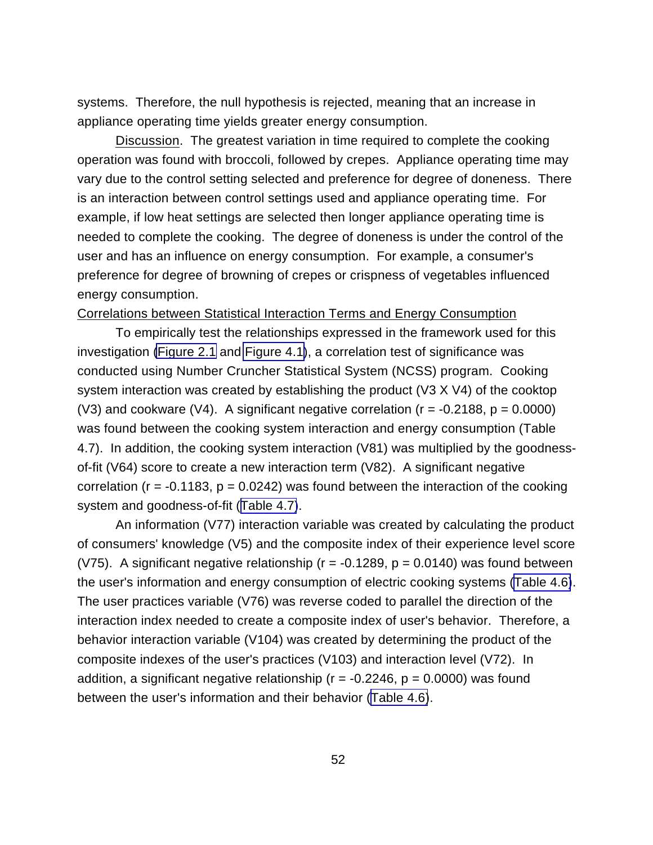systems. Therefore, the null hypothesis is rejected, meaning that an increase in appliance operating time yields greater energy consumption.

Discussion. The greatest variation in time required to complete the cooking operation was found with broccoli, followed by crepes. Appliance operating time may vary due to the control setting selected and preference for degree of doneness. There is an interaction between control settings used and appliance operating time. For example, if low heat settings are selected then longer appliance operating time is needed to complete the cooking. The degree of doneness is under the control of the user and has an influence on energy consumption. For example, a consumer's preference for degree of browning of crepes or crispness of vegetables influenced energy consumption.

### Correlations between Statistical Interaction Terms and Energy Consumption

To empirically test the relationships expressed in the framework used for this investigation [\(Figure 2.1](#page-24-0) and [Figure 4.1\)](#page-64-0), a correlation test of significance was conducted using Number Cruncher Statistical System (NCSS) program. Cooking system interaction was created by establishing the product (V3 X V4) of the cooktop (V3) and cookware (V4). A significant negative correlation ( $r = -0.2188$ ,  $p = 0.0000$ ) was found between the cooking system interaction and energy consumption (Table 4.7). In addition, the cooking system interaction (V81) was multiplied by the goodnessof-fit (V64) score to create a new interaction term (V82). A significant negative correlation ( $r = -0.1183$ ,  $p = 0.0242$ ) was found between the interaction of the cooking system and goodness-of-fit ([Table 4.7\)](#page-61-0).

An information (V77) interaction variable was created by calculating the product of consumers' knowledge (V5) and the composite index of their experience level score (V75). A significant negative relationship ( $r = -0.1289$ ,  $p = 0.0140$ ) was found between the user's information and energy consumption of electric cooking systems [\(Table 4.6\)](#page-58-0). The user practices variable (V76) was reverse coded to parallel the direction of the interaction index needed to create a composite index of user's behavior. Therefore, a behavior interaction variable (V104) was created by determining the product of the composite indexes of the user's practices (V103) and interaction level (V72). In addition, a significant negative relationship ( $r = -0.2246$ ,  $p = 0.0000$ ) was found between the user's information and their behavior ([Table 4.6\)](#page-58-0).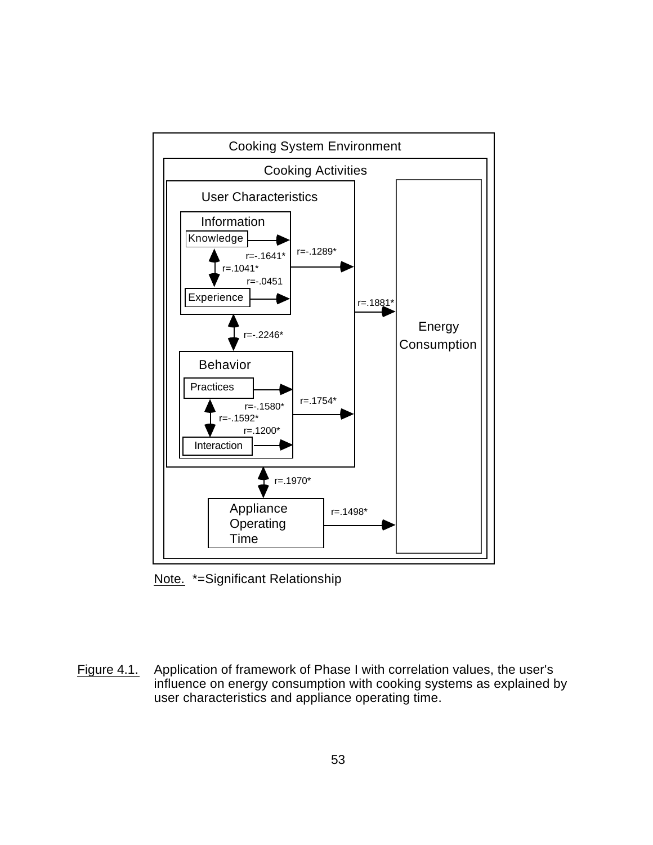<span id="page-64-0"></span>

Note. \*=Significant Relationship

Figure 4.1. Application of framework of Phase I with correlation values, the user's influence on energy consumption with cooking systems as explained by user characteristics and appliance operating time.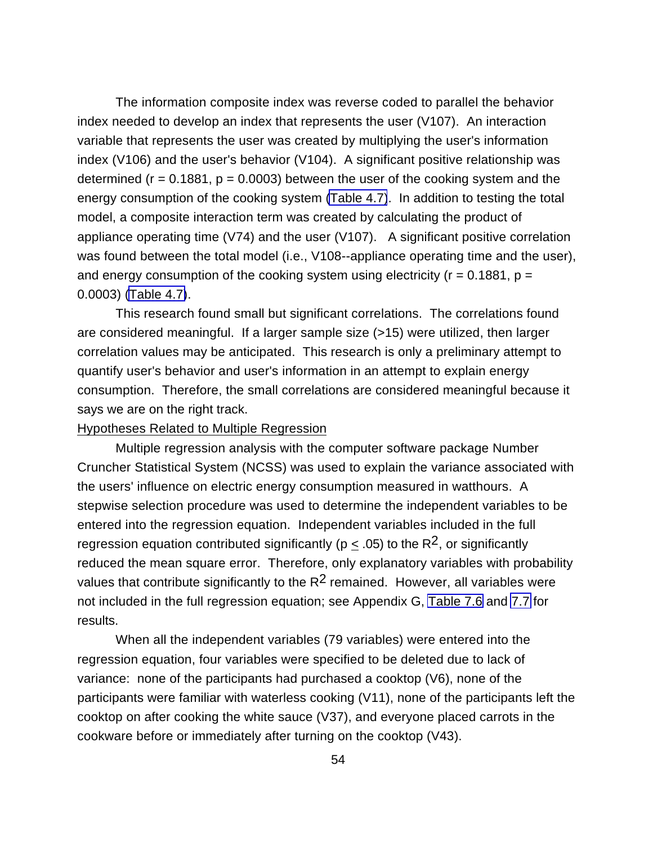The information composite index was reverse coded to parallel the behavior index needed to develop an index that represents the user (V107). An interaction variable that represents the user was created by multiplying the user's information index (V106) and the user's behavior (V104). A significant positive relationship was determined ( $r = 0.1881$ ,  $p = 0.0003$ ) between the user of the cooking system and the energy consumption of the cooking system [\(Table 4.7\)](#page-61-0). In addition to testing the total model, a composite interaction term was created by calculating the product of appliance operating time (V74) and the user (V107). A significant positive correlation was found between the total model (i.e., V108--appliance operating time and the user), and energy consumption of the cooking system using electricity ( $r = 0.1881$ ,  $p =$ 0.0003) [\(Table 4.7\)](#page-61-0).

This research found small but significant correlations. The correlations found are considered meaningful. If a larger sample size (>15) were utilized, then larger correlation values may be anticipated. This research is only a preliminary attempt to quantify user's behavior and user's information in an attempt to explain energy consumption. Therefore, the small correlations are considered meaningful because it says we are on the right track.

Hypotheses Related to Multiple Regression

Multiple regression analysis with the computer software package Number Cruncher Statistical System (NCSS) was used to explain the variance associated with the users' influence on electric energy consumption measured in watthours. A stepwise selection procedure was used to determine the independent variables to be entered into the regression equation. Independent variables included in the full regression equation contributed significantly ( $p < .05$ ) to the R<sup>2</sup>, or significantly reduced the mean square error. Therefore, only explanatory variables with probability values that contribute significantly to the  $R^2$  remained. However, all variables were not included in the full regression equation; see Appendix G, [Table 7.6](#page-162-0) and [7.7](#page-164-0) for results.

When all the independent variables (79 variables) were entered into the regression equation, four variables were specified to be deleted due to lack of variance: none of the participants had purchased a cooktop (V6), none of the participants were familiar with waterless cooking (V11), none of the participants left the cooktop on after cooking the white sauce (V37), and everyone placed carrots in the cookware before or immediately after turning on the cooktop (V43).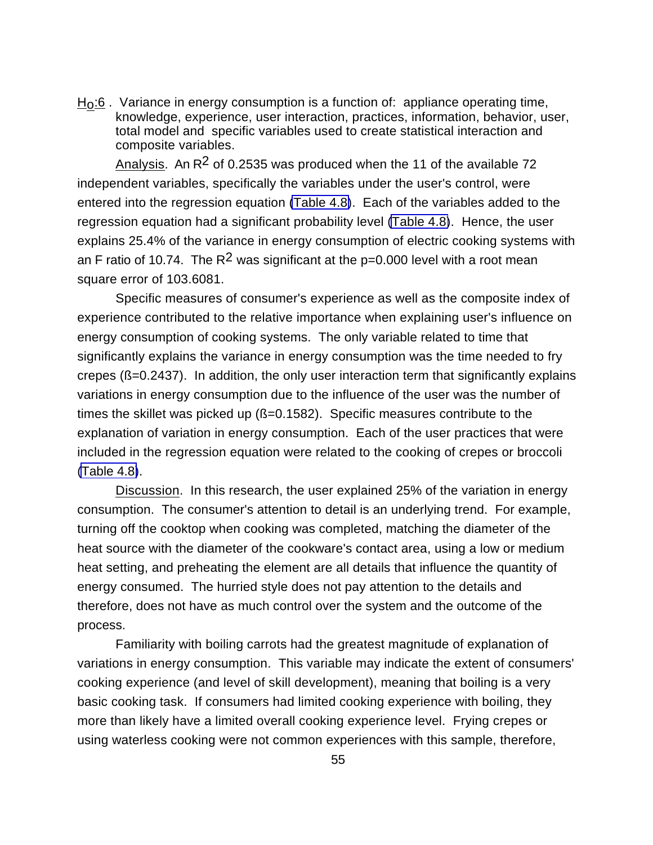$H<sub>0</sub>$ :6. Variance in energy consumption is a function of: appliance operating time, knowledge, experience, user interaction, practices, information, behavior, user, total model and specific variables used to create statistical interaction and composite variables.

Analysis. An  $R^2$  of 0.2535 was produced when the 11 of the available 72 independent variables, specifically the variables under the user's control, were entered into the regression equation [\(Table 4.8\)](#page-67-0). Each of the variables added to the regression equation had a significant probability level [\(Table 4.8\)](#page-67-0). Hence, the user explains 25.4% of the variance in energy consumption of electric cooking systems with an F ratio of 10.74. The  $R^2$  was significant at the p=0.000 level with a root mean square error of 103.6081.

Specific measures of consumer's experience as well as the composite index of experience contributed to the relative importance when explaining user's influence on energy consumption of cooking systems. The only variable related to time that significantly explains the variance in energy consumption was the time needed to fry crepes (ß=0.2437). In addition, the only user interaction term that significantly explains variations in energy consumption due to the influence of the user was the number of times the skillet was picked up (ß=0.1582). Specific measures contribute to the explanation of variation in energy consumption. Each of the user practices that were included in the regression equation were related to the cooking of crepes or broccoli [\(Table 4.8\)](#page-67-0).

Discussion. In this research, the user explained 25% of the variation in energy consumption. The consumer's attention to detail is an underlying trend. For example, turning off the cooktop when cooking was completed, matching the diameter of the heat source with the diameter of the cookware's contact area, using a low or medium heat setting, and preheating the element are all details that influence the quantity of energy consumed. The hurried style does not pay attention to the details and therefore, does not have as much control over the system and the outcome of the process.

Familiarity with boiling carrots had the greatest magnitude of explanation of variations in energy consumption. This variable may indicate the extent of consumers' cooking experience (and level of skill development), meaning that boiling is a very basic cooking task. If consumers had limited cooking experience with boiling, they more than likely have a limited overall cooking experience level. Frying crepes or using waterless cooking were not common experiences with this sample, therefore,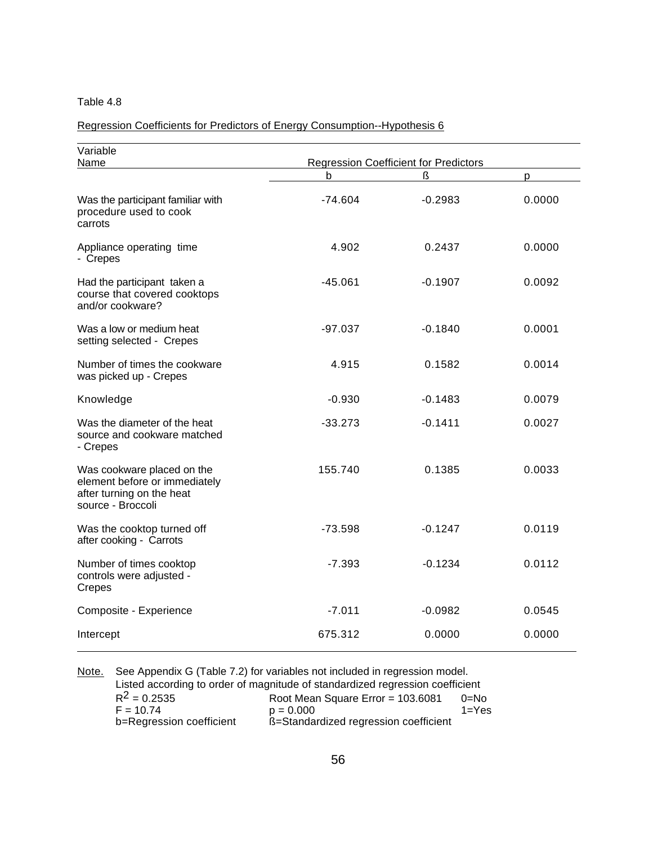### <span id="page-67-0"></span>Regression Coefficients for Predictors of Energy Consumption--Hypothesis 6

| Variable                                                                                                      | <b>Regression Coefficient for Predictors</b> |           |        |  |
|---------------------------------------------------------------------------------------------------------------|----------------------------------------------|-----------|--------|--|
| Name                                                                                                          | b                                            | ß         | D      |  |
| Was the participant familiar with<br>procedure used to cook<br>carrots                                        | $-74.604$                                    | $-0.2983$ | 0.0000 |  |
| Appliance operating time<br>- Crepes                                                                          | 4.902                                        | 0.2437    | 0.0000 |  |
| Had the participant taken a<br>course that covered cooktops<br>and/or cookware?                               | $-45.061$                                    | $-0.1907$ | 0.0092 |  |
| Was a low or medium heat<br>setting selected - Crepes                                                         | $-97.037$                                    | $-0.1840$ | 0.0001 |  |
| Number of times the cookware<br>was picked up - Crepes                                                        | 4.915                                        | 0.1582    | 0.0014 |  |
| Knowledge                                                                                                     | $-0.930$                                     | $-0.1483$ | 0.0079 |  |
| Was the diameter of the heat<br>source and cookware matched<br>- Crepes                                       | $-33.273$                                    | $-0.1411$ | 0.0027 |  |
| Was cookware placed on the<br>element before or immediately<br>after turning on the heat<br>source - Broccoli | 155.740                                      | 0.1385    | 0.0033 |  |
| Was the cooktop turned off<br>after cooking - Carrots                                                         | $-73.598$                                    | $-0.1247$ | 0.0119 |  |
| Number of times cooktop<br>controls were adjusted -<br>Crepes                                                 | $-7.393$                                     | $-0.1234$ | 0.0112 |  |
| Composite - Experience                                                                                        | $-7.011$                                     | $-0.0982$ | 0.0545 |  |
| Intercept                                                                                                     | 675.312                                      | 0.0000    | 0.0000 |  |

Note. See Appendix G (Table 7.2) for variables not included in regression model. Listed according to order of magnitude of standardized regression coefficient<br>R<sup>2</sup> = 0.2535 Root Mean Square Error = 103.6081 0=No  $R^2 = 0.2535$  Root Mean Square Error = 103.6081 0=No<br>F = 10.74  $p = 0.000$  1=Yes  $F = 10.74$  p = 0.000<br>b=Regression coefficient  $B = \text{Standard}$  $B$ =Standardized regression coefficient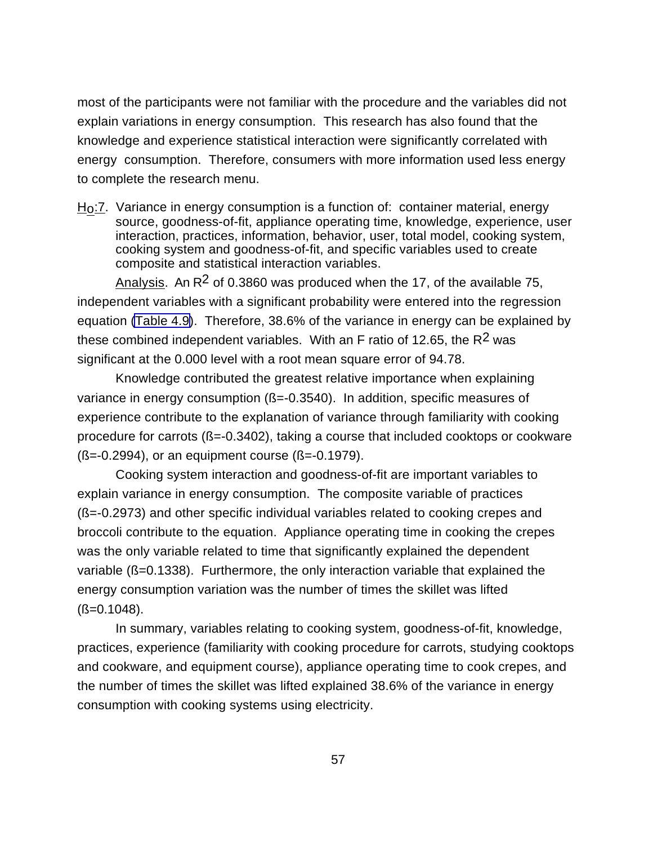most of the participants were not familiar with the procedure and the variables did not explain variations in energy consumption. This research has also found that the knowledge and experience statistical interaction were significantly correlated with energy consumption. Therefore, consumers with more information used less energy to complete the research menu.

H<sub>O</sub>:7. Variance in energy consumption is a function of: container material, energy source, goodness-of-fit, appliance operating time, knowledge, experience, user interaction, practices, information, behavior, user, total model, cooking system, cooking system and goodness-of-fit, and specific variables used to create composite and statistical interaction variables.

Analysis. An  $R^2$  of 0.3860 was produced when the 17, of the available 75, independent variables with a significant probability were entered into the regression equation [\(Table 4.9\)](#page-69-0). Therefore, 38.6% of the variance in energy can be explained by these combined independent variables. With an F ratio of 12.65, the  $R^2$  was significant at the 0.000 level with a root mean square error of 94.78.

Knowledge contributed the greatest relative importance when explaining variance in energy consumption ( $\beta$ =-0.3540). In addition, specific measures of experience contribute to the explanation of variance through familiarity with cooking procedure for carrots  $(8=-0.3402)$ , taking a course that included cooktops or cookware  $(S=-0.2994)$ , or an equipment course  $(S=-0.1979)$ .

Cooking system interaction and goodness-of-fit are important variables to explain variance in energy consumption. The composite variable of practices (ß=-0.2973) and other specific individual variables related to cooking crepes and broccoli contribute to the equation. Appliance operating time in cooking the crepes was the only variable related to time that significantly explained the dependent variable (ß=0.1338). Furthermore, the only interaction variable that explained the energy consumption variation was the number of times the skillet was lifted  $(S=0.1048)$ .

In summary, variables relating to cooking system, goodness-of-fit, knowledge, practices, experience (familiarity with cooking procedure for carrots, studying cooktops and cookware, and equipment course), appliance operating time to cook crepes, and the number of times the skillet was lifted explained 38.6% of the variance in energy consumption with cooking systems using electricity.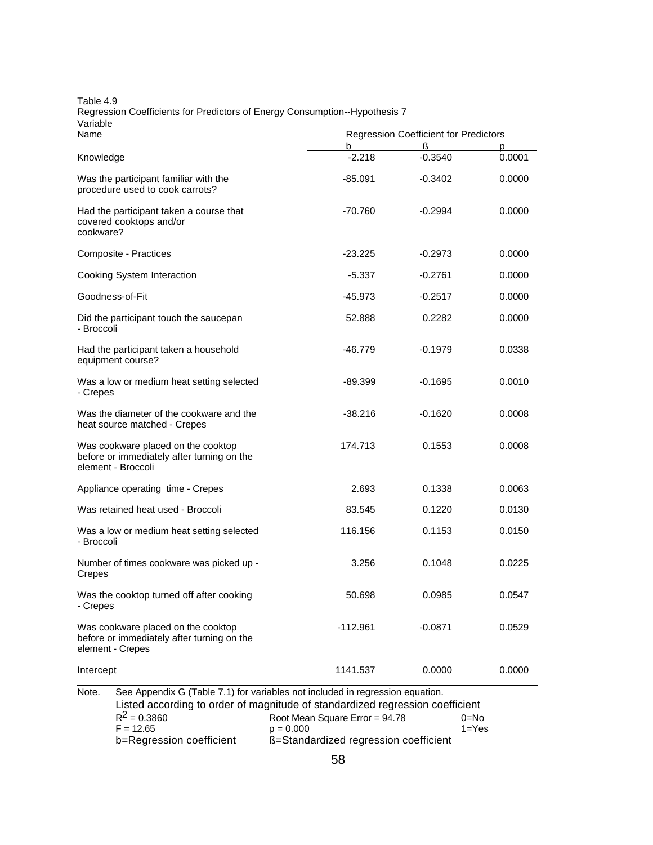| Variable<br>Name                                                                                                                                                        | <b>Regression Coefficient for Predictors</b> |           |        |
|-------------------------------------------------------------------------------------------------------------------------------------------------------------------------|----------------------------------------------|-----------|--------|
|                                                                                                                                                                         | b                                            | ß         | p      |
| Knowledge                                                                                                                                                               | $-2.218$                                     | $-0.3540$ | 0.0001 |
| Was the participant familiar with the<br>procedure used to cook carrots?                                                                                                | $-85.091$                                    | $-0.3402$ | 0.0000 |
| Had the participant taken a course that<br>covered cooktops and/or<br>cookware?                                                                                         | -70.760                                      | $-0.2994$ | 0.0000 |
| Composite - Practices                                                                                                                                                   | $-23.225$                                    | $-0.2973$ | 0.0000 |
| Cooking System Interaction                                                                                                                                              | $-5.337$                                     | -0.2761   | 0.0000 |
| Goodness-of-Fit                                                                                                                                                         | -45.973                                      | -0.2517   | 0.0000 |
| Did the participant touch the saucepan<br>- Broccoli                                                                                                                    | 52.888                                       | 0.2282    | 0.0000 |
| Had the participant taken a household<br>equipment course?                                                                                                              | -46.779                                      | $-0.1979$ | 0.0338 |
| Was a low or medium heat setting selected<br>- Crepes                                                                                                                   | -89.399                                      | $-0.1695$ | 0.0010 |
| Was the diameter of the cookware and the<br>heat source matched - Crepes                                                                                                | $-38.216$                                    | -0.1620   | 0.0008 |
| Was cookware placed on the cooktop<br>before or immediately after turning on the<br>element - Broccoli                                                                  | 174.713                                      | 0.1553    | 0.0008 |
| Appliance operating time - Crepes                                                                                                                                       | 2.693                                        | 0.1338    | 0.0063 |
| Was retained heat used - Broccoli                                                                                                                                       | 83.545                                       | 0.1220    | 0.0130 |
| Was a low or medium heat setting selected<br>- Broccoli                                                                                                                 | 116.156                                      | 0.1153    | 0.0150 |
| Number of times cookware was picked up -<br>Crepes                                                                                                                      | 3.256                                        | 0.1048    | 0.0225 |
| Was the cooktop turned off after cooking<br>- Crepes                                                                                                                    | 50.698                                       | 0.0985    | 0.0547 |
| Was cookware placed on the cooktop<br>before or immediately after turning on the<br>element - Crepes                                                                    | $-112.961$                                   | $-0.0871$ | 0.0529 |
| Intercept                                                                                                                                                               | 1141.537                                     | 0.0000    | 0.0000 |
| See Appendix G (Table 7.1) for variables not included in regression equation.<br>Note.<br>Listed according to order of magnitude of standardized regression coefficient |                                              |           |        |

<span id="page-69-0"></span>Table 4.9 Regression Coefficients for Predictors of Energy Consumption--Hypothesis 7

| lote. | See Appendix G (Table 7.1) for variables not included in regression equation.<br>Listed according to order of magnitude of standardized regression coefficient |                                       |           |  |  |
|-------|----------------------------------------------------------------------------------------------------------------------------------------------------------------|---------------------------------------|-----------|--|--|
|       |                                                                                                                                                                |                                       |           |  |  |
|       | $R^2 = 0.3860$                                                                                                                                                 | Root Mean Square Error = $94.78$      | $0 = No$  |  |  |
|       | $F = 12.65$                                                                                                                                                    | $p = 0.000$                           | $1 = Yes$ |  |  |
|       | b=Regression coefficient                                                                                                                                       | ß=Standardized regression coefficient |           |  |  |
|       |                                                                                                                                                                |                                       |           |  |  |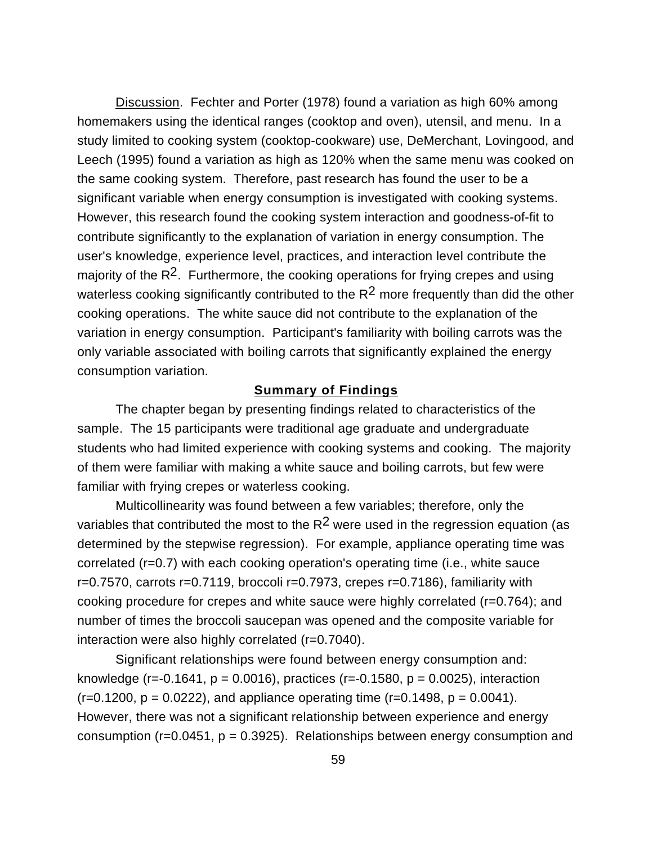Discussion. Fechter and Porter (1978) found a variation as high 60% among homemakers using the identical ranges (cooktop and oven), utensil, and menu. In a study limited to cooking system (cooktop-cookware) use, DeMerchant, Lovingood, and Leech (1995) found a variation as high as 120% when the same menu was cooked on the same cooking system. Therefore, past research has found the user to be a significant variable when energy consumption is investigated with cooking systems. However, this research found the cooking system interaction and goodness-of-fit to contribute significantly to the explanation of variation in energy consumption. The user's knowledge, experience level, practices, and interaction level contribute the majority of the  $R^2$ . Furthermore, the cooking operations for frying crepes and using waterless cooking significantly contributed to the  $R^2$  more frequently than did the other cooking operations. The white sauce did not contribute to the explanation of the variation in energy consumption. Participant's familiarity with boiling carrots was the only variable associated with boiling carrots that significantly explained the energy consumption variation.

### **Summary of Findings**

The chapter began by presenting findings related to characteristics of the sample. The 15 participants were traditional age graduate and undergraduate students who had limited experience with cooking systems and cooking. The majority of them were familiar with making a white sauce and boiling carrots, but few were familiar with frying crepes or waterless cooking.

Multicollinearity was found between a few variables; therefore, only the variables that contributed the most to the  $R^2$  were used in the regression equation (as determined by the stepwise regression). For example, appliance operating time was correlated (r=0.7) with each cooking operation's operating time (i.e., white sauce  $r=0.7570$ , carrots  $r=0.7119$ , broccoli  $r=0.7973$ , crepes  $r=0.7186$ ), familiarity with cooking procedure for crepes and white sauce were highly correlated (r=0.764); and number of times the broccoli saucepan was opened and the composite variable for interaction were also highly correlated (r=0.7040).

Significant relationships were found between energy consumption and: knowledge (r=-0.1641,  $p = 0.0016$ ), practices (r=-0.1580,  $p = 0.0025$ ), interaction  $(r=0.1200, p = 0.0222)$ , and appliance operating time  $(r=0.1498, p = 0.0041)$ . However, there was not a significant relationship between experience and energy consumption ( $r=0.0451$ ,  $p = 0.3925$ ). Relationships between energy consumption and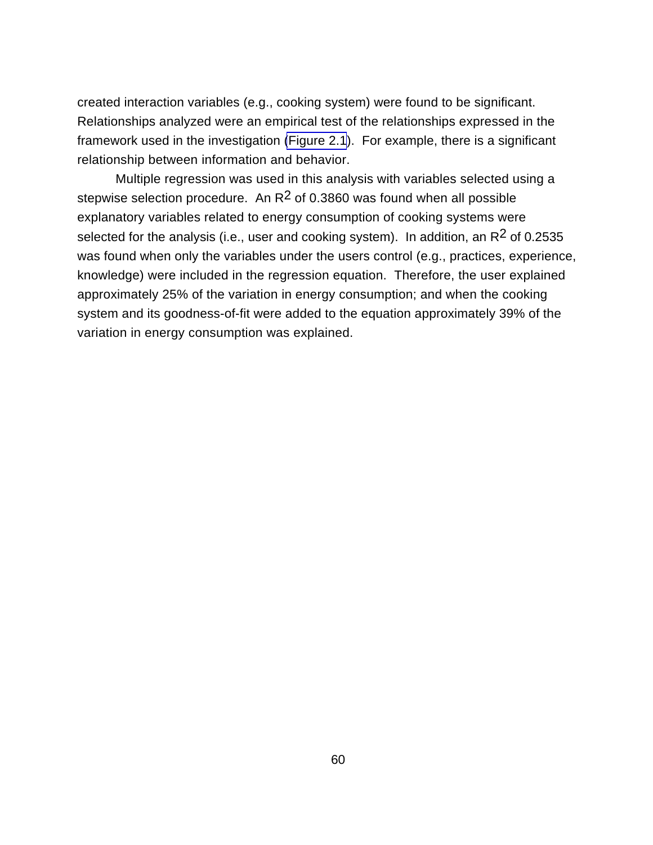created interaction variables (e.g., cooking system) were found to be significant. Relationships analyzed were an empirical test of the relationships expressed in the framework used in the investigation [\(Figure 2.1](#page-24-0)). For example, there is a significant relationship between information and behavior.

Multiple regression was used in this analysis with variables selected using a stepwise selection procedure. An  $R^2$  of 0.3860 was found when all possible explanatory variables related to energy consumption of cooking systems were selected for the analysis (i.e., user and cooking system). In addition, an  $R^2$  of 0.2535 was found when only the variables under the users control (e.g., practices, experience, knowledge) were included in the regression equation. Therefore, the user explained approximately 25% of the variation in energy consumption; and when the cooking system and its goodness-of-fit were added to the equation approximately 39% of the variation in energy consumption was explained.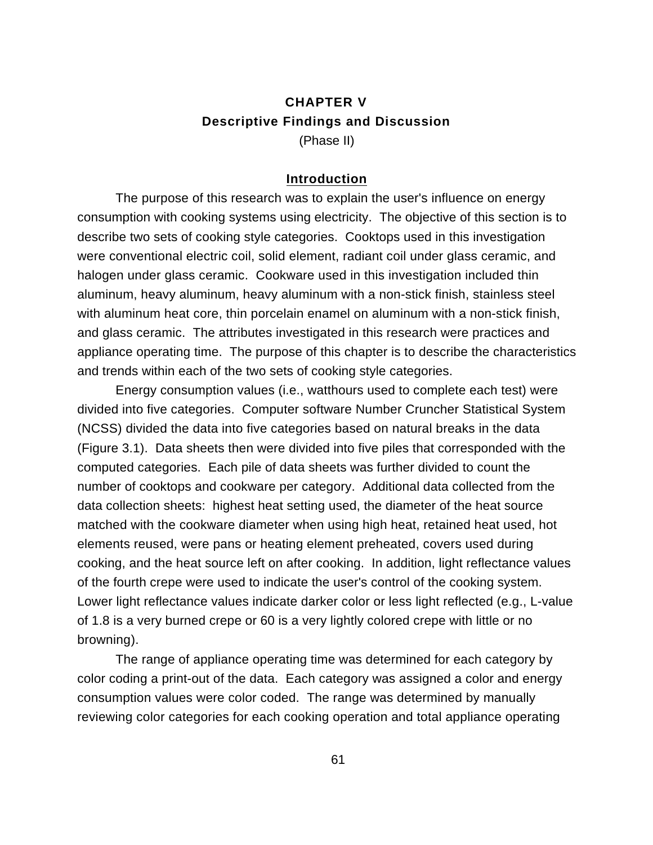## **CHAPTER V Descriptive Findings and Discussion** (Phase II)

## **Introduction**

The purpose of this research was to explain the user's influence on energy consumption with cooking systems using electricity. The objective of this section is to describe two sets of cooking style categories. Cooktops used in this investigation were conventional electric coil, solid element, radiant coil under glass ceramic, and halogen under glass ceramic. Cookware used in this investigation included thin aluminum, heavy aluminum, heavy aluminum with a non-stick finish, stainless steel with aluminum heat core, thin porcelain enamel on aluminum with a non-stick finish, and glass ceramic. The attributes investigated in this research were practices and appliance operating time. The purpose of this chapter is to describe the characteristics and trends within each of the two sets of cooking style categories.

Energy consumption values (i.e., watthours used to complete each test) were divided into five categories. Computer software Number Cruncher Statistical System (NCSS) divided the data into five categories based on natural breaks in the data (Figure 3.1). Data sheets then were divided into five piles that corresponded with the computed categories. Each pile of data sheets was further divided to count the number of cooktops and cookware per category. Additional data collected from the data collection sheets: highest heat setting used, the diameter of the heat source matched with the cookware diameter when using high heat, retained heat used, hot elements reused, were pans or heating element preheated, covers used during cooking, and the heat source left on after cooking. In addition, light reflectance values of the fourth crepe were used to indicate the user's control of the cooking system. Lower light reflectance values indicate darker color or less light reflected (e.g., L-value of 1.8 is a very burned crepe or 60 is a very lightly colored crepe with little or no browning).

The range of appliance operating time was determined for each category by color coding a print-out of the data. Each category was assigned a color and energy consumption values were color coded. The range was determined by manually reviewing color categories for each cooking operation and total appliance operating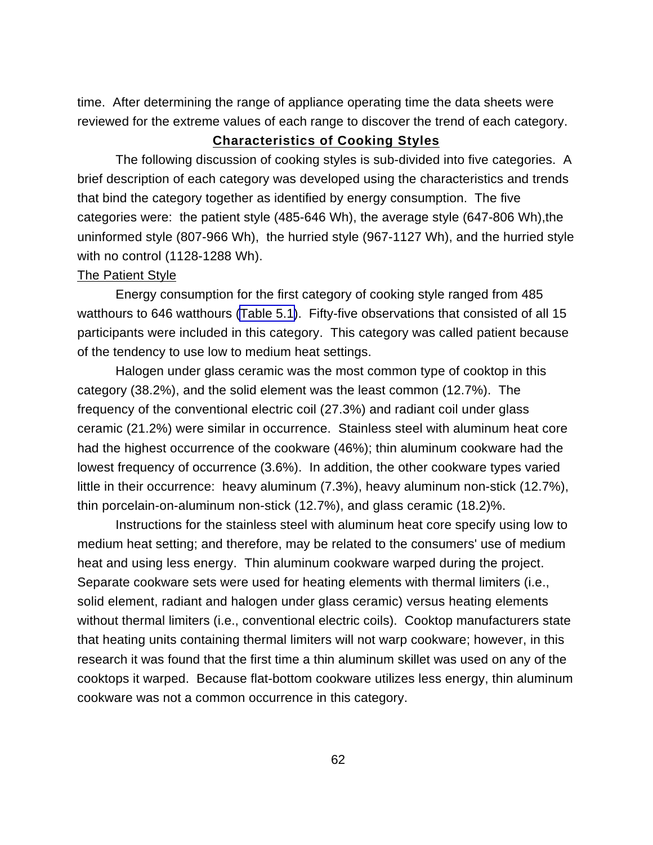time. After determining the range of appliance operating time the data sheets were reviewed for the extreme values of each range to discover the trend of each category.

## **Characteristics of Cooking Styles**

The following discussion of cooking styles is sub-divided into five categories. A brief description of each category was developed using the characteristics and trends that bind the category together as identified by energy consumption. The five categories were: the patient style (485-646 Wh), the average style (647-806 Wh),the uninformed style (807-966 Wh), the hurried style (967-1127 Wh), and the hurried style with no control (1128-1288 Wh).

#### The Patient Style

Energy consumption for the first category of cooking style ranged from 485 watthours to 646 watthours [\(Table 5.1\)](#page-74-0). Fifty-five observations that consisted of all 15 participants were included in this category. This category was called patient because of the tendency to use low to medium heat settings.

Halogen under glass ceramic was the most common type of cooktop in this category (38.2%), and the solid element was the least common (12.7%). The frequency of the conventional electric coil (27.3%) and radiant coil under glass ceramic (21.2%) were similar in occurrence. Stainless steel with aluminum heat core had the highest occurrence of the cookware (46%); thin aluminum cookware had the lowest frequency of occurrence (3.6%). In addition, the other cookware types varied little in their occurrence: heavy aluminum (7.3%), heavy aluminum non-stick (12.7%), thin porcelain-on-aluminum non-stick (12.7%), and glass ceramic (18.2)%.

Instructions for the stainless steel with aluminum heat core specify using low to medium heat setting; and therefore, may be related to the consumers' use of medium heat and using less energy. Thin aluminum cookware warped during the project. Separate cookware sets were used for heating elements with thermal limiters (i.e., solid element, radiant and halogen under glass ceramic) versus heating elements without thermal limiters (i.e., conventional electric coils). Cooktop manufacturers state that heating units containing thermal limiters will not warp cookware; however, in this research it was found that the first time a thin aluminum skillet was used on any of the cooktops it warped. Because flat-bottom cookware utilizes less energy, thin aluminum cookware was not a common occurrence in this category.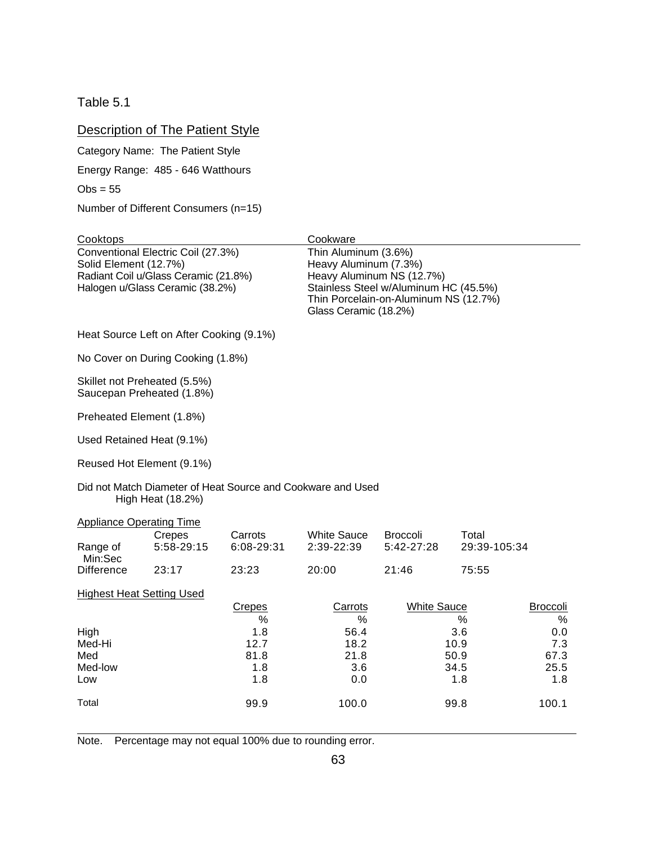<span id="page-74-0"></span>Table 5.1

## **Description of The Patient Style**

Category Name: The Patient Style

Energy Range: 485 - 646 Watthours

 $Obs = 55$ 

 $\overline{a}$ 

Number of Different Consumers (n=15)

| Cooktops                                                                                                                               |                                          |                                   | Cookware                                                               |                                                                                                             |                                    |                                   |
|----------------------------------------------------------------------------------------------------------------------------------------|------------------------------------------|-----------------------------------|------------------------------------------------------------------------|-------------------------------------------------------------------------------------------------------------|------------------------------------|-----------------------------------|
| Conventional Electric Coil (27.3%)<br>Solid Element (12.7%)<br>Radiant Coil u/Glass Ceramic (21.8%)<br>Halogen u/Glass Ceramic (38.2%) |                                          |                                   | Thin Aluminum (3.6%)<br>Heavy Aluminum (7.3%)<br>Glass Ceramic (18.2%) | Heavy Aluminum NS (12.7%)<br>Stainless Steel w/Aluminum HC (45.5%)<br>Thin Porcelain-on-Aluminum NS (12.7%) |                                    |                                   |
|                                                                                                                                        | Heat Source Left on After Cooking (9.1%) |                                   |                                                                        |                                                                                                             |                                    |                                   |
|                                                                                                                                        | No Cover on During Cooking (1.8%)        |                                   |                                                                        |                                                                                                             |                                    |                                   |
| Skillet not Preheated (5.5%)<br>Preheated Element (1.8%)                                                                               | Saucepan Preheated (1.8%)                |                                   |                                                                        |                                                                                                             |                                    |                                   |
| Used Retained Heat (9.1%)                                                                                                              |                                          |                                   |                                                                        |                                                                                                             |                                    |                                   |
| Reused Hot Element (9.1%)                                                                                                              |                                          |                                   |                                                                        |                                                                                                             |                                    |                                   |
|                                                                                                                                        | High Heat (18.2%)                        |                                   | Did not Match Diameter of Heat Source and Cookware and Used            |                                                                                                             |                                    |                                   |
| <b>Appliance Operating Time</b>                                                                                                        |                                          |                                   |                                                                        |                                                                                                             |                                    |                                   |
| Range of<br>Min:Sec                                                                                                                    | Crepes<br>5:58-29:15                     | Carrots<br>6:08-29:31             | <b>White Sauce</b><br>2:39-22:39                                       | <b>Broccoli</b><br>5:42-27:28                                                                               | Total<br>29:39-105:34              |                                   |
| <b>Difference</b>                                                                                                                      | 23:17                                    | 23:23                             | 20:00                                                                  | 21:46                                                                                                       | 75:55                              |                                   |
| <b>Highest Heat Setting Used</b>                                                                                                       |                                          |                                   |                                                                        |                                                                                                             |                                    |                                   |
|                                                                                                                                        |                                          | Crepes<br>%                       | Carrots<br>$\%$                                                        | <b>White Sauce</b>                                                                                          | %                                  | <b>Broccoli</b><br>%              |
| High<br>Med-Hi<br>Med<br>Med-low<br>Low                                                                                                |                                          | 1.8<br>12.7<br>81.8<br>1.8<br>1.8 | 56.4<br>18.2<br>21.8<br>3.6<br>0.0                                     |                                                                                                             | 3.6<br>10.9<br>50.9<br>34.5<br>1.8 | 0.0<br>7.3<br>67.3<br>25.5<br>1.8 |
| Total                                                                                                                                  |                                          | 99.9                              | 100.0                                                                  |                                                                                                             | 99.8                               | 100.1                             |

Note. Percentage may not equal 100% due to rounding error.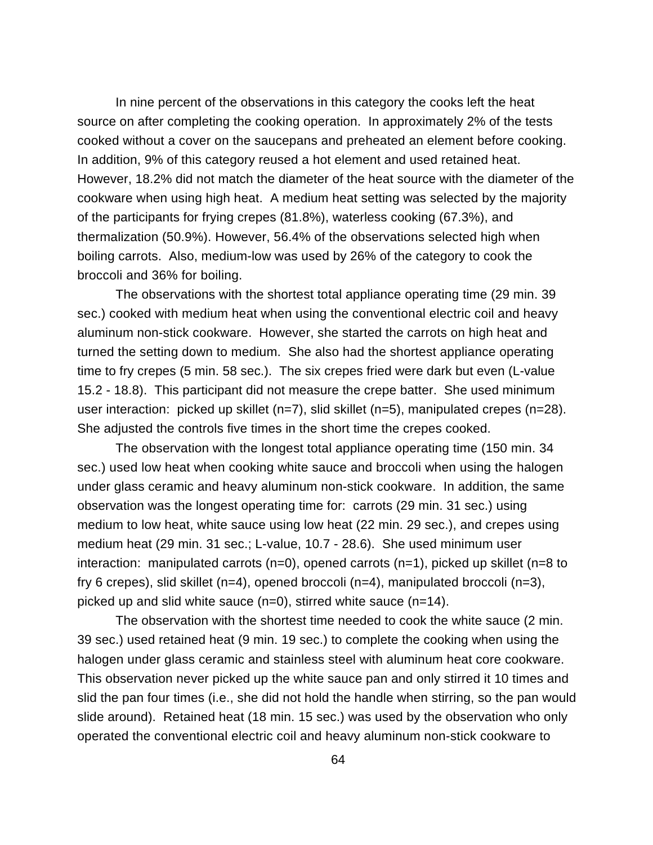In nine percent of the observations in this category the cooks left the heat source on after completing the cooking operation. In approximately 2% of the tests cooked without a cover on the saucepans and preheated an element before cooking. In addition, 9% of this category reused a hot element and used retained heat. However, 18.2% did not match the diameter of the heat source with the diameter of the cookware when using high heat. A medium heat setting was selected by the majority of the participants for frying crepes (81.8%), waterless cooking (67.3%), and thermalization (50.9%). However, 56.4% of the observations selected high when boiling carrots. Also, medium-low was used by 26% of the category to cook the broccoli and 36% for boiling.

The observations with the shortest total appliance operating time (29 min. 39 sec.) cooked with medium heat when using the conventional electric coil and heavy aluminum non-stick cookware. However, she started the carrots on high heat and turned the setting down to medium. She also had the shortest appliance operating time to fry crepes (5 min. 58 sec.). The six crepes fried were dark but even (L-value 15.2 - 18.8). This participant did not measure the crepe batter. She used minimum user interaction: picked up skillet (n=7), slid skillet (n=5), manipulated crepes (n=28). She adjusted the controls five times in the short time the crepes cooked.

The observation with the longest total appliance operating time (150 min. 34 sec.) used low heat when cooking white sauce and broccoli when using the halogen under glass ceramic and heavy aluminum non-stick cookware. In addition, the same observation was the longest operating time for: carrots (29 min. 31 sec.) using medium to low heat, white sauce using low heat (22 min. 29 sec.), and crepes using medium heat (29 min. 31 sec.; L-value, 10.7 - 28.6). She used minimum user interaction: manipulated carrots  $(n=0)$ , opened carrots  $(n=1)$ , picked up skillet  $(n=8 \text{ to } 1)$ fry 6 crepes), slid skillet (n=4), opened broccoli (n=4), manipulated broccoli (n=3), picked up and slid white sauce (n=0), stirred white sauce (n=14).

The observation with the shortest time needed to cook the white sauce (2 min. 39 sec.) used retained heat (9 min. 19 sec.) to complete the cooking when using the halogen under glass ceramic and stainless steel with aluminum heat core cookware. This observation never picked up the white sauce pan and only stirred it 10 times and slid the pan four times (i.e., she did not hold the handle when stirring, so the pan would slide around). Retained heat (18 min. 15 sec.) was used by the observation who only operated the conventional electric coil and heavy aluminum non-stick cookware to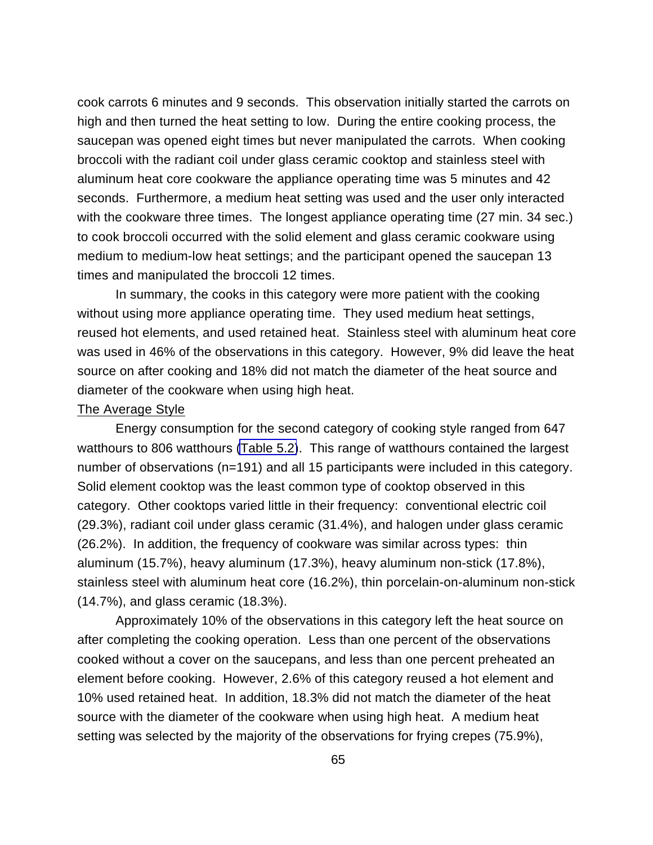cook carrots 6 minutes and 9 seconds. This observation initially started the carrots on high and then turned the heat setting to low. During the entire cooking process, the saucepan was opened eight times but never manipulated the carrots. When cooking broccoli with the radiant coil under glass ceramic cooktop and stainless steel with aluminum heat core cookware the appliance operating time was 5 minutes and 42 seconds. Furthermore, a medium heat setting was used and the user only interacted with the cookware three times. The longest appliance operating time (27 min. 34 sec.) to cook broccoli occurred with the solid element and glass ceramic cookware using medium to medium-low heat settings; and the participant opened the saucepan 13 times and manipulated the broccoli 12 times.

In summary, the cooks in this category were more patient with the cooking without using more appliance operating time. They used medium heat settings, reused hot elements, and used retained heat. Stainless steel with aluminum heat core was used in 46% of the observations in this category. However, 9% did leave the heat source on after cooking and 18% did not match the diameter of the heat source and diameter of the cookware when using high heat.

#### The Average Style

Energy consumption for the second category of cooking style ranged from 647 watthours to 806 watthours [\(Table 5.2\)](#page-77-0). This range of watthours contained the largest number of observations (n=191) and all 15 participants were included in this category. Solid element cooktop was the least common type of cooktop observed in this category. Other cooktops varied little in their frequency: conventional electric coil (29.3%), radiant coil under glass ceramic (31.4%), and halogen under glass ceramic (26.2%). In addition, the frequency of cookware was similar across types: thin aluminum (15.7%), heavy aluminum (17.3%), heavy aluminum non-stick (17.8%), stainless steel with aluminum heat core (16.2%), thin porcelain-on-aluminum non-stick (14.7%), and glass ceramic (18.3%).

Approximately 10% of the observations in this category left the heat source on after completing the cooking operation. Less than one percent of the observations cooked without a cover on the saucepans, and less than one percent preheated an element before cooking. However, 2.6% of this category reused a hot element and 10% used retained heat. In addition, 18.3% did not match the diameter of the heat source with the diameter of the cookware when using high heat. A medium heat setting was selected by the majority of the observations for frying crepes (75.9%),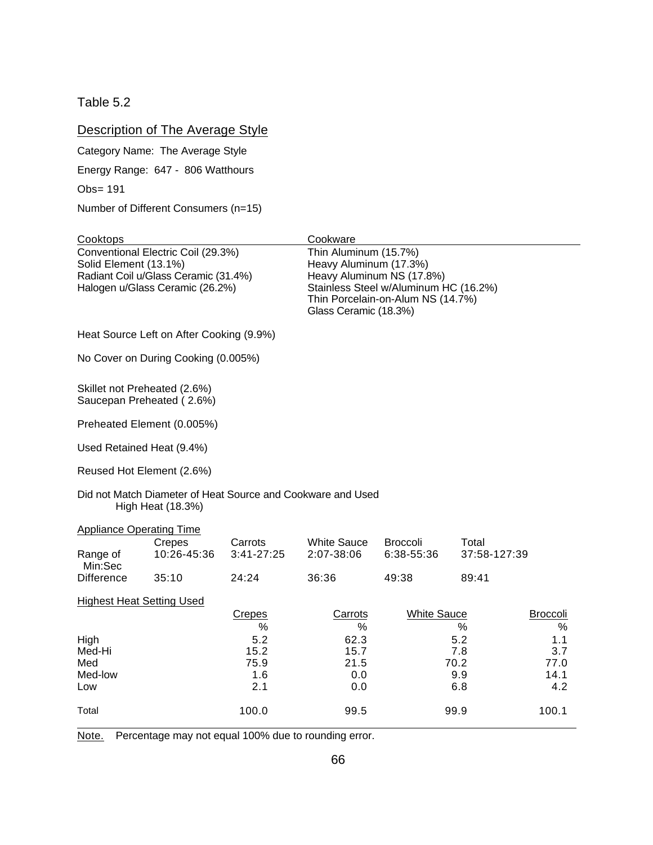<span id="page-77-0"></span>Table 5.2

## Description of The Average Style

Category Name: The Average Style

Energy Range: 647 - 806 Watthours

Obs= 191

Number of Different Consumers (n=15)

| Cooktops                                                                                                                               |                                          |                       | Cookware                                                                 |                                                                                                         |                       |                      |
|----------------------------------------------------------------------------------------------------------------------------------------|------------------------------------------|-----------------------|--------------------------------------------------------------------------|---------------------------------------------------------------------------------------------------------|-----------------------|----------------------|
| Conventional Electric Coil (29.3%)<br>Solid Element (13.1%)<br>Radiant Coil u/Glass Ceramic (31.4%)<br>Halogen u/Glass Ceramic (26.2%) |                                          |                       | Thin Aluminum (15.7%)<br>Heavy Aluminum (17.3%)<br>Glass Ceramic (18.3%) | Heavy Aluminum NS (17.8%)<br>Stainless Steel w/Aluminum HC (16.2%)<br>Thin Porcelain-on-Alum NS (14.7%) |                       |                      |
|                                                                                                                                        | Heat Source Left on After Cooking (9.9%) |                       |                                                                          |                                                                                                         |                       |                      |
|                                                                                                                                        | No Cover on During Cooking (0.005%)      |                       |                                                                          |                                                                                                         |                       |                      |
| Skillet not Preheated (2.6%)                                                                                                           | Saucepan Preheated (2.6%)                |                       |                                                                          |                                                                                                         |                       |                      |
|                                                                                                                                        | Preheated Element (0.005%)               |                       |                                                                          |                                                                                                         |                       |                      |
| Used Retained Heat (9.4%)                                                                                                              |                                          |                       |                                                                          |                                                                                                         |                       |                      |
| Reused Hot Element (2.6%)                                                                                                              |                                          |                       |                                                                          |                                                                                                         |                       |                      |
|                                                                                                                                        | High Heat (18.3%)                        |                       | Did not Match Diameter of Heat Source and Cookware and Used              |                                                                                                         |                       |                      |
| <b>Appliance Operating Time</b>                                                                                                        |                                          |                       |                                                                          |                                                                                                         |                       |                      |
| Range of<br>Min:Sec                                                                                                                    | Crepes<br>10:26-45:36                    | Carrots<br>3:41-27:25 | <b>White Sauce</b><br>2:07-38:06                                         | <b>Broccoli</b><br>6:38-55:36                                                                           | Total<br>37:58-127:39 |                      |
| <b>Difference</b>                                                                                                                      | 35:10                                    | 24:24                 | 36:36                                                                    | 49:38                                                                                                   | 89:41                 |                      |
| <b>Highest Heat Setting Used</b>                                                                                                       |                                          |                       |                                                                          |                                                                                                         |                       |                      |
|                                                                                                                                        |                                          | <b>Crepes</b><br>%    | Carrots<br>%                                                             | <b>White Sauce</b>                                                                                      | %                     | <b>Broccoli</b><br>% |
| High                                                                                                                                   |                                          | 5.2                   | 62.3                                                                     |                                                                                                         | 5.2                   | 1.1                  |
| Med-Hi<br>Med                                                                                                                          |                                          | 15.2<br>75.9          | 15.7<br>21.5                                                             |                                                                                                         | 7.8<br>70.2           | 3.7<br>77.0          |
| Med-low                                                                                                                                |                                          | 1.6                   | 0.0                                                                      |                                                                                                         | 9.9                   | 14.1                 |
| Low                                                                                                                                    |                                          | 2.1                   | 0.0                                                                      |                                                                                                         | 6.8                   | 4.2                  |
| Total                                                                                                                                  |                                          | 100.0                 | 99.5                                                                     |                                                                                                         | 99.9                  | 100.1                |

Note. Percentage may not equal 100% due to rounding error.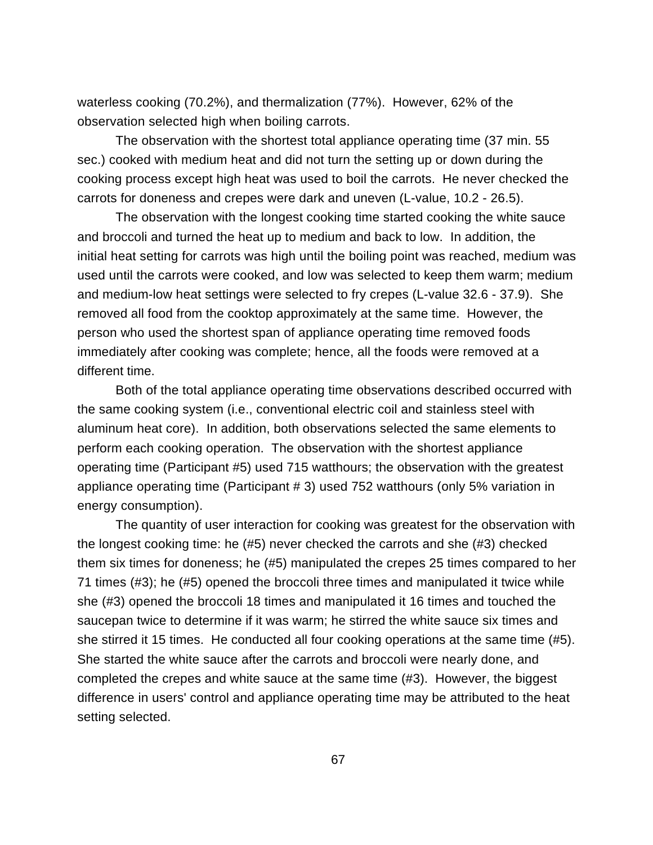waterless cooking (70.2%), and thermalization (77%). However, 62% of the observation selected high when boiling carrots.

The observation with the shortest total appliance operating time (37 min. 55 sec.) cooked with medium heat and did not turn the setting up or down during the cooking process except high heat was used to boil the carrots. He never checked the carrots for doneness and crepes were dark and uneven (L-value, 10.2 - 26.5).

The observation with the longest cooking time started cooking the white sauce and broccoli and turned the heat up to medium and back to low. In addition, the initial heat setting for carrots was high until the boiling point was reached, medium was used until the carrots were cooked, and low was selected to keep them warm; medium and medium-low heat settings were selected to fry crepes (L-value 32.6 - 37.9). She removed all food from the cooktop approximately at the same time. However, the person who used the shortest span of appliance operating time removed foods immediately after cooking was complete; hence, all the foods were removed at a different time.

Both of the total appliance operating time observations described occurred with the same cooking system (i.e., conventional electric coil and stainless steel with aluminum heat core). In addition, both observations selected the same elements to perform each cooking operation. The observation with the shortest appliance operating time (Participant #5) used 715 watthours; the observation with the greatest appliance operating time (Participant # 3) used 752 watthours (only 5% variation in energy consumption).

The quantity of user interaction for cooking was greatest for the observation with the longest cooking time: he (#5) never checked the carrots and she (#3) checked them six times for doneness; he (#5) manipulated the crepes 25 times compared to her 71 times (#3); he (#5) opened the broccoli three times and manipulated it twice while she (#3) opened the broccoli 18 times and manipulated it 16 times and touched the saucepan twice to determine if it was warm; he stirred the white sauce six times and she stirred it 15 times. He conducted all four cooking operations at the same time (#5). She started the white sauce after the carrots and broccoli were nearly done, and completed the crepes and white sauce at the same time (#3). However, the biggest difference in users' control and appliance operating time may be attributed to the heat setting selected.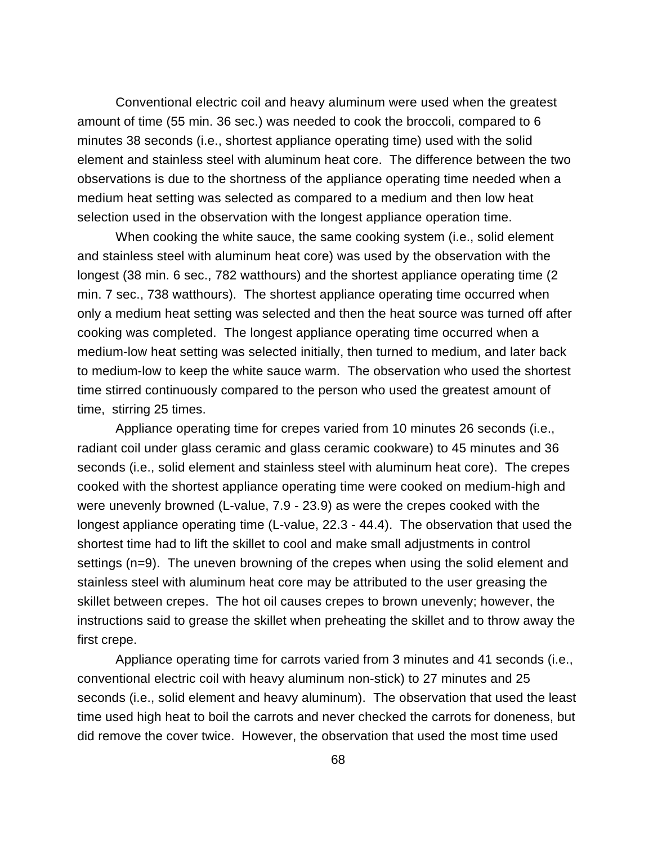Conventional electric coil and heavy aluminum were used when the greatest amount of time (55 min. 36 sec.) was needed to cook the broccoli, compared to 6 minutes 38 seconds (i.e., shortest appliance operating time) used with the solid element and stainless steel with aluminum heat core. The difference between the two observations is due to the shortness of the appliance operating time needed when a medium heat setting was selected as compared to a medium and then low heat selection used in the observation with the longest appliance operation time.

When cooking the white sauce, the same cooking system (i.e., solid element and stainless steel with aluminum heat core) was used by the observation with the longest (38 min. 6 sec., 782 watthours) and the shortest appliance operating time (2 min. 7 sec., 738 watthours). The shortest appliance operating time occurred when only a medium heat setting was selected and then the heat source was turned off after cooking was completed. The longest appliance operating time occurred when a medium-low heat setting was selected initially, then turned to medium, and later back to medium-low to keep the white sauce warm. The observation who used the shortest time stirred continuously compared to the person who used the greatest amount of time, stirring 25 times.

Appliance operating time for crepes varied from 10 minutes 26 seconds (i.e., radiant coil under glass ceramic and glass ceramic cookware) to 45 minutes and 36 seconds (i.e., solid element and stainless steel with aluminum heat core). The crepes cooked with the shortest appliance operating time were cooked on medium-high and were unevenly browned (L-value, 7.9 - 23.9) as were the crepes cooked with the longest appliance operating time (L-value, 22.3 - 44.4). The observation that used the shortest time had to lift the skillet to cool and make small adjustments in control settings (n=9). The uneven browning of the crepes when using the solid element and stainless steel with aluminum heat core may be attributed to the user greasing the skillet between crepes. The hot oil causes crepes to brown unevenly; however, the instructions said to grease the skillet when preheating the skillet and to throw away the first crepe.

Appliance operating time for carrots varied from 3 minutes and 41 seconds (i.e., conventional electric coil with heavy aluminum non-stick) to 27 minutes and 25 seconds (i.e., solid element and heavy aluminum). The observation that used the least time used high heat to boil the carrots and never checked the carrots for doneness, but did remove the cover twice. However, the observation that used the most time used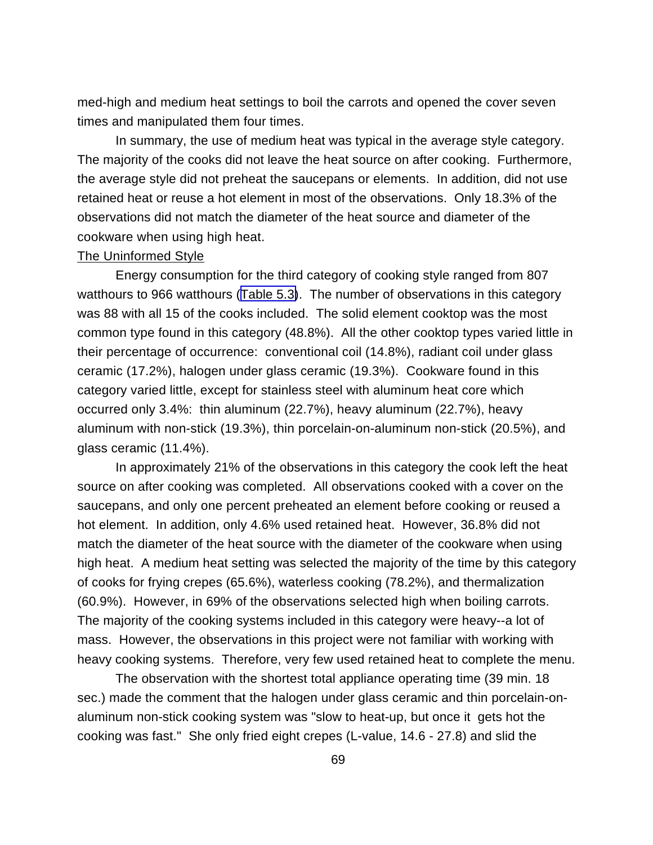med-high and medium heat settings to boil the carrots and opened the cover seven times and manipulated them four times.

In summary, the use of medium heat was typical in the average style category. The majority of the cooks did not leave the heat source on after cooking. Furthermore, the average style did not preheat the saucepans or elements. In addition, did not use retained heat or reuse a hot element in most of the observations. Only 18.3% of the observations did not match the diameter of the heat source and diameter of the cookware when using high heat.

#### The Uninformed Style

Energy consumption for the third category of cooking style ranged from 807 watthours to 966 watthours ([Table 5.3\)](#page-81-0). The number of observations in this category was 88 with all 15 of the cooks included. The solid element cooktop was the most common type found in this category (48.8%). All the other cooktop types varied little in their percentage of occurrence: conventional coil (14.8%), radiant coil under glass ceramic (17.2%), halogen under glass ceramic (19.3%). Cookware found in this category varied little, except for stainless steel with aluminum heat core which occurred only 3.4%: thin aluminum (22.7%), heavy aluminum (22.7%), heavy aluminum with non-stick (19.3%), thin porcelain-on-aluminum non-stick (20.5%), and glass ceramic (11.4%).

In approximately 21% of the observations in this category the cook left the heat source on after cooking was completed. All observations cooked with a cover on the saucepans, and only one percent preheated an element before cooking or reused a hot element. In addition, only 4.6% used retained heat. However, 36.8% did not match the diameter of the heat source with the diameter of the cookware when using high heat. A medium heat setting was selected the majority of the time by this category of cooks for frying crepes (65.6%), waterless cooking (78.2%), and thermalization (60.9%). However, in 69% of the observations selected high when boiling carrots. The majority of the cooking systems included in this category were heavy--a lot of mass. However, the observations in this project were not familiar with working with heavy cooking systems. Therefore, very few used retained heat to complete the menu.

The observation with the shortest total appliance operating time (39 min. 18 sec.) made the comment that the halogen under glass ceramic and thin porcelain-onaluminum non-stick cooking system was "slow to heat-up, but once it gets hot the cooking was fast." She only fried eight crepes (L-value, 14.6 - 27.8) and slid the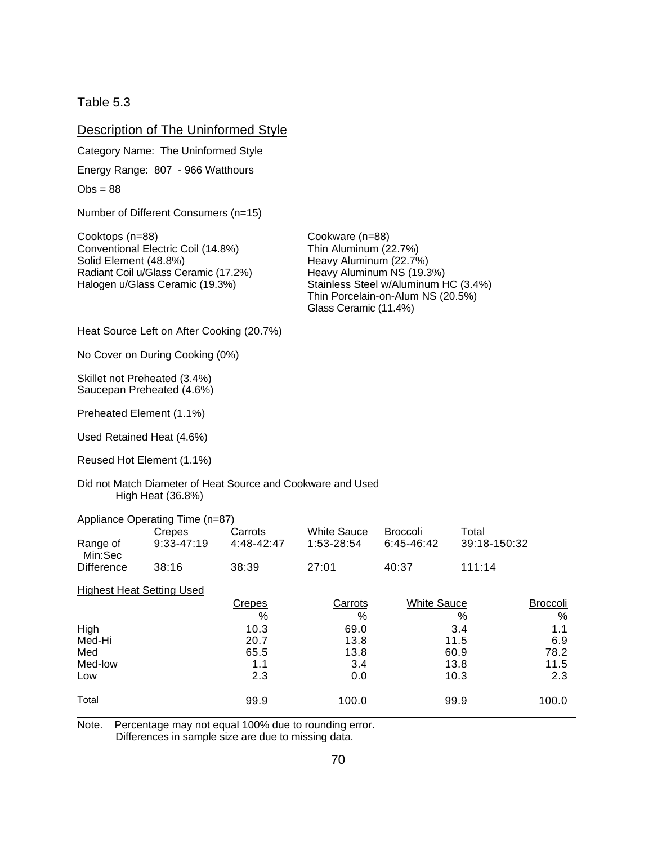<span id="page-81-0"></span>Table 5.3

## Description of The Uninformed Style

Category Name: The Uninformed Style

Energy Range: 807 - 966 Watthours

 $Obs = 88$ 

Number of Different Consumers (n=15)

| Cooktops (n=88)                                                                                                                        |                                                           |                       | Cookware (n=88)                                                          |                                                                                                        |                       |                      |
|----------------------------------------------------------------------------------------------------------------------------------------|-----------------------------------------------------------|-----------------------|--------------------------------------------------------------------------|--------------------------------------------------------------------------------------------------------|-----------------------|----------------------|
| Conventional Electric Coil (14.8%)<br>Solid Element (48.8%)<br>Radiant Coil u/Glass Ceramic (17.2%)<br>Halogen u/Glass Ceramic (19.3%) |                                                           |                       | Thin Aluminum (22.7%)<br>Heavy Aluminum (22.7%)<br>Glass Ceramic (11.4%) | Heavy Aluminum NS (19.3%)<br>Stainless Steel w/Aluminum HC (3.4%)<br>Thin Porcelain-on-Alum NS (20.5%) |                       |                      |
|                                                                                                                                        | Heat Source Left on After Cooking (20.7%)                 |                       |                                                                          |                                                                                                        |                       |                      |
|                                                                                                                                        | No Cover on During Cooking (0%)                           |                       |                                                                          |                                                                                                        |                       |                      |
|                                                                                                                                        | Skillet not Preheated (3.4%)<br>Saucepan Preheated (4.6%) |                       |                                                                          |                                                                                                        |                       |                      |
| Preheated Element (1.1%)                                                                                                               |                                                           |                       |                                                                          |                                                                                                        |                       |                      |
|                                                                                                                                        | Used Retained Heat (4.6%)                                 |                       |                                                                          |                                                                                                        |                       |                      |
|                                                                                                                                        | Reused Hot Element (1.1%)                                 |                       |                                                                          |                                                                                                        |                       |                      |
|                                                                                                                                        | High Heat (36.8%)                                         |                       | Did not Match Diameter of Heat Source and Cookware and Used              |                                                                                                        |                       |                      |
|                                                                                                                                        | Appliance Operating Time (n=87)                           |                       |                                                                          |                                                                                                        |                       |                      |
| Range of<br>Min:Sec                                                                                                                    | Crepes<br>9:33-47:19                                      | Carrots<br>4:48-42:47 | <b>White Sauce</b><br>1:53-28:54                                         | <b>Broccoli</b><br>6:45-46:42                                                                          | Total<br>39:18-150:32 |                      |
| <b>Difference</b>                                                                                                                      | 38:16                                                     | 38:39                 | 27:01                                                                    | 40:37                                                                                                  | 111:14                |                      |
| <b>Highest Heat Setting Used</b>                                                                                                       |                                                           |                       |                                                                          |                                                                                                        |                       |                      |
|                                                                                                                                        |                                                           | <b>Crepes</b><br>%    | Carrots<br>%                                                             | <b>White Sauce</b>                                                                                     | %                     | <b>Broccoli</b><br>% |
| High<br>Med-Hi                                                                                                                         |                                                           | 10.3<br>20.7          | 69.0<br>13.8                                                             |                                                                                                        | 3.4<br>11.5           | 1.1<br>6.9           |
| Med                                                                                                                                    |                                                           | 65.5                  | 13.8                                                                     |                                                                                                        | 60.9                  | 78.2                 |
| Med-low                                                                                                                                |                                                           | 1.1                   | 3.4                                                                      |                                                                                                        | 13.8                  | 11.5                 |
| Low                                                                                                                                    |                                                           | 2.3                   | 0.0                                                                      |                                                                                                        | 10.3                  | 2.3                  |
| Total                                                                                                                                  |                                                           | 99.9                  | 100.0                                                                    |                                                                                                        | 99.9                  | 100.0                |
|                                                                                                                                        |                                                           |                       |                                                                          |                                                                                                        |                       |                      |

Note. Percentage may not equal 100% due to rounding error. Differences in sample size are due to missing data.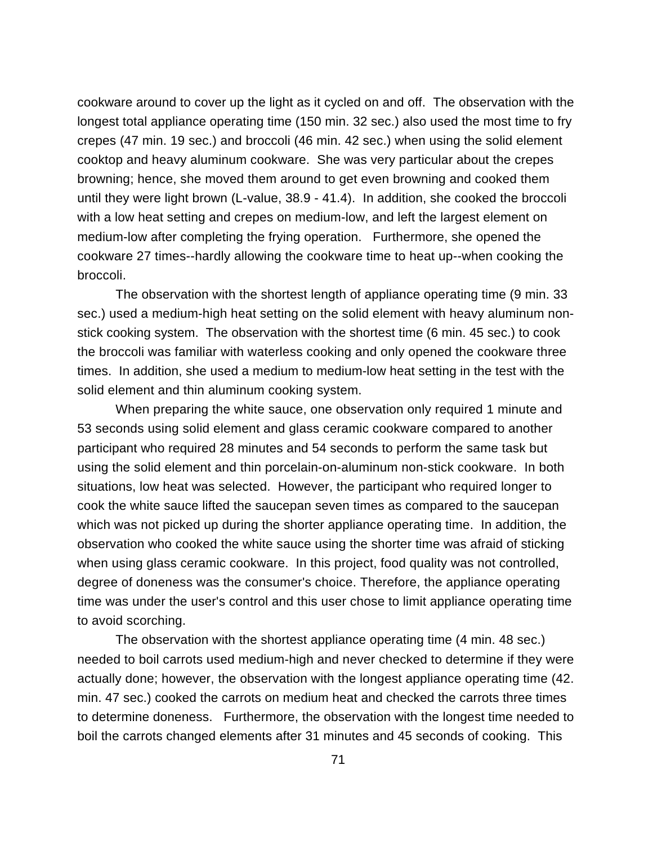cookware around to cover up the light as it cycled on and off. The observation with the longest total appliance operating time (150 min. 32 sec.) also used the most time to fry crepes (47 min. 19 sec.) and broccoli (46 min. 42 sec.) when using the solid element cooktop and heavy aluminum cookware. She was very particular about the crepes browning; hence, she moved them around to get even browning and cooked them until they were light brown (L-value, 38.9 - 41.4). In addition, she cooked the broccoli with a low heat setting and crepes on medium-low, and left the largest element on medium-low after completing the frying operation. Furthermore, she opened the cookware 27 times--hardly allowing the cookware time to heat up--when cooking the broccoli.

The observation with the shortest length of appliance operating time (9 min. 33 sec.) used a medium-high heat setting on the solid element with heavy aluminum nonstick cooking system. The observation with the shortest time (6 min. 45 sec.) to cook the broccoli was familiar with waterless cooking and only opened the cookware three times. In addition, she used a medium to medium-low heat setting in the test with the solid element and thin aluminum cooking system.

When preparing the white sauce, one observation only required 1 minute and 53 seconds using solid element and glass ceramic cookware compared to another participant who required 28 minutes and 54 seconds to perform the same task but using the solid element and thin porcelain-on-aluminum non-stick cookware. In both situations, low heat was selected. However, the participant who required longer to cook the white sauce lifted the saucepan seven times as compared to the saucepan which was not picked up during the shorter appliance operating time. In addition, the observation who cooked the white sauce using the shorter time was afraid of sticking when using glass ceramic cookware. In this project, food quality was not controlled, degree of doneness was the consumer's choice. Therefore, the appliance operating time was under the user's control and this user chose to limit appliance operating time to avoid scorching.

The observation with the shortest appliance operating time (4 min. 48 sec.) needed to boil carrots used medium-high and never checked to determine if they were actually done; however, the observation with the longest appliance operating time (42. min. 47 sec.) cooked the carrots on medium heat and checked the carrots three times to determine doneness. Furthermore, the observation with the longest time needed to boil the carrots changed elements after 31 minutes and 45 seconds of cooking. This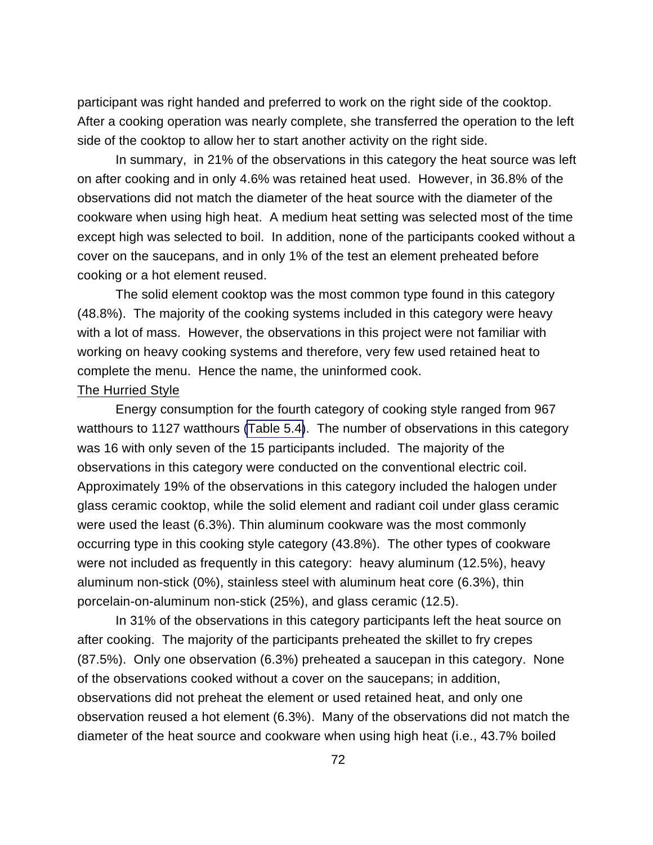participant was right handed and preferred to work on the right side of the cooktop. After a cooking operation was nearly complete, she transferred the operation to the left side of the cooktop to allow her to start another activity on the right side.

In summary, in 21% of the observations in this category the heat source was left on after cooking and in only 4.6% was retained heat used. However, in 36.8% of the observations did not match the diameter of the heat source with the diameter of the cookware when using high heat. A medium heat setting was selected most of the time except high was selected to boil. In addition, none of the participants cooked without a cover on the saucepans, and in only 1% of the test an element preheated before cooking or a hot element reused.

The solid element cooktop was the most common type found in this category (48.8%). The majority of the cooking systems included in this category were heavy with a lot of mass. However, the observations in this project were not familiar with working on heavy cooking systems and therefore, very few used retained heat to complete the menu. Hence the name, the uninformed cook.

#### The Hurried Style

Energy consumption for the fourth category of cooking style ranged from 967 watthours to 1127 watthours [\(Table 5.4\)](#page-84-0). The number of observations in this category was 16 with only seven of the 15 participants included. The majority of the observations in this category were conducted on the conventional electric coil. Approximately 19% of the observations in this category included the halogen under glass ceramic cooktop, while the solid element and radiant coil under glass ceramic were used the least (6.3%). Thin aluminum cookware was the most commonly occurring type in this cooking style category (43.8%). The other types of cookware were not included as frequently in this category: heavy aluminum (12.5%), heavy aluminum non-stick (0%), stainless steel with aluminum heat core (6.3%), thin porcelain-on-aluminum non-stick (25%), and glass ceramic (12.5).

In 31% of the observations in this category participants left the heat source on after cooking. The majority of the participants preheated the skillet to fry crepes (87.5%). Only one observation (6.3%) preheated a saucepan in this category. None of the observations cooked without a cover on the saucepans; in addition, observations did not preheat the element or used retained heat, and only one observation reused a hot element (6.3%). Many of the observations did not match the diameter of the heat source and cookware when using high heat (i.e., 43.7% boiled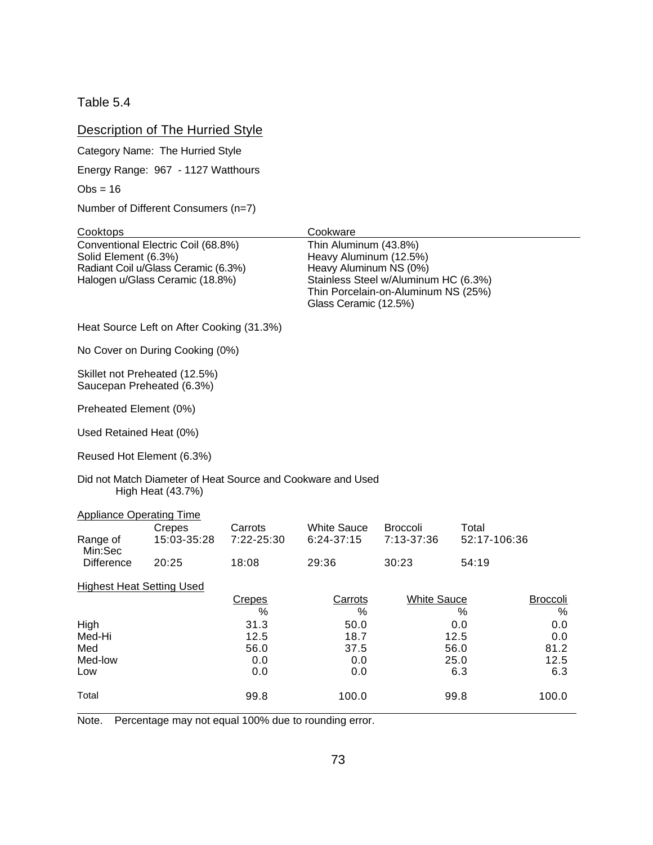<span id="page-84-0"></span>Table 5.4

## Description of The Hurried Style

Category Name: The Hurried Style

Energy Range: 967 - 1127 Watthours

 $Obs = 16$ 

Number of Different Consumers (n=7)

| Cooktops                                                                                                                             |                                                                                  |                       | Cookware                                                                                           |                                                                             |                       |                      |
|--------------------------------------------------------------------------------------------------------------------------------------|----------------------------------------------------------------------------------|-----------------------|----------------------------------------------------------------------------------------------------|-----------------------------------------------------------------------------|-----------------------|----------------------|
| Conventional Electric Coil (68.8%)<br>Solid Element (6.3%)<br>Radiant Coil u/Glass Ceramic (6.3%)<br>Halogen u/Glass Ceramic (18.8%) |                                                                                  |                       | Thin Aluminum (43.8%)<br>Heavy Aluminum (12.5%)<br>Heavy Aluminum NS (0%)<br>Glass Ceramic (12.5%) | Stainless Steel w/Aluminum HC (6.3%)<br>Thin Porcelain-on-Aluminum NS (25%) |                       |                      |
|                                                                                                                                      | Heat Source Left on After Cooking (31.3%)                                        |                       |                                                                                                    |                                                                             |                       |                      |
|                                                                                                                                      | No Cover on During Cooking (0%)                                                  |                       |                                                                                                    |                                                                             |                       |                      |
|                                                                                                                                      | Skillet not Preheated (12.5%)<br>Saucepan Preheated (6.3%)                       |                       |                                                                                                    |                                                                             |                       |                      |
| Preheated Element (0%)                                                                                                               |                                                                                  |                       |                                                                                                    |                                                                             |                       |                      |
| Used Retained Heat (0%)                                                                                                              |                                                                                  |                       |                                                                                                    |                                                                             |                       |                      |
| Reused Hot Element (6.3%)                                                                                                            |                                                                                  |                       |                                                                                                    |                                                                             |                       |                      |
|                                                                                                                                      | Did not Match Diameter of Heat Source and Cookware and Used<br>High Heat (43.7%) |                       |                                                                                                    |                                                                             |                       |                      |
| <b>Appliance Operating Time</b>                                                                                                      |                                                                                  |                       |                                                                                                    |                                                                             |                       |                      |
| Range of<br>Min:Sec                                                                                                                  | Crepes<br>15:03-35:28                                                            | Carrots<br>7:22-25:30 | <b>White Sauce</b><br>6:24-37:15                                                                   | <b>Broccoli</b><br>7:13-37:36                                               | Total<br>52:17-106:36 |                      |
| <b>Difference</b>                                                                                                                    | 20:25                                                                            | 18:08                 | 29:36                                                                                              | 30:23                                                                       | 54:19                 |                      |
| <b>Highest Heat Setting Used</b>                                                                                                     |                                                                                  |                       |                                                                                                    |                                                                             |                       |                      |
|                                                                                                                                      |                                                                                  | <b>Crepes</b><br>%    | Carrots<br>%                                                                                       | <b>White Sauce</b>                                                          | %                     | <b>Broccoli</b><br>% |
| High                                                                                                                                 |                                                                                  | 31.3                  | 50.0                                                                                               |                                                                             | 0.0                   | 0.0                  |
| Med-Hi                                                                                                                               |                                                                                  | 12.5                  | 18.7                                                                                               |                                                                             | 12.5                  | 0.0                  |
| Med                                                                                                                                  |                                                                                  | 56.0                  | 37.5                                                                                               |                                                                             | 56.0                  | 81.2                 |
| Med-low<br>Low                                                                                                                       |                                                                                  | 0.0<br>0.0            | 0.0<br>0.0                                                                                         |                                                                             | 25.0<br>6.3           | 12.5<br>6.3          |
| Total                                                                                                                                |                                                                                  | 99.8                  | 100.0                                                                                              |                                                                             | 99.8                  | 100.0                |

Note. Percentage may not equal 100% due to rounding error.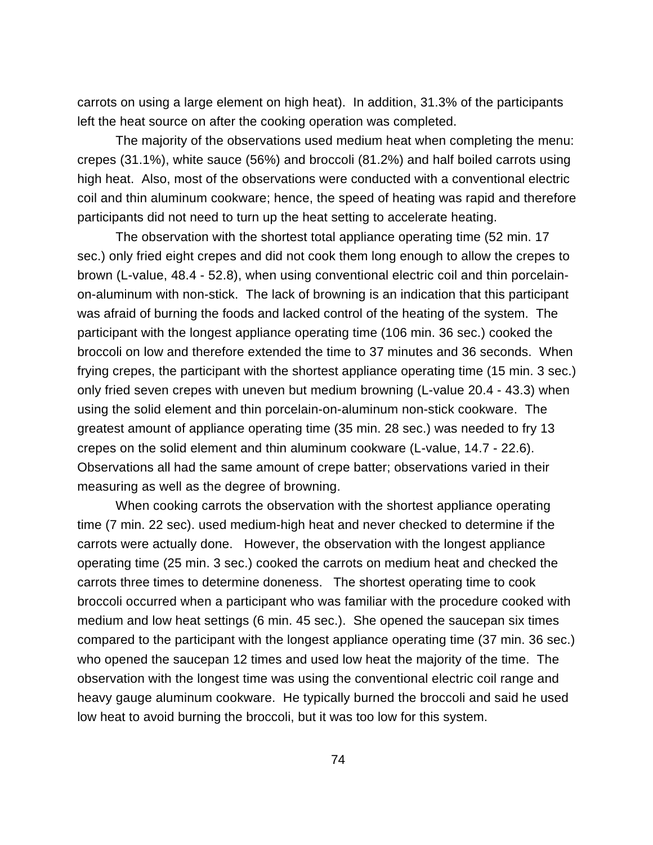carrots on using a large element on high heat). In addition, 31.3% of the participants left the heat source on after the cooking operation was completed.

The majority of the observations used medium heat when completing the menu: crepes (31.1%), white sauce (56%) and broccoli (81.2%) and half boiled carrots using high heat. Also, most of the observations were conducted with a conventional electric coil and thin aluminum cookware; hence, the speed of heating was rapid and therefore participants did not need to turn up the heat setting to accelerate heating.

The observation with the shortest total appliance operating time (52 min. 17 sec.) only fried eight crepes and did not cook them long enough to allow the crepes to brown (L-value, 48.4 - 52.8), when using conventional electric coil and thin porcelainon-aluminum with non-stick. The lack of browning is an indication that this participant was afraid of burning the foods and lacked control of the heating of the system. The participant with the longest appliance operating time (106 min. 36 sec.) cooked the broccoli on low and therefore extended the time to 37 minutes and 36 seconds. When frying crepes, the participant with the shortest appliance operating time (15 min. 3 sec.) only fried seven crepes with uneven but medium browning (L-value 20.4 - 43.3) when using the solid element and thin porcelain-on-aluminum non-stick cookware. The greatest amount of appliance operating time (35 min. 28 sec.) was needed to fry 13 crepes on the solid element and thin aluminum cookware (L-value, 14.7 - 22.6). Observations all had the same amount of crepe batter; observations varied in their measuring as well as the degree of browning.

When cooking carrots the observation with the shortest appliance operating time (7 min. 22 sec). used medium-high heat and never checked to determine if the carrots were actually done. However, the observation with the longest appliance operating time (25 min. 3 sec.) cooked the carrots on medium heat and checked the carrots three times to determine doneness. The shortest operating time to cook broccoli occurred when a participant who was familiar with the procedure cooked with medium and low heat settings (6 min. 45 sec.). She opened the saucepan six times compared to the participant with the longest appliance operating time (37 min. 36 sec.) who opened the saucepan 12 times and used low heat the majority of the time. The observation with the longest time was using the conventional electric coil range and heavy gauge aluminum cookware. He typically burned the broccoli and said he used low heat to avoid burning the broccoli, but it was too low for this system.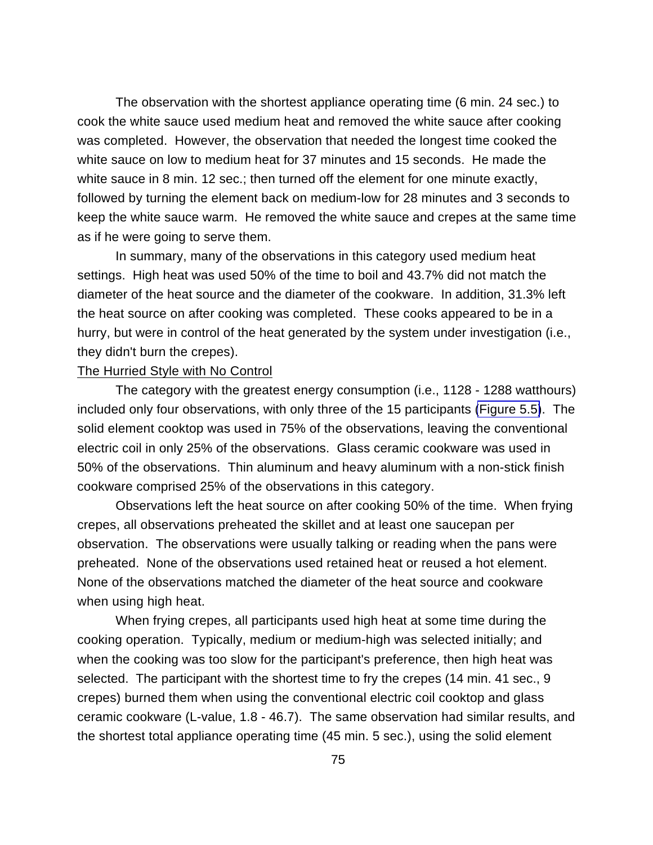The observation with the shortest appliance operating time (6 min. 24 sec.) to cook the white sauce used medium heat and removed the white sauce after cooking was completed. However, the observation that needed the longest time cooked the white sauce on low to medium heat for 37 minutes and 15 seconds. He made the white sauce in 8 min. 12 sec.; then turned off the element for one minute exactly, followed by turning the element back on medium-low for 28 minutes and 3 seconds to keep the white sauce warm. He removed the white sauce and crepes at the same time as if he were going to serve them.

In summary, many of the observations in this category used medium heat settings. High heat was used 50% of the time to boil and 43.7% did not match the diameter of the heat source and the diameter of the cookware. In addition, 31.3% left the heat source on after cooking was completed. These cooks appeared to be in a hurry, but were in control of the heat generated by the system under investigation (i.e., they didn't burn the crepes).

#### The Hurried Style with No Control

The category with the greatest energy consumption (i.e., 1128 - 1288 watthours) included only four observations, with only three of the 15 participants [\(Figure 5.5\)](#page-87-0). The solid element cooktop was used in 75% of the observations, leaving the conventional electric coil in only 25% of the observations. Glass ceramic cookware was used in 50% of the observations. Thin aluminum and heavy aluminum with a non-stick finish cookware comprised 25% of the observations in this category.

Observations left the heat source on after cooking 50% of the time. When frying crepes, all observations preheated the skillet and at least one saucepan per observation. The observations were usually talking or reading when the pans were preheated. None of the observations used retained heat or reused a hot element. None of the observations matched the diameter of the heat source and cookware when using high heat.

When frying crepes, all participants used high heat at some time during the cooking operation. Typically, medium or medium-high was selected initially; and when the cooking was too slow for the participant's preference, then high heat was selected. The participant with the shortest time to fry the crepes (14 min. 41 sec., 9 crepes) burned them when using the conventional electric coil cooktop and glass ceramic cookware (L-value, 1.8 - 46.7). The same observation had similar results, and the shortest total appliance operating time (45 min. 5 sec.), using the solid element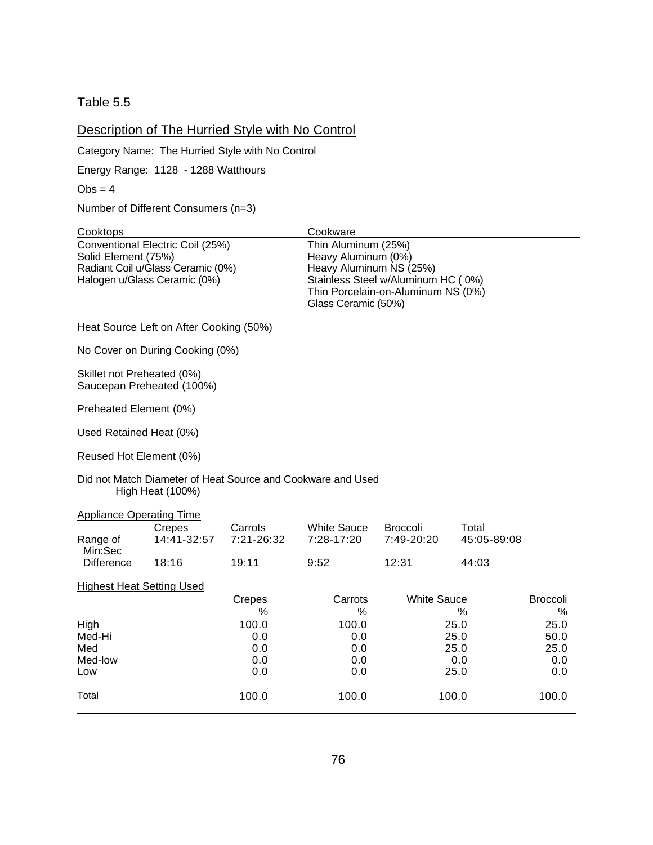<span id="page-87-0"></span>Table 5.5

## Description of The Hurried Style with No Control

Category Name: The Hurried Style with No Control

Energy Range: 1128 - 1288 Watthours

 $Obs = 4$ 

Number of Different Consumers (n=3)

| Cooktops                         |                                         |               | Cookware                                                    |                                    |             |                 |
|----------------------------------|-----------------------------------------|---------------|-------------------------------------------------------------|------------------------------------|-------------|-----------------|
|                                  | Conventional Electric Coil (25%)        |               | Thin Aluminum (25%)                                         |                                    |             |                 |
| Solid Element (75%)              |                                         |               | Heavy Aluminum (0%)                                         |                                    |             |                 |
|                                  | Radiant Coil u/Glass Ceramic (0%)       |               | Heavy Aluminum NS (25%)                                     |                                    |             |                 |
| Halogen u/Glass Ceramic (0%)     |                                         |               |                                                             | Stainless Steel w/Aluminum HC (0%) |             |                 |
|                                  |                                         |               |                                                             | Thin Porcelain-on-Aluminum NS (0%) |             |                 |
|                                  |                                         |               | Glass Ceramic (50%)                                         |                                    |             |                 |
|                                  |                                         |               |                                                             |                                    |             |                 |
|                                  | Heat Source Left on After Cooking (50%) |               |                                                             |                                    |             |                 |
|                                  | No Cover on During Cooking (0%)         |               |                                                             |                                    |             |                 |
| Skillet not Preheated (0%)       |                                         |               |                                                             |                                    |             |                 |
| Saucepan Preheated (100%)        |                                         |               |                                                             |                                    |             |                 |
| Preheated Element (0%)           |                                         |               |                                                             |                                    |             |                 |
| Used Retained Heat (0%)          |                                         |               |                                                             |                                    |             |                 |
| Reused Hot Element (0%)          |                                         |               |                                                             |                                    |             |                 |
|                                  | <b>High Heat (100%)</b>                 |               | Did not Match Diameter of Heat Source and Cookware and Used |                                    |             |                 |
| <b>Appliance Operating Time</b>  |                                         |               |                                                             |                                    |             |                 |
|                                  | Crepes                                  | Carrots       | <b>White Sauce</b>                                          | <b>Broccoli</b>                    | Total       |                 |
| Range of<br>Min:Sec              | 14:41-32:57                             | 7:21-26:32    | 7:28-17:20                                                  | 7:49-20:20                         | 45:05-89:08 |                 |
| <b>Difference</b>                | 18:16                                   | 19:11         | 9:52                                                        | 12:31                              | 44:03       |                 |
| <b>Highest Heat Setting Used</b> |                                         |               |                                                             |                                    |             |                 |
|                                  |                                         | <b>Crepes</b> | Carrots                                                     | <b>White Sauce</b>                 |             | <b>Broccoli</b> |
|                                  |                                         | %             | %                                                           |                                    | %           | %               |
| High                             |                                         | 100.0         | 100.0                                                       |                                    | 25.0        | 25.0            |
| Med-Hi                           |                                         | 0.0           | 0.0                                                         |                                    | 25.0        | 50.0            |
| Med                              |                                         | 0.0           | 0.0                                                         |                                    | 25.0        | 25.0            |
| Med-low                          |                                         | 0.0           | 0.0                                                         |                                    | 0.0         | 0.0             |
| Low                              |                                         | 0.0           | 0.0                                                         |                                    | 25.0        | 0.0             |
| Total                            |                                         | 100.0         | 100.0                                                       |                                    | 100.0       | 100.0           |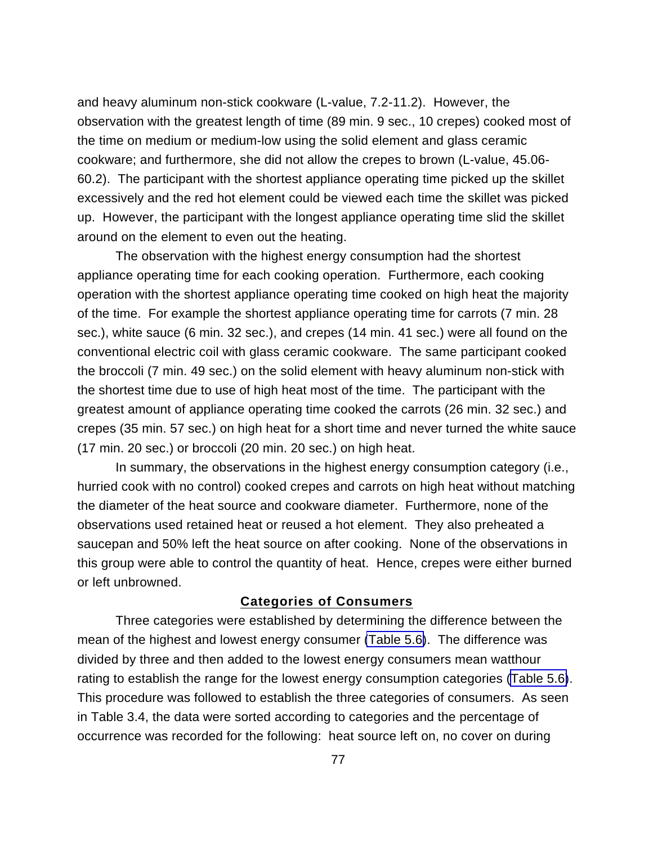and heavy aluminum non-stick cookware (L-value, 7.2-11.2). However, the observation with the greatest length of time (89 min. 9 sec., 10 crepes) cooked most of the time on medium or medium-low using the solid element and glass ceramic cookware; and furthermore, she did not allow the crepes to brown (L-value, 45.06- 60.2). The participant with the shortest appliance operating time picked up the skillet excessively and the red hot element could be viewed each time the skillet was picked up. However, the participant with the longest appliance operating time slid the skillet around on the element to even out the heating.

The observation with the highest energy consumption had the shortest appliance operating time for each cooking operation. Furthermore, each cooking operation with the shortest appliance operating time cooked on high heat the majority of the time. For example the shortest appliance operating time for carrots (7 min. 28 sec.), white sauce (6 min. 32 sec.), and crepes (14 min. 41 sec.) were all found on the conventional electric coil with glass ceramic cookware. The same participant cooked the broccoli (7 min. 49 sec.) on the solid element with heavy aluminum non-stick with the shortest time due to use of high heat most of the time. The participant with the greatest amount of appliance operating time cooked the carrots (26 min. 32 sec.) and crepes (35 min. 57 sec.) on high heat for a short time and never turned the white sauce (17 min. 20 sec.) or broccoli (20 min. 20 sec.) on high heat.

In summary, the observations in the highest energy consumption category (i.e., hurried cook with no control) cooked crepes and carrots on high heat without matching the diameter of the heat source and cookware diameter. Furthermore, none of the observations used retained heat or reused a hot element. They also preheated a saucepan and 50% left the heat source on after cooking. None of the observations in this group were able to control the quantity of heat. Hence, crepes were either burned or left unbrowned.

## **Categories of Consumers**

Three categories were established by determining the difference between the mean of the highest and lowest energy consumer [\(Table 5.6\)](#page-89-0). The difference was divided by three and then added to the lowest energy consumers mean watthour rating to establish the range for the lowest energy consumption categories [\(Table 5.6\)](#page-89-0). This procedure was followed to establish the three categories of consumers. As seen in Table 3.4, the data were sorted according to categories and the percentage of occurrence was recorded for the following: heat source left on, no cover on during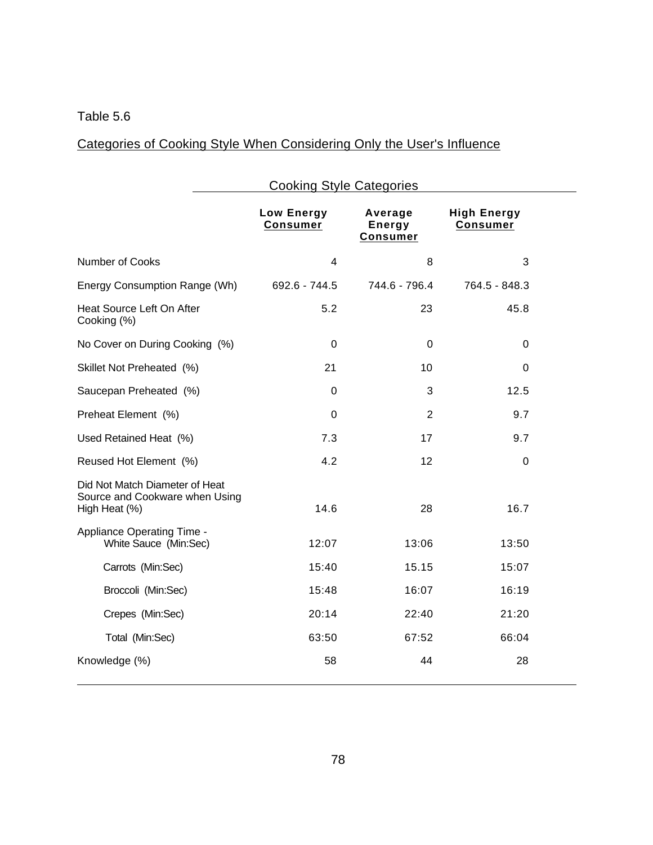# <span id="page-89-0"></span>Table 5.6

# Categories of Cooking Style When Considering Only the User's Influence

|                                                                                   | <b>Cooking Style Categories</b> |                                      |                                       |  |  |  |  |
|-----------------------------------------------------------------------------------|---------------------------------|--------------------------------------|---------------------------------------|--|--|--|--|
|                                                                                   | Low Energy<br><b>Consumer</b>   | Average<br>Energy<br><b>Consumer</b> | <b>High Energy</b><br><b>Consumer</b> |  |  |  |  |
| <b>Number of Cooks</b>                                                            | 4                               | 8                                    | 3                                     |  |  |  |  |
| Energy Consumption Range (Wh)                                                     | 692.6 - 744.5                   | 744.6 - 796.4                        | 764.5 - 848.3                         |  |  |  |  |
| Heat Source Left On After<br>Cooking (%)                                          | 5.2                             | 23                                   | 45.8                                  |  |  |  |  |
| No Cover on During Cooking (%)                                                    | $\mathbf 0$                     | 0                                    | 0                                     |  |  |  |  |
| Skillet Not Preheated (%)                                                         | 21                              | 10                                   | $\mathbf 0$                           |  |  |  |  |
| Saucepan Preheated (%)                                                            | $\mathbf 0$                     | 3                                    | 12.5                                  |  |  |  |  |
| Preheat Element (%)                                                               | $\mathbf 0$                     | $\overline{2}$                       | 9.7                                   |  |  |  |  |
| Used Retained Heat (%)                                                            | 7.3                             | 17                                   | 9.7                                   |  |  |  |  |
| Reused Hot Element (%)                                                            | 4.2                             | 12                                   | $\mathbf 0$                           |  |  |  |  |
| Did Not Match Diameter of Heat<br>Source and Cookware when Using<br>High Heat (%) | 14.6                            | 28                                   | 16.7                                  |  |  |  |  |
| Appliance Operating Time -<br>White Sauce (Min:Sec)                               | 12:07                           | 13:06                                | 13:50                                 |  |  |  |  |
| Carrots (Min:Sec)                                                                 | 15:40                           | 15.15                                | 15:07                                 |  |  |  |  |
| Broccoli (Min:Sec)                                                                | 15:48                           | 16:07                                | 16:19                                 |  |  |  |  |
| Crepes (Min:Sec)                                                                  | 20:14                           | 22:40                                | 21:20                                 |  |  |  |  |
| Total (Min:Sec)                                                                   | 63:50                           | 67:52                                | 66:04                                 |  |  |  |  |
| Knowledge (%)                                                                     | 58                              | 44                                   | 28                                    |  |  |  |  |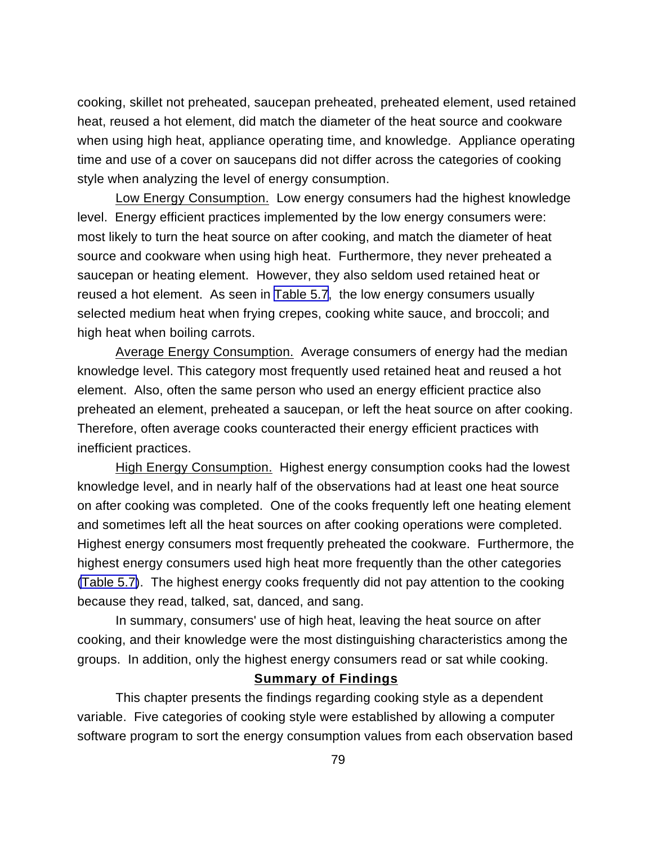cooking, skillet not preheated, saucepan preheated, preheated element, used retained heat, reused a hot element, did match the diameter of the heat source and cookware when using high heat, appliance operating time, and knowledge. Appliance operating time and use of a cover on saucepans did not differ across the categories of cooking style when analyzing the level of energy consumption.

Low Energy Consumption. Low energy consumers had the highest knowledge level. Energy efficient practices implemented by the low energy consumers were: most likely to turn the heat source on after cooking, and match the diameter of heat source and cookware when using high heat. Furthermore, they never preheated a saucepan or heating element. However, they also seldom used retained heat or reused a hot element. As seen in [Table 5.7,](#page-91-0) the low energy consumers usually selected medium heat when frying crepes, cooking white sauce, and broccoli; and high heat when boiling carrots.

Average Energy Consumption. Average consumers of energy had the median knowledge level. This category most frequently used retained heat and reused a hot element. Also, often the same person who used an energy efficient practice also preheated an element, preheated a saucepan, or left the heat source on after cooking. Therefore, often average cooks counteracted their energy efficient practices with inefficient practices.

High Energy Consumption. Highest energy consumption cooks had the lowest knowledge level, and in nearly half of the observations had at least one heat source on after cooking was completed. One of the cooks frequently left one heating element and sometimes left all the heat sources on after cooking operations were completed. Highest energy consumers most frequently preheated the cookware. Furthermore, the highest energy consumers used high heat more frequently than the other categories [\(Table 5.7\)](#page-91-0). The highest energy cooks frequently did not pay attention to the cooking because they read, talked, sat, danced, and sang.

In summary, consumers' use of high heat, leaving the heat source on after cooking, and their knowledge were the most distinguishing characteristics among the groups. In addition, only the highest energy consumers read or sat while cooking.

## **Summary of Findings**

This chapter presents the findings regarding cooking style as a dependent variable. Five categories of cooking style were established by allowing a computer software program to sort the energy consumption values from each observation based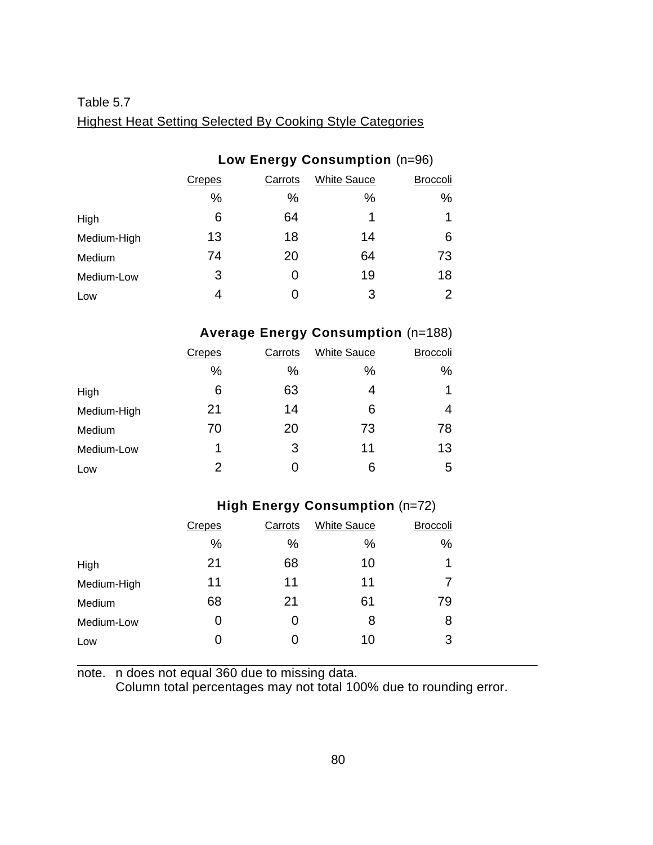# <span id="page-91-0"></span>Table 5.7 Highest Heat Setting Selected By Cooking Style Categories

## **Low Energy Consumption** (n=96)

|             | Crepes | Carrots | <b>White Sauce</b> | <b>Broccoli</b> |
|-------------|--------|---------|--------------------|-----------------|
|             | %      | %       | %                  | %               |
| High        | 6      | 64      | 1                  | 1               |
| Medium-High | 13     | 18      | 14                 | 6               |
| Medium      | 74     | 20      | 64                 | 73              |
| Medium-Low  | 3      |         | 19                 | 18              |
| Low         | 4      |         | 3                  | $\overline{2}$  |

# **Average Energy Consumption** (n=188)

|             | Crepes | Carrots | <b>White Sauce</b> | <b>Broccoli</b> |
|-------------|--------|---------|--------------------|-----------------|
|             | $\%$   | $\%$    | %                  | %               |
| High        | 6      | 63      | 4                  | $\mathbf 1$     |
| Medium-High | 21     | 14      | 6                  | 4               |
| Medium      | 70     | 20      | 73                 | 78              |
| Medium-Low  | 1      | 3       | 11                 | 13              |
| Low         | 2      |         | 6                  | 5               |

## **High Energy Consumption** (n=72)

|             | <b>Crepes</b> | Carrots | <b>White Sauce</b> | <b>Broccoli</b> |
|-------------|---------------|---------|--------------------|-----------------|
|             | %             | %       | %                  | $\%$            |
| High        | 21            | 68      | 10                 | 1               |
| Medium-High | 11            | 11      | 11                 |                 |
| Medium      | 68            | 21      | 61                 | 79              |
| Medium-Low  |               | 0       | 8                  | 8               |
| Low         |               | 0       | 10                 | 3               |
|             |               |         |                    |                 |

note. n does not equal 360 due to missing data.

Column total percentages may not total 100% due to rounding error.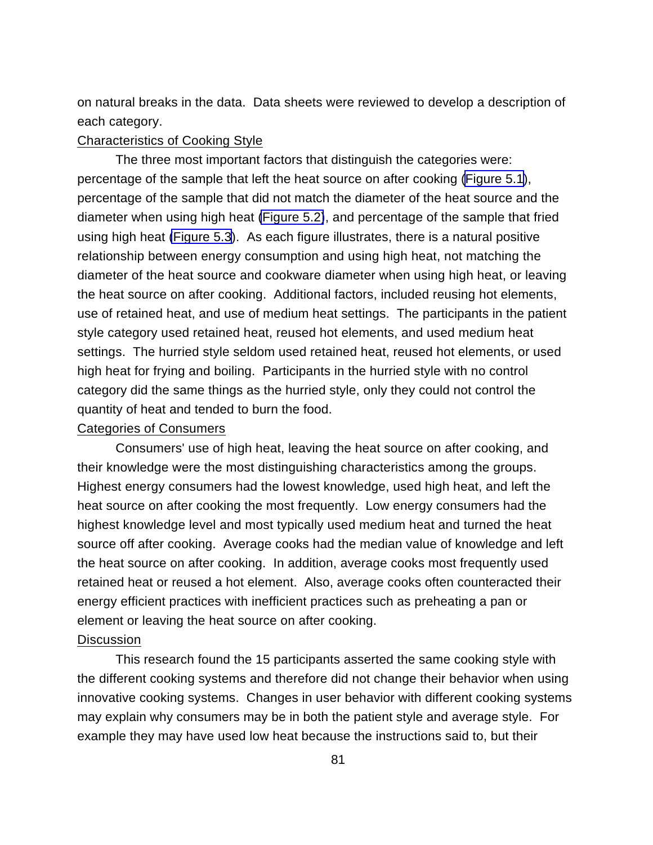on natural breaks in the data. Data sheets were reviewed to develop a description of each category.

## Characteristics of Cooking Style

The three most important factors that distinguish the categories were: percentage of the sample that left the heat source on after cooking [\(Figure 5.1](#page-93-0)), percentage of the sample that did not match the diameter of the heat source and the diameter when using high heat [\(Figure 5.2\)](#page-94-0), and percentage of the sample that fried using high heat [\(Figure 5.3](#page-95-0)). As each figure illustrates, there is a natural positive relationship between energy consumption and using high heat, not matching the diameter of the heat source and cookware diameter when using high heat, or leaving the heat source on after cooking. Additional factors, included reusing hot elements, use of retained heat, and use of medium heat settings. The participants in the patient style category used retained heat, reused hot elements, and used medium heat settings. The hurried style seldom used retained heat, reused hot elements, or used high heat for frying and boiling. Participants in the hurried style with no control category did the same things as the hurried style, only they could not control the quantity of heat and tended to burn the food.

## Categories of Consumers

Consumers' use of high heat, leaving the heat source on after cooking, and their knowledge were the most distinguishing characteristics among the groups. Highest energy consumers had the lowest knowledge, used high heat, and left the heat source on after cooking the most frequently. Low energy consumers had the highest knowledge level and most typically used medium heat and turned the heat source off after cooking. Average cooks had the median value of knowledge and left the heat source on after cooking. In addition, average cooks most frequently used retained heat or reused a hot element. Also, average cooks often counteracted their energy efficient practices with inefficient practices such as preheating a pan or element or leaving the heat source on after cooking.

## **Discussion**

This research found the 15 participants asserted the same cooking style with the different cooking systems and therefore did not change their behavior when using innovative cooking systems. Changes in user behavior with different cooking systems may explain why consumers may be in both the patient style and average style. For example they may have used low heat because the instructions said to, but their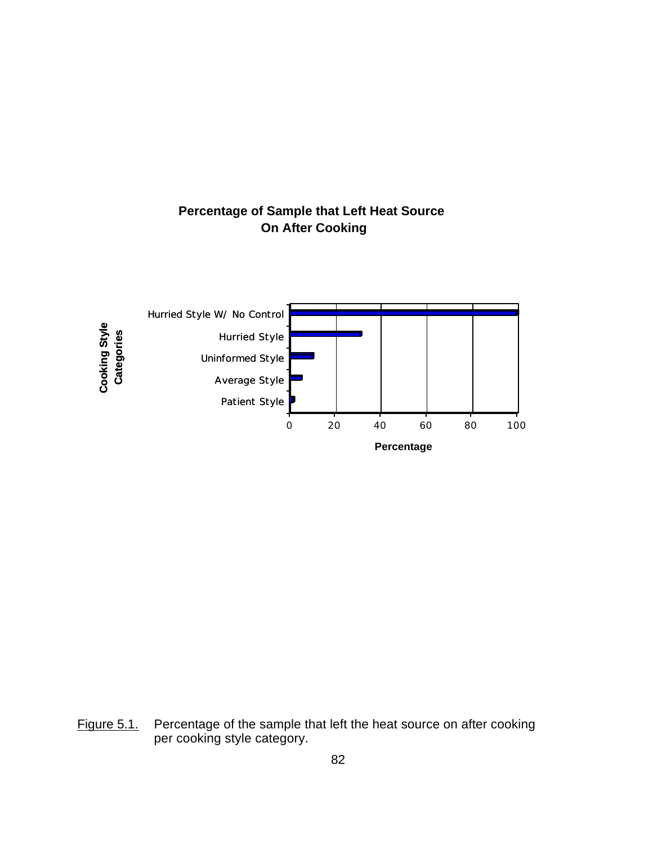

# <span id="page-93-0"></span>**Percentage of Sample that Left Heat Source On After Cooking**

Figure 5.1. Percentage of the sample that left the heat source on after cooking per cooking style category.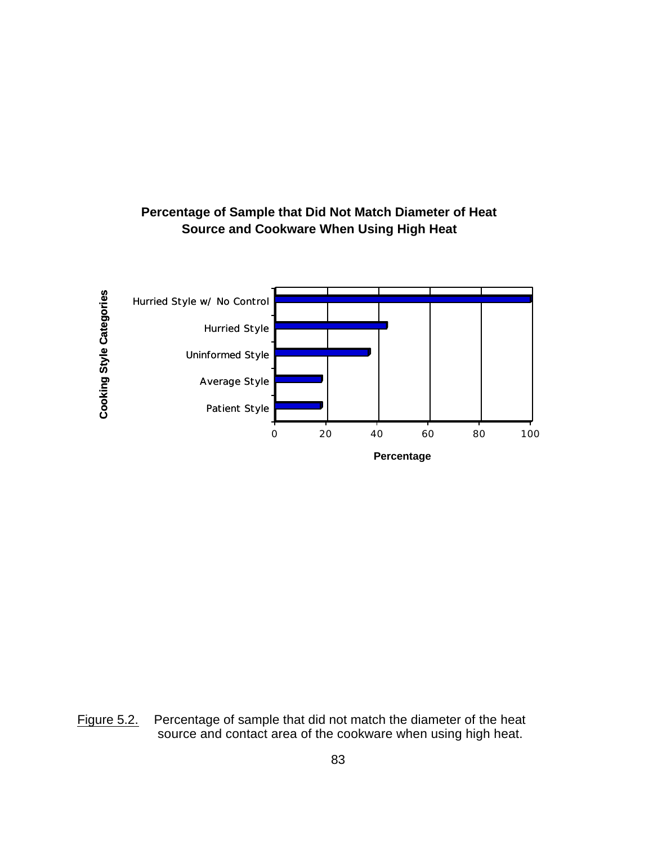

## <span id="page-94-0"></span>**Percentage of Sample that Did Not Match Diameter of Heat Source and Cookware When Using High Heat**

Figure 5.2. Percentage of sample that did not match the diameter of the heat source and contact area of the cookware when using high heat.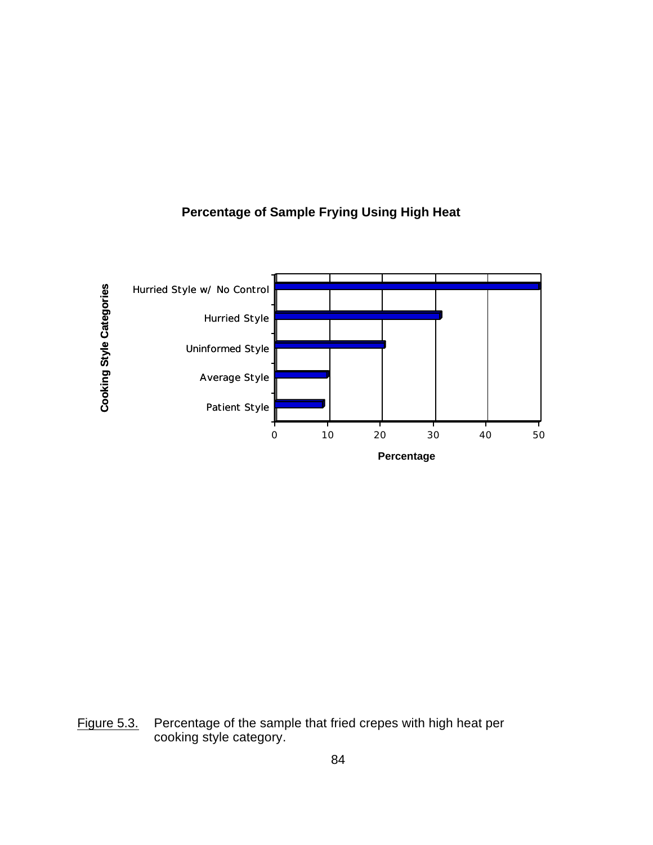<span id="page-95-0"></span>

## **Percentage of Sample Frying Using High Heat**

Figure 5.3. Percentage of the sample that fried crepes with high heat per cooking style category.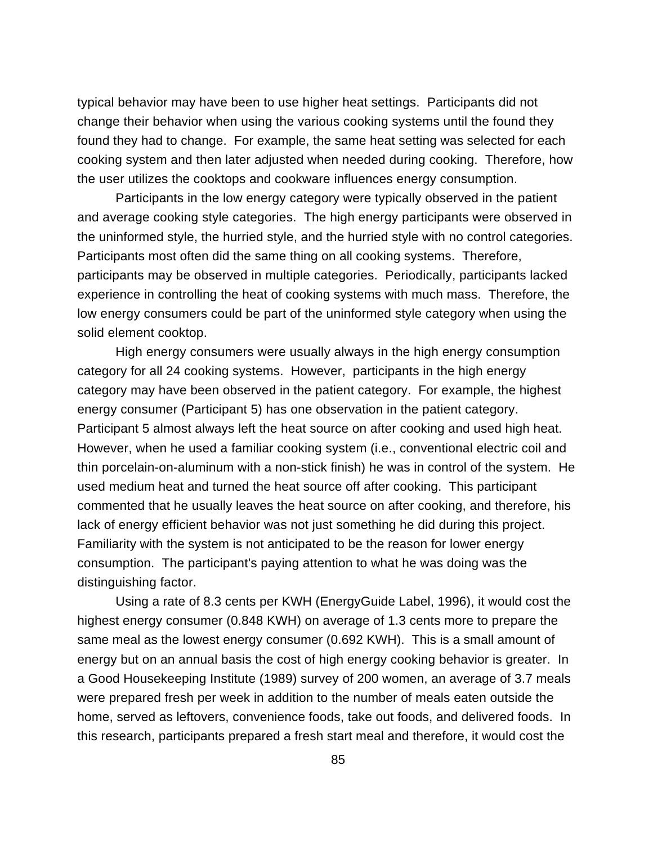typical behavior may have been to use higher heat settings. Participants did not change their behavior when using the various cooking systems until the found they found they had to change. For example, the same heat setting was selected for each cooking system and then later adjusted when needed during cooking. Therefore, how the user utilizes the cooktops and cookware influences energy consumption.

Participants in the low energy category were typically observed in the patient and average cooking style categories. The high energy participants were observed in the uninformed style, the hurried style, and the hurried style with no control categories. Participants most often did the same thing on all cooking systems. Therefore, participants may be observed in multiple categories. Periodically, participants lacked experience in controlling the heat of cooking systems with much mass. Therefore, the low energy consumers could be part of the uninformed style category when using the solid element cooktop.

High energy consumers were usually always in the high energy consumption category for all 24 cooking systems. However, participants in the high energy category may have been observed in the patient category. For example, the highest energy consumer (Participant 5) has one observation in the patient category. Participant 5 almost always left the heat source on after cooking and used high heat. However, when he used a familiar cooking system (i.e., conventional electric coil and thin porcelain-on-aluminum with a non-stick finish) he was in control of the system. He used medium heat and turned the heat source off after cooking. This participant commented that he usually leaves the heat source on after cooking, and therefore, his lack of energy efficient behavior was not just something he did during this project. Familiarity with the system is not anticipated to be the reason for lower energy consumption. The participant's paying attention to what he was doing was the distinguishing factor.

Using a rate of 8.3 cents per KWH (EnergyGuide Label, 1996), it would cost the highest energy consumer (0.848 KWH) on average of 1.3 cents more to prepare the same meal as the lowest energy consumer (0.692 KWH). This is a small amount of energy but on an annual basis the cost of high energy cooking behavior is greater. In a Good Housekeeping Institute (1989) survey of 200 women, an average of 3.7 meals were prepared fresh per week in addition to the number of meals eaten outside the home, served as leftovers, convenience foods, take out foods, and delivered foods. In this research, participants prepared a fresh start meal and therefore, it would cost the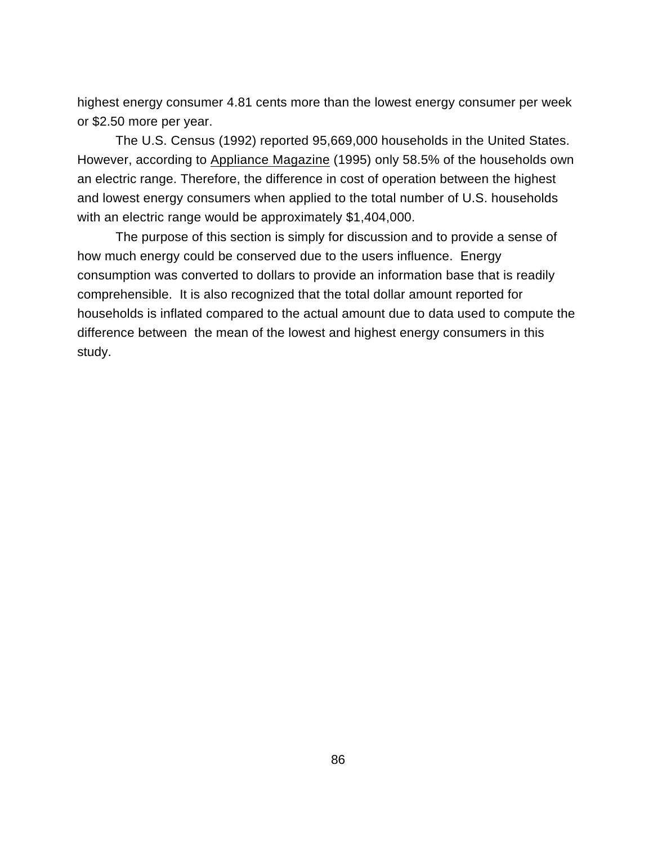highest energy consumer 4.81 cents more than the lowest energy consumer per week or \$2.50 more per year.

The U.S. Census (1992) reported 95,669,000 households in the United States. However, according to Appliance Magazine (1995) only 58.5% of the households own an electric range. Therefore, the difference in cost of operation between the highest and lowest energy consumers when applied to the total number of U.S. households with an electric range would be approximately \$1,404,000.

The purpose of this section is simply for discussion and to provide a sense of how much energy could be conserved due to the users influence. Energy consumption was converted to dollars to provide an information base that is readily comprehensible. It is also recognized that the total dollar amount reported for households is inflated compared to the actual amount due to data used to compute the difference between the mean of the lowest and highest energy consumers in this study.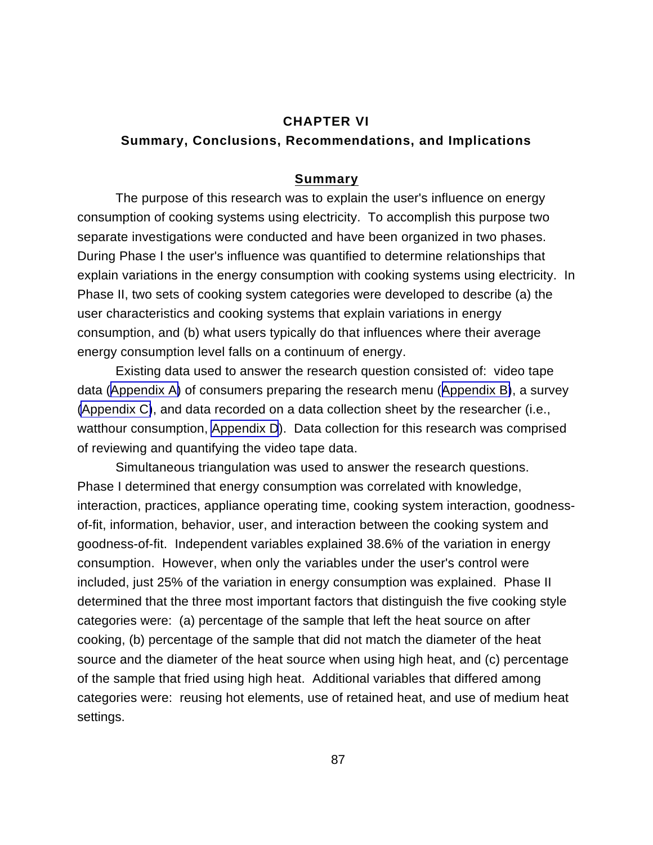## **CHAPTER VI**

## **Summary, Conclusions, Recommendations, and Implications**

#### **Summary**

The purpose of this research was to explain the user's influence on energy consumption of cooking systems using electricity. To accomplish this purpose two separate investigations were conducted and have been organized in two phases. During Phase I the user's influence was quantified to determine relationships that explain variations in the energy consumption with cooking systems using electricity. In Phase II, two sets of cooking system categories were developed to describe (a) the user characteristics and cooking systems that explain variations in energy consumption, and (b) what users typically do that influences where their average energy consumption level falls on a continuum of energy.

Existing data used to answer the research question consisted of: video tape data ([Appendix A\)](#page-113-0) of consumers preparing the research menu ([Appendix B\)](#page-117-0), a survey [\(Appendix C\)](#page-119-0), and data recorded on a data collection sheet by the researcher (i.e., watthour consumption, [Appendix D](#page-125-0)). Data collection for this research was comprised of reviewing and quantifying the video tape data.

Simultaneous triangulation was used to answer the research questions. Phase I determined that energy consumption was correlated with knowledge, interaction, practices, appliance operating time, cooking system interaction, goodnessof-fit, information, behavior, user, and interaction between the cooking system and goodness-of-fit. Independent variables explained 38.6% of the variation in energy consumption. However, when only the variables under the user's control were included, just 25% of the variation in energy consumption was explained. Phase II determined that the three most important factors that distinguish the five cooking style categories were: (a) percentage of the sample that left the heat source on after cooking, (b) percentage of the sample that did not match the diameter of the heat source and the diameter of the heat source when using high heat, and (c) percentage of the sample that fried using high heat. Additional variables that differed among categories were: reusing hot elements, use of retained heat, and use of medium heat settings.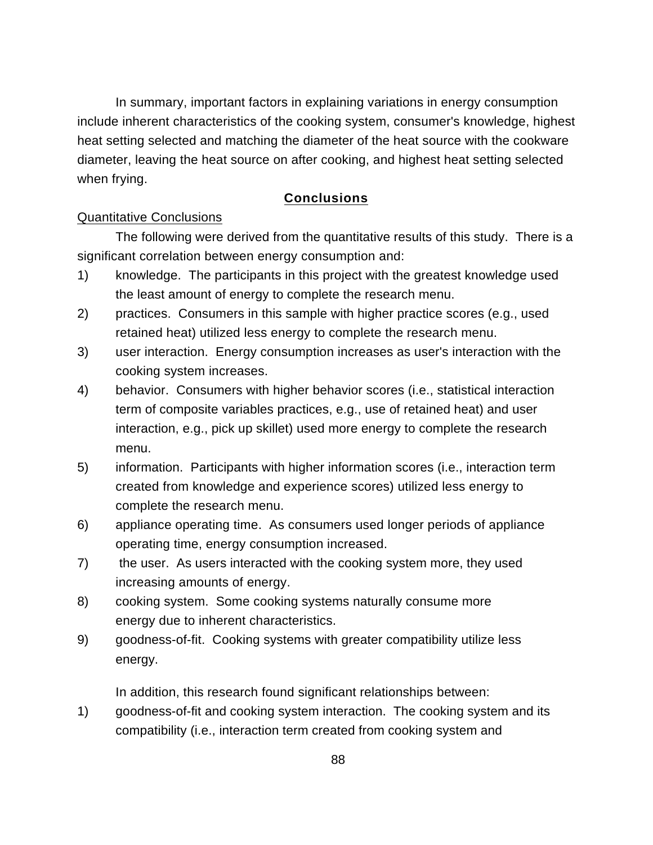In summary, important factors in explaining variations in energy consumption include inherent characteristics of the cooking system, consumer's knowledge, highest heat setting selected and matching the diameter of the heat source with the cookware diameter, leaving the heat source on after cooking, and highest heat setting selected when frying.

## **Conclusions**

## Quantitative Conclusions

The following were derived from the quantitative results of this study. There is a significant correlation between energy consumption and:

- 1) knowledge. The participants in this project with the greatest knowledge used the least amount of energy to complete the research menu.
- 2) practices. Consumers in this sample with higher practice scores (e.g., used retained heat) utilized less energy to complete the research menu.
- 3) user interaction. Energy consumption increases as user's interaction with the cooking system increases.
- 4) behavior. Consumers with higher behavior scores (i.e., statistical interaction term of composite variables practices, e.g., use of retained heat) and user interaction, e.g., pick up skillet) used more energy to complete the research menu.
- 5) information. Participants with higher information scores (i.e., interaction term created from knowledge and experience scores) utilized less energy to complete the research menu.
- 6) appliance operating time. As consumers used longer periods of appliance operating time, energy consumption increased.
- 7) the user. As users interacted with the cooking system more, they used increasing amounts of energy.
- 8) cooking system. Some cooking systems naturally consume more energy due to inherent characteristics.
- 9) goodness-of-fit. Cooking systems with greater compatibility utilize less energy.

In addition, this research found significant relationships between:

1) goodness-of-fit and cooking system interaction. The cooking system and its compatibility (i.e., interaction term created from cooking system and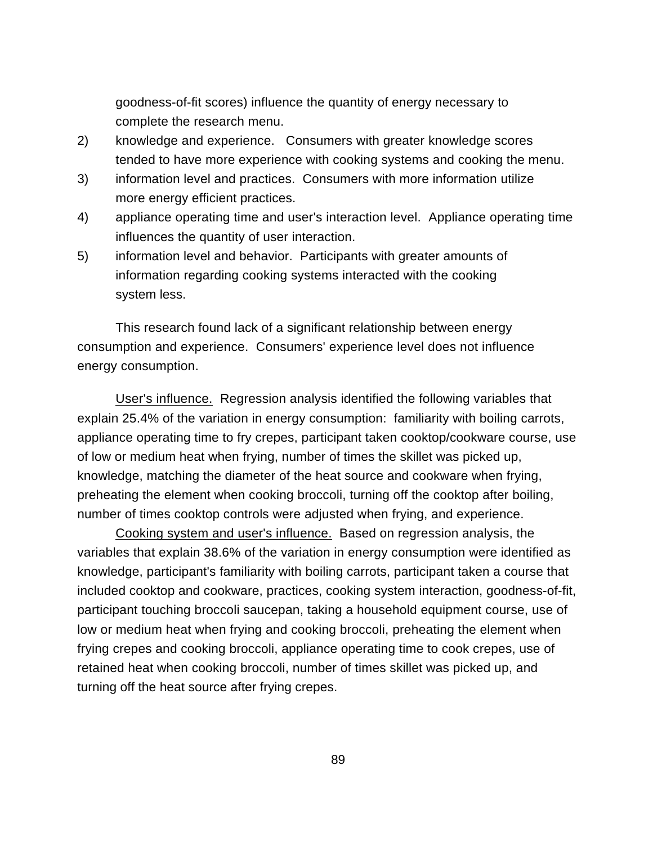goodness-of-fit scores) influence the quantity of energy necessary to complete the research menu.

- 2) knowledge and experience. Consumers with greater knowledge scores tended to have more experience with cooking systems and cooking the menu.
- 3) information level and practices. Consumers with more information utilize more energy efficient practices.
- 4) appliance operating time and user's interaction level. Appliance operating time influences the quantity of user interaction.
- 5) information level and behavior. Participants with greater amounts of information regarding cooking systems interacted with the cooking system less.

This research found lack of a significant relationship between energy consumption and experience. Consumers' experience level does not influence energy consumption.

User's influence. Regression analysis identified the following variables that explain 25.4% of the variation in energy consumption: familiarity with boiling carrots, appliance operating time to fry crepes, participant taken cooktop/cookware course, use of low or medium heat when frying, number of times the skillet was picked up, knowledge, matching the diameter of the heat source and cookware when frying, preheating the element when cooking broccoli, turning off the cooktop after boiling, number of times cooktop controls were adjusted when frying, and experience.

Cooking system and user's influence. Based on regression analysis, the variables that explain 38.6% of the variation in energy consumption were identified as knowledge, participant's familiarity with boiling carrots, participant taken a course that included cooktop and cookware, practices, cooking system interaction, goodness-of-fit, participant touching broccoli saucepan, taking a household equipment course, use of low or medium heat when frying and cooking broccoli, preheating the element when frying crepes and cooking broccoli, appliance operating time to cook crepes, use of retained heat when cooking broccoli, number of times skillet was picked up, and turning off the heat source after frying crepes.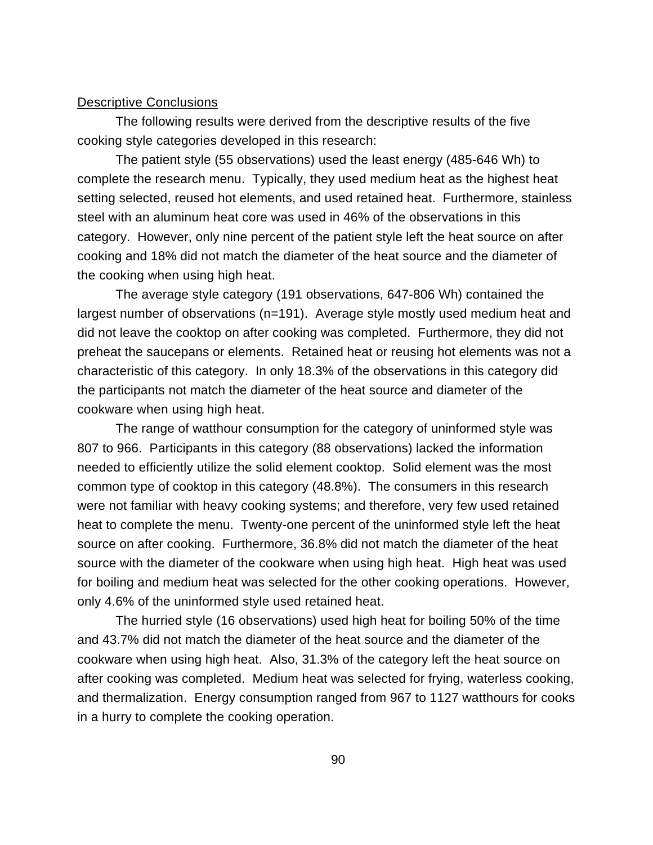#### Descriptive Conclusions

The following results were derived from the descriptive results of the five cooking style categories developed in this research:

The patient style (55 observations) used the least energy (485-646 Wh) to complete the research menu. Typically, they used medium heat as the highest heat setting selected, reused hot elements, and used retained heat. Furthermore, stainless steel with an aluminum heat core was used in 46% of the observations in this category. However, only nine percent of the patient style left the heat source on after cooking and 18% did not match the diameter of the heat source and the diameter of the cooking when using high heat.

The average style category (191 observations, 647-806 Wh) contained the largest number of observations (n=191). Average style mostly used medium heat and did not leave the cooktop on after cooking was completed. Furthermore, they did not preheat the saucepans or elements. Retained heat or reusing hot elements was not a characteristic of this category. In only 18.3% of the observations in this category did the participants not match the diameter of the heat source and diameter of the cookware when using high heat.

The range of watthour consumption for the category of uninformed style was 807 to 966. Participants in this category (88 observations) lacked the information needed to efficiently utilize the solid element cooktop. Solid element was the most common type of cooktop in this category (48.8%). The consumers in this research were not familiar with heavy cooking systems; and therefore, very few used retained heat to complete the menu. Twenty-one percent of the uninformed style left the heat source on after cooking. Furthermore, 36.8% did not match the diameter of the heat source with the diameter of the cookware when using high heat. High heat was used for boiling and medium heat was selected for the other cooking operations. However, only 4.6% of the uninformed style used retained heat.

The hurried style (16 observations) used high heat for boiling 50% of the time and 43.7% did not match the diameter of the heat source and the diameter of the cookware when using high heat. Also, 31.3% of the category left the heat source on after cooking was completed. Medium heat was selected for frying, waterless cooking, and thermalization. Energy consumption ranged from 967 to 1127 watthours for cooks in a hurry to complete the cooking operation.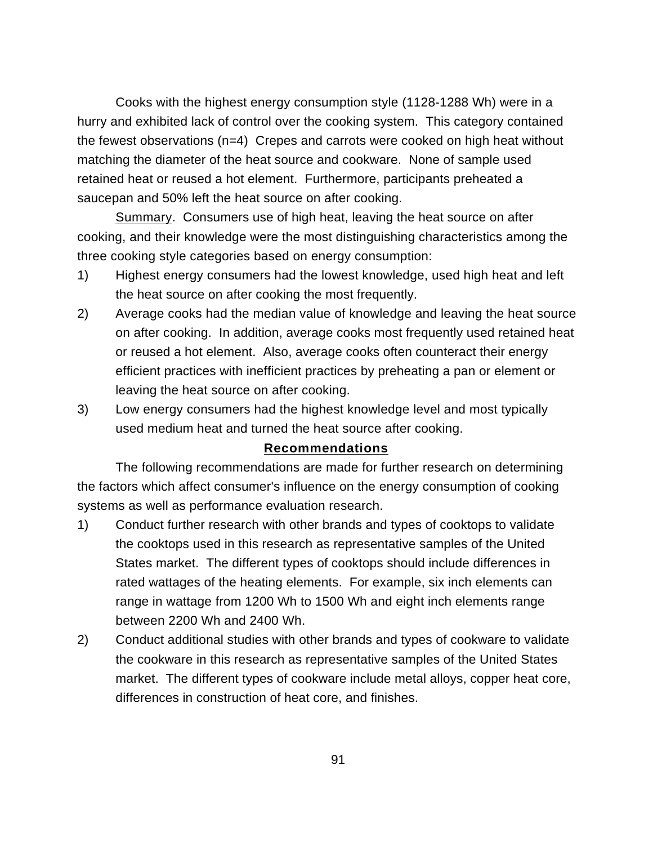Cooks with the highest energy consumption style (1128-1288 Wh) were in a hurry and exhibited lack of control over the cooking system. This category contained the fewest observations (n=4) Crepes and carrots were cooked on high heat without matching the diameter of the heat source and cookware. None of sample used retained heat or reused a hot element. Furthermore, participants preheated a saucepan and 50% left the heat source on after cooking.

Summary. Consumers use of high heat, leaving the heat source on after cooking, and their knowledge were the most distinguishing characteristics among the three cooking style categories based on energy consumption:

- 1) Highest energy consumers had the lowest knowledge, used high heat and left the heat source on after cooking the most frequently.
- 2) Average cooks had the median value of knowledge and leaving the heat source on after cooking. In addition, average cooks most frequently used retained heat or reused a hot element. Also, average cooks often counteract their energy efficient practices with inefficient practices by preheating a pan or element or leaving the heat source on after cooking.
- 3) Low energy consumers had the highest knowledge level and most typically used medium heat and turned the heat source after cooking.

## **Recommendations**

The following recommendations are made for further research on determining the factors which affect consumer's influence on the energy consumption of cooking systems as well as performance evaluation research.

- 1) Conduct further research with other brands and types of cooktops to validate the cooktops used in this research as representative samples of the United States market. The different types of cooktops should include differences in rated wattages of the heating elements. For example, six inch elements can range in wattage from 1200 Wh to 1500 Wh and eight inch elements range between 2200 Wh and 2400 Wh.
- 2) Conduct additional studies with other brands and types of cookware to validate the cookware in this research as representative samples of the United States market. The different types of cookware include metal alloys, copper heat core, differences in construction of heat core, and finishes.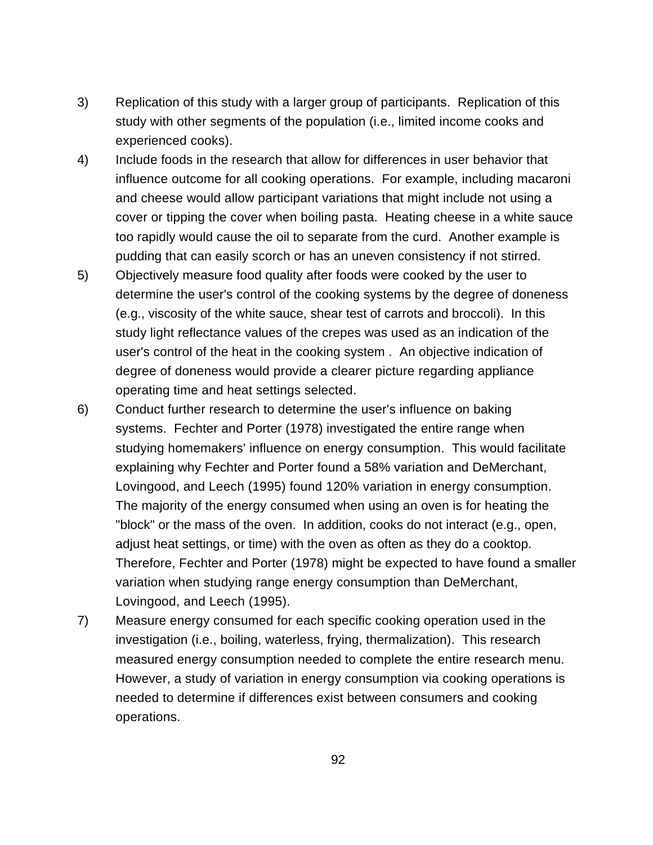- 3) Replication of this study with a larger group of participants. Replication of this study with other segments of the population (i.e., limited income cooks and experienced cooks).
- 4) Include foods in the research that allow for differences in user behavior that influence outcome for all cooking operations. For example, including macaroni and cheese would allow participant variations that might include not using a cover or tipping the cover when boiling pasta. Heating cheese in a white sauce too rapidly would cause the oil to separate from the curd. Another example is pudding that can easily scorch or has an uneven consistency if not stirred.
- 5) Objectively measure food quality after foods were cooked by the user to determine the user's control of the cooking systems by the degree of doneness (e.g., viscosity of the white sauce, shear test of carrots and broccoli). In this study light reflectance values of the crepes was used as an indication of the user's control of the heat in the cooking system . An objective indication of degree of doneness would provide a clearer picture regarding appliance operating time and heat settings selected.
- 6) Conduct further research to determine the user's influence on baking systems. Fechter and Porter (1978) investigated the entire range when studying homemakers' influence on energy consumption. This would facilitate explaining why Fechter and Porter found a 58% variation and DeMerchant, Lovingood, and Leech (1995) found 120% variation in energy consumption. The majority of the energy consumed when using an oven is for heating the "block" or the mass of the oven. In addition, cooks do not interact (e.g., open, adjust heat settings, or time) with the oven as often as they do a cooktop. Therefore, Fechter and Porter (1978) might be expected to have found a smaller variation when studying range energy consumption than DeMerchant, Lovingood, and Leech (1995).
- 7) Measure energy consumed for each specific cooking operation used in the investigation (i.e., boiling, waterless, frying, thermalization). This research measured energy consumption needed to complete the entire research menu. However, a study of variation in energy consumption via cooking operations is needed to determine if differences exist between consumers and cooking operations.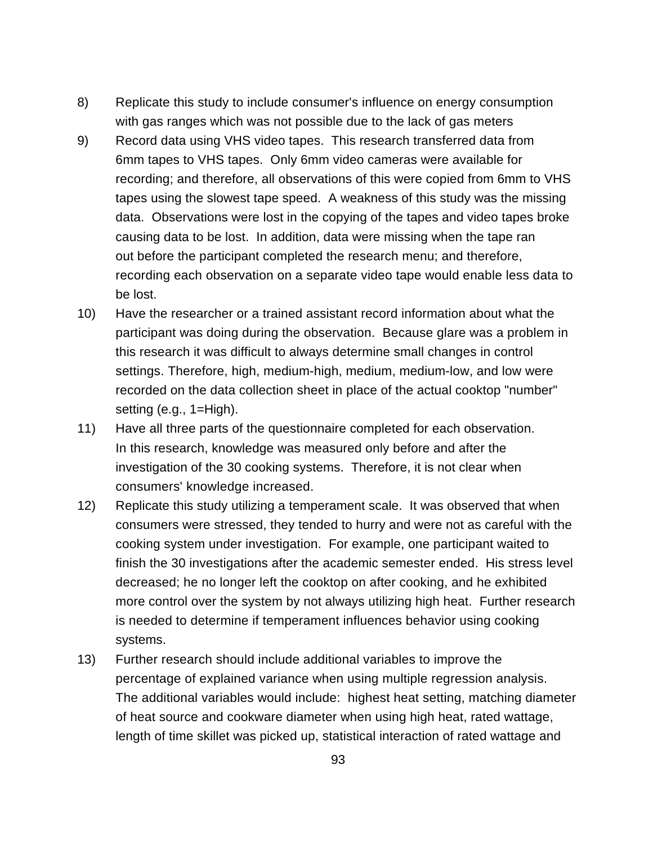- 8) Replicate this study to include consumer's influence on energy consumption with gas ranges which was not possible due to the lack of gas meters
- 9) Record data using VHS video tapes. This research transferred data from 6mm tapes to VHS tapes. Only 6mm video cameras were available for recording; and therefore, all observations of this were copied from 6mm to VHS tapes using the slowest tape speed. A weakness of this study was the missing data. Observations were lost in the copying of the tapes and video tapes broke causing data to be lost. In addition, data were missing when the tape ran out before the participant completed the research menu; and therefore, recording each observation on a separate video tape would enable less data to be lost.
- 10) Have the researcher or a trained assistant record information about what the participant was doing during the observation. Because glare was a problem in this research it was difficult to always determine small changes in control settings. Therefore, high, medium-high, medium, medium-low, and low were recorded on the data collection sheet in place of the actual cooktop "number" setting (e.g., 1=High).
- 11) Have all three parts of the questionnaire completed for each observation. In this research, knowledge was measured only before and after the investigation of the 30 cooking systems. Therefore, it is not clear when consumers' knowledge increased.
- 12) Replicate this study utilizing a temperament scale. It was observed that when consumers were stressed, they tended to hurry and were not as careful with the cooking system under investigation. For example, one participant waited to finish the 30 investigations after the academic semester ended. His stress level decreased; he no longer left the cooktop on after cooking, and he exhibited more control over the system by not always utilizing high heat. Further research is needed to determine if temperament influences behavior using cooking systems.
- 13) Further research should include additional variables to improve the percentage of explained variance when using multiple regression analysis. The additional variables would include: highest heat setting, matching diameter of heat source and cookware diameter when using high heat, rated wattage, length of time skillet was picked up, statistical interaction of rated wattage and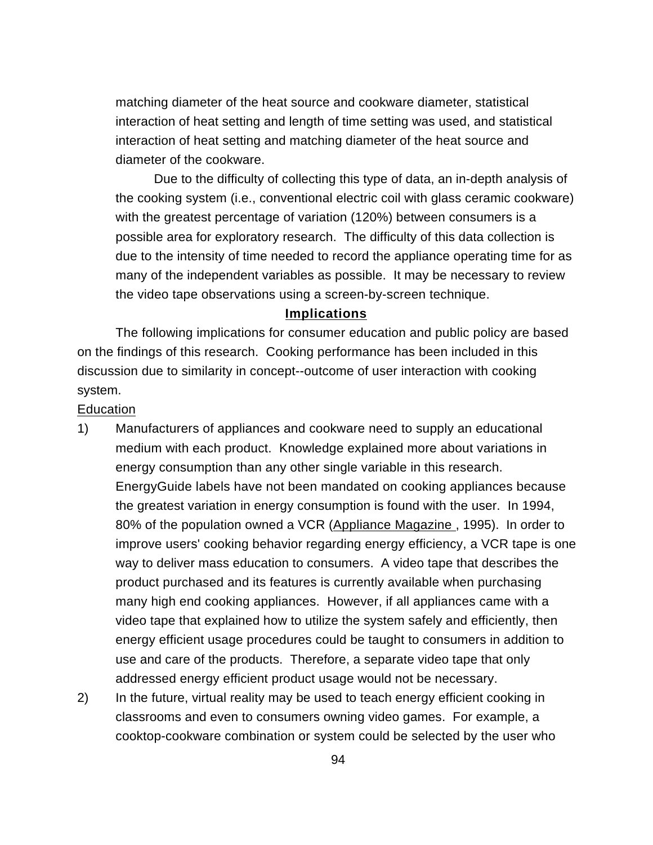matching diameter of the heat source and cookware diameter, statistical interaction of heat setting and length of time setting was used, and statistical interaction of heat setting and matching diameter of the heat source and diameter of the cookware.

Due to the difficulty of collecting this type of data, an in-depth analysis of the cooking system (i.e., conventional electric coil with glass ceramic cookware) with the greatest percentage of variation (120%) between consumers is a possible area for exploratory research. The difficulty of this data collection is due to the intensity of time needed to record the appliance operating time for as many of the independent variables as possible. It may be necessary to review the video tape observations using a screen-by-screen technique.

## **Implications**

The following implications for consumer education and public policy are based on the findings of this research. Cooking performance has been included in this discussion due to similarity in concept--outcome of user interaction with cooking system.

## **Education**

- 1) Manufacturers of appliances and cookware need to supply an educational medium with each product. Knowledge explained more about variations in energy consumption than any other single variable in this research. EnergyGuide labels have not been mandated on cooking appliances because the greatest variation in energy consumption is found with the user. In 1994, 80% of the population owned a VCR (Appliance Magazine , 1995). In order to improve users' cooking behavior regarding energy efficiency, a VCR tape is one way to deliver mass education to consumers. A video tape that describes the product purchased and its features is currently available when purchasing many high end cooking appliances. However, if all appliances came with a video tape that explained how to utilize the system safely and efficiently, then energy efficient usage procedures could be taught to consumers in addition to use and care of the products. Therefore, a separate video tape that only addressed energy efficient product usage would not be necessary.
- 2) In the future, virtual reality may be used to teach energy efficient cooking in classrooms and even to consumers owning video games. For example, a cooktop-cookware combination or system could be selected by the user who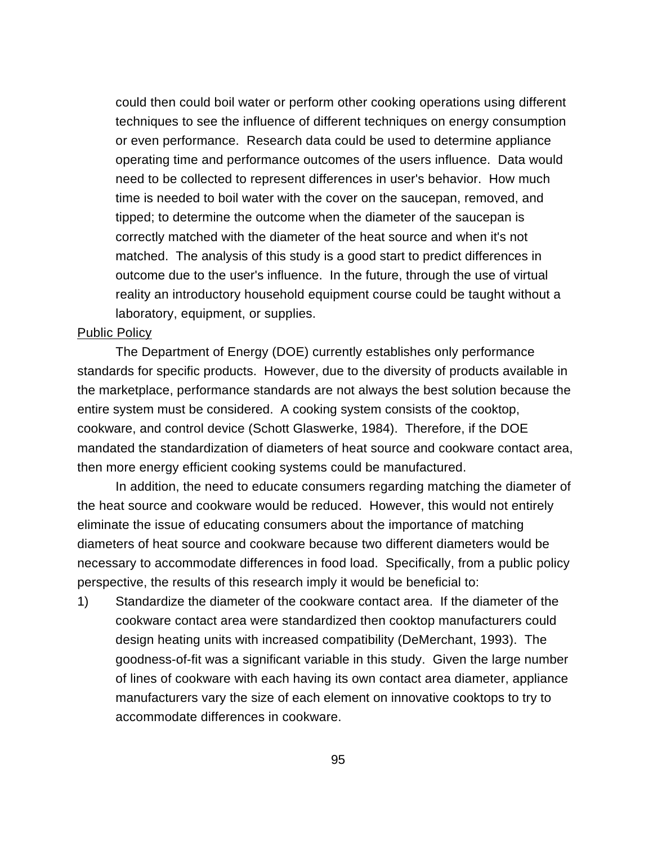could then could boil water or perform other cooking operations using different techniques to see the influence of different techniques on energy consumption or even performance. Research data could be used to determine appliance operating time and performance outcomes of the users influence. Data would need to be collected to represent differences in user's behavior. How much time is needed to boil water with the cover on the saucepan, removed, and tipped; to determine the outcome when the diameter of the saucepan is correctly matched with the diameter of the heat source and when it's not matched. The analysis of this study is a good start to predict differences in outcome due to the user's influence. In the future, through the use of virtual reality an introductory household equipment course could be taught without a laboratory, equipment, or supplies.

#### Public Policy

The Department of Energy (DOE) currently establishes only performance standards for specific products. However, due to the diversity of products available in the marketplace, performance standards are not always the best solution because the entire system must be considered. A cooking system consists of the cooktop, cookware, and control device (Schott Glaswerke, 1984). Therefore, if the DOE mandated the standardization of diameters of heat source and cookware contact area, then more energy efficient cooking systems could be manufactured.

In addition, the need to educate consumers regarding matching the diameter of the heat source and cookware would be reduced. However, this would not entirely eliminate the issue of educating consumers about the importance of matching diameters of heat source and cookware because two different diameters would be necessary to accommodate differences in food load. Specifically, from a public policy perspective, the results of this research imply it would be beneficial to:

1) Standardize the diameter of the cookware contact area. If the diameter of the cookware contact area were standardized then cooktop manufacturers could design heating units with increased compatibility (DeMerchant, 1993). The goodness-of-fit was a significant variable in this study. Given the large number of lines of cookware with each having its own contact area diameter, appliance manufacturers vary the size of each element on innovative cooktops to try to accommodate differences in cookware.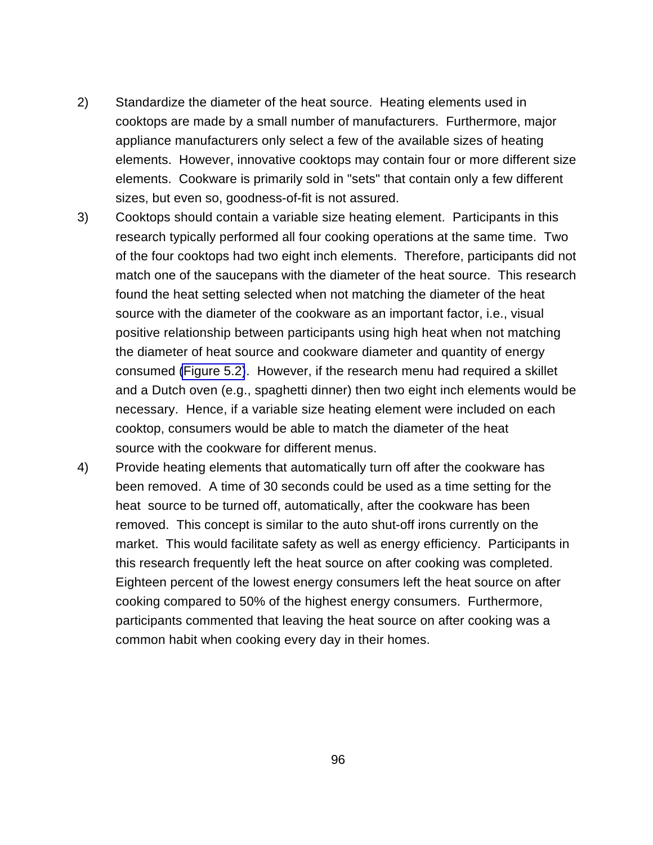- 2) Standardize the diameter of the heat source. Heating elements used in cooktops are made by a small number of manufacturers. Furthermore, major appliance manufacturers only select a few of the available sizes of heating elements. However, innovative cooktops may contain four or more different size elements. Cookware is primarily sold in "sets" that contain only a few different sizes, but even so, goodness-of-fit is not assured.
- 3) Cooktops should contain a variable size heating element. Participants in this research typically performed all four cooking operations at the same time. Two of the four cooktops had two eight inch elements. Therefore, participants did not match one of the saucepans with the diameter of the heat source. This research found the heat setting selected when not matching the diameter of the heat source with the diameter of the cookware as an important factor, i.e., visual positive relationship between participants using high heat when not matching the diameter of heat source and cookware diameter and quantity of energy consumed [\(Figure 5.2\)](#page-94-0). However, if the research menu had required a skillet and a Dutch oven (e.g., spaghetti dinner) then two eight inch elements would be necessary. Hence, if a variable size heating element were included on each cooktop, consumers would be able to match the diameter of the heat source with the cookware for different menus.
- 4) Provide heating elements that automatically turn off after the cookware has been removed. A time of 30 seconds could be used as a time setting for the heat source to be turned off, automatically, after the cookware has been removed. This concept is similar to the auto shut-off irons currently on the market. This would facilitate safety as well as energy efficiency. Participants in this research frequently left the heat source on after cooking was completed. Eighteen percent of the lowest energy consumers left the heat source on after cooking compared to 50% of the highest energy consumers. Furthermore, participants commented that leaving the heat source on after cooking was a common habit when cooking every day in their homes.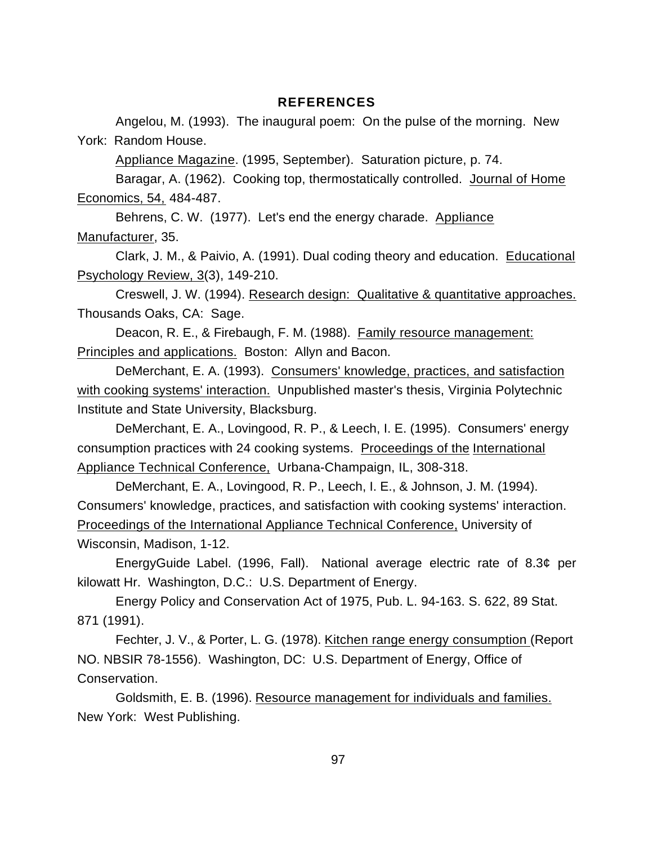#### **REFERENCES**

Angelou, M. (1993). The inaugural poem: On the pulse of the morning. New York: Random House.

Appliance Magazine. (1995, September). Saturation picture, p. 74.

Baragar, A. (1962). Cooking top, thermostatically controlled. Journal of Home Economics, 54, 484-487.

Behrens, C. W. (1977). Let's end the energy charade. Appliance Manufacturer, 35.

Clark, J. M., & Paivio, A. (1991). Dual coding theory and education. Educational Psychology Review, 3(3), 149-210.

Creswell, J. W. (1994). Research design: Qualitative & quantitative approaches. Thousands Oaks, CA: Sage.

Deacon, R. E., & Firebaugh, F. M. (1988). Family resource management: Principles and applications. Boston: Allyn and Bacon.

DeMerchant, E. A. (1993). Consumers' knowledge, practices, and satisfaction with cooking systems' interaction. Unpublished master's thesis, Virginia Polytechnic Institute and State University, Blacksburg.

DeMerchant, E. A., Lovingood, R. P., & Leech, I. E. (1995). Consumers' energy consumption practices with 24 cooking systems. Proceedings of the International Appliance Technical Conference, Urbana-Champaign, IL, 308-318.

DeMerchant, E. A., Lovingood, R. P., Leech, I. E., & Johnson, J. M. (1994). Consumers' knowledge, practices, and satisfaction with cooking systems' interaction. Proceedings of the International Appliance Technical Conference, University of Wisconsin, Madison, 1-12.

EnergyGuide Label. (1996, Fall). National average electric rate of 8.3¢ per kilowatt Hr. Washington, D.C.: U.S. Department of Energy.

Energy Policy and Conservation Act of 1975, Pub. L. 94-163. S. 622, 89 Stat. 871 (1991).

Fechter, J. V., & Porter, L. G. (1978). Kitchen range energy consumption (Report NO. NBSIR 78-1556). Washington, DC: U.S. Department of Energy, Office of Conservation.

Goldsmith, E. B. (1996). Resource management for individuals and families. New York: West Publishing.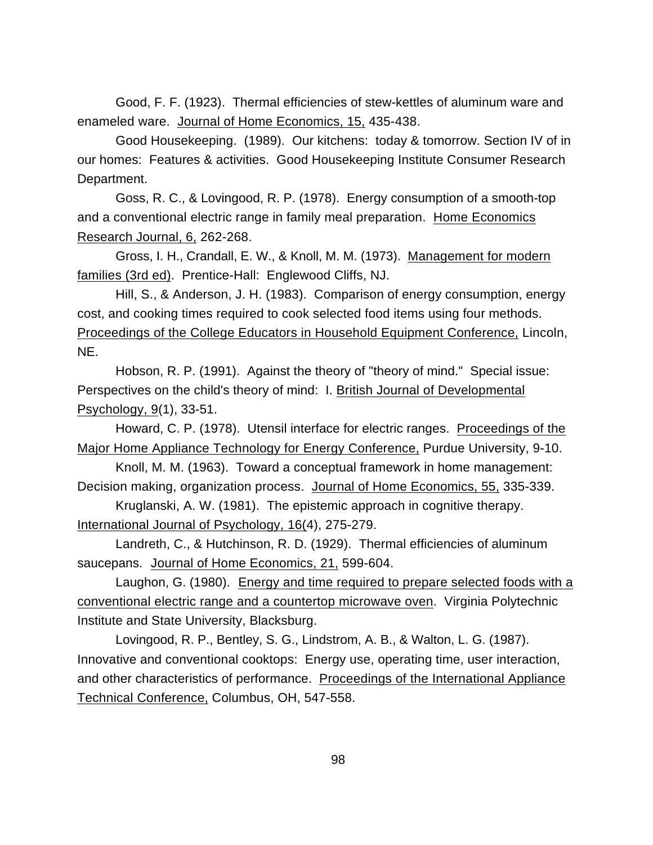Good, F. F. (1923). Thermal efficiencies of stew-kettles of aluminum ware and enameled ware. Journal of Home Economics, 15, 435-438.

Good Housekeeping. (1989). Our kitchens: today & tomorrow. Section IV of in our homes: Features & activities. Good Housekeeping Institute Consumer Research Department.

Goss, R. C., & Lovingood, R. P. (1978). Energy consumption of a smooth-top and a conventional electric range in family meal preparation. Home Economics Research Journal, 6, 262-268.

Gross, I. H., Crandall, E. W., & Knoll, M. M. (1973). Management for modern families (3rd ed). Prentice-Hall: Englewood Cliffs, NJ.

Hill, S., & Anderson, J. H. (1983). Comparison of energy consumption, energy cost, and cooking times required to cook selected food items using four methods. Proceedings of the College Educators in Household Equipment Conference, Lincoln, NE.

Hobson, R. P. (1991). Against the theory of "theory of mind." Special issue: Perspectives on the child's theory of mind: I. British Journal of Developmental Psychology, 9(1), 33-51.

Howard, C. P. (1978). Utensil interface for electric ranges. Proceedings of the Major Home Appliance Technology for Energy Conference, Purdue University, 9-10.

Knoll, M. M. (1963). Toward a conceptual framework in home management: Decision making, organization process. Journal of Home Economics, 55, 335-339.

Kruglanski, A. W. (1981). The epistemic approach in cognitive therapy. International Journal of Psychology, 16(4), 275-279.

Landreth, C., & Hutchinson, R. D. (1929). Thermal efficiencies of aluminum saucepans. Journal of Home Economics, 21, 599-604.

Laughon, G. (1980). Energy and time required to prepare selected foods with a conventional electric range and a countertop microwave oven. Virginia Polytechnic Institute and State University, Blacksburg.

Lovingood, R. P., Bentley, S. G., Lindstrom, A. B., & Walton, L. G. (1987). Innovative and conventional cooktops: Energy use, operating time, user interaction, and other characteristics of performance. Proceedings of the International Appliance Technical Conference, Columbus, OH, 547-558.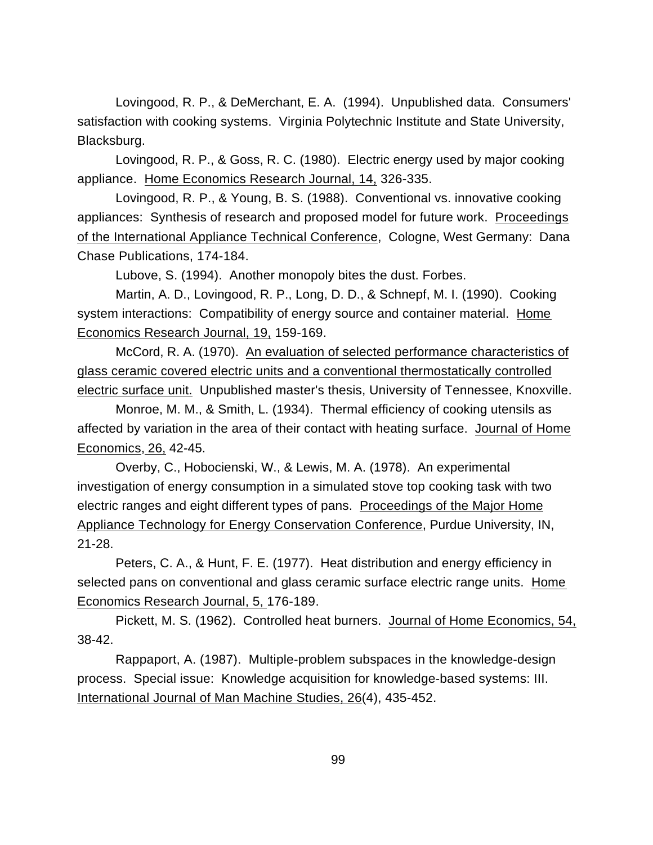Lovingood, R. P., & DeMerchant, E. A. (1994). Unpublished data. Consumers' satisfaction with cooking systems. Virginia Polytechnic Institute and State University, Blacksburg.

Lovingood, R. P., & Goss, R. C. (1980). Electric energy used by major cooking appliance. Home Economics Research Journal, 14, 326-335.

Lovingood, R. P., & Young, B. S. (1988). Conventional vs. innovative cooking appliances: Synthesis of research and proposed model for future work. Proceedings of the International Appliance Technical Conference, Cologne, West Germany: Dana Chase Publications, 174-184.

Lubove, S. (1994). Another monopoly bites the dust. Forbes.

Martin, A. D., Lovingood, R. P., Long, D. D., & Schnepf, M. I. (1990). Cooking system interactions: Compatibility of energy source and container material. Home Economics Research Journal, 19, 159-169.

McCord, R. A. (1970). An evaluation of selected performance characteristics of glass ceramic covered electric units and a conventional thermostatically controlled electric surface unit. Unpublished master's thesis, University of Tennessee, Knoxville.

Monroe, M. M., & Smith, L. (1934). Thermal efficiency of cooking utensils as affected by variation in the area of their contact with heating surface. Journal of Home Economics, 26, 42-45.

Overby, C., Hobocienski, W., & Lewis, M. A. (1978). An experimental investigation of energy consumption in a simulated stove top cooking task with two electric ranges and eight different types of pans. Proceedings of the Major Home Appliance Technology for Energy Conservation Conference, Purdue University, IN, 21-28.

Peters, C. A., & Hunt, F. E. (1977). Heat distribution and energy efficiency in selected pans on conventional and glass ceramic surface electric range units. Home Economics Research Journal, 5, 176-189.

Pickett, M. S. (1962). Controlled heat burners. Journal of Home Economics, 54, 38-42.

Rappaport, A. (1987). Multiple-problem subspaces in the knowledge-design process. Special issue: Knowledge acquisition for knowledge-based systems: III. International Journal of Man Machine Studies, 26(4), 435-452.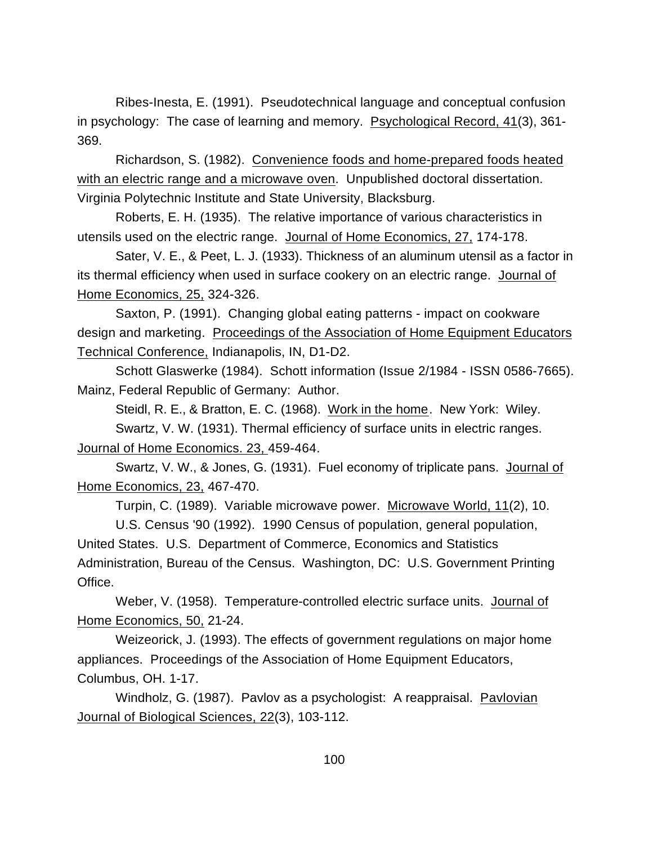Ribes-Inesta, E. (1991). Pseudotechnical language and conceptual confusion in psychology: The case of learning and memory. Psychological Record, 41(3), 361- 369.

Richardson, S. (1982). Convenience foods and home-prepared foods heated with an electric range and a microwave oven. Unpublished doctoral dissertation. Virginia Polytechnic Institute and State University, Blacksburg.

Roberts, E. H. (1935). The relative importance of various characteristics in utensils used on the electric range. Journal of Home Economics, 27, 174-178.

Sater, V. E., & Peet, L. J. (1933). Thickness of an aluminum utensil as a factor in its thermal efficiency when used in surface cookery on an electric range. Journal of Home Economics, 25, 324-326.

Saxton, P. (1991). Changing global eating patterns - impact on cookware design and marketing. Proceedings of the Association of Home Equipment Educators Technical Conference, Indianapolis, IN, D1-D2.

Schott Glaswerke (1984). Schott information (Issue 2/1984 - ISSN 0586-7665). Mainz, Federal Republic of Germany: Author.

Steidl, R. E., & Bratton, E. C. (1968). Work in the home. New York: Wiley. Swartz, V. W. (1931). Thermal efficiency of surface units in electric ranges. Journal of Home Economics. 23, 459-464.

Swartz, V. W., & Jones, G. (1931). Fuel economy of triplicate pans. Journal of Home Economics, 23, 467-470.

Turpin, C. (1989). Variable microwave power. Microwave World, 11(2), 10.

U.S. Census '90 (1992). 1990 Census of population, general population, United States. U.S. Department of Commerce, Economics and Statistics Administration, Bureau of the Census. Washington, DC: U.S. Government Printing Office.

Weber, V. (1958). Temperature-controlled electric surface units. Journal of Home Economics, 50, 21-24.

Weizeorick, J. (1993). The effects of government regulations on major home appliances. Proceedings of the Association of Home Equipment Educators, Columbus, OH. 1-17.

Windholz, G. (1987). Pavlov as a psychologist: A reappraisal. Pavlovian Journal of Biological Sciences, 22(3), 103-112.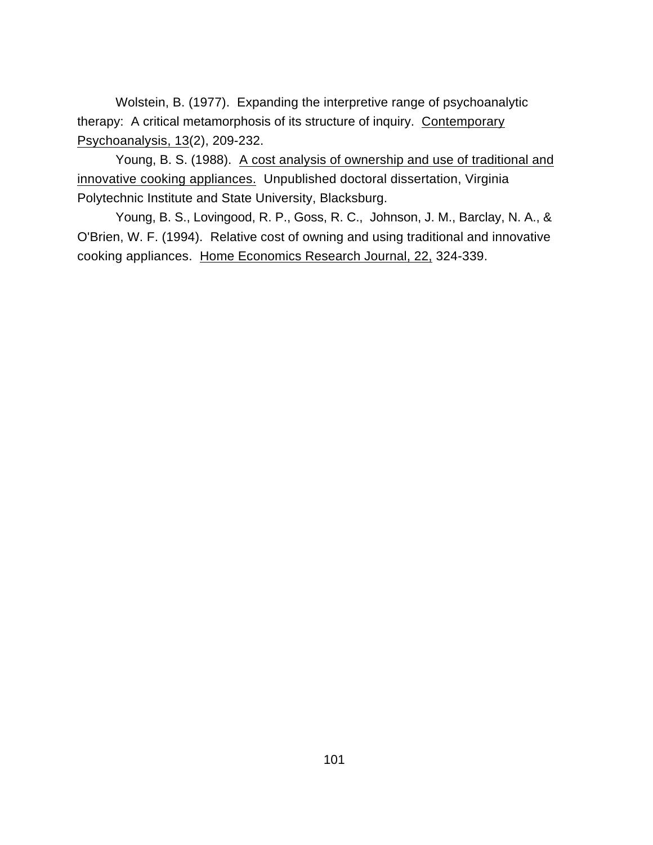Wolstein, B. (1977). Expanding the interpretive range of psychoanalytic therapy: A critical metamorphosis of its structure of inquiry. Contemporary Psychoanalysis, 13(2), 209-232.

Young, B. S. (1988). A cost analysis of ownership and use of traditional and innovative cooking appliances. Unpublished doctoral dissertation, Virginia Polytechnic Institute and State University, Blacksburg.

Young, B. S., Lovingood, R. P., Goss, R. C., Johnson, J. M., Barclay, N. A., & O'Brien, W. F. (1994). Relative cost of owning and using traditional and innovative cooking appliances. Home Economics Research Journal, 22, 324-339.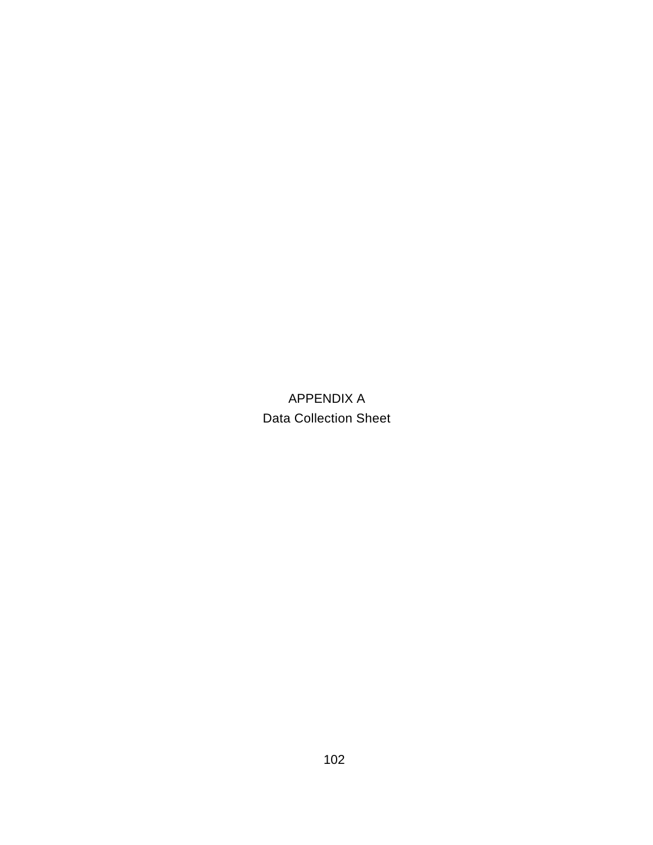APPENDIX A Data Collection Sheet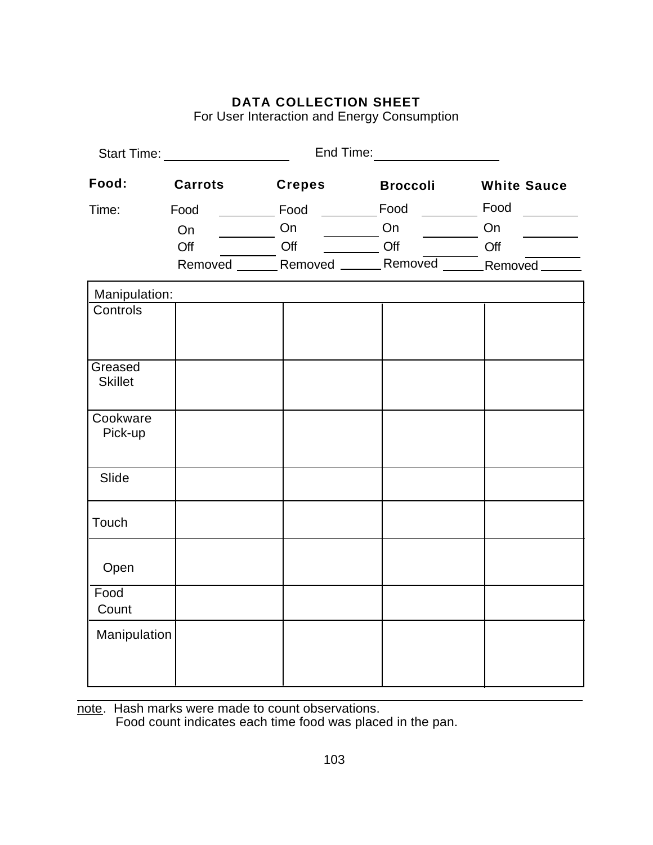For User Interaction and Energy Consumption

|                           | Start Time: ___________________                                         |               | End Time: _____________________ |                                                                                                                                                                                                                                                                                                                                                                      |
|---------------------------|-------------------------------------------------------------------------|---------------|---------------------------------|----------------------------------------------------------------------------------------------------------------------------------------------------------------------------------------------------------------------------------------------------------------------------------------------------------------------------------------------------------------------|
| Food:                     | <b>Carrots</b>                                                          | <b>Crepes</b> | Broccoli                        | <b>White Sauce</b>                                                                                                                                                                                                                                                                                                                                                   |
| Time:                     | Food                                                                    |               |                                 | $\mathcal{L} = \frac{1}{2} \sum_{i=1}^{n} \frac{1}{2} \sum_{i=1}^{n} \frac{1}{2} \sum_{i=1}^{n} \frac{1}{2} \sum_{i=1}^{n} \frac{1}{2} \sum_{i=1}^{n} \frac{1}{2} \sum_{i=1}^{n} \frac{1}{2} \sum_{i=1}^{n} \frac{1}{2} \sum_{i=1}^{n} \frac{1}{2} \sum_{i=1}^{n} \frac{1}{2} \sum_{i=1}^{n} \frac{1}{2} \sum_{i=1}^{n} \frac{1}{2} \sum_{i=1}^{n} \frac{1}{2} \sum$ |
|                           | On                                                                      |               | On <u>_________</u> On ________ | On                                                                                                                                                                                                                                                                                                                                                                   |
|                           | Off CHE CHE CHE CHE CHE CHE CHE CHE CHE Removed CHE Removed CHE Removed |               |                                 |                                                                                                                                                                                                                                                                                                                                                                      |
|                           |                                                                         |               |                                 |                                                                                                                                                                                                                                                                                                                                                                      |
| Manipulation:             |                                                                         |               |                                 |                                                                                                                                                                                                                                                                                                                                                                      |
| Controls                  |                                                                         |               |                                 |                                                                                                                                                                                                                                                                                                                                                                      |
| Greased<br><b>Skillet</b> |                                                                         |               |                                 |                                                                                                                                                                                                                                                                                                                                                                      |
| Cookware<br>Pick-up       |                                                                         |               |                                 |                                                                                                                                                                                                                                                                                                                                                                      |
| Slide                     |                                                                         |               |                                 |                                                                                                                                                                                                                                                                                                                                                                      |
| Touch                     |                                                                         |               |                                 |                                                                                                                                                                                                                                                                                                                                                                      |
| Open                      |                                                                         |               |                                 |                                                                                                                                                                                                                                                                                                                                                                      |
| Food<br>Count             |                                                                         |               |                                 |                                                                                                                                                                                                                                                                                                                                                                      |
| Manipulation              |                                                                         |               |                                 |                                                                                                                                                                                                                                                                                                                                                                      |

note. Hash marks were made to count observations. Food count indicates each time food was placed in the pan.

 $\overline{a}$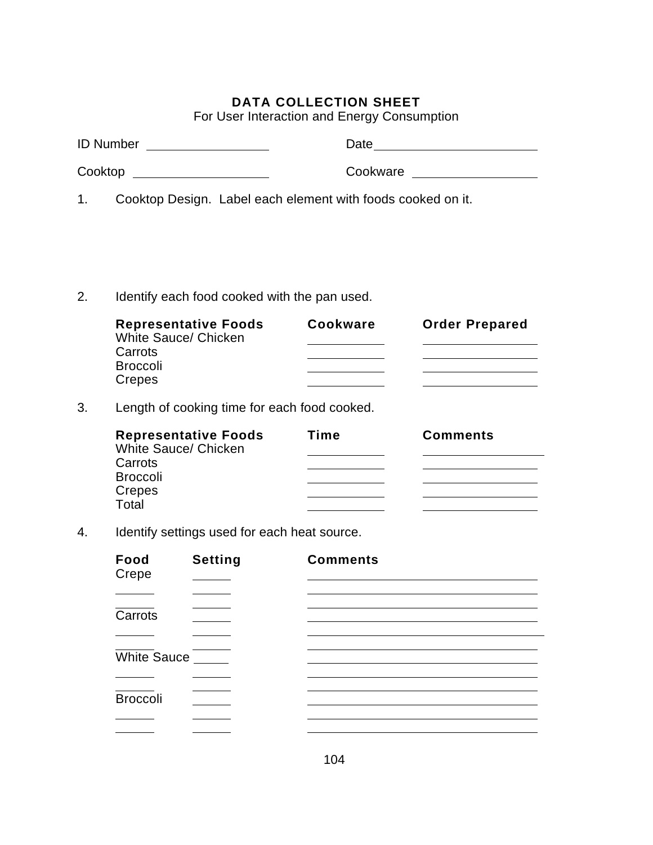For User Interaction and Energy Consumption

| <b>ID Number</b> |  | Date                                                        |
|------------------|--|-------------------------------------------------------------|
| Cooktop          |  | Cookware                                                    |
|                  |  | Cooktop Design. Label each element with foods cooked on it. |

2. Identify each food cooked with the pan used.

| <b>Representative Foods</b><br>White Sauce/ Chicken | Cookware | <b>Order Prepared</b> |
|-----------------------------------------------------|----------|-----------------------|
| Carrots                                             |          |                       |
| <b>Broccoli</b>                                     |          |                       |
| Crepes                                              |          |                       |

3. Length of cooking time for each food cooked.

| <b>Representative Foods</b><br>White Sauce/ Chicken | Time | <b>Comments</b> |
|-----------------------------------------------------|------|-----------------|
| Carrots                                             |      |                 |
| <b>Broccoli</b>                                     |      |                 |
| Crepes                                              |      |                 |
| Total                                               |      |                 |

4. Identify settings used for each heat source.

| Food<br>Crepe   | <b>Setting</b> | <b>Comments</b> |  |
|-----------------|----------------|-----------------|--|
|                 |                |                 |  |
| Carrots         |                |                 |  |
|                 |                |                 |  |
| White Sauce     |                |                 |  |
|                 |                |                 |  |
| <b>Broccoli</b> |                |                 |  |
|                 |                |                 |  |
|                 |                |                 |  |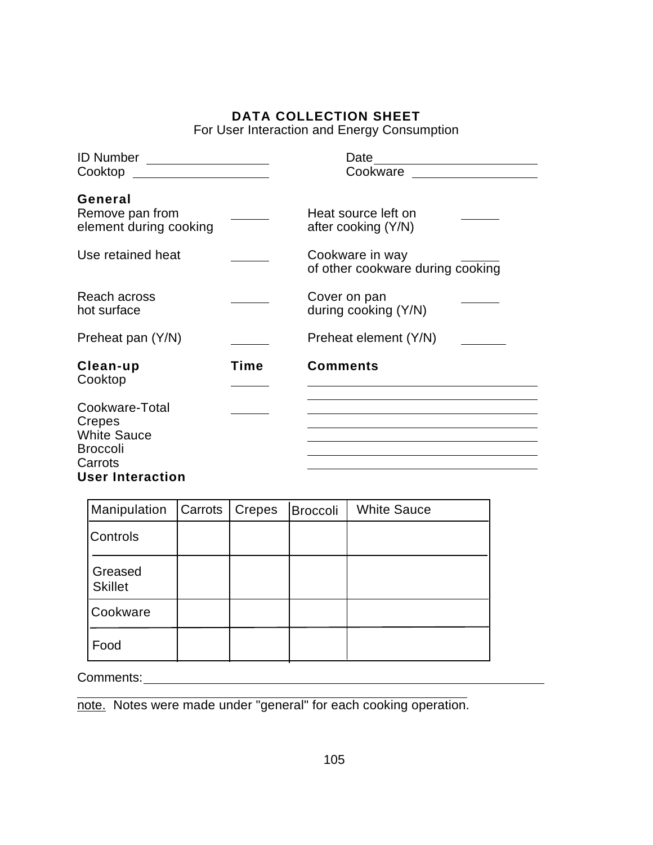For User Interaction and Energy Consumption

| <b>ID Number</b><br><u> 1989 - Jan Barnett, fransk politiker (</u>                                      |      | Date<br>Cookware                                    |
|---------------------------------------------------------------------------------------------------------|------|-----------------------------------------------------|
| Cooktop                                                                                                 |      |                                                     |
| General<br>Remove pan from<br>element during cooking                                                    |      | Heat source left on<br>after cooking (Y/N)          |
| Use retained heat                                                                                       |      | Cookware in way<br>of other cookware during cooking |
| Reach across<br>hot surface                                                                             |      | Cover on pan<br>during cooking (Y/N)                |
| Preheat pan (Y/N)                                                                                       |      | Preheat element (Y/N)                               |
| Clean-up<br>Cooktop                                                                                     | Time | <b>Comments</b>                                     |
| Cookware-Total<br>Crepes<br><b>White Sauce</b><br><b>Broccoli</b><br>Carrots<br><b>User Interaction</b> |      |                                                     |

| Manipulation              | Carrots   Crepes | Broccoli | <b>White Sauce</b> |
|---------------------------|------------------|----------|--------------------|
| Controls                  |                  |          |                    |
| Greased<br><b>Skillet</b> |                  |          |                    |
| Cookware                  |                  |          |                    |
| Food                      |                  |          |                    |

Comments:

 $\overline{a}$ note. Notes were made under "general" for each cooking operation.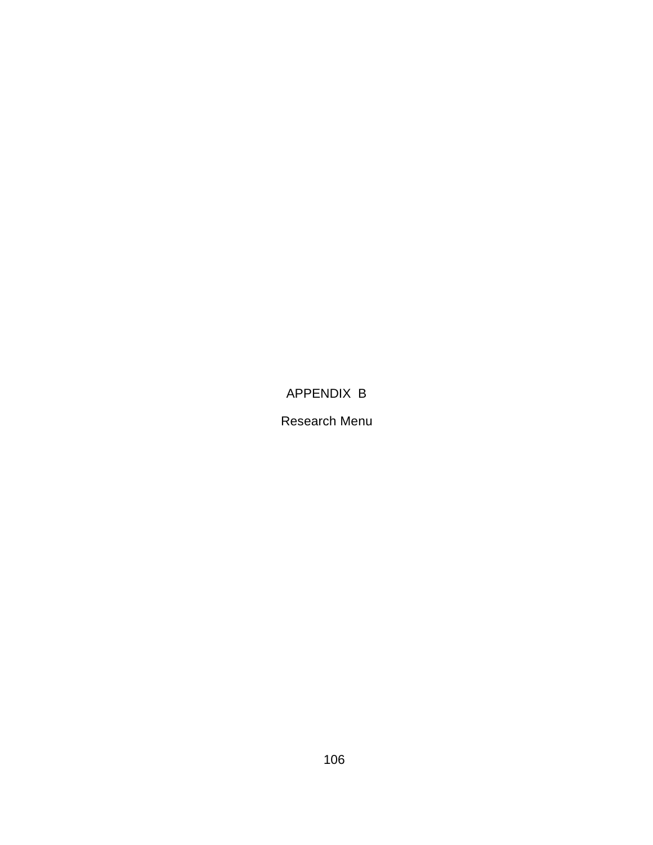## APPENDIX B

#### Research Menu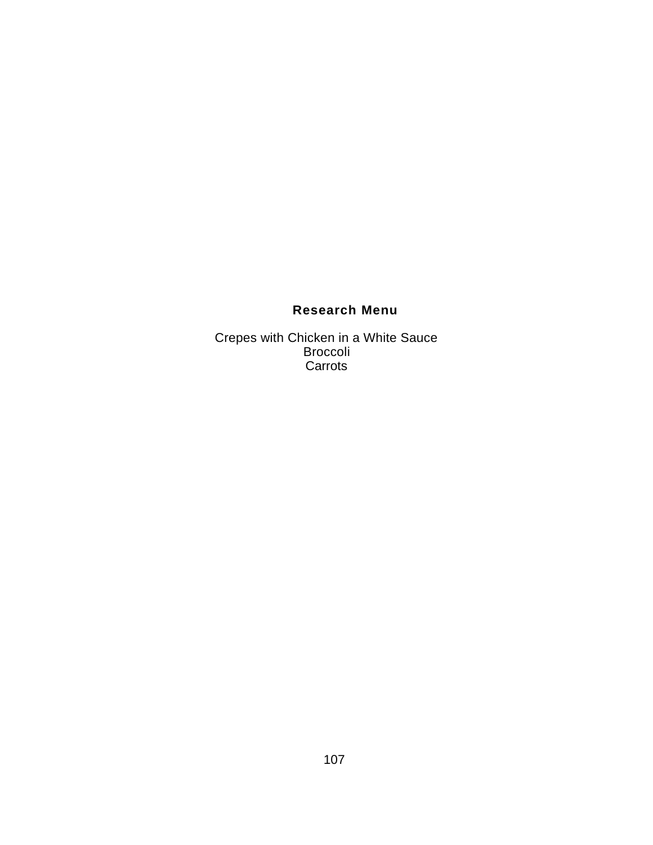## **Research Menu**

Crepes with Chicken in a White Sauce Broccoli Carrots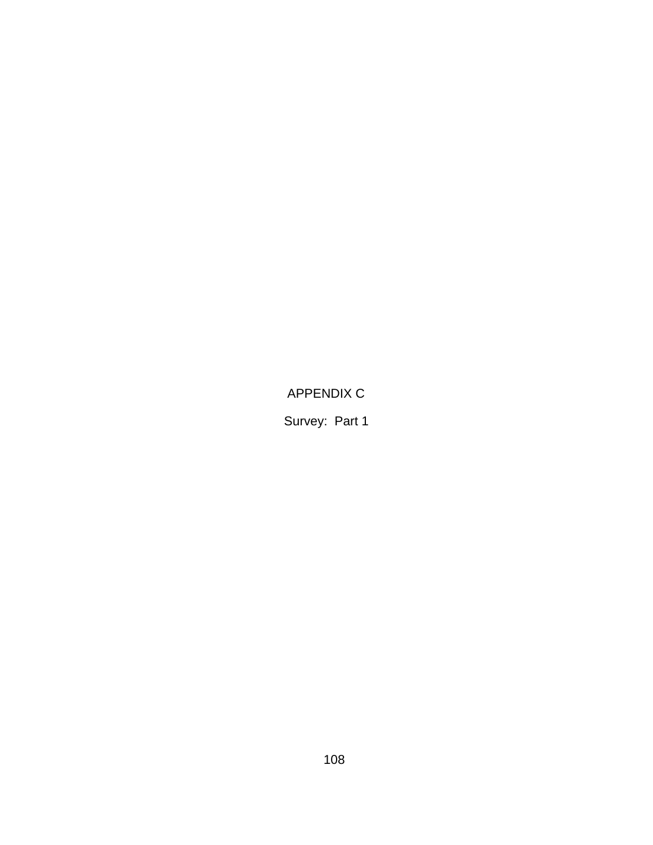APPENDIX C

Survey: Part 1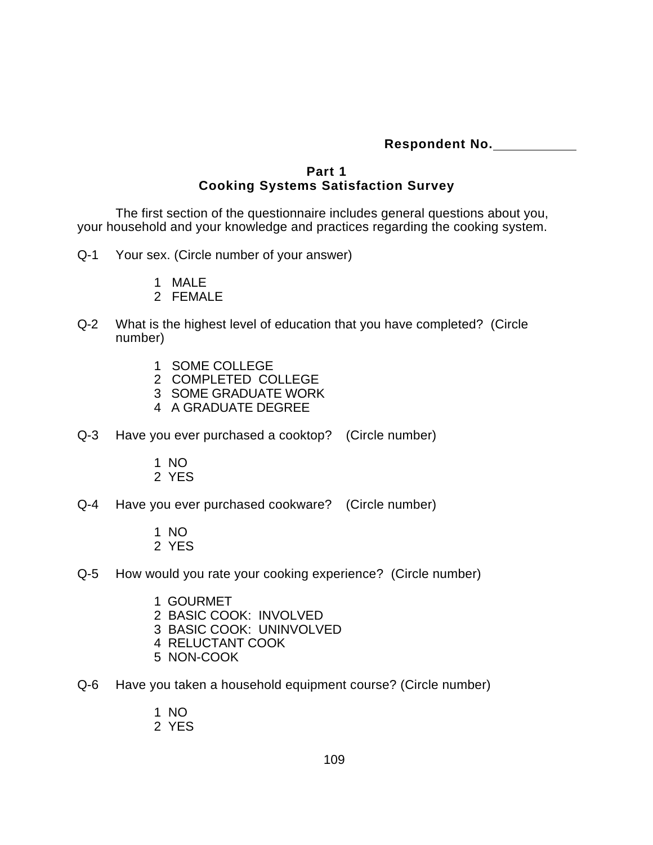**Respondent No.** 

#### **Part 1 Cooking Systems Satisfaction Survey**

The first section of the questionnaire includes general questions about you, your household and your knowledge and practices regarding the cooking system.

- Q-1 Your sex. (Circle number of your answer)
	- 1 MALE
	- 2 FEMALE
- Q-2 What is the highest level of education that you have completed? (Circle number)
	- 1 SOME COLLEGE
	- 2 COMPLETED COLLEGE
	- 3 SOME GRADUATE WORK
	- 4 A GRADUATE DEGREE
- Q-3 Have you ever purchased a cooktop? (Circle number)
	- 1 NO
	- 2 YES
- Q-4 Have you ever purchased cookware? (Circle number)
	- 1 NO 2 YES
- Q-5 How would you rate your cooking experience? (Circle number)
	- 1 GOURMET
	- 2 BASIC COOK: INVOLVED
	- 3 BASIC COOK: UNINVOLVED
	- 4 RELUCTANT COOK
	- 5 NON-COOK
- Q-6 Have you taken a household equipment course? (Circle number)
	- 1 NO
	- 2 YES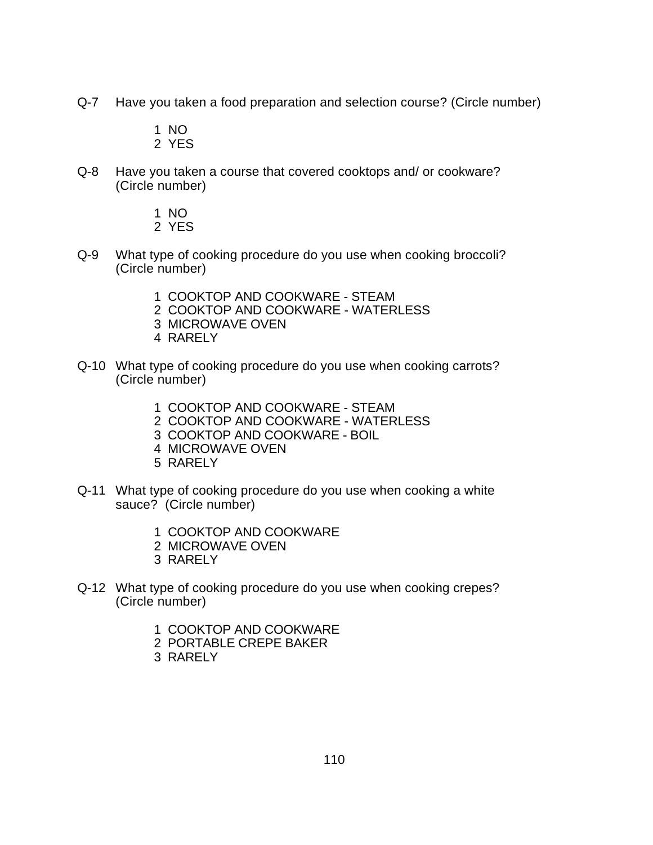- Q-7 Have you taken a food preparation and selection course? (Circle number)
	- 1 NO 2 YES
- Q-8 Have you taken a course that covered cooktops and/ or cookware? (Circle number)
	- 1 NO 2 YES
- Q-9 What type of cooking procedure do you use when cooking broccoli? (Circle number)
	- 1 COOKTOP AND COOKWARE STEAM
	- 2 COOKTOP AND COOKWARE WATERLESS
	- 3 MICROWAVE OVEN
	- 4 RARELY
- Q-10 What type of cooking procedure do you use when cooking carrots? (Circle number)
	- 1 COOKTOP AND COOKWARE STEAM
	- 2 COOKTOP AND COOKWARE WATERLESS
	- 3 COOKTOP AND COOKWARE BOIL
	- 4 MICROWAVE OVEN
	- 5 RARELY
- Q-11 What type of cooking procedure do you use when cooking a white sauce? (Circle number)
	- 1 COOKTOP AND COOKWARE
	- 2 MICROWAVE OVEN
	- 3 RARELY
- Q-12 What type of cooking procedure do you use when cooking crepes? (Circle number)
	- 1 COOKTOP AND COOKWARE
	- 2 PORTABLE CREPE BAKER
	- 3 RARELY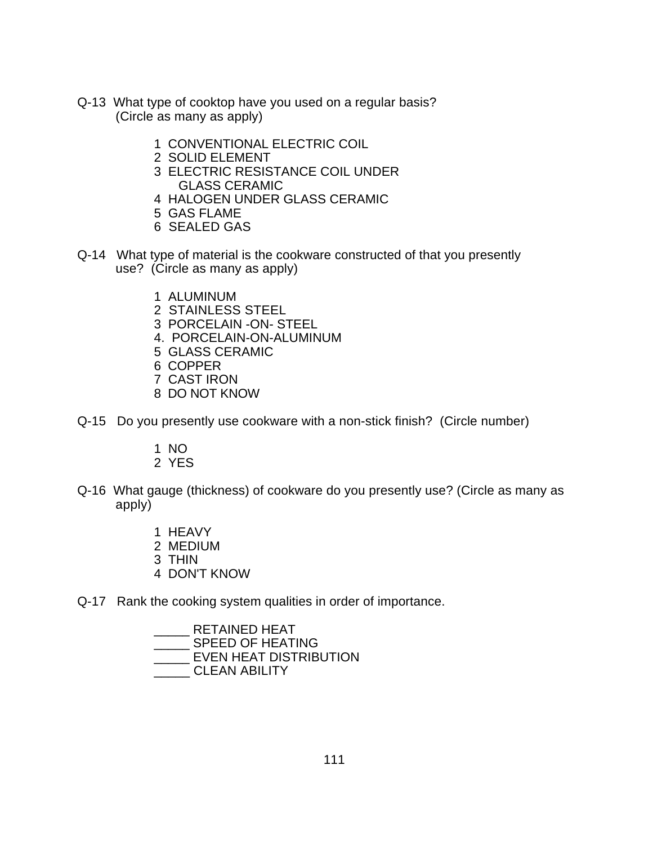- Q-13 What type of cooktop have you used on a regular basis? (Circle as many as apply)
	- 1 CONVENTIONAL ELECTRIC COIL
	- 2 SOLID ELEMENT
	- 3 ELECTRIC RESISTANCE COIL UNDER GLASS CERAMIC
	- 4 HALOGEN UNDER GLASS CERAMIC
	- 5 GAS FLAME
	- 6 SEALED GAS
- Q-14 What type of material is the cookware constructed of that you presently use? (Circle as many as apply)
	- 1 ALUMINUM
	- 2 STAINLESS STEEL
	- 3 PORCELAIN -ON- STEEL
	- 4. PORCELAIN-ON-ALUMINUM
	- 5 GLASS CERAMIC
	- 6 COPPER
	- 7 CAST IRON
	- 8 DO NOT KNOW
- Q-15 Do you presently use cookware with a non-stick finish? (Circle number)
	- 1 NO
	- 2 YES
- Q-16 What gauge (thickness) of cookware do you presently use? (Circle as many as apply)
	- 1 HEAVY
	- 2 MEDIUM
	- 3 THIN
	- 4 DON'T KNOW
- Q-17 Rank the cooking system qualities in order of importance.

\_\_\_\_\_ RETAINED HEAT \_\_\_\_\_ SPEED OF HEATING \_\_\_\_\_ EVEN HEAT DISTRIBUTION \_\_\_\_\_ CLEAN ABILITY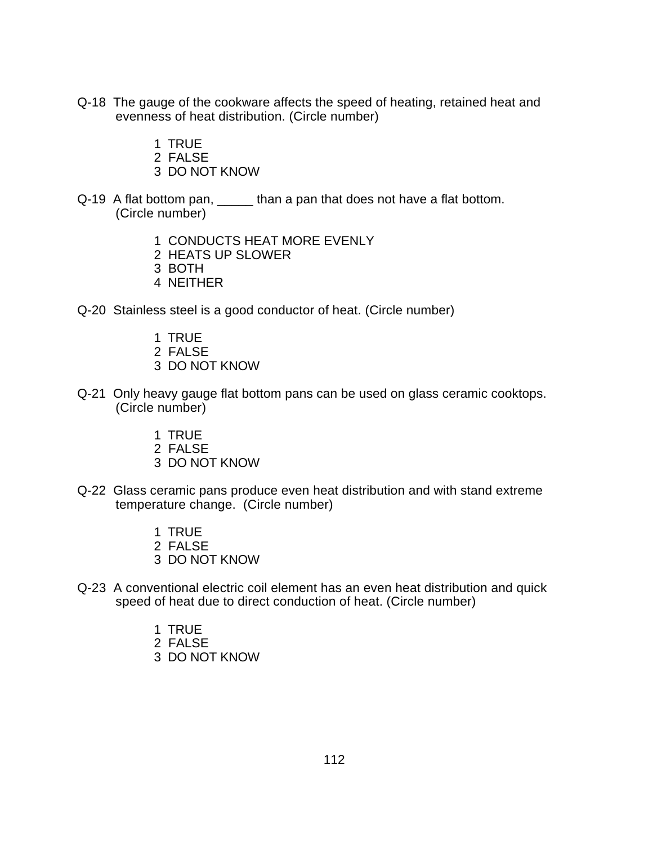- Q-18 The gauge of the cookware affects the speed of heating, retained heat and evenness of heat distribution. (Circle number)
	- 1 TRUE
	- 2 FALSE
	- 3 DO NOT KNOW
- Q-19 A flat bottom pan, \_\_\_\_\_ than a pan that does not have a flat bottom. (Circle number)
	- 1 CONDUCTS HEAT MORE EVENLY
	- 2 HEATS UP SLOWER
	- 3 BOTH
	- 4 NEITHER
- Q-20 Stainless steel is a good conductor of heat. (Circle number)
	- 1 TRUE
	- 2 FALSE
	- 3 DO NOT KNOW
- Q-21 Only heavy gauge flat bottom pans can be used on glass ceramic cooktops. (Circle number)
	- 1 TRUE
	- 2 FALSE
	- 3 DO NOT KNOW
- Q-22 Glass ceramic pans produce even heat distribution and with stand extreme temperature change. (Circle number)
	- 1 TRUE 2 FALSE
	- 3 DO NOT KNOW
- Q-23 A conventional electric coil element has an even heat distribution and quick speed of heat due to direct conduction of heat. (Circle number)
	- 1 TRUE
	- 2 FALSE
	- 3 DO NOT KNOW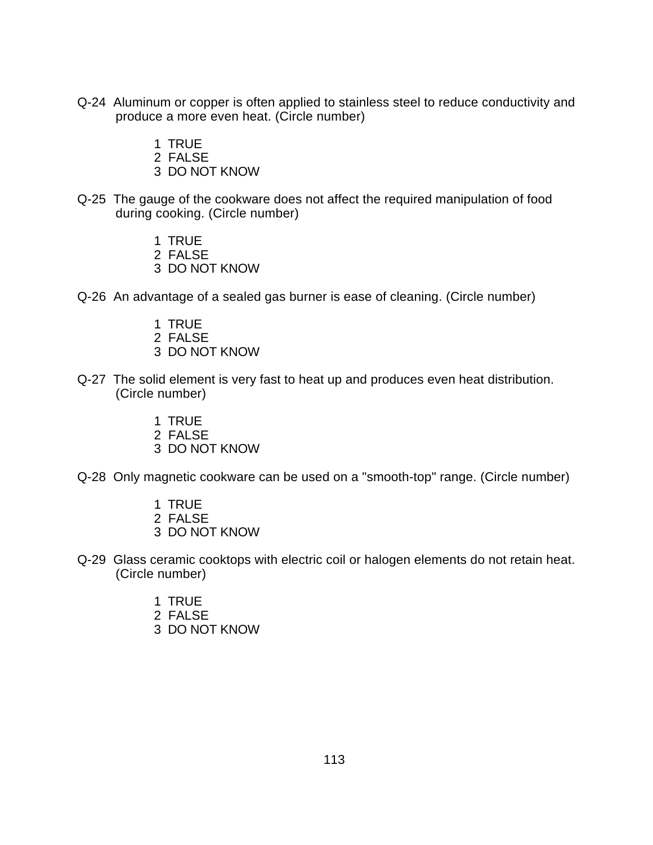- Q-24 Aluminum or copper is often applied to stainless steel to reduce conductivity and produce a more even heat. (Circle number)
	- 1 TRUE
	- 2 FALSE
	- 3 DO NOT KNOW
- Q-25 The gauge of the cookware does not affect the required manipulation of food during cooking. (Circle number)
	- 1 TRUE
	- 2 FALSE
	- 3 DO NOT KNOW
- Q-26 An advantage of a sealed gas burner is ease of cleaning. (Circle number)
	- 1 TRUE
	- 2 FALSE
	- 3 DO NOT KNOW
- Q-27 The solid element is very fast to heat up and produces even heat distribution. (Circle number)
	- 1 TRUE
	- 2 FALSE
	- 3 DO NOT KNOW
- Q-28 Only magnetic cookware can be used on a "smooth-top" range. (Circle number)
	- 1 TRUE
	- 2 FALSE
	- 3 DO NOT KNOW
- Q-29 Glass ceramic cooktops with electric coil or halogen elements do not retain heat. (Circle number)
	- 1 TRUE
	- 2 FALSE
	- 3 DO NOT KNOW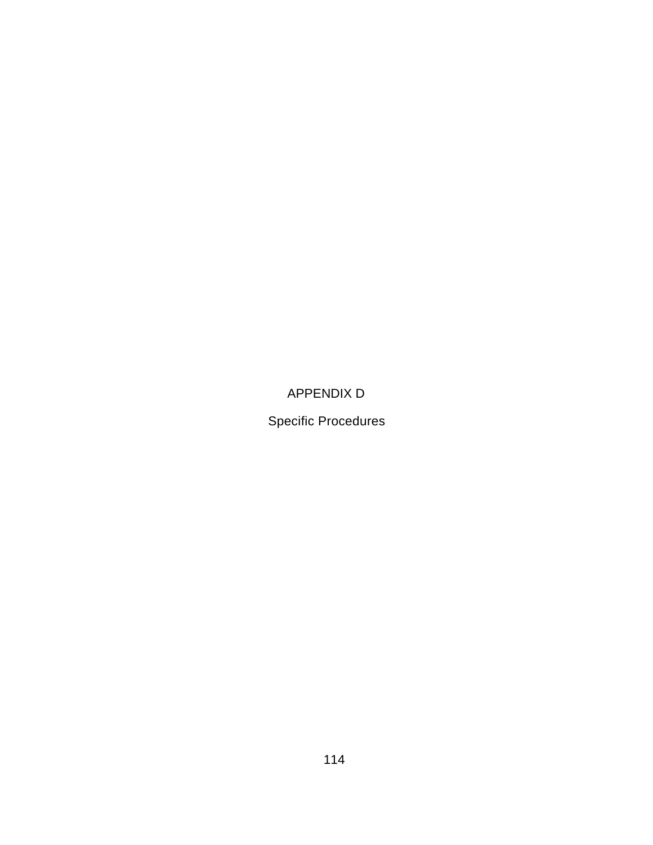## APPENDIX D

Specific Procedures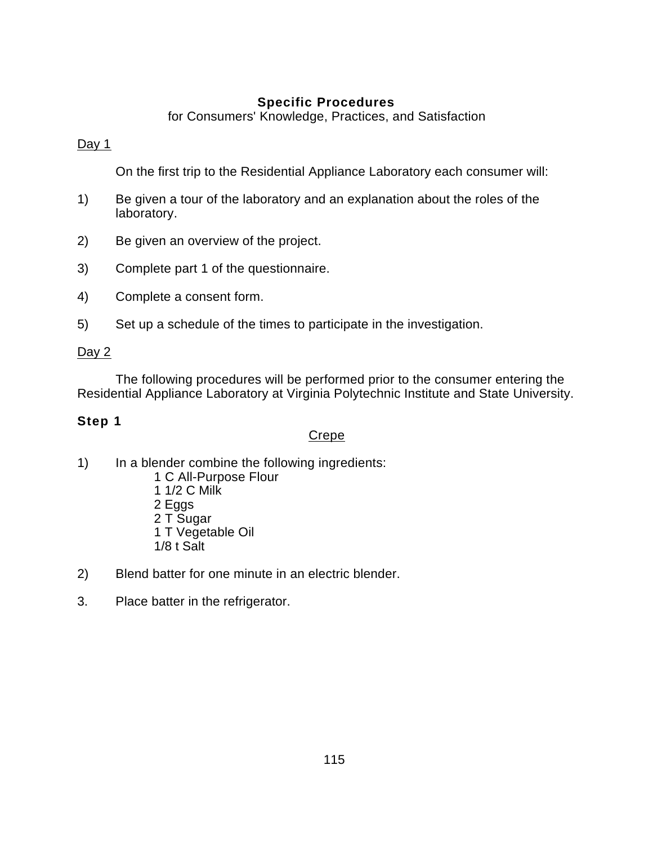## **Specific Procedures**

for Consumers' Knowledge, Practices, and Satisfaction

#### Day 1

On the first trip to the Residential Appliance Laboratory each consumer will:

- 1) Be given a tour of the laboratory and an explanation about the roles of the laboratory.
- 2) Be given an overview of the project.
- 3) Complete part 1 of the questionnaire.
- 4) Complete a consent form.
- 5) Set up a schedule of the times to participate in the investigation.

#### Day 2

The following procedures will be performed prior to the consumer entering the Residential Appliance Laboratory at Virginia Polytechnic Institute and State University.

## **Step 1**

#### Crepe

- 1) In a blender combine the following ingredients:
	- 1 C All-Purpose Flour
	- 1 1/2 C Milk
	- 2 Eggs
	- 2 T Sugar
	- 1 T Vegetable Oil
	- 1/8 t Salt
- 2) Blend batter for one minute in an electric blender.
- 3. Place batter in the refrigerator.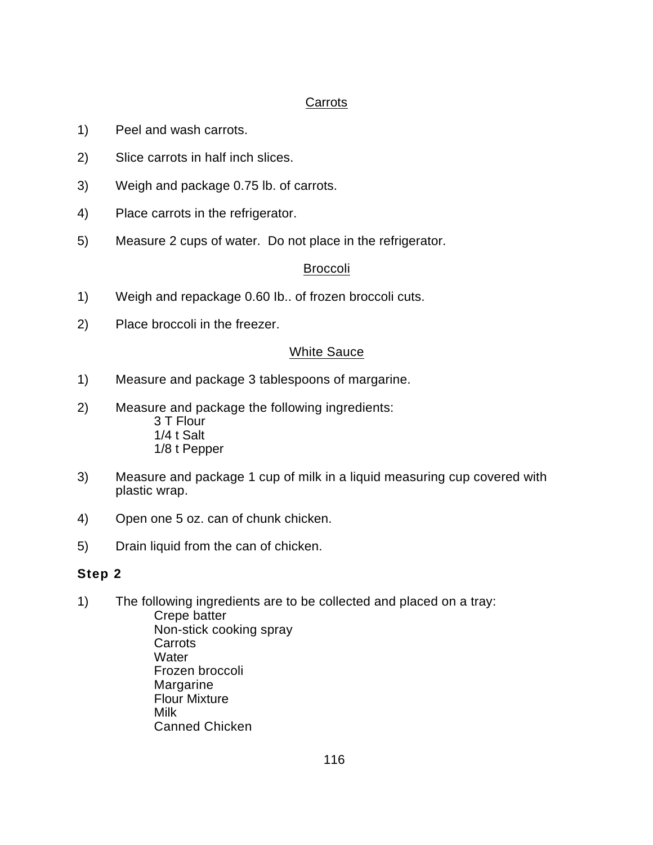### Carrots

- 1) Peel and wash carrots.
- 2) Slice carrots in half inch slices.
- 3) Weigh and package 0.75 lb. of carrots.
- 4) Place carrots in the refrigerator.
- 5) Measure 2 cups of water. Do not place in the refrigerator.

#### Broccoli

- 1) Weigh and repackage 0.60 Ib.. of frozen broccoli cuts.
- 2) Place broccoli in the freezer.

#### White Sauce

- 1) Measure and package 3 tablespoons of margarine.
- 2) Measure and package the following ingredients: 3 T Flour 1/4 t Salt 1/8 t Pepper
- 3) Measure and package 1 cup of milk in a liquid measuring cup covered with plastic wrap.
- 4) Open one 5 oz. can of chunk chicken.
- 5) Drain liquid from the can of chicken.

## **Step 2**

- 1) The following ingredients are to be collected and placed on a tray:
	- Crepe batter Non-stick cooking spray **Carrots Water** Frozen broccoli Margarine Flour Mixture Milk Canned Chicken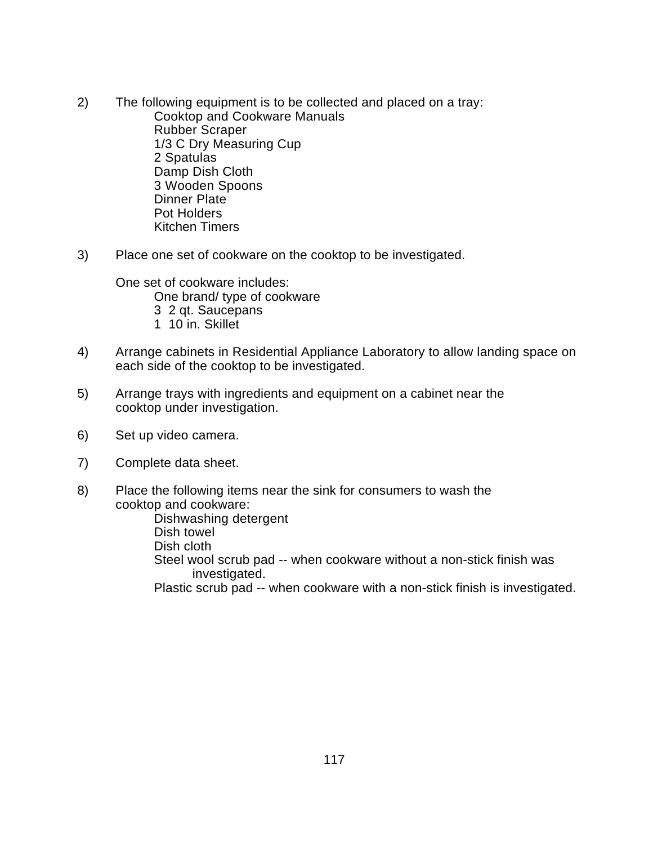- 2) The following equipment is to be collected and placed on a tray: Cooktop and Cookware Manuals Rubber Scraper 1/3 C Dry Measuring Cup 2 Spatulas Damp Dish Cloth 3 Wooden Spoons Dinner Plate Pot Holders Kitchen Timers
- 3) Place one set of cookware on the cooktop to be investigated.

One set of cookware includes: One brand/ type of cookware 3 2 qt. Saucepans 1 10 in. Skillet

- 4) Arrange cabinets in Residential Appliance Laboratory to allow landing space on each side of the cooktop to be investigated.
- 5) Arrange trays with ingredients and equipment on a cabinet near the cooktop under investigation.
- 6) Set up video camera.
- 7) Complete data sheet.
- 8) Place the following items near the sink for consumers to wash the cooktop and cookware:

Dishwashing detergent Dish towel Dish cloth Steel wool scrub pad -- when cookware without a non-stick finish was investigated. Plastic scrub pad -- when cookware with a non-stick finish is investigated.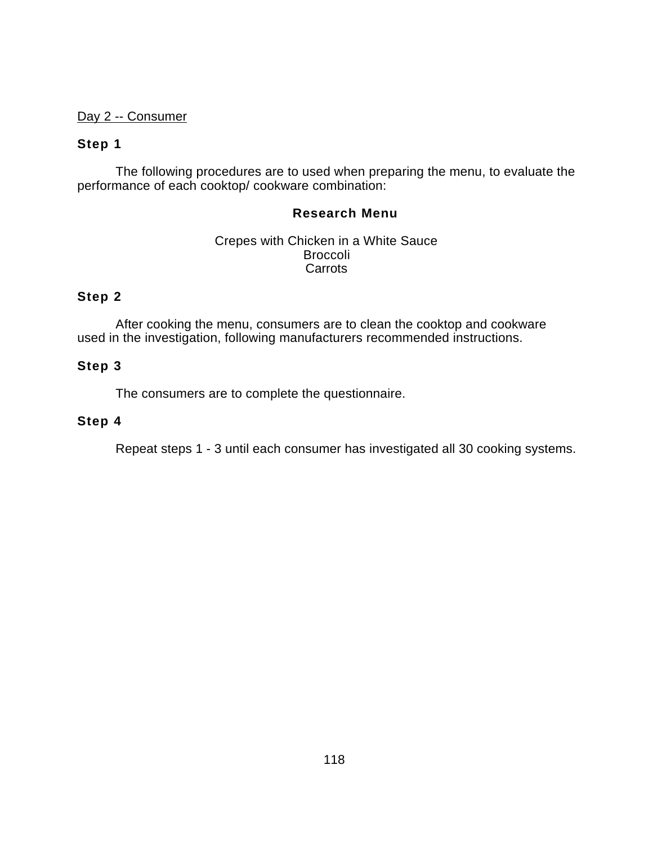#### Day 2 -- Consumer

#### **Step 1**

The following procedures are to used when preparing the menu, to evaluate the performance of each cooktop/ cookware combination:

#### **Research Menu**

Crepes with Chicken in a White Sauce Broccoli **Carrots** 

## **Step 2**

After cooking the menu, consumers are to clean the cooktop and cookware used in the investigation, following manufacturers recommended instructions.

#### **Step 3**

The consumers are to complete the questionnaire.

#### **Step 4**

Repeat steps 1 - 3 until each consumer has investigated all 30 cooking systems.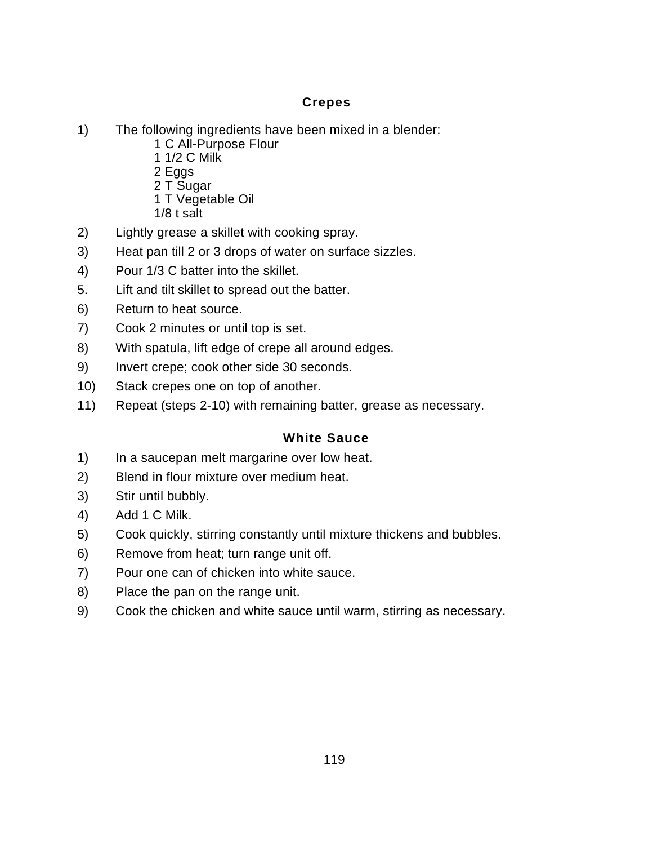## **Crepes**

- 1) The following ingredients have been mixed in a blender:
	- 1 C All-Purpose Flour
	- 1 1/2 C Milk
	- 2 Eggs
	- 2 T Sugar
	- 1 T Vegetable Oil
	- 1/8 t salt
- 2) Lightly grease a skillet with cooking spray.
- 3) Heat pan till 2 or 3 drops of water on surface sizzles.
- 4) Pour 1/3 C batter into the skillet.
- 5. Lift and tilt skillet to spread out the batter.
- 6) Return to heat source.
- 7) Cook 2 minutes or until top is set.
- 8) With spatula, lift edge of crepe all around edges.
- 9) Invert crepe; cook other side 30 seconds.
- 10) Stack crepes one on top of another.
- 11) Repeat (steps 2-10) with remaining batter, grease as necessary.

## **White Sauce**

- 1) In a saucepan melt margarine over low heat.
- 2) Blend in flour mixture over medium heat.
- 3) Stir until bubbly.
- 4) Add 1 C Milk.
- 5) Cook quickly, stirring constantly until mixture thickens and bubbles.
- 6) Remove from heat; turn range unit off.
- 7) Pour one can of chicken into white sauce.
- 8) Place the pan on the range unit.
- 9) Cook the chicken and white sauce until warm, stirring as necessary.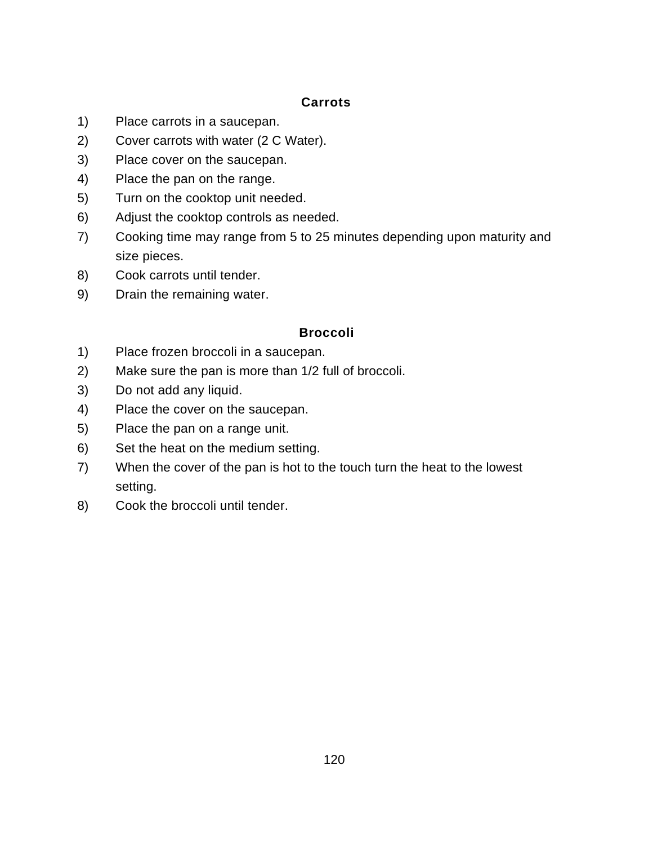## **Carrots**

- 1) Place carrots in a saucepan.
- 2) Cover carrots with water (2 C Water).
- 3) Place cover on the saucepan.
- 4) Place the pan on the range.
- 5) Turn on the cooktop unit needed.
- 6) Adjust the cooktop controls as needed.
- 7) Cooking time may range from 5 to 25 minutes depending upon maturity and size pieces.
- 8) Cook carrots until tender.
- 9) Drain the remaining water.

#### **Broccoli**

- 1) Place frozen broccoli in a saucepan.
- 2) Make sure the pan is more than 1/2 full of broccoli.
- 3) Do not add any liquid.
- 4) Place the cover on the saucepan.
- 5) Place the pan on a range unit.
- 6) Set the heat on the medium setting.
- 7) When the cover of the pan is hot to the touch turn the heat to the lowest setting.
- 8) Cook the broccoli until tender.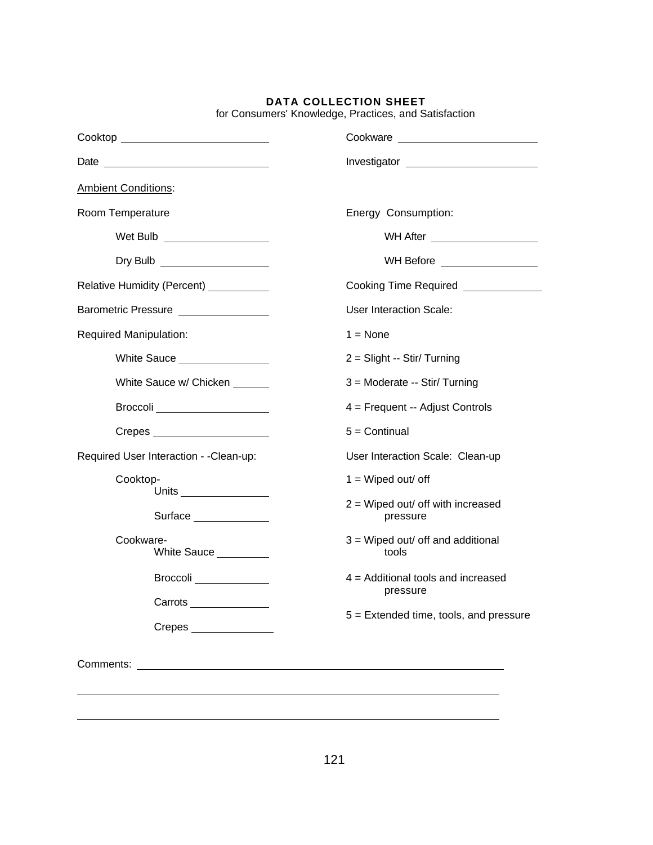| Cooktop ____________________________                                                                                              |                                                  |
|-----------------------------------------------------------------------------------------------------------------------------------|--------------------------------------------------|
|                                                                                                                                   |                                                  |
| <b>Ambient Conditions:</b>                                                                                                        |                                                  |
| Room Temperature                                                                                                                  | Energy Consumption:                              |
| Wet Bulb ___________________                                                                                                      | WH After _____________________                   |
|                                                                                                                                   | WH Before <u>________________</u>                |
| Relative Humidity (Percent) __________                                                                                            | Cooking Time Required <b>Cooking</b>             |
| Barometric Pressure ________________                                                                                              | User Interaction Scale:                          |
| <b>Required Manipulation:</b>                                                                                                     | $1 = \text{None}$                                |
|                                                                                                                                   | 2 = Slight -- Stir/ Turning                      |
| White Sauce w/ Chicken ______                                                                                                     | 3 = Moderate -- Stir/ Turning                    |
| Broccoli ____________________                                                                                                     | 4 = Frequent -- Adjust Controls                  |
| Crepes _____________________                                                                                                      | $5 =$ Continual                                  |
| Required User Interaction - - Clean-up:                                                                                           | User Interaction Scale: Clean-up                 |
| Cooktop-                                                                                                                          | $1 =$ Wiped out/ off                             |
| Surface ______________                                                                                                            | $2 =$ Wiped out/ off with increased<br>pressure  |
| Cookware-<br>White Sauce _________                                                                                                | 3 = Wiped out/ off and additional<br>tools       |
| Broccoli                                                                                                                          | $4$ = Additional tools and increased<br>pressure |
|                                                                                                                                   | $5$ = Extended time, tools, and pressure         |
| $C$ repes $\_\_$                                                                                                                  |                                                  |
| Comments:<br><u> Alexandria de la contrada de la contrada de la contrada de la contrada de la contrada de la contrada de la c</u> |                                                  |
|                                                                                                                                   |                                                  |
|                                                                                                                                   |                                                  |

for Consumers' Knowledge, Practices, and Satisfaction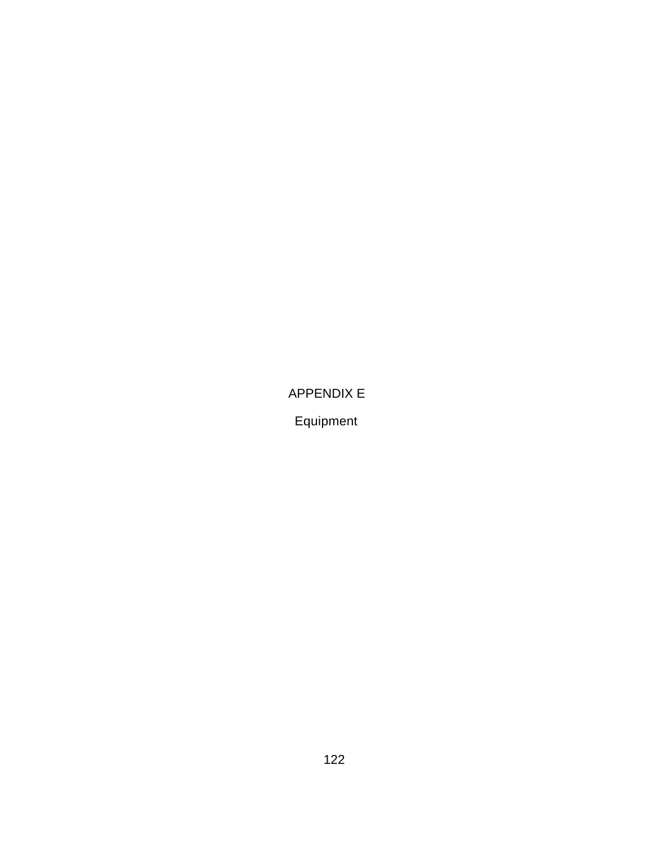APPENDIX E

Equipment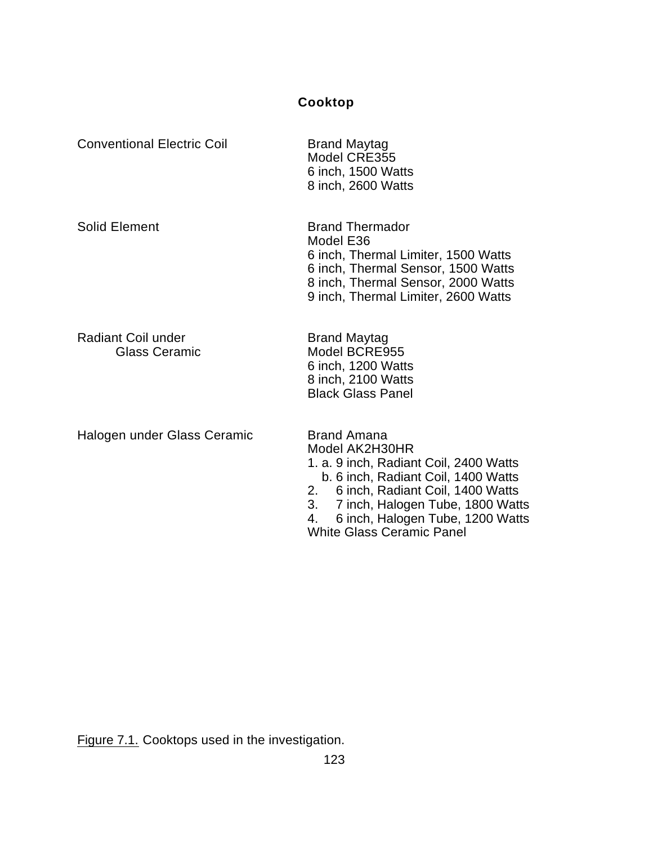# **Cooktop**

| <b>Conventional Electric Coil</b>                 | <b>Brand Maytag</b><br>Model CRE355<br>6 inch, 1500 Watts<br>8 inch, 2600 Watts                                                                                                                                                                                                         |
|---------------------------------------------------|-----------------------------------------------------------------------------------------------------------------------------------------------------------------------------------------------------------------------------------------------------------------------------------------|
| <b>Solid Element</b>                              | <b>Brand Thermador</b><br>Model E36<br>6 inch, Thermal Limiter, 1500 Watts<br>6 inch, Thermal Sensor, 1500 Watts<br>8 inch, Thermal Sensor, 2000 Watts<br>9 inch, Thermal Limiter, 2600 Watts                                                                                           |
| <b>Radiant Coil under</b><br><b>Glass Ceramic</b> | <b>Brand Maytag</b><br>Model BCRE955<br>6 inch, 1200 Watts<br>8 inch, 2100 Watts<br><b>Black Glass Panel</b>                                                                                                                                                                            |
| Halogen under Glass Ceramic                       | <b>Brand Amana</b><br>Model AK2H30HR<br>1. a. 9 inch, Radiant Coil, 2400 Watts<br>b. 6 inch, Radiant Coil, 1400 Watts<br>6 inch, Radiant Coil, 1400 Watts<br>2.<br>3.<br>7 inch, Halogen Tube, 1800 Watts<br>6 inch, Halogen Tube, 1200 Watts<br>4.<br><b>White Glass Ceramic Panel</b> |

Figure 7.1. Cooktops used in the investigation.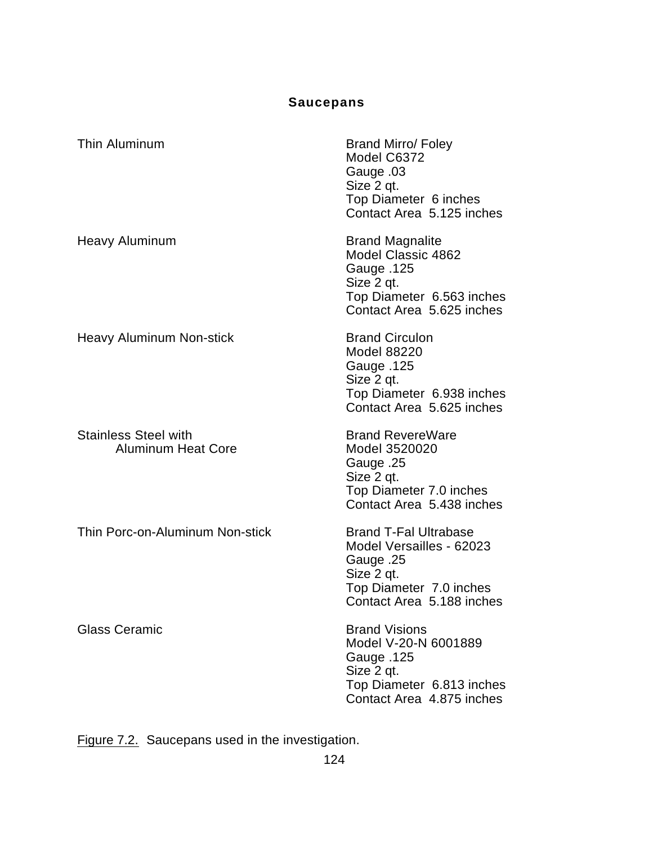# **Saucepans**

| Thin Aluminum                                            | <b>Brand Mirro/ Foley</b><br>Model C6372<br>Cauge .03<br>Size 2 qt.<br>Top Diameter 6 inches<br>Contact Area 5.125 inches                   |
|----------------------------------------------------------|---------------------------------------------------------------------------------------------------------------------------------------------|
| Heavy Aluminum                                           | <b>Brand Magnalite</b><br>Model Classic 4862<br><b>Gauge .125</b><br>Size 2 qt.<br>Top Diameter 6.563 inches<br>Contact Area 5.625 inches   |
| <b>Heavy Aluminum Non-stick</b>                          | <b>Brand Circulon</b><br><b>Model 88220</b><br><b>Gauge .125</b><br>Size 2 qt.<br>Top Diameter 6.938 inches<br>Contact Area 5.625 inches    |
| <b>Stainless Steel with</b><br><b>Aluminum Heat Core</b> | <b>Brand RevereWare</b><br>Model 3520020<br>Sauge .25<br>Size 2 qt.<br>Top Diameter 7.0 inches<br>Contact Area 5.438 inches                 |
| Thin Porc-on-Aluminum Non-stick                          | <b>Brand T-Fal Ultrabase</b><br>Model Versailles - 62023<br>25. Gauge<br>Size 2 qt.<br>Top Diameter 7.0 inches<br>Contact Area 5.188 inches |
| <b>Glass Ceramic</b>                                     | <b>Brand Visions</b><br>Model V-20-N 6001889<br><b>Gauge .125</b><br>Size 2 qt.<br>Top Diameter 6.813 inches<br>Contact Area 4.875 inches   |

Figure 7.2. Saucepans used in the investigation.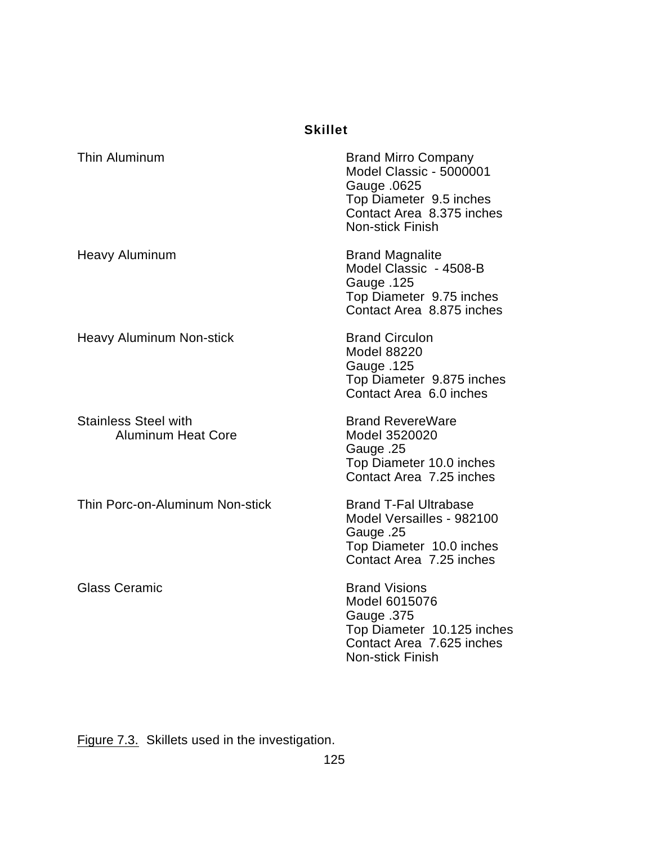## **Skillet**

| Thin Aluminum                                            | <b>Brand Mirro Company</b><br>Model Classic - 5000001<br>Gauge .0625<br>Top Diameter 9.5 inches<br>Contact Area 8.375 inches<br>Non-stick Finish |
|----------------------------------------------------------|--------------------------------------------------------------------------------------------------------------------------------------------------|
| <b>Heavy Aluminum</b>                                    | <b>Brand Magnalite</b><br>Model Classic - 4508-B<br><b>Gauge .125</b><br>Top Diameter 9.75 inches<br>Contact Area 8.875 inches                   |
| <b>Heavy Aluminum Non-stick</b>                          | <b>Brand Circulon</b><br><b>Model 88220</b><br><b>Gauge .125</b><br>Top Diameter 9.875 inches<br>Contact Area 6.0 inches                         |
| <b>Stainless Steel with</b><br><b>Aluminum Heat Core</b> | <b>Brand RevereWare</b><br>Model 3520020<br>Sauge .25<br>Top Diameter 10.0 inches<br>Contact Area 7.25 inches                                    |
| Thin Porc-on-Aluminum Non-stick                          | <b>Brand T-Fal Ultrabase</b><br>Model Versailles - 982100<br>Sauge .25<br>Top Diameter 10.0 inches<br>Contact Area 7.25 inches                   |
| <b>Glass Ceramic</b>                                     | <b>Brand Visions</b><br>Model 6015076<br>Gauge .375<br>Top Diameter 10.125 inches<br>Contact Area 7.625 inches<br><b>Non-stick Finish</b>        |

Figure 7.3. Skillets used in the investigation.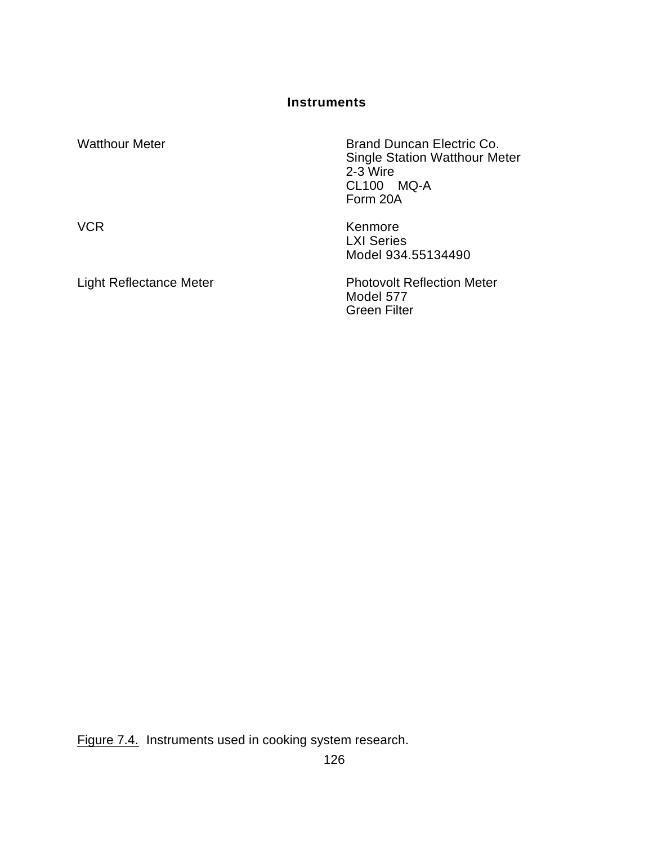**Instruments**

| <b>Watthour Meter</b>   | Brand Duncan Electric Co.<br><b>Single Station Watthour Meter</b><br>2-3 Wire<br>CL100 MQ-A<br>Form 20A |
|-------------------------|---------------------------------------------------------------------------------------------------------|
| <b>VCR</b>              | Kenmore<br><b>LXI Series</b><br>Model 934.55134490                                                      |
| Light Reflectance Meter | <b>Photovolt Reflection Meter</b><br>Model 577<br><b>Green Filter</b>                                   |

Figure 7.4. Instruments used in cooking system research.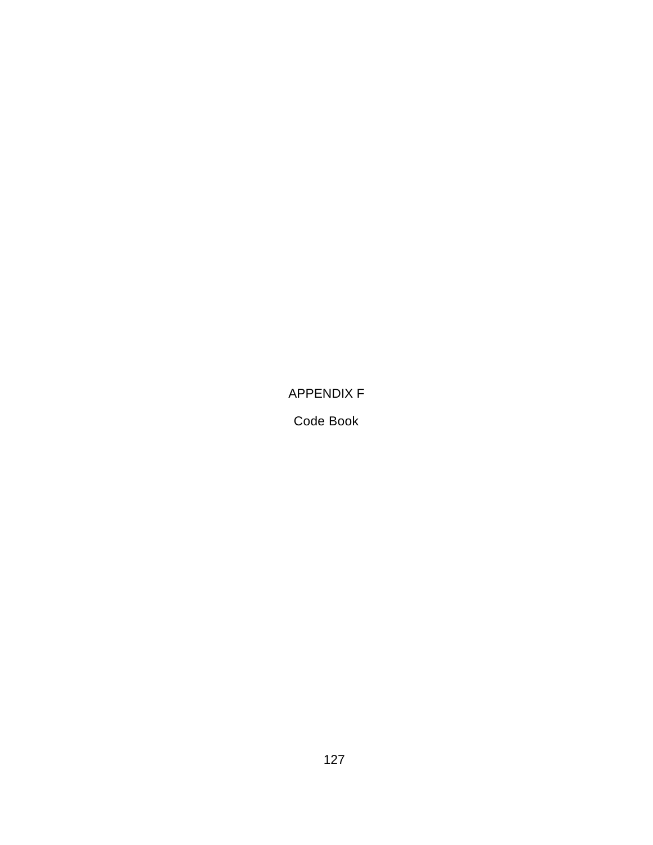APPENDIX F

Code Book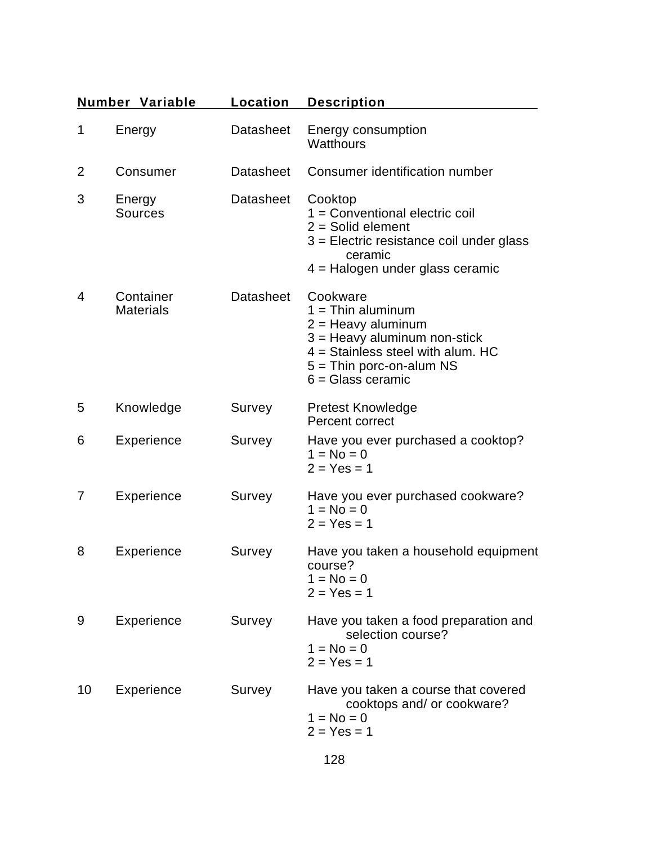|                | <b>Number Variable</b>        | Location         | <b>Description</b>                                                                                                                                                                    |
|----------------|-------------------------------|------------------|---------------------------------------------------------------------------------------------------------------------------------------------------------------------------------------|
| 1              | Energy                        | <b>Datasheet</b> | Energy consumption<br><b>Watthours</b>                                                                                                                                                |
| $\overline{2}$ | Consumer                      | Datasheet        | Consumer identification number                                                                                                                                                        |
| 3              | Energy<br><b>Sources</b>      | <b>Datasheet</b> | Cooktop<br>1 = Conventional electric coil<br>$2 =$ Solid element<br>$3$ = Electric resistance coil under glass<br>ceramic<br>4 = Halogen under glass ceramic                          |
| 4              | Container<br><b>Materials</b> | <b>Datasheet</b> | Cookware<br>$1 = Thin$ aluminum<br>$2 =$ Heavy aluminum<br>$3$ = Heavy aluminum non-stick<br>$4 =$ Stainless steel with alum. HC<br>$5 =$ Thin porc-on-alum NS<br>$6 =$ Glass ceramic |
| 5              | Knowledge                     | Survey           | <b>Pretest Knowledge</b><br>Percent correct                                                                                                                                           |
| 6              | Experience                    | Survey           | Have you ever purchased a cooktop?<br>$1 = No = 0$<br>$2 = Yes = 1$                                                                                                                   |
| 7              | Experience                    | Survey           | Have you ever purchased cookware?<br>$1 = No = 0$<br>$2 = Yes = 1$                                                                                                                    |
| 8              | Experience                    | Survey           | Have you taken a household equipment<br>course?<br>$1 = No = 0$<br>$2 = Yes = 1$                                                                                                      |
| 9              | Experience                    | Survey           | Have you taken a food preparation and<br>selection course?<br>$1 = No = 0$<br>$2 = Yes = 1$                                                                                           |
| 10             | Experience                    | Survey           | Have you taken a course that covered<br>cooktops and/ or cookware?<br>$1 = No = 0$<br>$2 = Yes = 1$                                                                                   |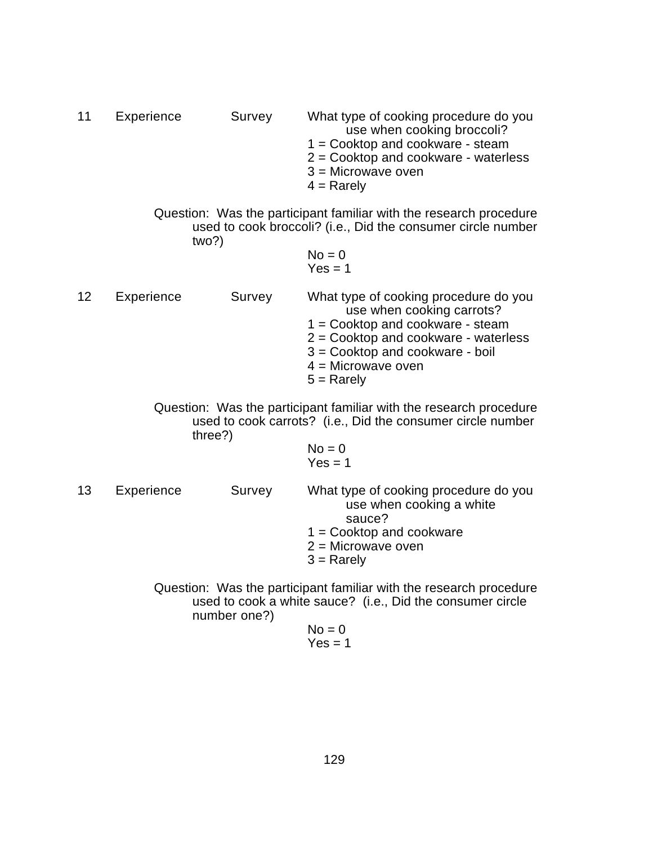| 11 | Experience | Survey | What type of cooking procedure do you  |
|----|------------|--------|----------------------------------------|
|    |            |        | use when cooking broccoli?             |
|    |            |        | $1 =$ Cooktop and cookware - steam     |
|    |            |        | $2 =$ Cooktop and cookware - waterless |
|    |            |        |                                        |

- 3 = Microwave oven
- $4 =$  Rarely

Question: Was the participant familiar with the research procedure used to cook broccoli? (i.e., Did the consumer circle number two?)

$$
No = 0
$$
  
Yes = 1

12 Experience Survey What type of cooking procedure do you use when cooking carrots? 1 = Cooktop and cookware - steam 2 = Cooktop and cookware - waterless 3 = Cooktop and cookware - boil  $4 =$ Microwave oven  $5 =$ Rarely

> Question: Was the participant familiar with the research procedure used to cook carrots? (i.e., Did the consumer circle number three?)

$$
No = 0
$$
  
Yes = 1

13 Experience Survey What type of cooking procedure do you use when cooking a white sauce? 1 = Cooktop and cookware 2 = Microwave oven  $3$  = Rarely

> Question: Was the participant familiar with the research procedure used to cook a white sauce? (i.e., Did the consumer circle number one?)  $N = 0$

$$
NO = 0
$$
  
Yes = 1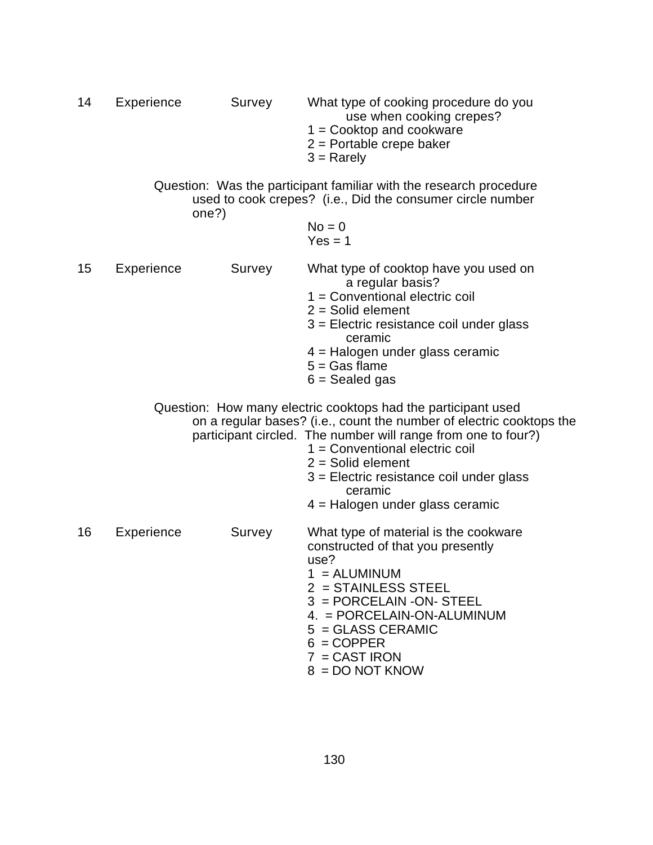| 14 | Experience | Survey | What type of cooking procedure do you<br>use when cooking crepes?<br>$1 = \text{Cooktop}$ and cookware<br>$2$ = Portable crepe baker<br>$3 =$ Rarely                                                                                                                                                                                                          |
|----|------------|--------|---------------------------------------------------------------------------------------------------------------------------------------------------------------------------------------------------------------------------------------------------------------------------------------------------------------------------------------------------------------|
|    |            | one?)  | Question: Was the participant familiar with the research procedure<br>used to cook crepes? (i.e., Did the consumer circle number                                                                                                                                                                                                                              |
|    |            |        | $No = 0$<br>$Yes = 1$                                                                                                                                                                                                                                                                                                                                         |
| 15 | Experience | Survey | What type of cooktop have you used on<br>a regular basis?<br>$1 =$ Conventional electric coil<br>$2 =$ Solid element<br>3 = Electric resistance coil under glass<br>ceramic<br>4 = Halogen under glass ceramic<br>$5 = Gas$ flame<br>$6 =$ Sealed gas                                                                                                         |
|    |            |        | Question: How many electric cooktops had the participant used<br>on a regular bases? (i.e., count the number of electric cooktops the<br>participant circled. The number will range from one to four?)<br>$1 =$ Conventional electric coil<br>$2 =$ Solid element<br>$3$ = Electric resistance coil under glass<br>ceramic<br>4 = Halogen under glass ceramic |
| 16 | Experience | Survey | What type of material is the cookware<br>constructed of that you presently<br>use?<br>$1 = ALUMINUM$<br>$2 = STAINLESS STEEL$<br>$3 = PORCELAIN - ON-STEEL$<br>4. = PORCELAIN-ON-ALUMINUM<br>$5 = GLASS CERAMIC$<br>$6 = \text{COPPER}$<br>$7 = CAST$ IRON<br>$8 = DO NOT$                                                                                    |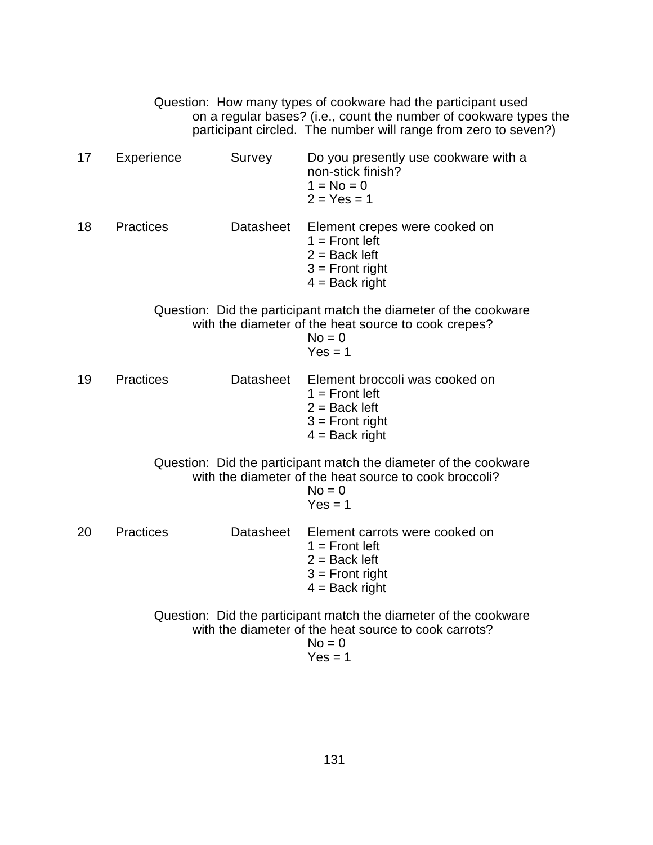|    |                  |           | Question: How many types of cookware had the participant used<br>on a regular bases? (i.e., count the number of cookware types the<br>participant circled. The number will range from zero to seven?) |
|----|------------------|-----------|-------------------------------------------------------------------------------------------------------------------------------------------------------------------------------------------------------|
| 17 | Experience       | Survey    | Do you presently use cookware with a<br>non-stick finish?<br>$1 = No = 0$<br>$2 = Yes = 1$                                                                                                            |
| 18 | <b>Practices</b> | Datasheet | Element crepes were cooked on<br>$1 =$ Front left<br>$2 =$ Back left<br>$3 =$ Front right<br>$4 =$ Back right                                                                                         |
|    |                  |           | Question: Did the participant match the diameter of the cookware<br>with the diameter of the heat source to cook crepes?<br>$No = 0$<br>$Yes = 1$                                                     |
| 19 | <b>Practices</b> |           | Datasheet Element broccoli was cooked on<br>$1 =$ Front left<br>$2 =$ Back left<br>$3 =$ Front right<br>$4 =$ Back right                                                                              |
|    |                  |           | Question: Did the participant match the diameter of the cookware<br>with the diameter of the heat source to cook broccoli?<br>$No = 0$<br>$Yes = 1$                                                   |
| 20 | <b>Practices</b> | Datasheet | Element carrots were cooked on<br>$1 =$ Front left<br>$2 =$ Back left<br>$3 =$ Front right<br>$4 =$ Back right                                                                                        |
|    |                  |           | Question: Did the participant match the diameter of the cookware<br>with the diameter of the heat source to cook carrots?<br>$No = 0$<br>$Yes = 1$                                                    |

$$
Yes = 1
$$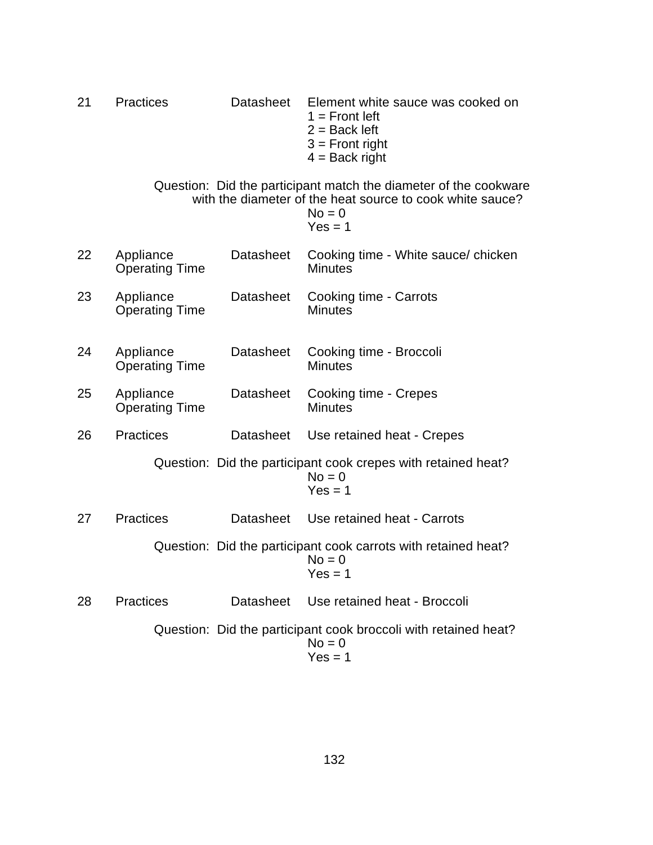| 21 | <b>Practices</b>                   | Datasheet        | Element white sauce was cooked on<br>$1 =$ Front left<br>$2 =$ Back left<br>$3 =$ Front right<br>$4 =$ Back right                                      |
|----|------------------------------------|------------------|--------------------------------------------------------------------------------------------------------------------------------------------------------|
|    |                                    |                  | Question: Did the participant match the diameter of the cookware<br>with the diameter of the heat source to cook white sauce?<br>$No = 0$<br>$Yes = 1$ |
| 22 | Appliance<br><b>Operating Time</b> | Datasheet        | Cooking time - White sauce/ chicken<br><b>Minutes</b>                                                                                                  |
| 23 | Appliance<br><b>Operating Time</b> | <b>Datasheet</b> | Cooking time - Carrots<br><b>Minutes</b>                                                                                                               |
| 24 | Appliance<br><b>Operating Time</b> | <b>Datasheet</b> | Cooking time - Broccoli<br><b>Minutes</b>                                                                                                              |
| 25 | Appliance<br><b>Operating Time</b> | <b>Datasheet</b> | Cooking time - Crepes<br><b>Minutes</b>                                                                                                                |
| 26 | <b>Practices</b>                   | Datasheet        | Use retained heat - Crepes                                                                                                                             |
|    |                                    |                  | Question: Did the participant cook crepes with retained heat?<br>$No = 0$<br>$Yes = 1$                                                                 |
| 27 | <b>Practices</b>                   | Datasheet        | Use retained heat - Carrots                                                                                                                            |
|    |                                    |                  | Question: Did the participant cook carrots with retained heat?<br>$No = 0$<br>$Yes = 1$                                                                |
| 28 | <b>Practices</b>                   | <b>Datasheet</b> | Use retained heat - Broccoli                                                                                                                           |
|    |                                    |                  | Question: Did the participant cook broccoli with retained heat?<br>$No = 0$<br>$Yes = 1$                                                               |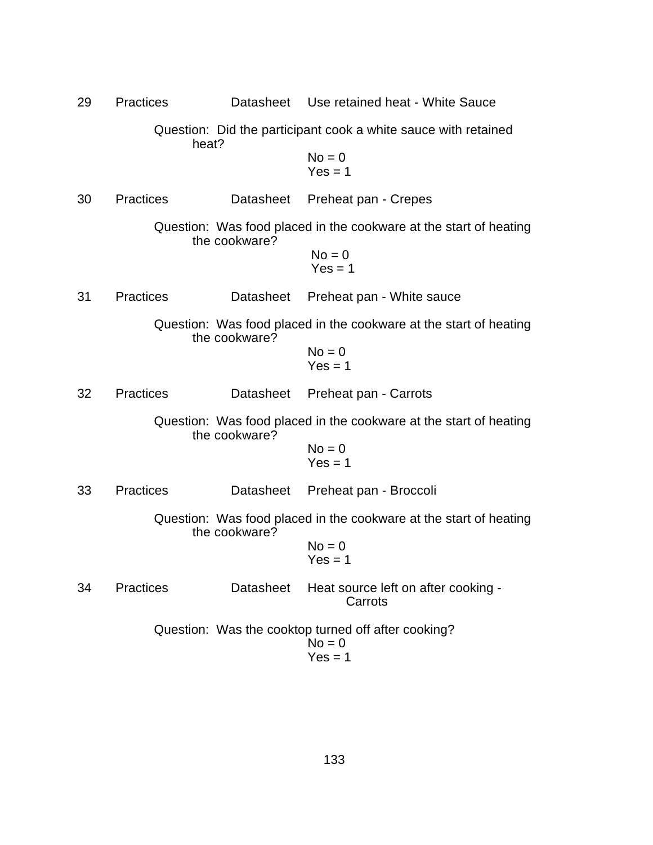| 29 | <b>Practices</b> |               | Datasheet Use retained heat - White Sauce                                    |
|----|------------------|---------------|------------------------------------------------------------------------------|
|    | heat?            |               | Question: Did the participant cook a white sauce with retained               |
|    |                  |               | $No = 0$<br>$Yes = 1$                                                        |
| 30 | <b>Practices</b> | Datasheet     | Preheat pan - Crepes                                                         |
|    |                  | the cookware? | Question: Was food placed in the cookware at the start of heating            |
|    |                  |               | $No = 0$<br>$Yes = 1$                                                        |
| 31 | <b>Practices</b> | Datasheet     | Preheat pan - White sauce                                                    |
|    |                  | the cookware? | Question: Was food placed in the cookware at the start of heating            |
|    |                  |               | $No = 0$<br>$Yes = 1$                                                        |
| 32 | <b>Practices</b> | Datasheet     | Preheat pan - Carrots                                                        |
|    |                  | the cookware? | Question: Was food placed in the cookware at the start of heating            |
|    |                  |               | $No = 0$<br>$Yes = 1$                                                        |
| 33 | <b>Practices</b> | Datasheet     | Preheat pan - Broccoli                                                       |
|    |                  | the cookware? | Question: Was food placed in the cookware at the start of heating            |
|    |                  |               | $No = 0$<br>$Yes = 1$                                                        |
| 34 | <b>Practices</b> | Datasheet     | Heat source left on after cooking -<br>Carrots                               |
|    |                  |               | Question: Was the cooktop turned off after cooking?<br>$No = 0$<br>$Yes = 1$ |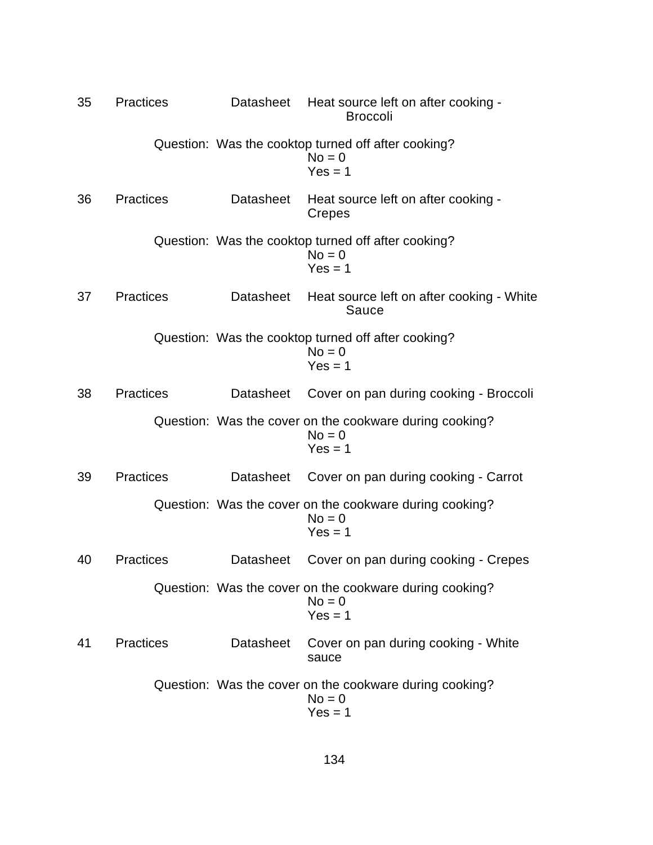| 35 | <b>Practices</b> | Datasheet        | Heat source left on after cooking -<br><b>Broccoli</b>                           |
|----|------------------|------------------|----------------------------------------------------------------------------------|
|    |                  |                  | Question: Was the cooktop turned off after cooking?<br>$No = 0$<br>$Yes = 1$     |
| 36 | <b>Practices</b> | Datasheet        | Heat source left on after cooking -<br>Crepes                                    |
|    |                  |                  | Question: Was the cooktop turned off after cooking?<br>$No = 0$<br>$Yes = 1$     |
| 37 | <b>Practices</b> | Datasheet        | Heat source left on after cooking - White<br>Sauce                               |
|    |                  |                  | Question: Was the cooktop turned off after cooking?<br>$No = 0$<br>$Yes = 1$     |
| 38 | <b>Practices</b> | <b>Datasheet</b> | Cover on pan during cooking - Broccoli                                           |
|    |                  |                  | Question: Was the cover on the cookware during cooking?<br>$No = 0$<br>$Yes = 1$ |
| 39 | <b>Practices</b> | Datasheet        | Cover on pan during cooking - Carrot                                             |
|    |                  |                  | Question: Was the cover on the cookware during cooking?<br>$No = 0$<br>$Yes = 1$ |
| 40 | <b>Practices</b> | Datasheet        | Cover on pan during cooking - Crepes                                             |
|    |                  |                  | Question: Was the cover on the cookware during cooking?<br>$No = 0$<br>$Yes = 1$ |
| 41 | <b>Practices</b> | <b>Datasheet</b> | Cover on pan during cooking - White<br>sauce                                     |
|    |                  |                  | Question: Was the cover on the cookware during cooking?<br>$No = 0$<br>$Yes = 1$ |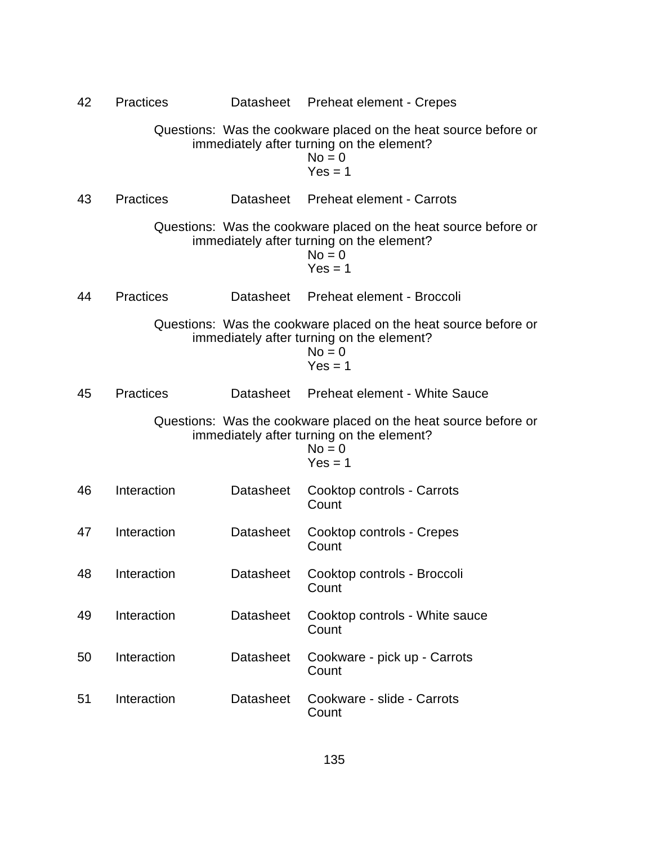| 42 | <b>Practices</b> |                  | Datasheet Preheat element - Crepes                                                                                                    |
|----|------------------|------------------|---------------------------------------------------------------------------------------------------------------------------------------|
|    |                  |                  | Questions: Was the cookware placed on the heat source before or<br>immediately after turning on the element?<br>$No = 0$<br>$Yes = 1$ |
| 43 | <b>Practices</b> |                  | Datasheet Preheat element - Carrots                                                                                                   |
|    |                  |                  | Questions: Was the cookware placed on the heat source before or<br>immediately after turning on the element?<br>$No = 0$<br>$Yes = 1$ |
| 44 | <b>Practices</b> |                  | Datasheet Preheat element - Broccoli                                                                                                  |
|    |                  |                  | Questions: Was the cookware placed on the heat source before or<br>immediately after turning on the element?<br>$No = 0$<br>$Yes = 1$ |
| 45 | <b>Practices</b> |                  | Datasheet Preheat element - White Sauce                                                                                               |
|    |                  |                  | Questions: Was the cookware placed on the heat source before or<br>immediately after turning on the element?<br>$No = 0$<br>$Yes = 1$ |
| 46 | Interaction      | <b>Datasheet</b> | Cooktop controls - Carrots<br>Count                                                                                                   |
| 47 | Interaction      | <b>Datasheet</b> | Cooktop controls - Crepes<br>Count                                                                                                    |
| 48 | Interaction      |                  | Datasheet Cooktop controls - Broccoli<br>Count                                                                                        |
| 49 | Interaction      | <b>Datasheet</b> | Cooktop controls - White sauce<br>Count                                                                                               |
| 50 | Interaction      | <b>Datasheet</b> | Cookware - pick up - Carrots<br>Count                                                                                                 |
| 51 | Interaction      | <b>Datasheet</b> | Cookware - slide - Carrots<br>Count                                                                                                   |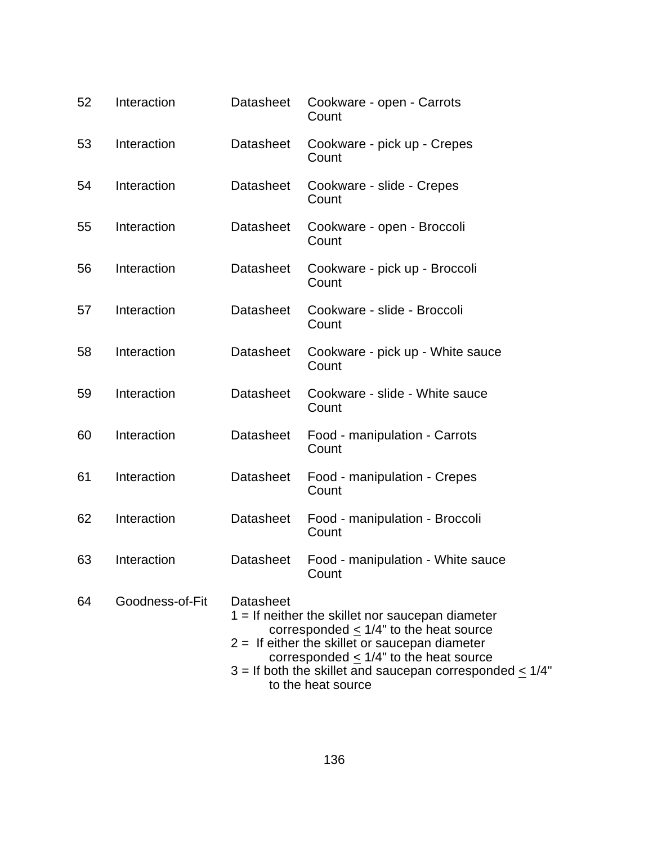| 52 | Interaction     | <b>Datasheet</b> | Cookware - open - Carrots<br>Count                                                                                                                                                                                                                                                      |
|----|-----------------|------------------|-----------------------------------------------------------------------------------------------------------------------------------------------------------------------------------------------------------------------------------------------------------------------------------------|
| 53 | Interaction     | <b>Datasheet</b> | Cookware - pick up - Crepes<br>Count                                                                                                                                                                                                                                                    |
| 54 | Interaction     | <b>Datasheet</b> | Cookware - slide - Crepes<br>Count                                                                                                                                                                                                                                                      |
| 55 | Interaction     | Datasheet        | Cookware - open - Broccoli<br>Count                                                                                                                                                                                                                                                     |
| 56 | Interaction     | <b>Datasheet</b> | Cookware - pick up - Broccoli<br>Count                                                                                                                                                                                                                                                  |
| 57 | Interaction     | <b>Datasheet</b> | Cookware - slide - Broccoli<br>Count                                                                                                                                                                                                                                                    |
| 58 | Interaction     | <b>Datasheet</b> | Cookware - pick up - White sauce<br>Count                                                                                                                                                                                                                                               |
| 59 | Interaction     | <b>Datasheet</b> | Cookware - slide - White sauce<br>Count                                                                                                                                                                                                                                                 |
| 60 | Interaction     | <b>Datasheet</b> | Food - manipulation - Carrots<br>Count                                                                                                                                                                                                                                                  |
| 61 | Interaction     | <b>Datasheet</b> | Food - manipulation - Crepes<br>Count                                                                                                                                                                                                                                                   |
| 62 | Interaction     | <b>Datasheet</b> | Food - manipulation - Broccoli<br>Count                                                                                                                                                                                                                                                 |
| 63 | Interaction     | <b>Datasheet</b> | Food - manipulation - White sauce<br>Count                                                                                                                                                                                                                                              |
| 64 | Goodness-of-Fit | Datasheet        | $1 =$ If neither the skillet nor saucepan diameter<br>corresponded $< 1/4$ " to the heat source<br>$2 =$ If either the skillet or saucepan diameter<br>corresponded $< 1/4$ " to the heat source<br>$3 =$ If both the skillet and saucepan corresponded < $1/4$ "<br>to the heat source |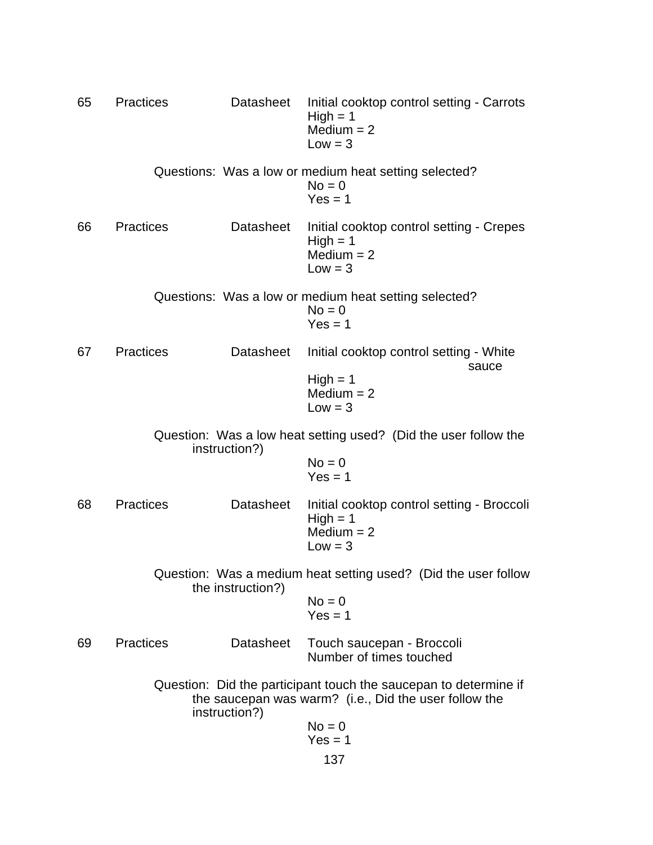65 Practices Datasheet Initial cooktop control setting - Carrots  $High = 1$  $Median = 2$  $Low = 3$ Questions: Was a low or medium heat setting selected?  $No = 0$  $Yes = 1$ 66 Practices Datasheet Initial cooktop control setting - Crepes  $High = 1$  $Median = 2$  $Low = 3$ Questions: Was a low or medium heat setting selected?  $No = 0$  $Yes = 1$ 67 Practices Datasheet Initial cooktop control setting - White sauce High  $= 1$  $Median = 2$  $Low = 3$ Question: Was a low heat setting used? (Did the user follow the instruction?)  $No = 0$  $Yes = 1$ 68 Practices Datasheet Initial cooktop control setting - Broccoli  $High = 1$  $Median = 2$  $Low = 3$ Question: Was a medium heat setting used? (Did the user follow the instruction?)  $No = 0$  $Yes = 1$ 69 Practices Datasheet Touch saucepan - Broccoli Number of times touched Question: Did the participant touch the saucepan to determine if the saucepan was warm? (i.e., Did the user follow the instruction?)  $No = 0$  $Yes = 1$ 137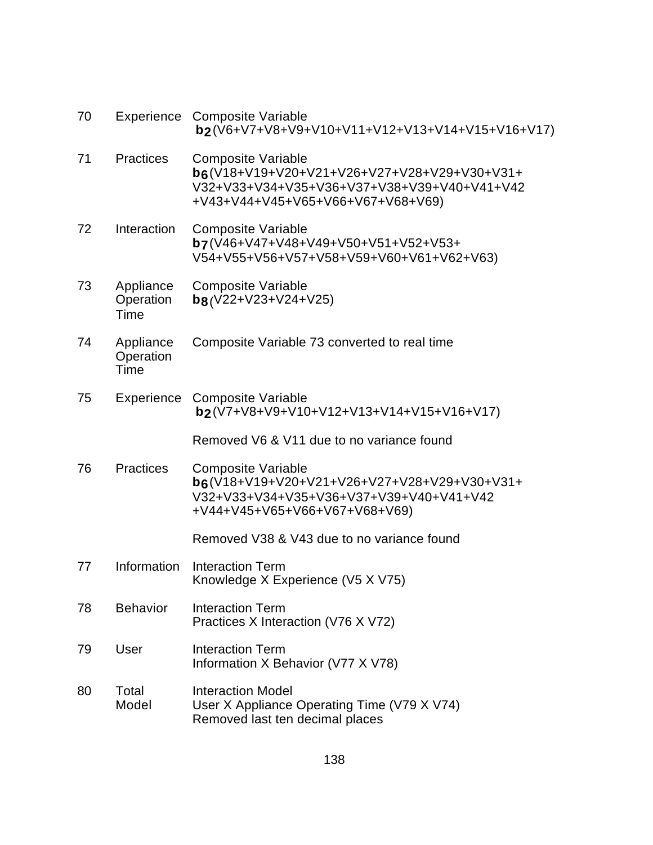| 70 |                                | Experience Composite Variable<br>b2(V6+V7+V8+V9+V10+V11+V12+V13+V14+V15+V16+V17)                                                                             |
|----|--------------------------------|--------------------------------------------------------------------------------------------------------------------------------------------------------------|
| 71 | <b>Practices</b>               | <b>Composite Variable</b><br>b6(V18+V19+V20+V21+V26+V27+V28+V29+V30+V31+<br>V32+V33+V34+V35+V36+V37+V38+V39+V40+V41+V42<br>+V43+V44+V45+V65+V66+V67+V68+V69) |
| 72 | Interaction                    | <b>Composite Variable</b><br>b7(V46+V47+V48+V49+V50+V51+V52+V53+<br>V54+V55+V56+V57+V58+V59+V60+V61+V62+V63)                                                 |
| 73 | Appliance<br>Operation<br>Time | <b>Composite Variable</b><br>$b8(V22+V23+V24+V25)$                                                                                                           |
| 74 | Appliance<br>Operation<br>Time | Composite Variable 73 converted to real time                                                                                                                 |
| 75 |                                | Experience Composite Variable<br>b2(V7+V8+V9+V10+V12+V13+V14+V15+V16+V17)                                                                                    |
|    |                                | Removed V6 & V11 due to no variance found                                                                                                                    |
| 76 | <b>Practices</b>               | <b>Composite Variable</b><br>b6(V18+V19+V20+V21+V26+V27+V28+V29+V30+V31+<br>V32+V33+V34+V35+V36+V37+V39+V40+V41+V42<br>+V44+V45+V65+V66+V67+V68+V69)         |
|    |                                | Removed V38 & V43 due to no variance found                                                                                                                   |
| 77 | Information                    | <b>Interaction Term</b><br>Knowledge X Experience (V5 X V75)                                                                                                 |
| 78 | <b>Behavior</b>                | <b>Interaction Term</b><br>Practices X Interaction (V76 X V72)                                                                                               |
| 79 | User                           | <b>Interaction Term</b><br>Information X Behavior (V77 X V78)                                                                                                |
| 80 | Total<br>Model                 | <b>Interaction Model</b><br>User X Appliance Operating Time (V79 X V74)<br>Removed last ten decimal places                                                   |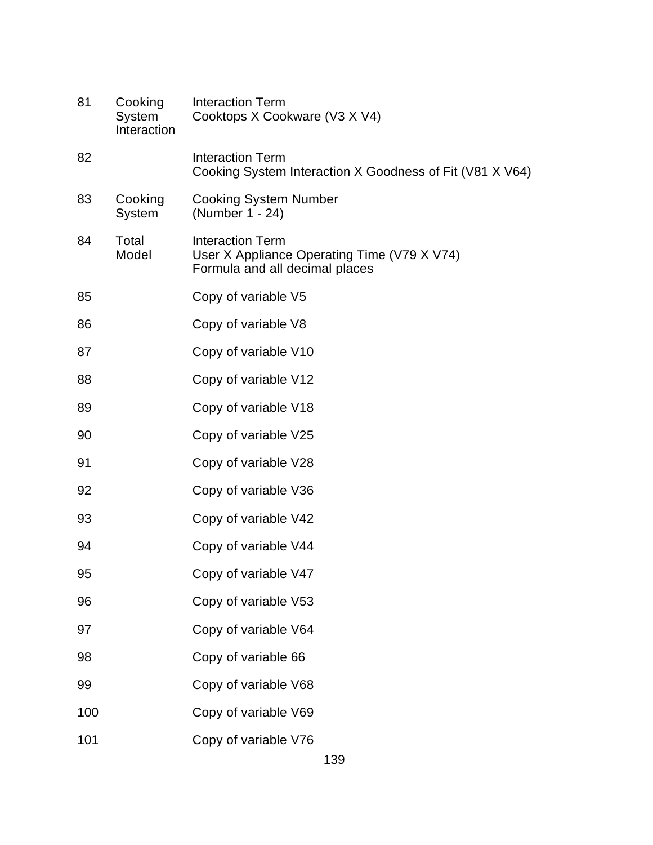| 81  | Cooking<br>System<br>Interaction | <b>Interaction Term</b><br>Cooktops X Cookware (V3 X V4)                                                 |
|-----|----------------------------------|----------------------------------------------------------------------------------------------------------|
| 82  |                                  | <b>Interaction Term</b><br>Cooking System Interaction X Goodness of Fit (V81 X V64)                      |
| 83  | Cooking<br>System                | <b>Cooking System Number</b><br>(Number 1 - 24)                                                          |
| 84  | Total<br>Model                   | <b>Interaction Term</b><br>User X Appliance Operating Time (V79 X V74)<br>Formula and all decimal places |
| 85  |                                  | Copy of variable V5                                                                                      |
| 86  |                                  | Copy of variable V8                                                                                      |
| 87  |                                  | Copy of variable V10                                                                                     |
| 88  |                                  | Copy of variable V12                                                                                     |
| 89  |                                  | Copy of variable V18                                                                                     |
| 90  |                                  | Copy of variable V25                                                                                     |
| 91  |                                  | Copy of variable V28                                                                                     |
| 92  |                                  | Copy of variable V36                                                                                     |
| 93  |                                  | Copy of variable V42                                                                                     |
| 94  |                                  | Copy of variable V44                                                                                     |
| 95  |                                  | Copy of variable V47                                                                                     |
| 96  |                                  | Copy of variable V53                                                                                     |
| 97  |                                  | Copy of variable V64                                                                                     |
| 98  |                                  | Copy of variable 66                                                                                      |
| 99  |                                  | Copy of variable V68                                                                                     |
| 100 |                                  | Copy of variable V69                                                                                     |
| 101 |                                  | Copy of variable V76                                                                                     |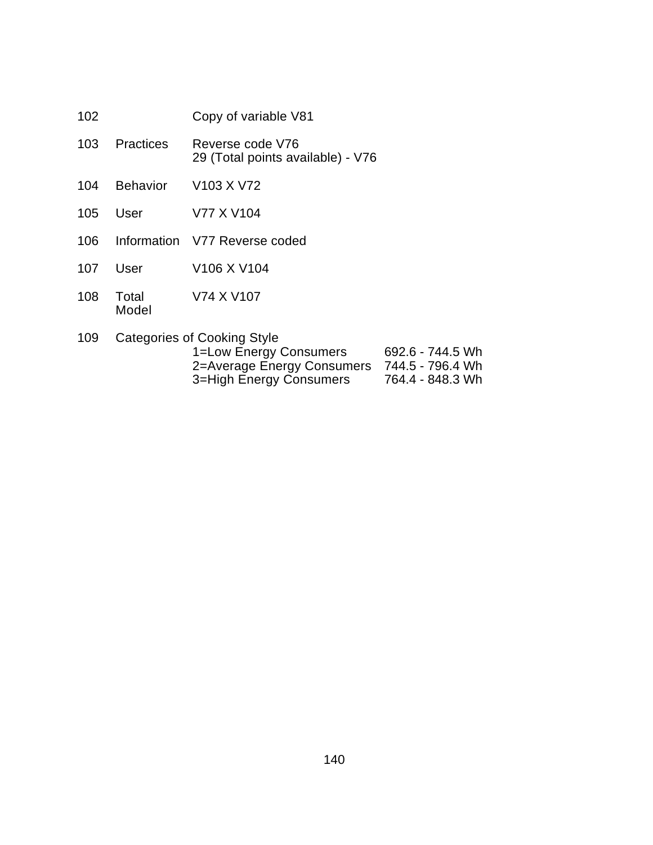| 102 |               | Copy of variable V81                                  |
|-----|---------------|-------------------------------------------------------|
|     | 103 Practices | Reverse code V76<br>29 (Total points available) - V76 |
| 104 | Behavior      | V103 X V72                                            |
|     | 105 User      | V77 X V104                                            |
|     |               |                                                       |

- Information V77 Reverse coded
- User V106 X V104
- Total V74 X V107 Model
- Categories of Cooking Style

| 1=Low Energy Consumers     | 692.6 - 744.5 Wh |
|----------------------------|------------------|
| 2=Average Energy Consumers | 744.5 - 796.4 Wh |
| 3=High Energy Consumers    | 764.4 - 848.3 Wh |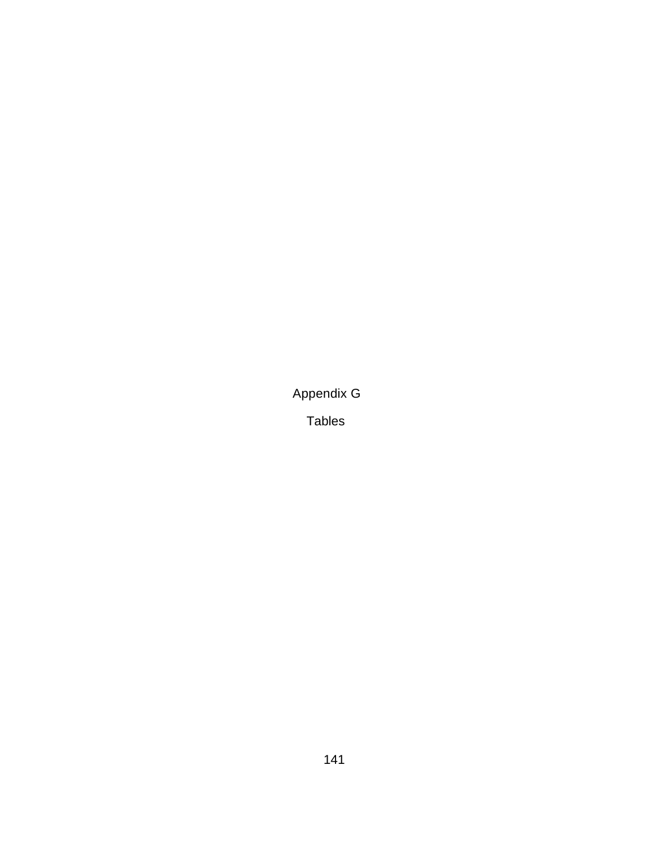Appendix G

Tables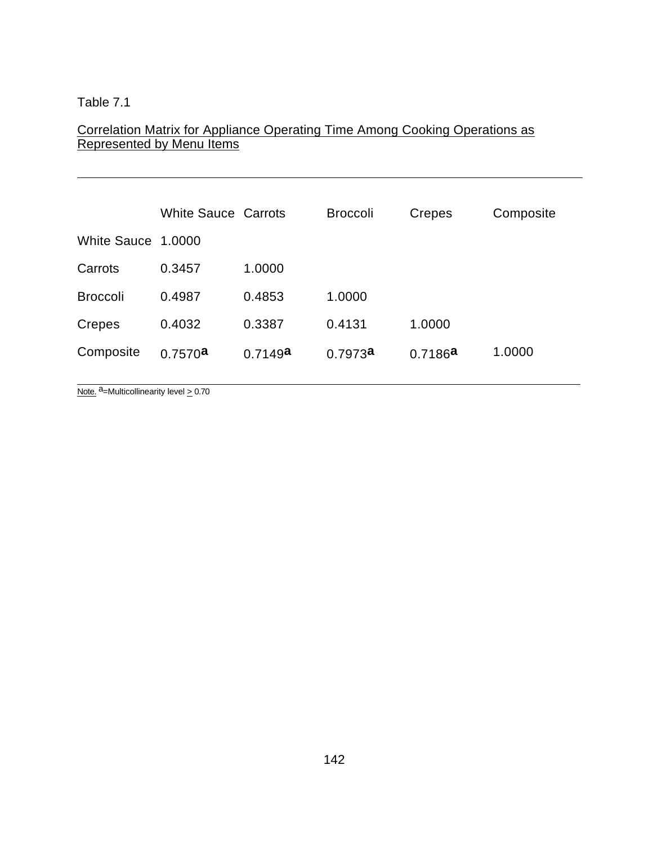$\overline{a}$ 

### Correlation Matrix for Appliance Operating Time Among Cooking Operations as Represented by Menu Items

|                    | <b>White Sauce Carrots</b> |         | <b>Broccoli</b> | <b>Crepes</b> | Composite |
|--------------------|----------------------------|---------|-----------------|---------------|-----------|
| White Sauce 1,0000 |                            |         |                 |               |           |
| Carrots            | 0.3457                     | 1.0000  |                 |               |           |
| <b>Broccoli</b>    | 0.4987                     | 0.4853  | 1.0000          |               |           |
| Crepes             | 0.4032                     | 0.3387  | 0.4131          | 1.0000        |           |
| Composite          | 0.7570a                    | 0.7149a | 0.7973a         | 0.7186a       | 1.0000    |

Note.  $a =$ Multicollinearity level  $\geq 0.70$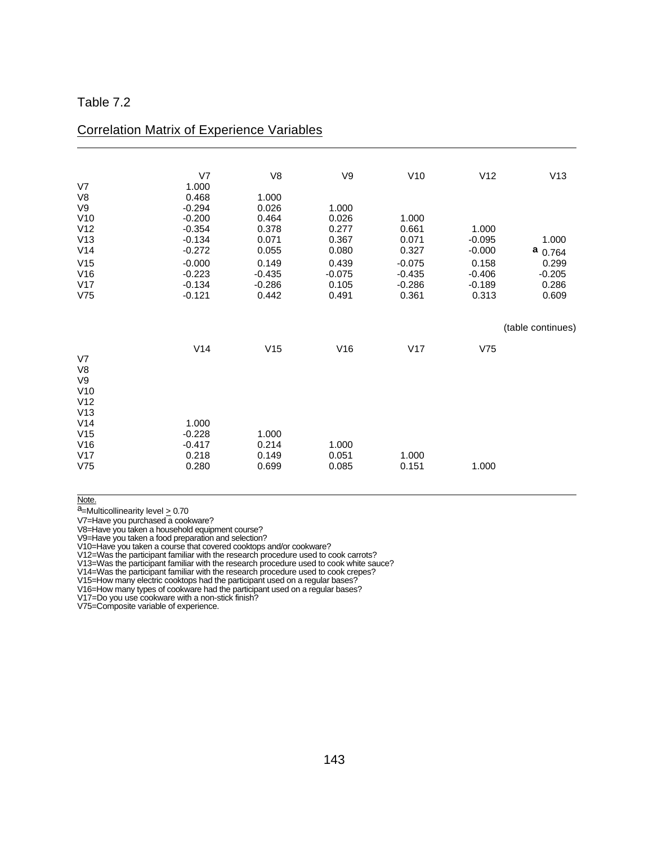I

|                | V <sub>7</sub> | V8       | V9       | V10      | V12      | V13               |
|----------------|----------------|----------|----------|----------|----------|-------------------|
| V7             | 1.000          |          |          |          |          |                   |
| V8             | 0.468          | 1.000    |          |          |          |                   |
| V9             | $-0.294$       | 0.026    | 1.000    |          |          |                   |
| V10            | $-0.200$       | 0.464    | 0.026    | 1.000    |          |                   |
| V12            | $-0.354$       | 0.378    | 0.277    | 0.661    | 1.000    |                   |
| V13            | $-0.134$       | 0.071    | 0.367    | 0.071    | $-0.095$ | 1.000             |
| V14            | $-0.272$       | 0.055    | 0.080    | 0.327    | $-0.000$ | а<br>0.764        |
| V15            | $-0.000$       | 0.149    | 0.439    | $-0.075$ | 0.158    | 0.299             |
| V16            | $-0.223$       | $-0.435$ | $-0.075$ | $-0.435$ | $-0.406$ | $-0.205$          |
| V17            | $-0.134$       | $-0.286$ | 0.105    | $-0.286$ | $-0.189$ | 0.286             |
| V75            | $-0.121$       | 0.442    | 0.491    | 0.361    | 0.313    | 0.609             |
|                |                |          |          |          |          |                   |
|                |                |          |          |          |          | (table continues) |
|                | V14            | V15      | V16      | V17      | V75      |                   |
| V <sub>7</sub> |                |          |          |          |          |                   |
| V8             |                |          |          |          |          |                   |
| V9             |                |          |          |          |          |                   |
| V10            |                |          |          |          |          |                   |
| V12            |                |          |          |          |          |                   |
| V13            |                |          |          |          |          |                   |
| V14            | 1.000          |          |          |          |          |                   |
| V15            | $-0.228$       | 1.000    |          |          |          |                   |
| V16            | $-0.417$       | 0.214    | 1.000    |          |          |                   |
| V17            | 0.218          | 0.149    | 0.051    | 1.000    |          |                   |
| V75            | 0.280          | 0.699    | 0.085    | 0.151    | 1.000    |                   |
|                |                |          |          |          |          |                   |

### Correlation Matrix of Experience Variables

 $\overline{a}$ Note.

 $a$ =Multicollinearity level  $\geq 0.70$ 

V7=Have you purchased a cookware?

V8=Have you taken a household equipment course?

V9=Have you taken a food preparation and selection?

V10=Have you taken a course that covered cooktops and/or cookware?

V12=Was the participant familiar with the research procedure used to cook carrots?

V13=Was the participant familiar with the research procedure used to cook white sauce?

V14=Was the participant familiar with the research procedure used to cook crepes?

V15=How many electric cooktops had the participant used on a regular bases?

V16=How many types of cookware had the participant used on a regular bases?

V17=Do you use cookware with a non-stick finish?

V75=Composite variable of experience.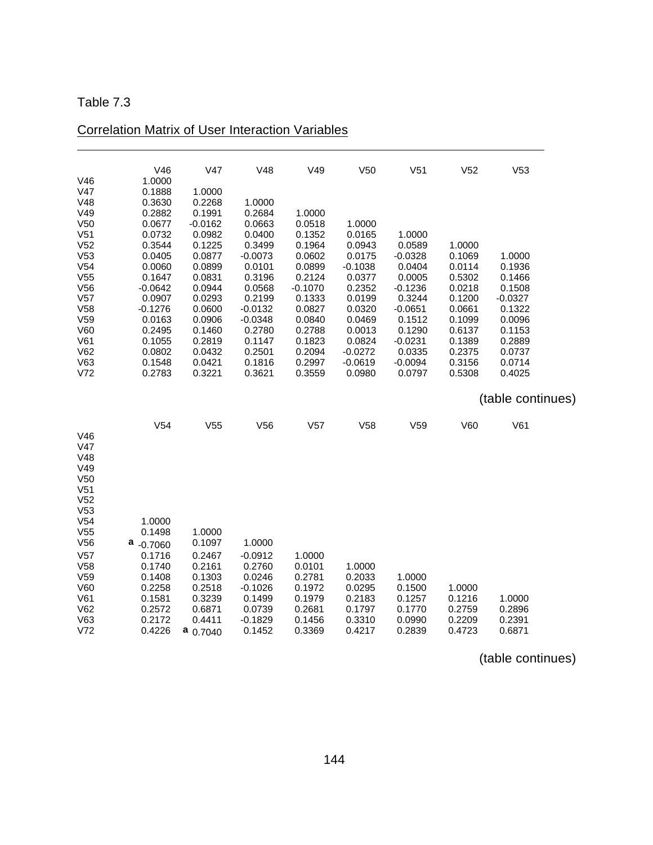$\overline{a}$ 

|                                    | V46                     | V47              | V48                    | V49              | V <sub>50</sub>     | V <sub>51</sub>     | V <sub>52</sub>  | V <sub>53</sub>   |  |
|------------------------------------|-------------------------|------------------|------------------------|------------------|---------------------|---------------------|------------------|-------------------|--|
| V46<br>V47                         | 1.0000<br>0.1888        | 1.0000           |                        |                  |                     |                     |                  |                   |  |
| V48                                | 0.3630                  | 0.2268           | 1.0000                 |                  |                     |                     |                  |                   |  |
| V49                                | 0.2882                  | 0.1991           | 0.2684                 | 1.0000           |                     |                     |                  |                   |  |
| V <sub>50</sub>                    | 0.0677                  | $-0.0162$        | 0.0663                 | 0.0518           | 1.0000              |                     |                  |                   |  |
| V <sub>51</sub><br>V <sub>52</sub> | 0.0732<br>0.3544        | 0.0982<br>0.1225 | 0.0400<br>0.3499       | 0.1352<br>0.1964 | 0.0165<br>0.0943    | 1.0000<br>0.0589    | 1.0000           |                   |  |
| V53                                | 0.0405                  | 0.0877           | $-0.0073$              | 0.0602           | 0.0175              | $-0.0328$           | 0.1069           | 1.0000            |  |
| V <sub>54</sub>                    | 0.0060                  | 0.0899           | 0.0101                 | 0.0899           | $-0.1038$           | 0.0404              | 0.0114           | 0.1936            |  |
| V <sub>55</sub>                    | 0.1647                  | 0.0831           | 0.3196                 | 0.2124           | 0.0377              | 0.0005              | 0.5302           | 0.1466            |  |
| V56                                | $-0.0642$               | 0.0944           | 0.0568                 | $-0.1070$        | 0.2352              | $-0.1236$           | 0.0218           | 0.1508            |  |
| V <sub>57</sub>                    | 0.0907                  | 0.0293           | 0.2199                 | 0.1333           | 0.0199              | 0.3244              | 0.1200           | $-0.0327$         |  |
| V <sub>58</sub><br>V <sub>59</sub> | $-0.1276$<br>0.0163     | 0.0600<br>0.0906 | $-0.0132$<br>$-0.0348$ | 0.0827<br>0.0840 | 0.0320<br>0.0469    | $-0.0651$<br>0.1512 | 0.0661<br>0.1099 | 0.1322<br>0.0096  |  |
| V60                                | 0.2495                  | 0.1460           | 0.2780                 | 0.2788           | 0.0013              | 0.1290              | 0.6137           | 0.1153            |  |
| V61                                | 0.1055                  | 0.2819           | 0.1147                 | 0.1823           | 0.0824              | $-0.0231$           | 0.1389           | 0.2889            |  |
| V62                                | 0.0802                  | 0.0432           | 0.2501                 | 0.2094           | $-0.0272$           | 0.0335              | 0.2375           | 0.0737            |  |
| V63<br>V <sub>72</sub>             | 0.1548<br>0.2783        | 0.0421<br>0.3221 | 0.1816<br>0.3621       | 0.2997<br>0.3559 | $-0.0619$<br>0.0980 | $-0.0094$<br>0.0797 | 0.3156<br>0.5308 | 0.0714<br>0.4025  |  |
|                                    |                         |                  |                        |                  |                     |                     |                  |                   |  |
|                                    |                         |                  |                        |                  |                     |                     |                  |                   |  |
|                                    |                         |                  |                        |                  |                     |                     |                  | (table continues) |  |
|                                    | V <sub>54</sub>         | V <sub>55</sub>  | V56                    | V57              | V58                 | V <sub>59</sub>     | V60              | V61               |  |
| V46                                |                         |                  |                        |                  |                     |                     |                  |                   |  |
| V47                                |                         |                  |                        |                  |                     |                     |                  |                   |  |
| V48                                |                         |                  |                        |                  |                     |                     |                  |                   |  |
| V49<br>V <sub>50</sub>             |                         |                  |                        |                  |                     |                     |                  |                   |  |
| V <sub>51</sub>                    |                         |                  |                        |                  |                     |                     |                  |                   |  |
| V <sub>52</sub>                    |                         |                  |                        |                  |                     |                     |                  |                   |  |
| V53                                |                         |                  |                        |                  |                     |                     |                  |                   |  |
| V <sub>54</sub>                    | 1.0000                  |                  |                        |                  |                     |                     |                  |                   |  |
| V <sub>55</sub><br>V56             | 0.1498                  | 1.0000<br>0.1097 | 1.0000                 |                  |                     |                     |                  |                   |  |
| V <sub>57</sub>                    | $a_{-0.7060}$<br>0.1716 | 0.2467           | $-0.0912$              | 1.0000           |                     |                     |                  |                   |  |
| V58                                | 0.1740                  | 0.2161           | 0.2760                 | 0.0101           | 1.0000              |                     |                  |                   |  |
| V <sub>59</sub>                    | 0.1408                  | 0.1303           | 0.0246                 | 0.2781           | 0.2033              | 1.0000              |                  |                   |  |
| V60                                | 0.2258                  | 0.2518           | $-0.1026$              | 0.1972           | 0.0295              | 0.1500              | 1.0000           |                   |  |
| V61                                | 0.1581                  | 0.3239           | 0.1499                 | 0.1979           | 0.2183              | 0.1257              | 0.1216           | 1.0000            |  |
| V62<br>V63                         | 0.2572<br>0.2172        | 0.6871<br>0.4411 | 0.0739<br>$-0.1829$    | 0.2681<br>0.1456 | 0.1797<br>0.3310    | 0.1770<br>0.0990    | 0.2759<br>0.2209 | 0.2896<br>0.2391  |  |

# Correlation Matrix of User Interaction Variables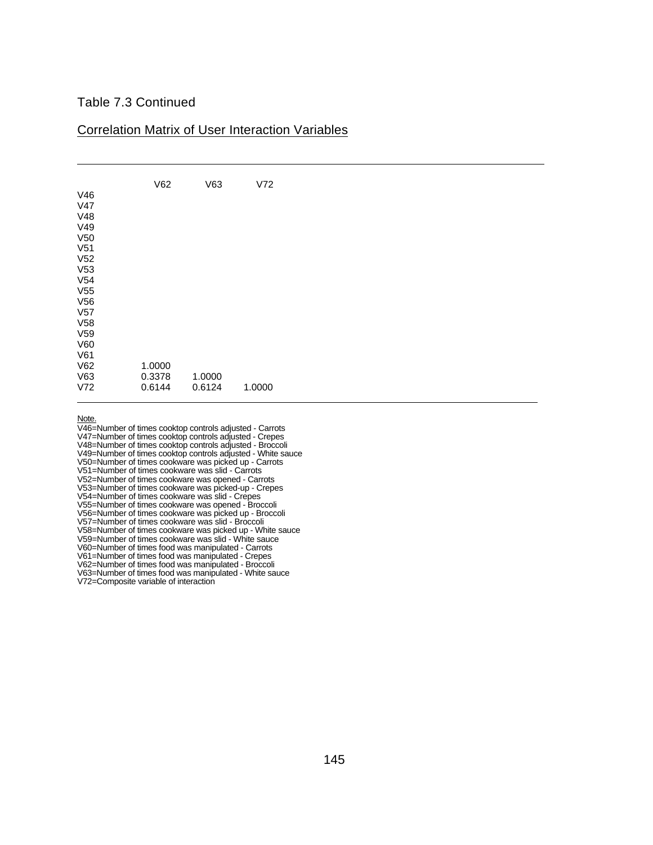### Table 7.3 Continued

#### Correlation Matrix of User Interaction Variables

| V46<br>V47<br>V48                                                               | V62              | V63    | V72    |
|---------------------------------------------------------------------------------|------------------|--------|--------|
| V49<br>V <sub>50</sub><br>V <sub>51</sub><br>V <sub>52</sub><br>V <sub>53</sub> |                  |        |        |
| V <sub>54</sub><br>V <sub>55</sub><br>V56<br>V57<br>V58                         |                  |        |        |
| V <sub>59</sub><br>V60<br>V61<br>V62<br>V63                                     | 1.0000<br>0.3378 | 1.0000 |        |
| V72                                                                             | 0.6144           | 0.6124 | 1.0000 |

Note.

V46=Number of times cooktop controls adjusted - Carrots V47=Number of times cooktop controls adjusted - Crepes V48=Number of times cooktop controls adjusted - Broccoli V49=Number of times cooktop controls adjusted - White sauce V50=Number of times cookware was picked up - Carrots V51=Number of times cookware was slid - Carrots V52=Number of times cookware was opened - Carrots V53=Number of times cookware was picked-up - Crepes V54=Number of times cookware was slid - Crepes V55=Number of times cookware was opened - Broccoli V56=Number of times cookware was picked up - Broccoli V57=Number of times cookware was slid - Broccoli V58=Number of times cookware was picked up - White sauce V59=Number of times cookware was slid - White sauce V60=Number of times food was manipulated - Carrots V61=Number of times food was manipulated - Crepes V62=Number of times food was manipulated - Broccoli V63=Number of times food was manipulated - White sauce V72=Composite variable of interaction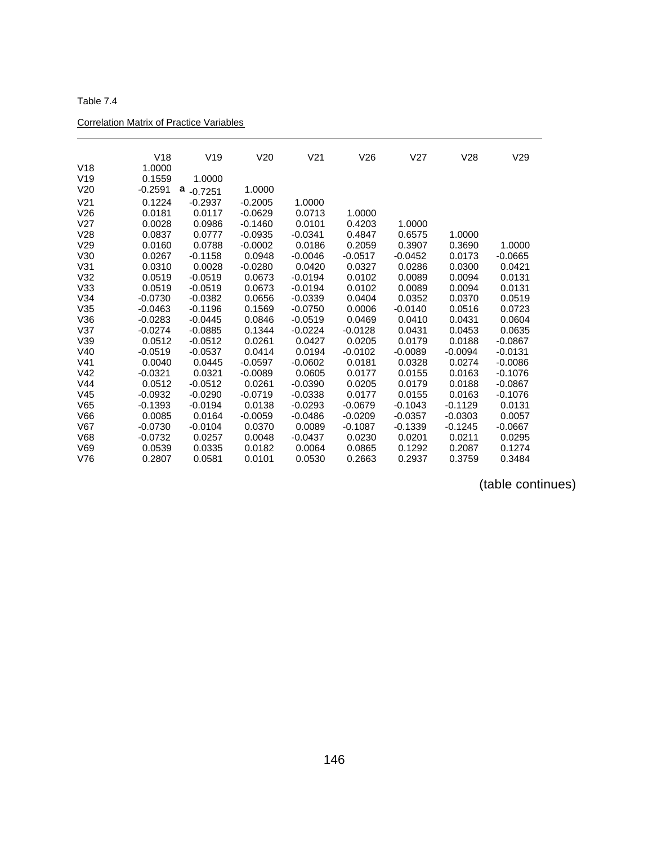| Table 7.4 |  |  |  |
|-----------|--|--|--|
|-----------|--|--|--|

 $\overline{a}$ 

### Correlation Matrix of Practice Variables

|                 | V18       | V19            | V20       | V <sub>21</sub> | V26       | V27       | V28       | V29       |
|-----------------|-----------|----------------|-----------|-----------------|-----------|-----------|-----------|-----------|
| V18             | 1.0000    |                |           |                 |           |           |           |           |
| V <sub>19</sub> | 0.1559    | 1.0000         |           |                 |           |           |           |           |
| V <sub>20</sub> | $-0.2591$ | а<br>$-0.7251$ | 1.0000    |                 |           |           |           |           |
| V <sub>21</sub> | 0.1224    | $-0.2937$      | $-0.2005$ | 1.0000          |           |           |           |           |
| V26             | 0.0181    | 0.0117         | $-0.0629$ | 0.0713          | 1.0000    |           |           |           |
| V <sub>27</sub> | 0.0028    | 0.0986         | $-0.1460$ | 0.0101          | 0.4203    | 1.0000    |           |           |
| V28             | 0.0837    | 0.0777         | $-0.0935$ | $-0.0341$       | 0.4847    | 0.6575    | 1.0000    |           |
| V <sub>29</sub> | 0.0160    | 0.0788         | $-0.0002$ | 0.0186          | 0.2059    | 0.3907    | 0.3690    | 1.0000    |
| V30             | 0.0267    | $-0.1158$      | 0.0948    | $-0.0046$       | $-0.0517$ | $-0.0452$ | 0.0173    | $-0.0665$ |
| V31             | 0.0310    | 0.0028         | $-0.0280$ | 0.0420          | 0.0327    | 0.0286    | 0.0300    | 0.0421    |
| V <sub>32</sub> | 0.0519    | $-0.0519$      | 0.0673    | $-0.0194$       | 0.0102    | 0.0089    | 0.0094    | 0.0131    |
| V33             | 0.0519    | $-0.0519$      | 0.0673    | $-0.0194$       | 0.0102    | 0.0089    | 0.0094    | 0.0131    |
| V34             | $-0.0730$ | $-0.0382$      | 0.0656    | $-0.0339$       | 0.0404    | 0.0352    | 0.0370    | 0.0519    |
| V35             | $-0.0463$ | $-0.1196$      | 0.1569    | $-0.0750$       | 0.0006    | $-0.0140$ | 0.0516    | 0.0723    |
| V36             | $-0.0283$ | $-0.0445$      | 0.0846    | $-0.0519$       | 0.0469    | 0.0410    | 0.0431    | 0.0604    |
| V <sub>37</sub> | $-0.0274$ | $-0.0885$      | 0.1344    | $-0.0224$       | $-0.0128$ | 0.0431    | 0.0453    | 0.0635    |
| V39             | 0.0512    | $-0.0512$      | 0.0261    | 0.0427          | 0.0205    | 0.0179    | 0.0188    | $-0.0867$ |
| V40             | $-0.0519$ | $-0.0537$      | 0.0414    | 0.0194          | $-0.0102$ | $-0.0089$ | $-0.0094$ | $-0.0131$ |
| V <sub>41</sub> | 0.0040    | 0.0445         | $-0.0597$ | $-0.0602$       | 0.0181    | 0.0328    | 0.0274    | $-0.0086$ |
| V <sub>42</sub> | $-0.0321$ | 0.0321         | $-0.0089$ | 0.0605          | 0.0177    | 0.0155    | 0.0163    | $-0.1076$ |
| V <sub>44</sub> | 0.0512    | $-0.0512$      | 0.0261    | $-0.0390$       | 0.0205    | 0.0179    | 0.0188    | $-0.0867$ |
| V45             | $-0.0932$ | $-0.0290$      | $-0.0719$ | $-0.0338$       | 0.0177    | 0.0155    | 0.0163    | $-0.1076$ |
| V65             | -0.1393   | $-0.0194$      | 0.0138    | $-0.0293$       | $-0.0679$ | $-0.1043$ | $-0.1129$ | 0.0131    |
| V66             | 0.0085    | 0.0164         | $-0.0059$ | $-0.0486$       | $-0.0209$ | $-0.0357$ | $-0.0303$ | 0.0057    |
| V67             | $-0.0730$ | $-0.0104$      | 0.0370    | 0.0089          | $-0.1087$ | $-0.1339$ | $-0.1245$ | $-0.0667$ |
| <b>V68</b>      | $-0.0732$ | 0.0257         | 0.0048    | $-0.0437$       | 0.0230    | 0.0201    | 0.0211    | 0.0295    |
| V69             | 0.0539    | 0.0335         | 0.0182    | 0.0064          | 0.0865    | 0.1292    | 0.2087    | 0.1274    |
| V76             | 0.2807    | 0.0581         | 0.0101    | 0.0530          | 0.2663    | 0.2937    | 0.3759    | 0.3484    |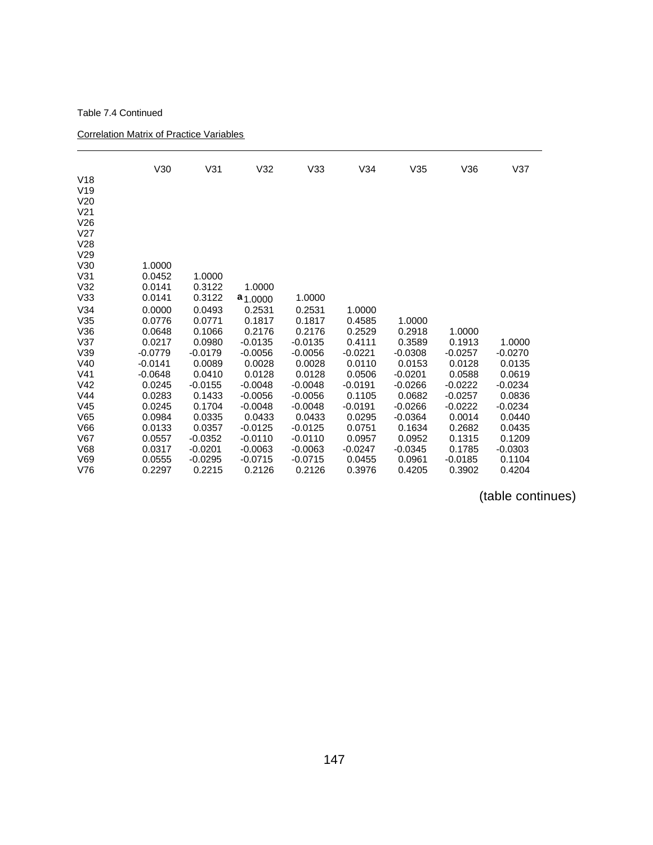#### Table 7.4 Continued

 $\overline{a}$ 

#### Correlation Matrix of Practice Variables

|                                    | V30                 | V31                 | V32              | V33              | V34              | V35                 | V36              | V37              |
|------------------------------------|---------------------|---------------------|------------------|------------------|------------------|---------------------|------------------|------------------|
| V18                                |                     |                     |                  |                  |                  |                     |                  |                  |
| V19                                |                     |                     |                  |                  |                  |                     |                  |                  |
| V <sub>20</sub><br>V <sub>21</sub> |                     |                     |                  |                  |                  |                     |                  |                  |
| V26                                |                     |                     |                  |                  |                  |                     |                  |                  |
| V <sub>27</sub>                    |                     |                     |                  |                  |                  |                     |                  |                  |
| V28                                |                     |                     |                  |                  |                  |                     |                  |                  |
| V29                                |                     |                     |                  |                  |                  |                     |                  |                  |
| V30                                | 1.0000              |                     |                  |                  |                  |                     |                  |                  |
| V31                                | 0.0452              | 1.0000              |                  |                  |                  |                     |                  |                  |
| V <sub>32</sub>                    | 0.0141              | 0.3122              | 1.0000           |                  |                  |                     |                  |                  |
| V33                                | 0.0141              | 0.3122              | $a_{1.0000}$     | 1.0000           |                  |                     |                  |                  |
| V34                                | 0.0000              | 0.0493              | 0.2531           | 0.2531           | 1.0000           |                     |                  |                  |
| V35                                | 0.0776              | 0.0771              | 0.1817           | 0.1817           | 0.4585           | 1.0000              |                  |                  |
| V36                                | 0.0648              | 0.1066              | 0.2176           | 0.2176           | 0.2529           | 0.2918              | 1.0000           |                  |
| V <sub>37</sub>                    | 0.0217              | 0.0980              | $-0.0135$        | $-0.0135$        | 0.4111           | 0.3589              | 0.1913           | 1.0000           |
| V39                                | $-0.0779$           | $-0.0179$           | $-0.0056$        | $-0.0056$        | $-0.0221$        | $-0.0308$           | $-0.0257$        | $-0.0270$        |
| V40<br>V <sub>41</sub>             | $-0.0141$           | 0.0089              | 0.0028<br>0.0128 | 0.0028<br>0.0128 | 0.0110<br>0.0506 | 0.0153<br>$-0.0201$ | 0.0128<br>0.0588 | 0.0135<br>0.0619 |
| V <sub>42</sub>                    | $-0.0648$<br>0.0245 | 0.0410<br>$-0.0155$ | $-0.0048$        | $-0.0048$        | $-0.0191$        | $-0.0266$           | $-0.0222$        | $-0.0234$        |
| V <sub>44</sub>                    | 0.0283              | 0.1433              | $-0.0056$        | $-0.0056$        | 0.1105           | 0.0682              | $-0.0257$        | 0.0836           |
| V <sub>45</sub>                    | 0.0245              | 0.1704              | $-0.0048$        | $-0.0048$        | $-0.0191$        | $-0.0266$           | $-0.0222$        | $-0.0234$        |
| V65                                | 0.0984              | 0.0335              | 0.0433           | 0.0433           | 0.0295           | $-0.0364$           | 0.0014           | 0.0440           |
| V66                                | 0.0133              | 0.0357              | $-0.0125$        | $-0.0125$        | 0.0751           | 0.1634              | 0.2682           | 0.0435           |
| V67                                | 0.0557              | $-0.0352$           | $-0.0110$        | $-0.0110$        | 0.0957           | 0.0952              | 0.1315           | 0.1209           |
| <b>V68</b>                         | 0.0317              | $-0.0201$           | $-0.0063$        | $-0.0063$        | $-0.0247$        | $-0.0345$           | 0.1785           | $-0.0303$        |
| V69                                | 0.0555              | $-0.0295$           | $-0.0715$        | $-0.0715$        | 0.0455           | 0.0961              | $-0.0185$        | 0.1104           |
| V76                                | 0.2297              | 0.2215              | 0.2126           | 0.2126           | 0.3976           | 0.4205              | 0.3902           | 0.4204           |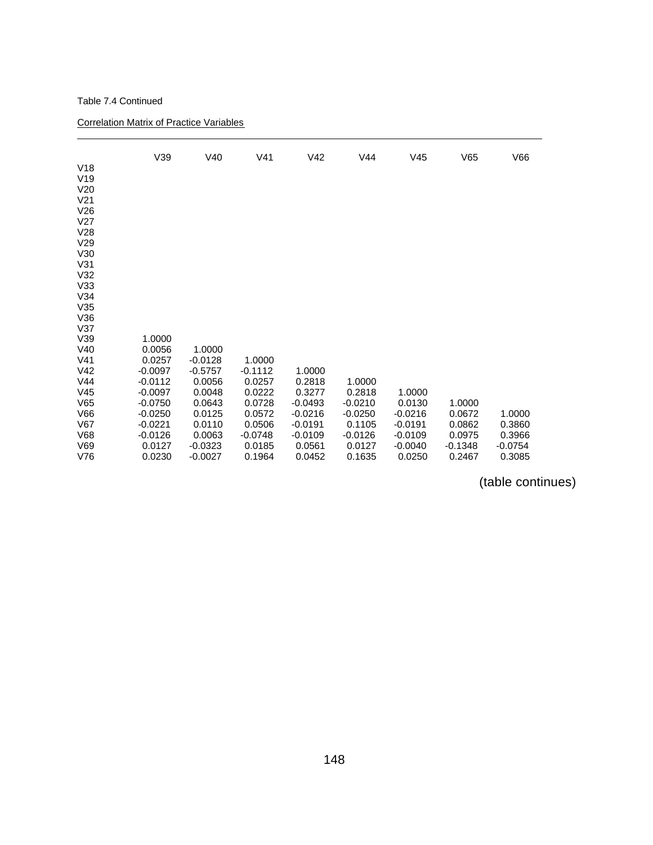#### Table 7.4 Continued

 $\overline{a}$ 

Correlation Matrix of Practice Variables

| V18<br>V19<br>V <sub>20</sub><br>V <sub>21</sub><br>V26<br>V <sub>27</sub><br>V28 | V39              | V40                    | V <sub>41</sub>  | V <sub>42</sub>  | V44              | V45                 | V65                 | V66                 |
|-----------------------------------------------------------------------------------|------------------|------------------------|------------------|------------------|------------------|---------------------|---------------------|---------------------|
| V <sub>29</sub>                                                                   |                  |                        |                  |                  |                  |                     |                     |                     |
| V30                                                                               |                  |                        |                  |                  |                  |                     |                     |                     |
| V31<br>V32                                                                        |                  |                        |                  |                  |                  |                     |                     |                     |
| V33                                                                               |                  |                        |                  |                  |                  |                     |                     |                     |
| V34                                                                               |                  |                        |                  |                  |                  |                     |                     |                     |
| V35                                                                               |                  |                        |                  |                  |                  |                     |                     |                     |
| V36                                                                               |                  |                        |                  |                  |                  |                     |                     |                     |
| V37                                                                               |                  |                        |                  |                  |                  |                     |                     |                     |
| V39<br>V40                                                                        | 1.0000<br>0.0056 | 1.0000                 |                  |                  |                  |                     |                     |                     |
| V <sub>41</sub>                                                                   | 0.0257           | $-0.0128$              | 1.0000           |                  |                  |                     |                     |                     |
| V <sub>42</sub>                                                                   | $-0.0097$        | $-0.5757$              | $-0.1112$        | 1.0000           |                  |                     |                     |                     |
| V44                                                                               | $-0.0112$        | 0.0056                 | 0.0257           | 0.2818           | 1.0000           |                     |                     |                     |
| V <sub>45</sub>                                                                   | $-0.0097$        | 0.0048                 | 0.0222           | 0.3277           | 0.2818           | 1.0000              |                     |                     |
| V65                                                                               | $-0.0750$        | 0.0643                 | 0.0728           | $-0.0493$        | $-0.0210$        | 0.0130              | 1.0000              |                     |
| V66                                                                               | $-0.0250$        | 0.0125                 | 0.0572           | $-0.0216$        | $-0.0250$        | $-0.0216$           | 0.0672              | 1.0000              |
| V67                                                                               | $-0.0221$        | 0.0110                 | 0.0506           | $-0.0191$        | 0.1105           | $-0.0191$           | 0.0862              | 0.3860              |
| <b>V68</b>                                                                        | $-0.0126$        | 0.0063                 | $-0.0748$        | $-0.0109$        | $-0.0126$        | $-0.0109$           | 0.0975              | 0.3966              |
| V69<br>V76                                                                        | 0.0127<br>0.0230 | $-0.0323$<br>$-0.0027$ | 0.0185<br>0.1964 | 0.0561<br>0.0452 | 0.0127<br>0.1635 | $-0.0040$<br>0.0250 | $-0.1348$<br>0.2467 | $-0.0754$<br>0.3085 |
|                                                                                   |                  |                        |                  |                  |                  |                     |                     |                     |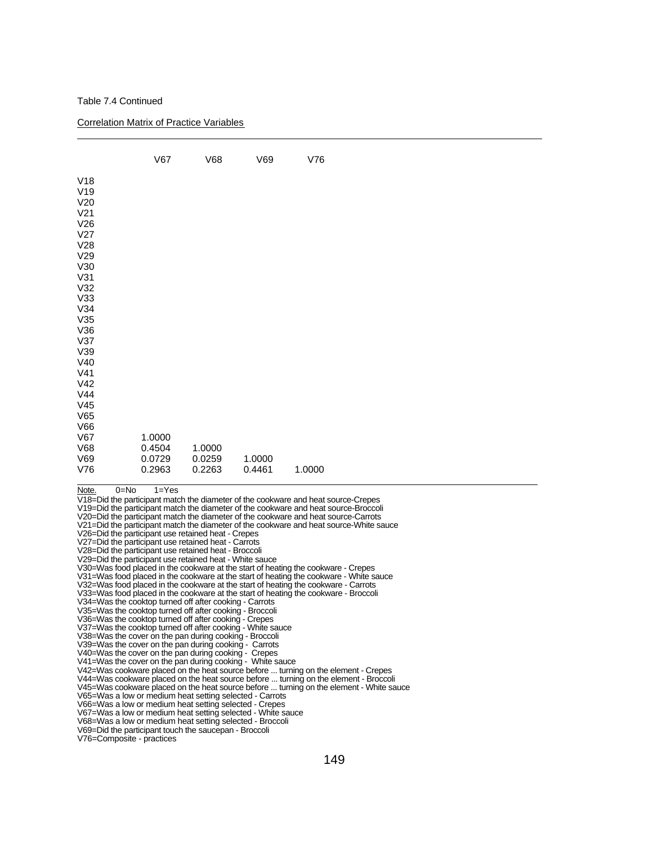Table 7.4 Continued

 $\overline{a}$ 

Correlation Matrix of Practice Variables

|                                                                                                                                                                                                                                                                                                                                                                                                                                                                                                                                                                                                                                                                                                                                                                                                                                                                                                                                                                                                                                                                             | V67                                  | V68                        | V69              | V76                                                                                                                                                                                                                                                                                                                                                                                                                                                                                                                                                                                                                                                                                                                                                                                                                                                                                                                                                                                                        |  |
|-----------------------------------------------------------------------------------------------------------------------------------------------------------------------------------------------------------------------------------------------------------------------------------------------------------------------------------------------------------------------------------------------------------------------------------------------------------------------------------------------------------------------------------------------------------------------------------------------------------------------------------------------------------------------------------------------------------------------------------------------------------------------------------------------------------------------------------------------------------------------------------------------------------------------------------------------------------------------------------------------------------------------------------------------------------------------------|--------------------------------------|----------------------------|------------------|------------------------------------------------------------------------------------------------------------------------------------------------------------------------------------------------------------------------------------------------------------------------------------------------------------------------------------------------------------------------------------------------------------------------------------------------------------------------------------------------------------------------------------------------------------------------------------------------------------------------------------------------------------------------------------------------------------------------------------------------------------------------------------------------------------------------------------------------------------------------------------------------------------------------------------------------------------------------------------------------------------|--|
| V18<br>V19<br>V <sub>20</sub><br>V <sub>21</sub><br>V26<br>V <sub>27</sub><br>V <sub>28</sub><br>V <sub>29</sub><br>V30<br>V31<br>V32<br>V33<br>V34<br>V35<br>V36<br>V37<br>V39<br>V40<br>V41<br>V <sub>42</sub><br>V44<br>V45<br>V65<br>V66<br>V67<br>V68<br>V69<br>V76                                                                                                                                                                                                                                                                                                                                                                                                                                                                                                                                                                                                                                                                                                                                                                                                    | 1.0000<br>0.4504<br>0.0729<br>0.2963 | 1.0000<br>0.0259<br>0.2263 | 1.0000<br>0.4461 | 1.0000                                                                                                                                                                                                                                                                                                                                                                                                                                                                                                                                                                                                                                                                                                                                                                                                                                                                                                                                                                                                     |  |
| $0 = No$<br>Note.<br>V26=Did the participant use retained heat - Crepes<br>V27=Did the participant use retained heat - Carrots<br>V28=Did the participant use retained heat - Broccoli<br>V29=Did the participant use retained heat - White sauce<br>V34=Was the cooktop turned off after cooking - Carrots<br>V35=Was the cooktop turned off after cooking - Broccoli<br>V36=Was the cooktop turned off after cooking - Crepes<br>V37=Was the cooktop turned off after cooking - White sauce<br>V38=Was the cover on the pan during cooking - Broccoli<br>V39=Was the cover on the pan during cooking - Carrots<br>V40=Was the cover on the pan during cooking - Crepes<br>V41=Was the cover on the pan during cooking - White sauce<br>V65=Was a low or medium heat setting selected - Carrots<br>V66=Was a low or medium heat setting selected - Crepes<br>V67=Was a low or medium heat setting selected - White sauce<br>V68=Was a low or medium heat setting selected - Broccoli<br>V69=Did the participant touch the saucepan - Broccoli<br>V76=Composite - practices | $1 = Yes$                            |                            |                  | V18=Did the participant match the diameter of the cookware and heat source-Crepes<br>V <sub>19</sub> =Did the participant match the diameter of the cookware and heat source-Broccoli<br>V20=Did the participant match the diameter of the cookware and heat source-Carrots<br>V21=Did the participant match the diameter of the cookware and heat source-White sauce<br>V30=Was food placed in the cookware at the start of heating the cookware - Crepes<br>V31=Was food placed in the cookware at the start of heating the cookware - White sauce<br>V32=Was food placed in the cookware at the start of heating the cookware - Carrots<br>V33=Was food placed in the cookware at the start of heating the cookware - Broccoli<br>V42=Was cookware placed on the heat source before  turning on the element - Crepes<br>V44=Was cookware placed on the heat source before  turning on the element - Broccoli<br>V45=Was cookware placed on the heat source before  turning on the element - White sauce |  |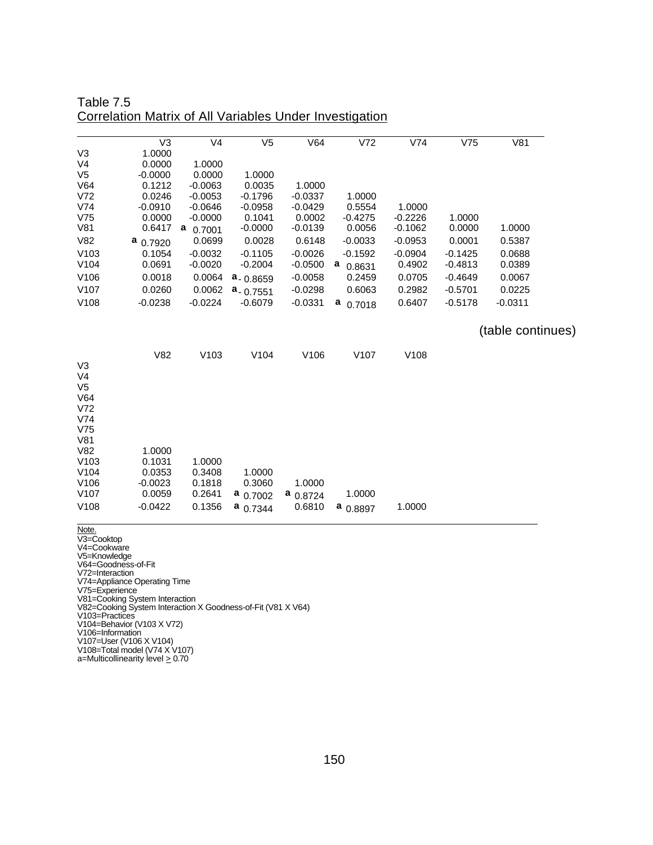| Table 7.5                                               |  |
|---------------------------------------------------------|--|
| Correlation Matrix of All Variables Under Investigation |  |

|                                                                         | V <sub>3</sub> | V <sub>4</sub> | V <sub>5</sub> | V64              | V72              | V74              | V75       | V81               |  |
|-------------------------------------------------------------------------|----------------|----------------|----------------|------------------|------------------|------------------|-----------|-------------------|--|
| V <sub>3</sub>                                                          | 1.0000         |                |                |                  |                  |                  |           |                   |  |
| V <sub>4</sub>                                                          | 0.0000         | 1.0000         |                |                  |                  |                  |           |                   |  |
| V <sub>5</sub>                                                          | $-0.0000$      | 0.0000         | 1.0000         |                  |                  |                  |           |                   |  |
| V64                                                                     | 0.1212         | $-0.0063$      | 0.0035         | 1.0000           |                  |                  |           |                   |  |
| V72                                                                     | 0.0246         | $-0.0053$      | $-0.1796$      | $-0.0337$        | 1.0000           |                  |           |                   |  |
| V74                                                                     | $-0.0910$      | $-0.0646$      | $-0.0958$      | $-0.0429$        | 0.5554           | 1.0000           |           |                   |  |
| V75                                                                     | 0.0000         | $-0.0000$      | 0.1041         | 0.0002           | $-0.4275$        | $-0.2226$        | 1.0000    |                   |  |
| V81                                                                     | 0.6417         | a<br>0.7001    | $-0.0000$      | $-0.0139$        | 0.0056           | $-0.1062$        | 0.0000    | 1.0000            |  |
| V82                                                                     | $a_{0.7920}$   | 0.0699         | 0.0028         | 0.6148           | $-0.0033$        | $-0.0953$        | 0.0001    | 0.5387            |  |
| V <sub>103</sub>                                                        | 0.1054         | $-0.0032$      | $-0.1105$      | $-0.0026$        | $-0.1592$        | $-0.0904$        | $-0.1425$ | 0.0688            |  |
| V <sub>104</sub>                                                        | 0.0691         | $-0.0020$      | $-0.2004$      | $-0.0500$        | a<br>0.8631      | 0.4902           | $-0.4813$ | 0.0389            |  |
| V106                                                                    | 0.0018         | 0.0064         | $a - 0.8659$   | $-0.0058$        | 0.2459           | 0.0705           | $-0.4649$ | 0.0067            |  |
| V107                                                                    | 0.0260         | 0.0062         | $a - 0.7551$   | $-0.0298$        | 0.6063           | 0.2982           | $-0.5701$ | 0.0225            |  |
| V108                                                                    | $-0.0238$      | $-0.0224$      | $-0.6079$      | $-0.0331$        | a<br>0.7018      | 0.6407           | $-0.5178$ | $-0.0311$         |  |
|                                                                         |                |                |                |                  |                  |                  |           | (table continues) |  |
|                                                                         | V82            | V103           | V104           | V <sub>106</sub> | V <sub>107</sub> | V <sub>108</sub> |           |                   |  |
| V <sub>3</sub><br>V <sub>4</sub><br>V <sub>5</sub><br>V64<br>V72<br>V74 |                |                |                |                  |                  |                  |           |                   |  |
|                                                                         |                |                |                |                  |                  |                  |           |                   |  |
| V75<br>V81                                                              |                |                |                |                  |                  |                  |           |                   |  |
| V82                                                                     | 1.0000         |                |                |                  |                  |                  |           |                   |  |
| V <sub>103</sub>                                                        | 0.1031         | 1.0000         |                |                  |                  |                  |           |                   |  |
| V104                                                                    | 0.0353         | 0.3408         | 1.0000         |                  |                  |                  |           |                   |  |
| V106                                                                    | $-0.0023$      | 0.1818         | 0.3060         | 1.0000           |                  |                  |           |                   |  |
| V <sub>107</sub>                                                        | 0.0059         | 0.2641         | $a_{0.7002}$   | $a_{0.8724}$     | 1.0000           |                  |           |                   |  |
| V <sub>108</sub>                                                        | $-0.0422$      | 0.1356         | $a_{0.7344}$   | 0.6810           | a<br>0.8897      | 1.0000           |           |                   |  |
|                                                                         |                |                |                |                  |                  |                  |           |                   |  |

Note.

V3=Cooktop

V4=Cookware

V5=Knowledge

V64=Goodness-of-Fit V72=Interaction

V74=Appliance Operating Time

V75=Experience

V81=Cooking System Interaction

V82=Cooking System Interaction X Goodness-of-Fit (V81 X V64)

V103=Practices

V104=Behavior (V103 X V72)

V106=Information

V107=User (V106 X V104)

V108=Total model (V74 X V107)

a=Multicollinearity level > 0.70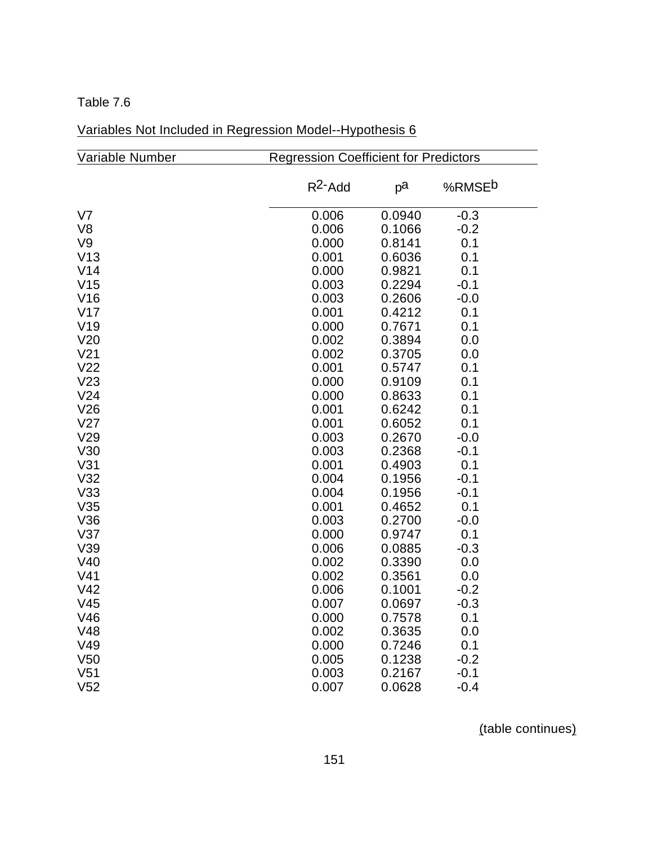| Variable Number | <b>Regression Coefficient for Predictors</b> |        |                    |  |  |  |
|-----------------|----------------------------------------------|--------|--------------------|--|--|--|
|                 | $R^2$ -Add                                   | pa     | %RMSE <sup>b</sup> |  |  |  |
| V <sub>7</sub>  | 0.006                                        | 0.0940 | $-0.3$             |  |  |  |
| V <sub>8</sub>  | 0.006                                        | 0.1066 | $-0.2$             |  |  |  |
| V9              | 0.000                                        | 0.8141 | 0.1                |  |  |  |
| V13             | 0.001                                        | 0.6036 | 0.1                |  |  |  |
| V14             | 0.000                                        | 0.9821 | 0.1                |  |  |  |
| V15             | 0.003                                        | 0.2294 | $-0.1$             |  |  |  |
| V16             | 0.003                                        | 0.2606 | $-0.0$             |  |  |  |
| V17             | 0.001                                        | 0.4212 | 0.1                |  |  |  |
| V19             | 0.000                                        | 0.7671 | 0.1                |  |  |  |
| V20             | 0.002                                        | 0.3894 | 0.0                |  |  |  |
| V <sub>21</sub> | 0.002                                        | 0.3705 | 0.0                |  |  |  |
| V <sub>22</sub> | 0.001                                        | 0.5747 | 0.1                |  |  |  |
| V23             | 0.000                                        | 0.9109 | 0.1                |  |  |  |
| V24             | 0.000                                        | 0.8633 | 0.1                |  |  |  |
| V26             | 0.001                                        | 0.6242 | 0.1                |  |  |  |
| V27             | 0.001                                        | 0.6052 | 0.1                |  |  |  |
| V29             | 0.003                                        | 0.2670 | $-0.0$             |  |  |  |
| V30             | 0.003                                        | 0.2368 | $-0.1$             |  |  |  |
| V31             | 0.001                                        | 0.4903 | 0.1                |  |  |  |
| V32             | 0.004                                        | 0.1956 | $-0.1$             |  |  |  |
| V33             | 0.004                                        | 0.1956 | $-0.1$             |  |  |  |
| V35             | 0.001                                        | 0.4652 | 0.1                |  |  |  |
| V36             | 0.003                                        | 0.2700 | $-0.0$             |  |  |  |
| V <sub>37</sub> | 0.000                                        | 0.9747 | 0.1                |  |  |  |
| V39             | 0.006                                        | 0.0885 | $-0.3$             |  |  |  |
| V40             | 0.002                                        | 0.3390 | 0.0                |  |  |  |
| V <sub>41</sub> | 0.002                                        | 0.3561 | 0.0                |  |  |  |
| V42             | 0.006                                        | 0.1001 | $-0.2$             |  |  |  |
| V45             | 0.007                                        | 0.0697 | $-0.3$             |  |  |  |
| V46             | 0.000                                        | 0.7578 | 0.1                |  |  |  |
| V48             | 0.002                                        | 0.3635 | 0.0                |  |  |  |
| V49             | 0.000                                        | 0.7246 | 0.1                |  |  |  |
| V <sub>50</sub> | 0.005                                        | 0.1238 | $-0.2$             |  |  |  |
| V <sub>51</sub> | 0.003                                        | 0.2167 | $-0.1$             |  |  |  |
| V <sub>52</sub> | 0.007                                        | 0.0628 | $-0.4$             |  |  |  |

# Variables Not Included in Regression Model--Hypothesis 6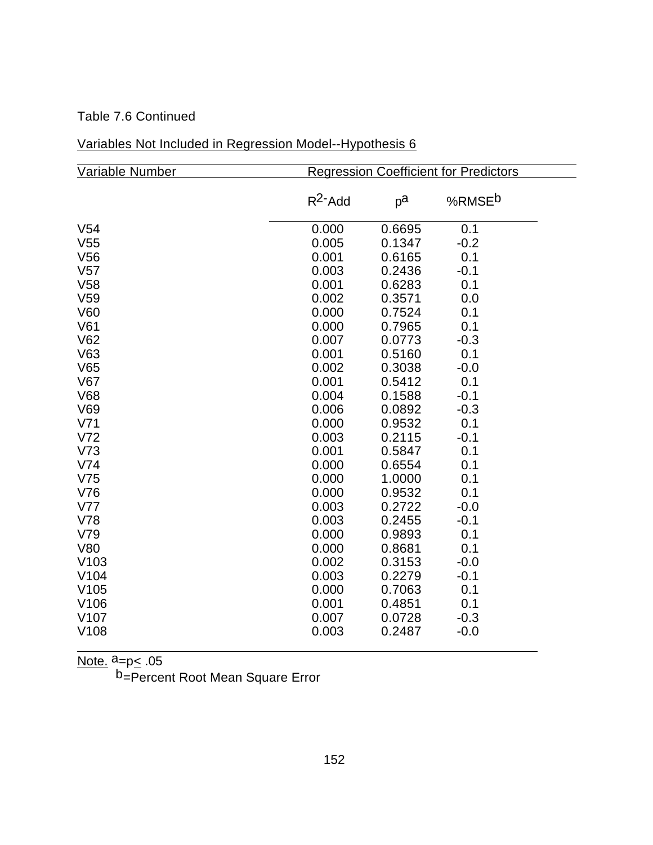## Table 7.6 Continued

# Variables Not Included in Regression Model--Hypothesis 6

| Variable Number  |            |        | <b>Regression Coefficient for Predictors</b> |
|------------------|------------|--------|----------------------------------------------|
|                  | $R^2$ -Add | рa     | %RMSE <sup>b</sup>                           |
| V <sub>54</sub>  | 0.000      | 0.6695 | 0.1                                          |
| V <sub>55</sub>  | 0.005      | 0.1347 | $-0.2$                                       |
| V <sub>56</sub>  | 0.001      | 0.6165 | 0.1                                          |
| V <sub>57</sub>  | 0.003      | 0.2436 | $-0.1$                                       |
| V <sub>58</sub>  | 0.001      | 0.6283 | 0.1                                          |
| V <sub>59</sub>  | 0.002      | 0.3571 | 0.0                                          |
| V60              | 0.000      | 0.7524 | 0.1                                          |
| V61              | 0.000      | 0.7965 | 0.1                                          |
| V62              | 0.007      | 0.0773 | $-0.3$                                       |
| V63              | 0.001      | 0.5160 | 0.1                                          |
| V65              | 0.002      | 0.3038 | $-0.0$                                       |
| V67              | 0.001      | 0.5412 | 0.1                                          |
| <b>V68</b>       | 0.004      | 0.1588 | $-0.1$                                       |
| V69              | 0.006      | 0.0892 | $-0.3$                                       |
| V71              | 0.000      | 0.9532 | 0.1                                          |
| V <sub>72</sub>  | 0.003      | 0.2115 | $-0.1$                                       |
| V <sub>73</sub>  | 0.001      | 0.5847 | 0.1                                          |
| V74              | 0.000      | 0.6554 | 0.1                                          |
| V75              | 0.000      | 1.0000 | 0.1                                          |
| V76              | 0.000      | 0.9532 | 0.1                                          |
| V77              | 0.003      | 0.2722 | $-0.0$                                       |
| <b>V78</b>       | 0.003      | 0.2455 | $-0.1$                                       |
| V79              | 0.000      | 0.9893 | 0.1                                          |
| <b>V80</b>       | 0.000      | 0.8681 | 0.1                                          |
| V103             | 0.002      | 0.3153 | $-0.0$                                       |
| V104             | 0.003      | 0.2279 | $-0.1$                                       |
| V105             | 0.000      | 0.7063 | 0.1                                          |
| V <sub>106</sub> | 0.001      | 0.4851 | 0.1                                          |
| V <sub>107</sub> | 0.007      | 0.0728 | $-0.3$                                       |
| V108             | 0.003      | 0.2487 | $-0.0$                                       |
|                  |            |        |                                              |

<u>Note.</u> <sup>a</sup>=p<u><</u> .05

b<sub>=</sub>Percent Root Mean Square Error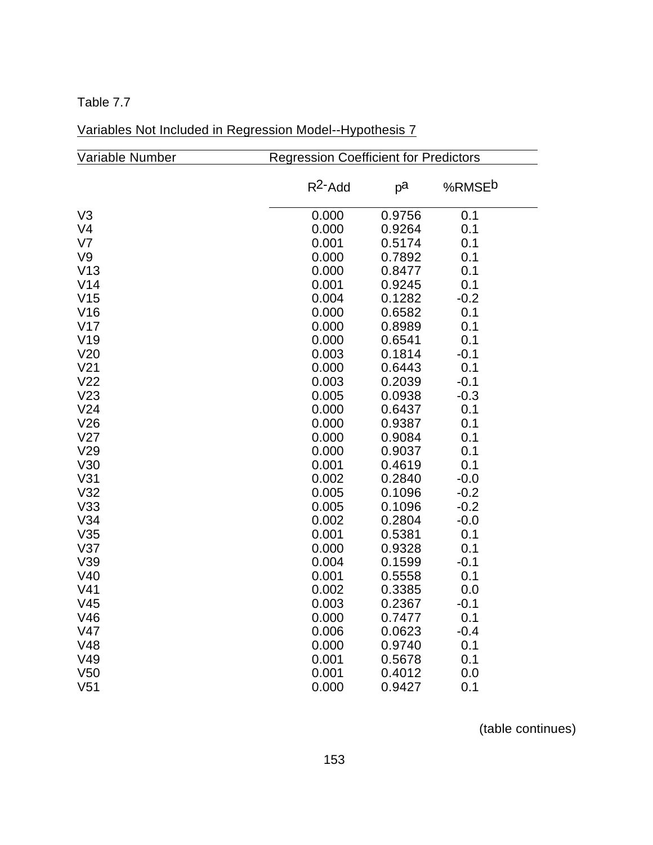| Variable Number | <b>Regression Coefficient for Predictors</b> |        |                    |  |  |  |
|-----------------|----------------------------------------------|--------|--------------------|--|--|--|
|                 | $R^2$ -Add                                   | pa     | %RMSE <sup>b</sup> |  |  |  |
| V <sub>3</sub>  | 0.000                                        | 0.9756 | 0.1                |  |  |  |
| V <sub>4</sub>  | 0.000                                        | 0.9264 | 0.1                |  |  |  |
| V <sub>7</sub>  | 0.001                                        | 0.5174 | 0.1                |  |  |  |
| V9              | 0.000                                        | 0.7892 | 0.1                |  |  |  |
| V13             | 0.000                                        | 0.8477 | 0.1                |  |  |  |
| V <sub>14</sub> | 0.001                                        | 0.9245 | 0.1                |  |  |  |
| V <sub>15</sub> | 0.004                                        | 0.1282 | $-0.2$             |  |  |  |
| V16             | 0.000                                        | 0.6582 | 0.1                |  |  |  |
| V17             | 0.000                                        | 0.8989 | 0.1                |  |  |  |
| V19             | 0.000                                        | 0.6541 | 0.1                |  |  |  |
| V20             | 0.003                                        | 0.1814 | $-0.1$             |  |  |  |
| V <sub>21</sub> | 0.000                                        | 0.6443 | 0.1                |  |  |  |
| V <sub>22</sub> | 0.003                                        | 0.2039 | $-0.1$             |  |  |  |
| V23             | 0.005                                        | 0.0938 | $-0.3$             |  |  |  |
| V <sub>24</sub> | 0.000                                        | 0.6437 | 0.1                |  |  |  |
| V26             | 0.000                                        | 0.9387 | 0.1                |  |  |  |
| V27             | 0.000                                        | 0.9084 | 0.1                |  |  |  |
| V29             | 0.000                                        | 0.9037 | 0.1                |  |  |  |
| V30             | 0.001                                        | 0.4619 | 0.1                |  |  |  |
| V31             | 0.002                                        | 0.2840 | $-0.0$             |  |  |  |
| V32             | 0.005                                        | 0.1096 | $-0.2$             |  |  |  |
| V33             | 0.005                                        | 0.1096 | $-0.2$             |  |  |  |
| V34             | 0.002                                        | 0.2804 | $-0.0$             |  |  |  |
| V35             | 0.001                                        | 0.5381 | 0.1                |  |  |  |
| V37             | 0.000                                        | 0.9328 | 0.1                |  |  |  |
| V39             | 0.004                                        | 0.1599 | $-0.1$             |  |  |  |
| V40             | 0.001                                        | 0.5558 | 0.1                |  |  |  |
| V <sub>41</sub> | 0.002                                        | 0.3385 | 0.0                |  |  |  |
| V <sub>45</sub> | 0.003                                        | 0.2367 | $-0.1$             |  |  |  |
| V46             | 0.000                                        | 0.7477 | 0.1                |  |  |  |
| V47             | 0.006                                        | 0.0623 | $-0.4$             |  |  |  |
| V48             | 0.000                                        | 0.9740 | 0.1                |  |  |  |
| V49             | 0.001                                        | 0.5678 | 0.1                |  |  |  |
| V <sub>50</sub> | 0.001                                        | 0.4012 | 0.0                |  |  |  |
| V <sub>51</sub> | 0.000                                        | 0.9427 | 0.1                |  |  |  |

# Variables Not Included in Regression Model--Hypothesis 7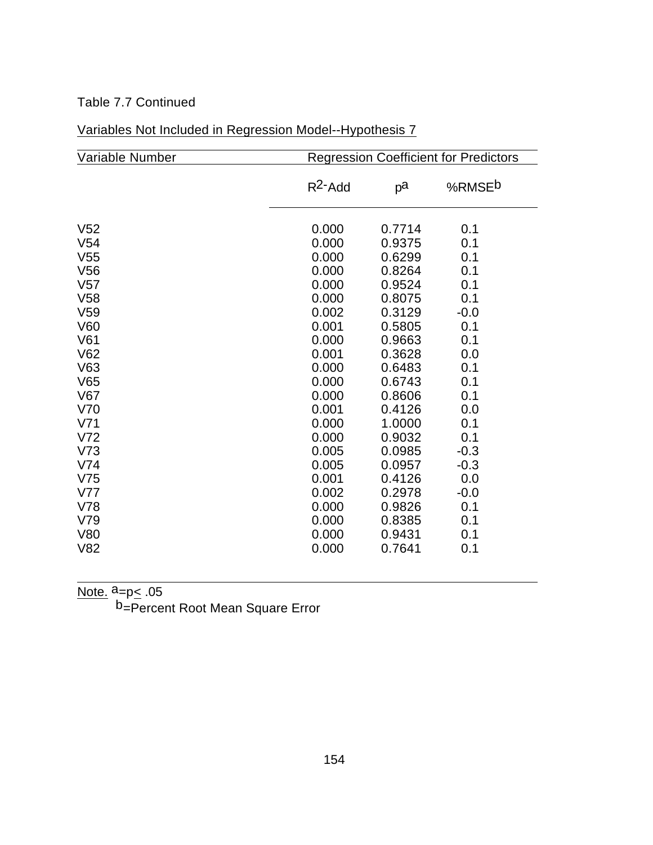## Table 7.7 Continued

| Variable Number |            |        | <b>Regression Coefficient for Predictors</b> |
|-----------------|------------|--------|----------------------------------------------|
|                 | $R^2$ -Add | рa     | %RMSE <sup>b</sup>                           |
| V <sub>52</sub> | 0.000      | 0.7714 | 0.1                                          |
| V <sub>54</sub> | 0.000      | 0.9375 | 0.1                                          |
| V <sub>55</sub> | 0.000      | 0.6299 | 0.1                                          |
| V <sub>56</sub> | 0.000      | 0.8264 | 0.1                                          |
| V <sub>57</sub> | 0.000      | 0.9524 | 0.1                                          |
| V58             | 0.000      | 0.8075 | 0.1                                          |
| V <sub>59</sub> | 0.002      | 0.3129 | $-0.0$                                       |
| V60             | 0.001      | 0.5805 | 0.1                                          |
| V61             | 0.000      | 0.9663 | 0.1                                          |
| V62             | 0.001      | 0.3628 | 0.0                                          |
| V63             | 0.000      | 0.6483 | 0.1                                          |
| V65             | 0.000      | 0.6743 | 0.1                                          |
| V67             | 0.000      | 0.8606 | 0.1                                          |
| V70             | 0.001      | 0.4126 | 0.0                                          |
| V <sub>71</sub> | 0.000      | 1.0000 | 0.1                                          |
| V <sub>72</sub> | 0.000      | 0.9032 | 0.1                                          |
| V <sub>73</sub> | 0.005      | 0.0985 | $-0.3$                                       |
| V74             | 0.005      | 0.0957 | $-0.3$                                       |
| V <sub>75</sub> | 0.001      | 0.4126 | 0.0                                          |
| V77             | 0.002      | 0.2978 | $-0.0$                                       |
| V78             | 0.000      | 0.9826 | 0.1                                          |
| V79             | 0.000      | 0.8385 | 0.1                                          |
| <b>V80</b>      | 0.000      | 0.9431 | 0.1                                          |
| V82             | 0.000      | 0.7641 | 0.1                                          |
|                 |            |        |                                              |

| Variables Not Included in Regression Model--Hypothesis 7 |  |
|----------------------------------------------------------|--|
|----------------------------------------------------------|--|

Note. <sup>a</sup>=p<u><</u> .05

 $\overline{a}$ 

b<sub>=Percent</sub> Root Mean Square Error